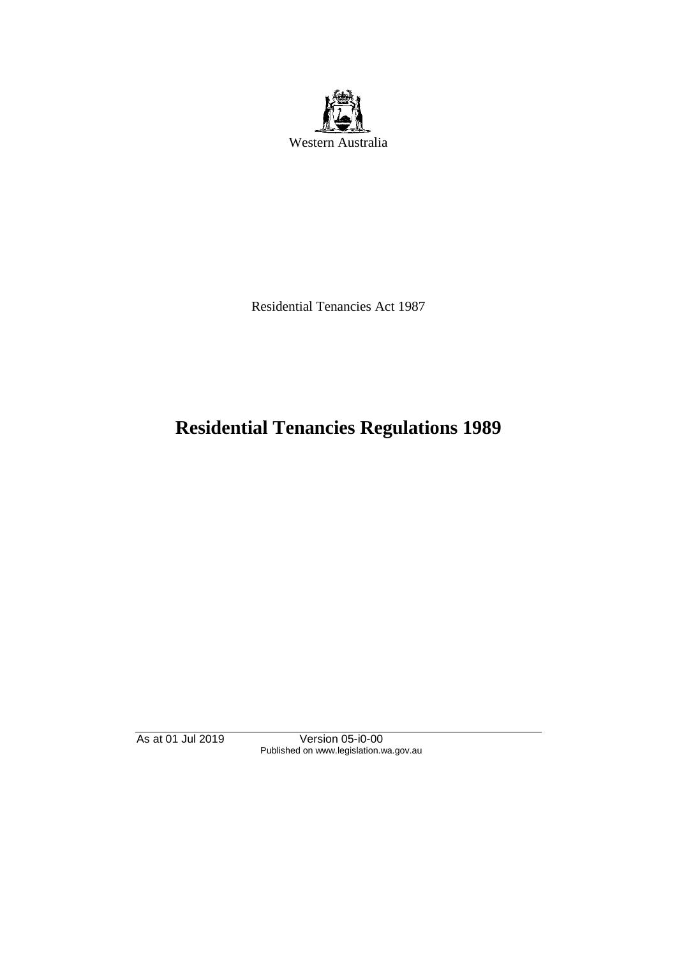

Residential Tenancies Act 1987

# **Residential Tenancies Regulations 1989**

As at 01 Jul 2019 Version 05-i0-00 Published on www.legislation.wa.gov.au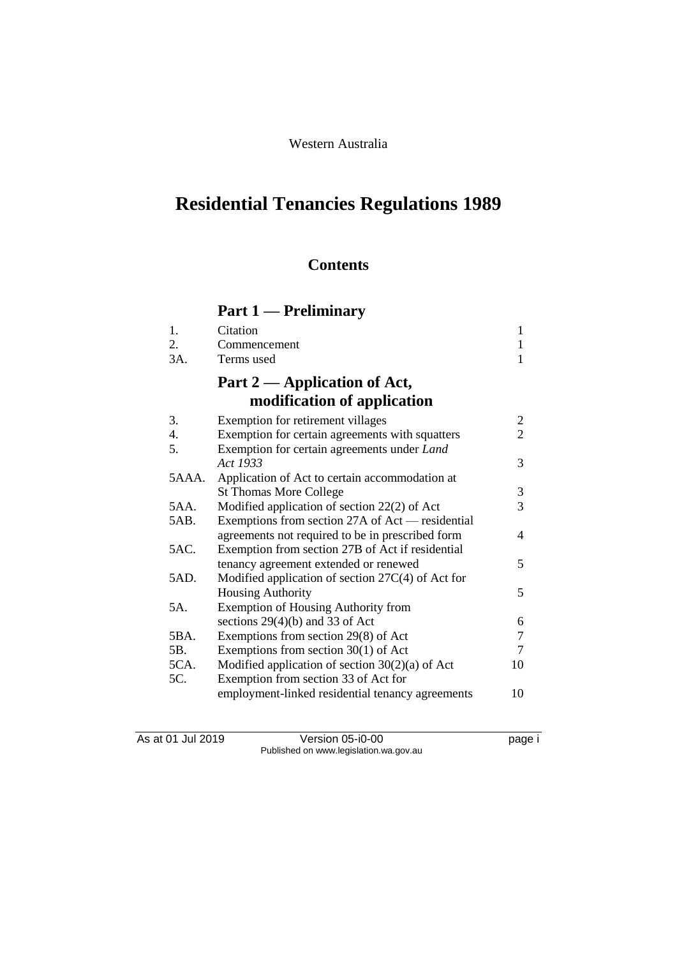## Western Australia

# **Residential Tenancies Regulations 1989**

# **Contents**

# **Part 1 — Preliminary**

| 1.               | Citation                                          | 1              |
|------------------|---------------------------------------------------|----------------|
| 2.               | Commencement                                      | 1              |
| 3A.              | Terms used                                        | 1              |
|                  | Part 2 — Application of Act,                      |                |
|                  | modification of application                       |                |
| 3.               | Exemption for retirement villages                 | 2              |
| $\overline{4}$ . | Exemption for certain agreements with squatters   | $\overline{2}$ |
| 5.               | Exemption for certain agreements under Land       |                |
|                  | Act 1933                                          | 3              |
| 5AAA.            | Application of Act to certain accommodation at    |                |
|                  | <b>St Thomas More College</b>                     | 3              |
| 5AA.             | Modified application of section $22(2)$ of Act    | 3              |
| 5AB.             | Exemptions from section 27A of Act — residential  |                |
|                  | agreements not required to be in prescribed form  | 4              |
| 5AC.             | Exemption from section 27B of Act if residential  |                |
|                  | tenancy agreement extended or renewed             | 5              |
| 5AD.             | Modified application of section 27C(4) of Act for |                |
|                  | <b>Housing Authority</b>                          | 5              |
| 5A.              | <b>Exemption of Housing Authority from</b>        |                |
|                  | sections $29(4)(b)$ and 33 of Act                 | 6              |
| 5BA.             | Exemptions from section $29(8)$ of Act            | 7              |
| 5B.              | Exemptions from section $30(1)$ of Act            | 7              |
| 5CA.             | Modified application of section $30(2)(a)$ of Act | 10             |
| 5C.              | Exemption from section 33 of Act for              |                |
|                  | employment-linked residential tenancy agreements  | 10             |

As at 01 Jul 2019 Version 05-i0-00 page i Published on www.legislation.wa.gov.au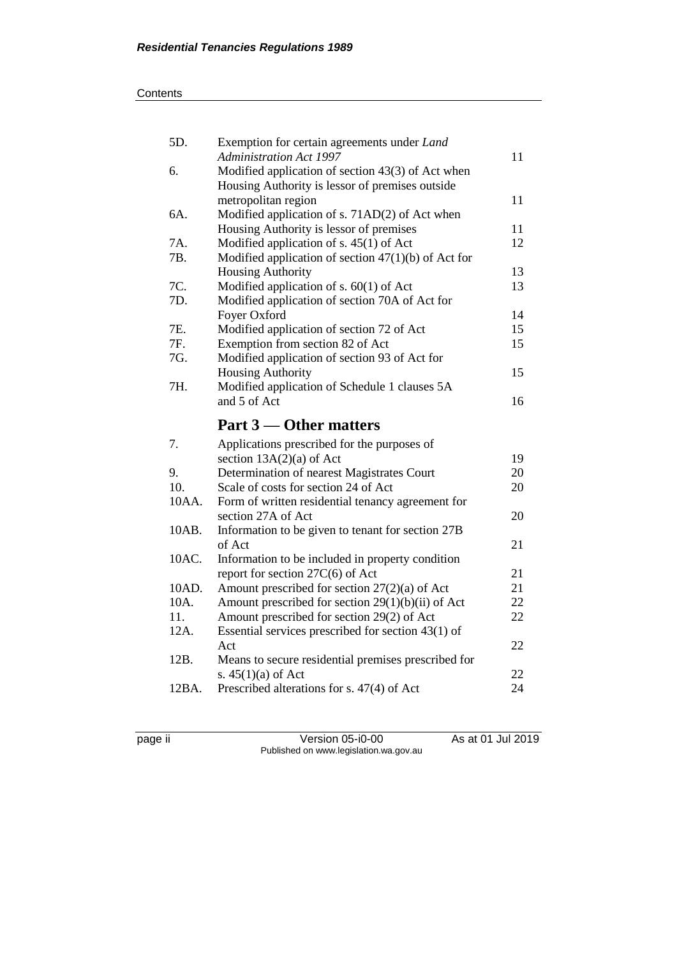| 5D.   | Exemption for certain agreements under Land<br><b>Administration Act 1997</b> | 11       |
|-------|-------------------------------------------------------------------------------|----------|
| 6.    | Modified application of section 43(3) of Act when                             |          |
|       | Housing Authority is lessor of premises outside                               |          |
|       | metropolitan region                                                           | 11       |
| 6A.   | Modified application of s. 71AD(2) of Act when                                |          |
|       | Housing Authority is lessor of premises                                       | 11       |
| 7A.   | Modified application of s. 45(1) of Act                                       | 12       |
| 7B.   | Modified application of section $47(1)(b)$ of Act for                         |          |
|       | <b>Housing Authority</b>                                                      | 13       |
| 7C.   | Modified application of s. $60(1)$ of Act                                     | 13       |
| 7D.   | Modified application of section 70A of Act for                                |          |
|       | Foyer Oxford                                                                  | 14       |
| 7E.   | Modified application of section 72 of Act                                     | 15       |
| 7F.   | Exemption from section 82 of Act                                              | 15       |
| 7G.   | Modified application of section 93 of Act for                                 |          |
|       | <b>Housing Authority</b>                                                      | 15       |
| 7H.   | Modified application of Schedule 1 clauses 5A                                 |          |
|       | and 5 of Act                                                                  | 16       |
|       |                                                                               |          |
|       | Part 3 — Other matters                                                        |          |
| 7.    |                                                                               |          |
|       | Applications prescribed for the purposes of                                   | 19       |
| 9.    | section $13A(2)(a)$ of Act<br>Determination of nearest Magistrates Court      | 20       |
| 10.   | Scale of costs for section 24 of Act                                          | 20       |
| 10AA. | Form of written residential tenancy agreement for                             |          |
|       | section 27A of Act                                                            | 20       |
| 10AB. | Information to be given to tenant for section 27B                             |          |
|       | of Act                                                                        | 21       |
| 10AC. | Information to be included in property condition                              |          |
|       | report for section 27C(6) of Act                                              | 21       |
| 10AD. | Amount prescribed for section 27(2)(a) of Act                                 | 21       |
| 10A.  | Amount prescribed for section $29(1)(b)(ii)$ of Act                           | 22       |
| 11.   | Amount prescribed for section 29(2) of Act                                    | 22       |
| 12A.  | Essential services prescribed for section $43(1)$ of                          |          |
|       | Act                                                                           | 22       |
| 12B.  | Means to secure residential premises prescribed for                           |          |
| 12BA. | s. $45(1)(a)$ of Act<br>Prescribed alterations for s. 47(4) of Act            | 22<br>24 |

page ii Version 05-i0-00 As at 01 Jul 2019 Published on www.legislation.wa.gov.au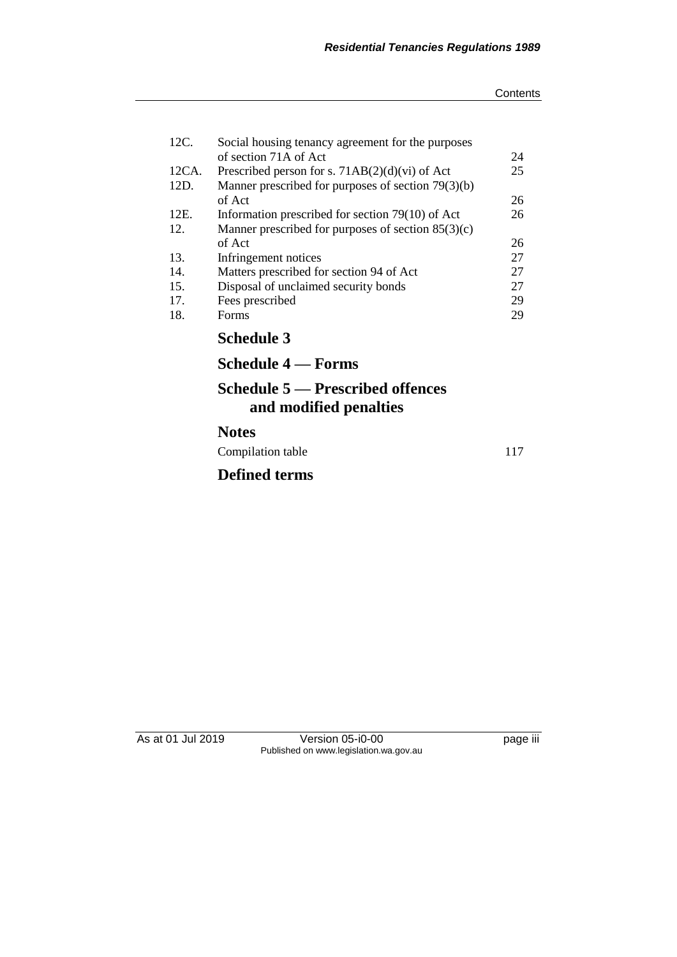#### **Contents**

| 12C.  | Social housing tenancy agreement for the purposes    |    |  |  |
|-------|------------------------------------------------------|----|--|--|
|       | of section 71A of Act                                | 24 |  |  |
| 12CA. | Prescribed person for s. $71AB(2)(d)(vi)$ of Act     | 25 |  |  |
| 12D.  | Manner prescribed for purposes of section $79(3)(b)$ |    |  |  |
|       | of Act                                               | 26 |  |  |
| 12E.  | Information prescribed for section $79(10)$ of Act   | 26 |  |  |
| 12.   | Manner prescribed for purposes of section $85(3)(c)$ |    |  |  |
|       | of Act                                               | 26 |  |  |
| 13.   | Infringement notices                                 | 27 |  |  |
| 14.   | Matters prescribed for section 94 of Act             | 27 |  |  |
| 15.   | Disposal of unclaimed security bonds                 | 27 |  |  |
| 17.   | Fees prescribed                                      | 29 |  |  |
| 18.   | Forms                                                | 29 |  |  |
|       | <b>Schedule 3</b>                                    |    |  |  |
|       | <b>Schedule 4 – Forms</b>                            |    |  |  |
|       | Schedule 5 — Prescribed offences                     |    |  |  |
|       | and modified penalties                               |    |  |  |
|       | <b>Notes</b>                                         |    |  |  |

| Compilation table | 117 |
|-------------------|-----|
|                   |     |

# **Defined terms**

As at 01 Jul 2019 Version 05-i0-00 page iii Published on www.legislation.wa.gov.au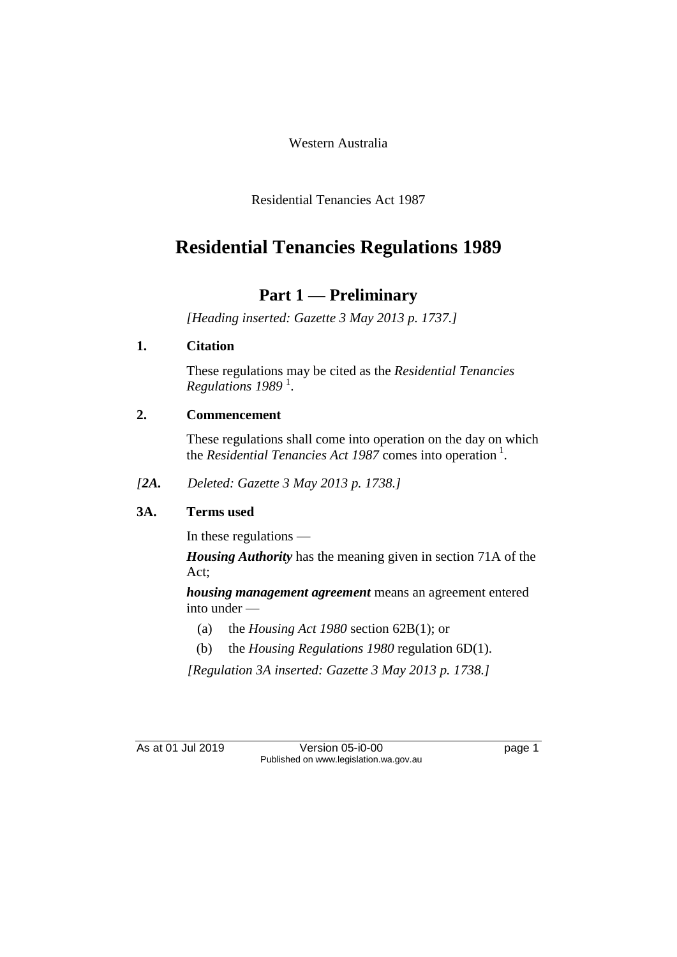Western Australia

Residential Tenancies Act 1987

# **Residential Tenancies Regulations 1989**

# **Part 1 — Preliminary**

*[Heading inserted: Gazette 3 May 2013 p. 1737.]*

# **1. Citation**

These regulations may be cited as the *Residential Tenancies Regulations 1989* <sup>1</sup> .

# **2. Commencement**

These regulations shall come into operation on the day on which the *Residential Tenancies Act 1987* comes into operation<sup>1</sup>.

*[2A. Deleted: Gazette 3 May 2013 p. 1738.]*

# **3A. Terms used**

In these regulations —

*Housing Authority* has the meaning given in section 71A of the Act;

*housing management agreement* means an agreement entered into under —

- (a) the *Housing Act 1980* section 62B(1); or
- (b) the *Housing Regulations 1980* regulation 6D(1).

*[Regulation 3A inserted: Gazette 3 May 2013 p. 1738.]*

As at 01 Jul 2019 Version 05-i0-00 Page 1 Published on www.legislation.wa.gov.au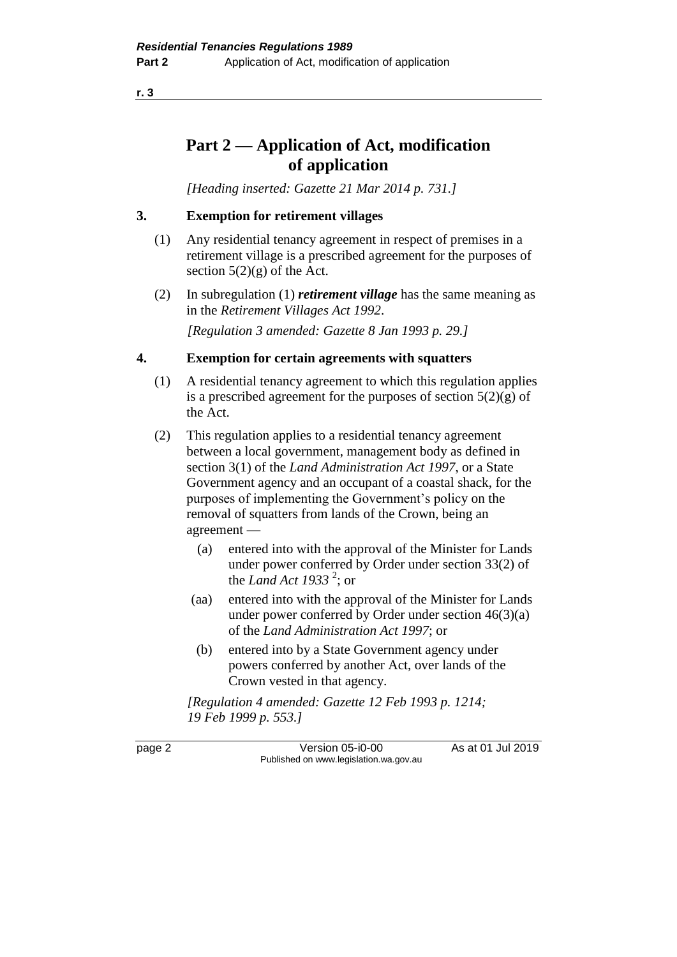**r. 3**

# **Part 2 — Application of Act, modification of application**

*[Heading inserted: Gazette 21 Mar 2014 p. 731.]*

#### **3. Exemption for retirement villages**

- (1) Any residential tenancy agreement in respect of premises in a retirement village is a prescribed agreement for the purposes of section  $5(2)(g)$  of the Act.
- (2) In subregulation (1) *retirement village* has the same meaning as in the *Retirement Villages Act 1992*.

*[Regulation 3 amended: Gazette 8 Jan 1993 p. 29.]* 

#### **4. Exemption for certain agreements with squatters**

- (1) A residential tenancy agreement to which this regulation applies is a prescribed agreement for the purposes of section  $5(2)(g)$  of the Act.
- (2) This regulation applies to a residential tenancy agreement between a local government, management body as defined in section 3(1) of the *Land Administration Act 1997*, or a State Government agency and an occupant of a coastal shack, for the purposes of implementing the Government's policy on the removal of squatters from lands of the Crown, being an agreement —
	- (a) entered into with the approval of the Minister for Lands under power conferred by Order under section 33(2) of the *Land Act*  $1933^2$ ; or
	- (aa) entered into with the approval of the Minister for Lands under power conferred by Order under section 46(3)(a) of the *Land Administration Act 1997*; or
	- (b) entered into by a State Government agency under powers conferred by another Act, over lands of the Crown vested in that agency.

*[Regulation 4 amended: Gazette 12 Feb 1993 p. 1214; 19 Feb 1999 p. 553.]* 

page 2 Version 05-i0-00 As at 01 Jul 2019 Published on www.legislation.wa.gov.au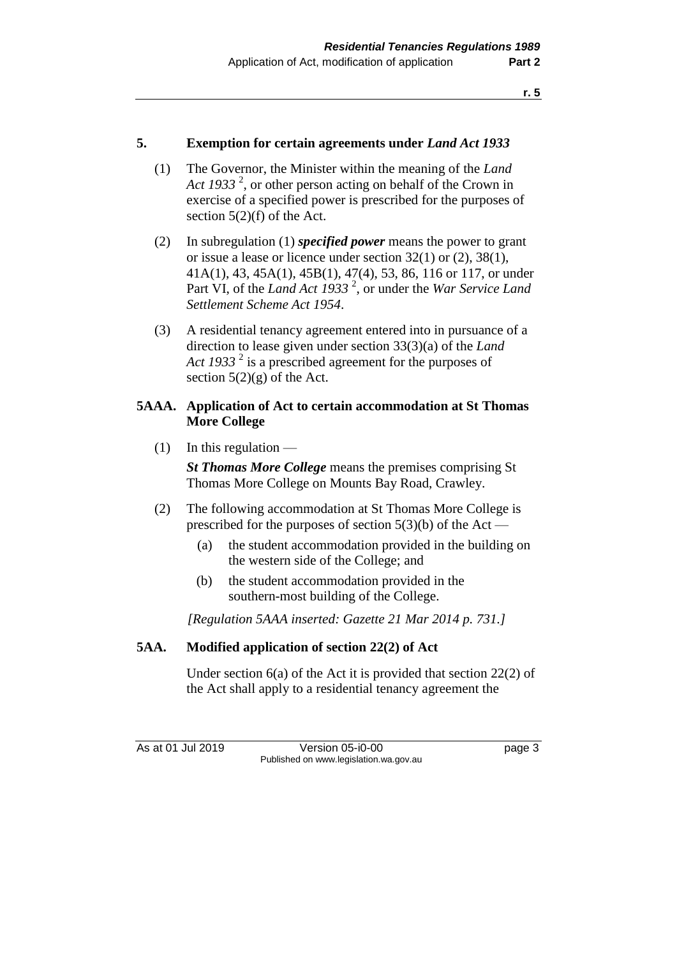#### **5. Exemption for certain agreements under** *Land Act 1933*

- (1) The Governor, the Minister within the meaning of the *Land*  Act 1933<sup>2</sup>, or other person acting on behalf of the Crown in exercise of a specified power is prescribed for the purposes of section 5(2)(f) of the Act.
- (2) In subregulation (1) *specified power* means the power to grant or issue a lease or licence under section 32(1) or (2), 38(1), 41A(1), 43, 45A(1), 45B(1), 47(4), 53, 86, 116 or 117, or under Part VI, of the *Land Act 1933*<sup>2</sup>, or under the *War Service Land Settlement Scheme Act 1954*.
- (3) A residential tenancy agreement entered into in pursuance of a direction to lease given under section 33(3)(a) of the *Land*  Act 1933<sup>2</sup> is a prescribed agreement for the purposes of section  $5(2)(g)$  of the Act.

### **5AAA. Application of Act to certain accommodation at St Thomas More College**

 $(1)$  In this regulation —

*St Thomas More College* means the premises comprising St Thomas More College on Mounts Bay Road, Crawley.

- (2) The following accommodation at St Thomas More College is prescribed for the purposes of section  $5(3)(b)$  of the Act —
	- (a) the student accommodation provided in the building on the western side of the College; and
	- (b) the student accommodation provided in the southern-most building of the College.

*[Regulation 5AAA inserted: Gazette 21 Mar 2014 p. 731.]*

#### **5AA. Modified application of section 22(2) of Act**

Under section 6(a) of the Act it is provided that section 22(2) of the Act shall apply to a residential tenancy agreement the

As at 01 Jul 2019 Version 05-i0-00 Page 3 Published on www.legislation.wa.gov.au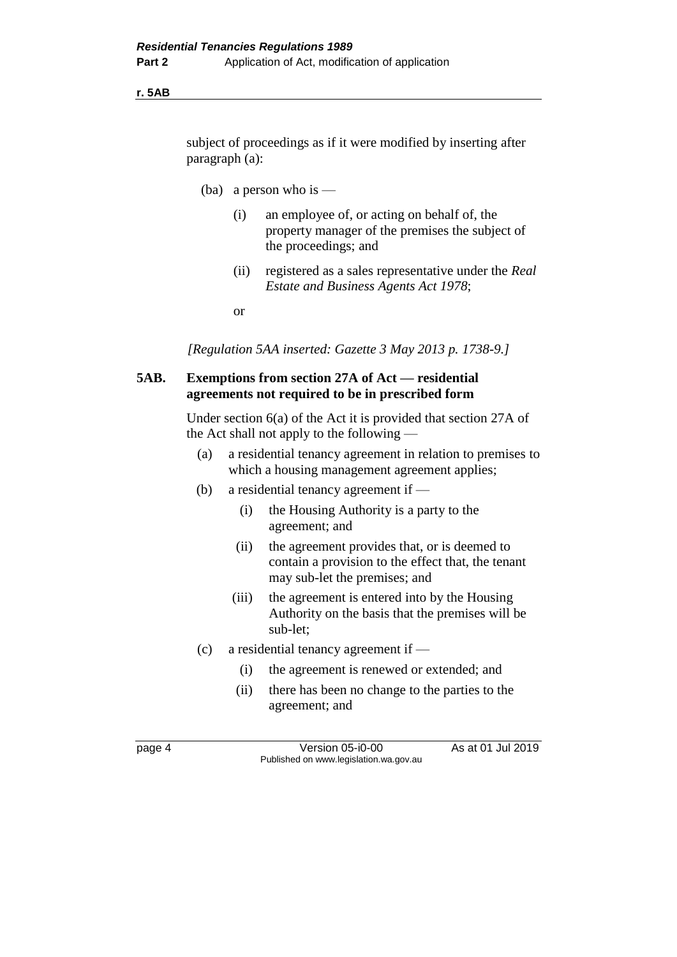#### **r. 5AB**

subject of proceedings as if it were modified by inserting after paragraph (a):

- (ba) a person who is
	- (i) an employee of, or acting on behalf of, the property manager of the premises the subject of the proceedings; and
	- (ii) registered as a sales representative under the *Real Estate and Business Agents Act 1978*;
	- or

*[Regulation 5AA inserted: Gazette 3 May 2013 p. 1738-9.]*

#### **5AB. Exemptions from section 27A of Act — residential agreements not required to be in prescribed form**

Under section 6(a) of the Act it is provided that section 27A of the Act shall not apply to the following —

- (a) a residential tenancy agreement in relation to premises to which a housing management agreement applies;
- (b) a residential tenancy agreement if
	- (i) the Housing Authority is a party to the agreement; and
	- (ii) the agreement provides that, or is deemed to contain a provision to the effect that, the tenant may sub-let the premises; and
	- (iii) the agreement is entered into by the Housing Authority on the basis that the premises will be sub-let;
- (c) a residential tenancy agreement if
	- (i) the agreement is renewed or extended; and
	- (ii) there has been no change to the parties to the agreement; and

page 4 Version 05-i0-00 As at 01 Jul 2019 Published on www.legislation.wa.gov.au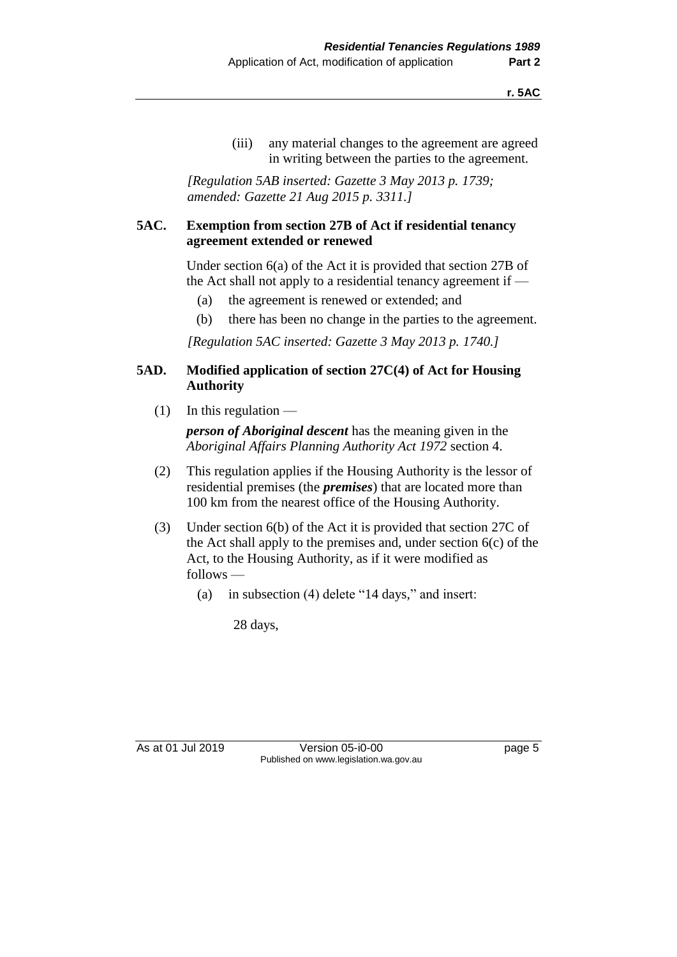(iii) any material changes to the agreement are agreed in writing between the parties to the agreement.

*[Regulation 5AB inserted: Gazette 3 May 2013 p. 1739; amended: Gazette 21 Aug 2015 p. 3311.]*

#### **5AC. Exemption from section 27B of Act if residential tenancy agreement extended or renewed**

Under section 6(a) of the Act it is provided that section 27B of the Act shall not apply to a residential tenancy agreement if —

- (a) the agreement is renewed or extended; and
- (b) there has been no change in the parties to the agreement.

*[Regulation 5AC inserted: Gazette 3 May 2013 p. 1740.]*

#### **5AD. Modified application of section 27C(4) of Act for Housing Authority**

 $(1)$  In this regulation —

*person of Aboriginal descent* has the meaning given in the *Aboriginal Affairs Planning Authority Act 1972* section 4.

- (2) This regulation applies if the Housing Authority is the lessor of residential premises (the *premises*) that are located more than 100 km from the nearest office of the Housing Authority.
- (3) Under section 6(b) of the Act it is provided that section 27C of the Act shall apply to the premises and, under section 6(c) of the Act, to the Housing Authority, as if it were modified as follows —
	- (a) in subsection (4) delete "14 days," and insert:

28 days,

As at 01 Jul 2019 Version 05-i0-00 Page 5 Published on www.legislation.wa.gov.au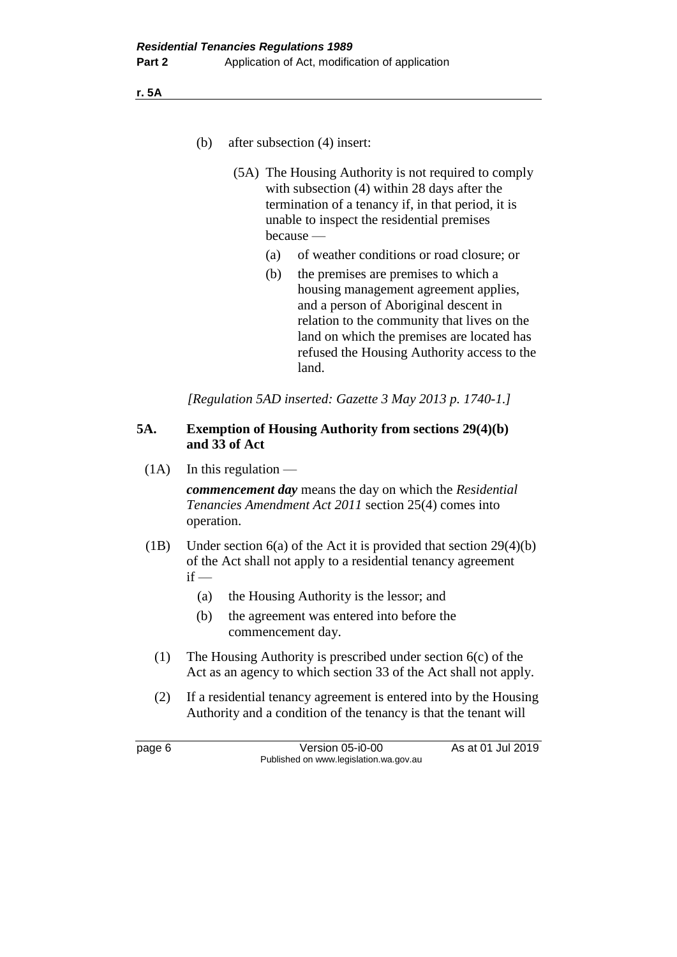**r. 5A**

- (b) after subsection (4) insert:
	- (5A) The Housing Authority is not required to comply with subsection (4) within 28 days after the termination of a tenancy if, in that period, it is unable to inspect the residential premises because —
		- (a) of weather conditions or road closure; or
		- (b) the premises are premises to which a housing management agreement applies, and a person of Aboriginal descent in relation to the community that lives on the land on which the premises are located has refused the Housing Authority access to the land.

*[Regulation 5AD inserted: Gazette 3 May 2013 p. 1740-1.]*

#### **5A. Exemption of Housing Authority from sections 29(4)(b) and 33 of Act**

 $(1A)$  In this regulation —

*commencement day* means the day on which the *Residential Tenancies Amendment Act 2011* section 25(4) comes into operation.

- (1B) Under section 6(a) of the Act it is provided that section 29(4)(b) of the Act shall not apply to a residential tenancy agreement  $if -$ 
	- (a) the Housing Authority is the lessor; and
	- (b) the agreement was entered into before the commencement day.
	- (1) The Housing Authority is prescribed under section 6(c) of the Act as an agency to which section 33 of the Act shall not apply.
	- (2) If a residential tenancy agreement is entered into by the Housing Authority and a condition of the tenancy is that the tenant will

page 6 Version 05-i0-00 As at 01 Jul 2019 Published on www.legislation.wa.gov.au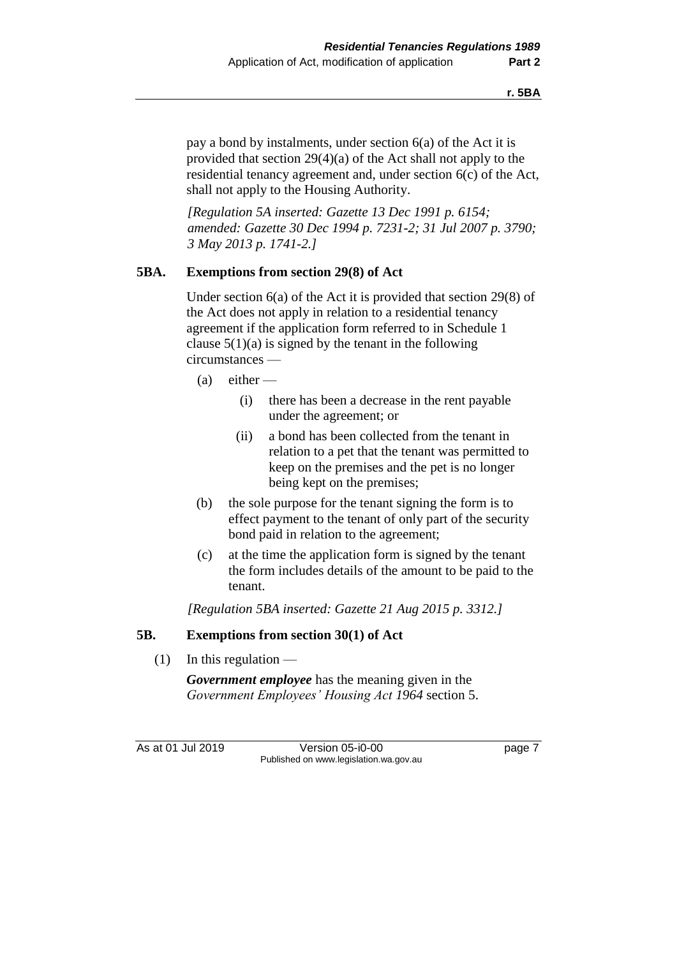pay a bond by instalments, under section 6(a) of the Act it is provided that section 29(4)(a) of the Act shall not apply to the residential tenancy agreement and, under section 6(c) of the Act, shall not apply to the Housing Authority.

*[Regulation 5A inserted: Gazette 13 Dec 1991 p. 6154; amended: Gazette 30 Dec 1994 p. 7231-2; 31 Jul 2007 p. 3790; 3 May 2013 p. 1741-2.]* 

#### **5BA. Exemptions from section 29(8) of Act**

Under section 6(a) of the Act it is provided that section 29(8) of the Act does not apply in relation to a residential tenancy agreement if the application form referred to in Schedule 1 clause  $5(1)(a)$  is signed by the tenant in the following circumstances —

- $(a)$  either
	- (i) there has been a decrease in the rent payable under the agreement; or
	- (ii) a bond has been collected from the tenant in relation to a pet that the tenant was permitted to keep on the premises and the pet is no longer being kept on the premises;
- (b) the sole purpose for the tenant signing the form is to effect payment to the tenant of only part of the security bond paid in relation to the agreement;
- (c) at the time the application form is signed by the tenant the form includes details of the amount to be paid to the tenant.

*[Regulation 5BA inserted: Gazette 21 Aug 2015 p. 3312.]* 

### **5B. Exemptions from section 30(1) of Act**

 $(1)$  In this regulation —

*Government employee* has the meaning given in the *Government Employees' Housing Act 1964* section 5.

As at 01 Jul 2019 Version 05-i0-00 Page 7 Published on www.legislation.wa.gov.au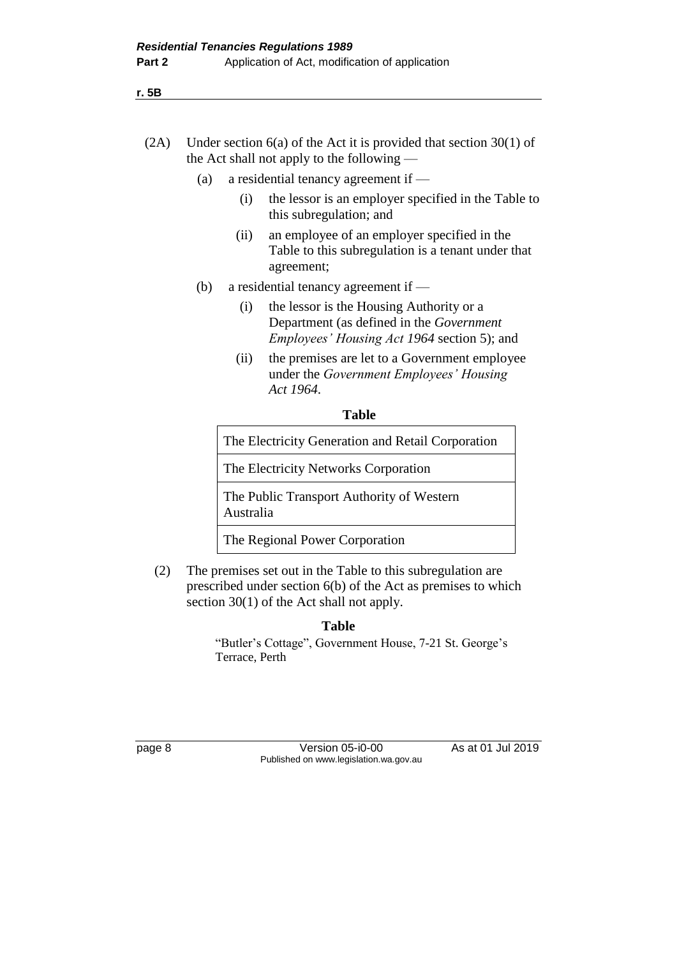| ۰.<br>×<br>۰. |
|---------------|
|---------------|

| (2A) | Under section $6(a)$ of the Act it is provided that section 30(1) of |
|------|----------------------------------------------------------------------|
|      | the Act shall not apply to the following $-$                         |

- (a) a residential tenancy agreement if
	- (i) the lessor is an employer specified in the Table to this subregulation; and
	- (ii) an employee of an employer specified in the Table to this subregulation is a tenant under that agreement;
- (b) a residential tenancy agreement if
	- (i) the lessor is the Housing Authority or a Department (as defined in the *Government Employees' Housing Act 1964* section 5); and
	- (ii) the premises are let to a Government employee under the *Government Employees' Housing Act 1964*.

**Table**

The Electricity Generation and Retail Corporation

The Electricity Networks Corporation

The Public Transport Authority of Western Australia

The Regional Power Corporation

(2) The premises set out in the Table to this subregulation are prescribed under section 6(b) of the Act as premises to which section 30(1) of the Act shall not apply.

#### **Table**

"Butler's Cottage", Government House, 7-21 St. George's Terrace, Perth

page 8 Version 05-i0-00 As at 01 Jul 2019 Published on www.legislation.wa.gov.au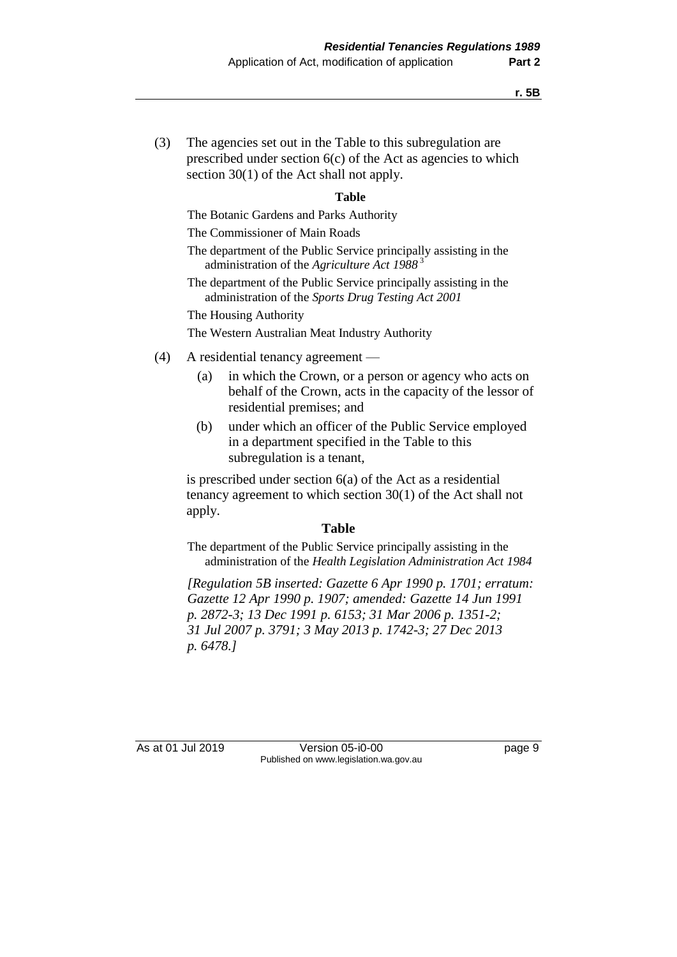(3) The agencies set out in the Table to this subregulation are prescribed under section 6(c) of the Act as agencies to which section 30(1) of the Act shall not apply.

#### **Table**

The Botanic Gardens and Parks Authority

The Commissioner of Main Roads

The department of the Public Service principally assisting in the administration of the *Agriculture Act 1988* <sup>3</sup>

The department of the Public Service principally assisting in the administration of the *Sports Drug Testing Act 2001*

The Housing Authority

The Western Australian Meat Industry Authority

- (4) A residential tenancy agreement
	- (a) in which the Crown, or a person or agency who acts on behalf of the Crown, acts in the capacity of the lessor of residential premises; and
	- (b) under which an officer of the Public Service employed in a department specified in the Table to this subregulation is a tenant,

is prescribed under section 6(a) of the Act as a residential tenancy agreement to which section 30(1) of the Act shall not apply.

#### **Table**

The department of the Public Service principally assisting in the administration of the *Health Legislation Administration Act 1984*

*[Regulation 5B inserted: Gazette 6 Apr 1990 p. 1701; erratum: Gazette 12 Apr 1990 p. 1907; amended: Gazette 14 Jun 1991 p. 2872-3; 13 Dec 1991 p. 6153; 31 Mar 2006 p. 1351-2; 31 Jul 2007 p. 3791; 3 May 2013 p. 1742-3; 27 Dec 2013 p. 6478.]* 

As at 01 Jul 2019 Version 05-i0-00 Page 9 Published on www.legislation.wa.gov.au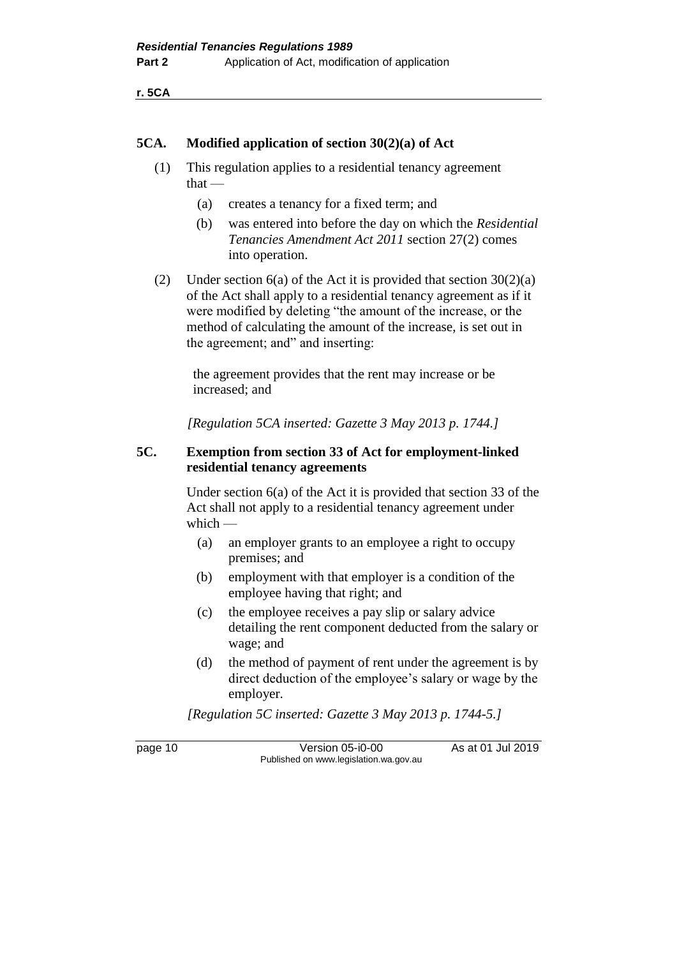**r. 5CA**

#### **5CA. Modified application of section 30(2)(a) of Act**

- (1) This regulation applies to a residential tenancy agreement  $that -$ 
	- (a) creates a tenancy for a fixed term; and
	- (b) was entered into before the day on which the *Residential Tenancies Amendment Act 2011* section 27(2) comes into operation.
- (2) Under section  $6(a)$  of the Act it is provided that section  $30(2)(a)$ of the Act shall apply to a residential tenancy agreement as if it were modified by deleting "the amount of the increase, or the method of calculating the amount of the increase, is set out in the agreement; and" and inserting:

the agreement provides that the rent may increase or be increased; and

*[Regulation 5CA inserted: Gazette 3 May 2013 p. 1744.]*

### **5C. Exemption from section 33 of Act for employment-linked residential tenancy agreements**

Under section 6(a) of the Act it is provided that section 33 of the Act shall not apply to a residential tenancy agreement under which —

- (a) an employer grants to an employee a right to occupy premises; and
- (b) employment with that employer is a condition of the employee having that right; and
- (c) the employee receives a pay slip or salary advice detailing the rent component deducted from the salary or wage; and
- (d) the method of payment of rent under the agreement is by direct deduction of the employee's salary or wage by the employer.

*[Regulation 5C inserted: Gazette 3 May 2013 p. 1744-5.]*

page 10 Version 05-i0-00 As at 01 Jul 2019 Published on www.legislation.wa.gov.au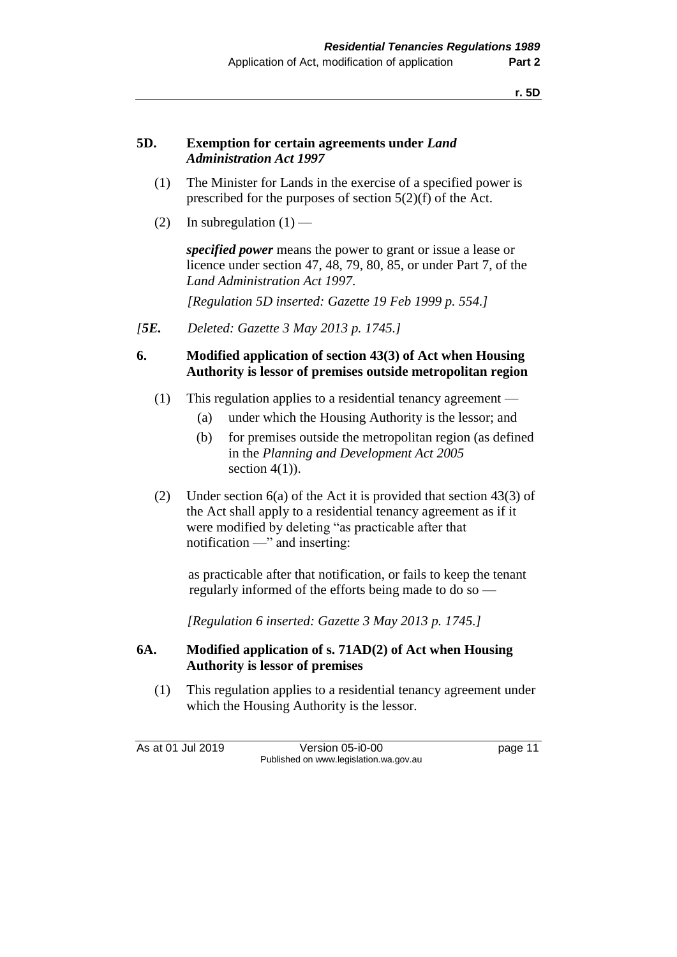### **5D. Exemption for certain agreements under** *Land Administration Act 1997*

- (1) The Minister for Lands in the exercise of a specified power is prescribed for the purposes of section 5(2)(f) of the Act.
- (2) In subregulation  $(1)$  —

*specified power* means the power to grant or issue a lease or licence under section 47, 48, 79, 80, 85, or under Part 7, of the *Land Administration Act 1997*.

*[Regulation 5D inserted: Gazette 19 Feb 1999 p. 554.]*

*[5E. Deleted: Gazette 3 May 2013 p. 1745.]*

#### **6. Modified application of section 43(3) of Act when Housing Authority is lessor of premises outside metropolitan region**

- (1) This regulation applies to a residential tenancy agreement
	- (a) under which the Housing Authority is the lessor; and
	- (b) for premises outside the metropolitan region (as defined in the *Planning and Development Act 2005* section  $4(1)$ ).
- (2) Under section 6(a) of the Act it is provided that section 43(3) of the Act shall apply to a residential tenancy agreement as if it were modified by deleting "as practicable after that notification —" and inserting:

as practicable after that notification, or fails to keep the tenant regularly informed of the efforts being made to do so —

*[Regulation 6 inserted: Gazette 3 May 2013 p. 1745.]*

### **6A. Modified application of s. 71AD(2) of Act when Housing Authority is lessor of premises**

(1) This regulation applies to a residential tenancy agreement under which the Housing Authority is the lessor.

As at 01 Jul 2019 Version 05-i0-00 page 11 Published on www.legislation.wa.gov.au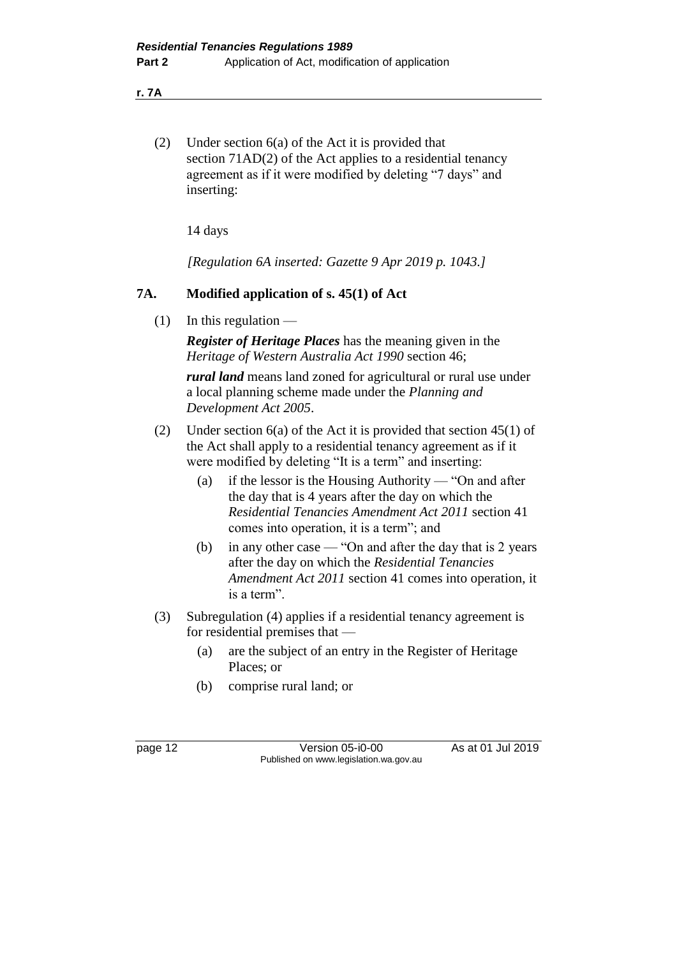**r. 7A**

(2) Under section 6(a) of the Act it is provided that section 71AD(2) of the Act applies to a residential tenancy agreement as if it were modified by deleting "7 days" and inserting:

14 days

*[Regulation 6A inserted: Gazette 9 Apr 2019 p. 1043.]*

## **7A. Modified application of s. 45(1) of Act**

(1) In this regulation —

*Register of Heritage Places* has the meaning given in the *Heritage of Western Australia Act 1990* section 46;

*rural land* means land zoned for agricultural or rural use under a local planning scheme made under the *Planning and Development Act 2005*.

- (2) Under section 6(a) of the Act it is provided that section 45(1) of the Act shall apply to a residential tenancy agreement as if it were modified by deleting "It is a term" and inserting:
	- (a) if the lessor is the Housing Authority "On and after the day that is 4 years after the day on which the *Residential Tenancies Amendment Act 2011* section 41 comes into operation, it is a term"; and
	- (b) in any other case "On and after the day that is 2 years after the day on which the *Residential Tenancies Amendment Act 2011* section 41 comes into operation, it is a term".
- (3) Subregulation (4) applies if a residential tenancy agreement is for residential premises that —
	- (a) are the subject of an entry in the Register of Heritage Places; or
	- (b) comprise rural land; or

page 12 Version 05-i0-00 As at 01 Jul 2019 Published on www.legislation.wa.gov.au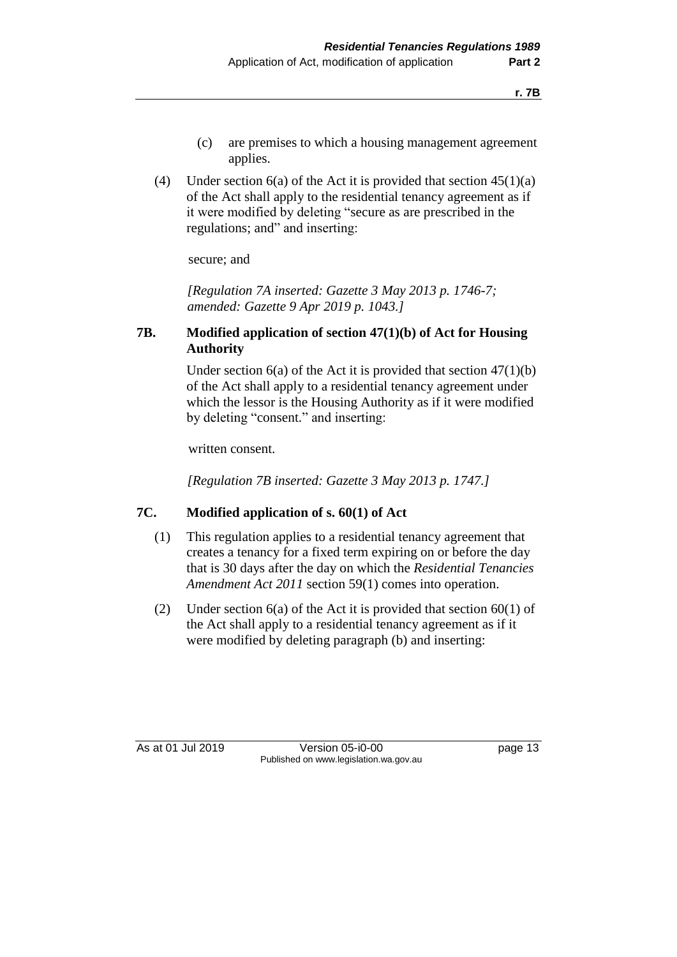- (c) are premises to which a housing management agreement applies.
- (4) Under section  $6(a)$  of the Act it is provided that section  $45(1)(a)$ of the Act shall apply to the residential tenancy agreement as if it were modified by deleting "secure as are prescribed in the regulations; and" and inserting:

secure; and

*[Regulation 7A inserted: Gazette 3 May 2013 p. 1746-7; amended: Gazette 9 Apr 2019 p. 1043.]*

### **7B. Modified application of section 47(1)(b) of Act for Housing Authority**

Under section  $6(a)$  of the Act it is provided that section  $47(1)(b)$ of the Act shall apply to a residential tenancy agreement under which the lessor is the Housing Authority as if it were modified by deleting "consent." and inserting:

written consent.

*[Regulation 7B inserted: Gazette 3 May 2013 p. 1747.]*

## **7C. Modified application of s. 60(1) of Act**

- (1) This regulation applies to a residential tenancy agreement that creates a tenancy for a fixed term expiring on or before the day that is 30 days after the day on which the *Residential Tenancies Amendment Act 2011* section 59(1) comes into operation.
- (2) Under section  $6(a)$  of the Act it is provided that section  $60(1)$  of the Act shall apply to a residential tenancy agreement as if it were modified by deleting paragraph (b) and inserting:

As at 01 Jul 2019 Version 05-i0-00 page 13 Published on www.legislation.wa.gov.au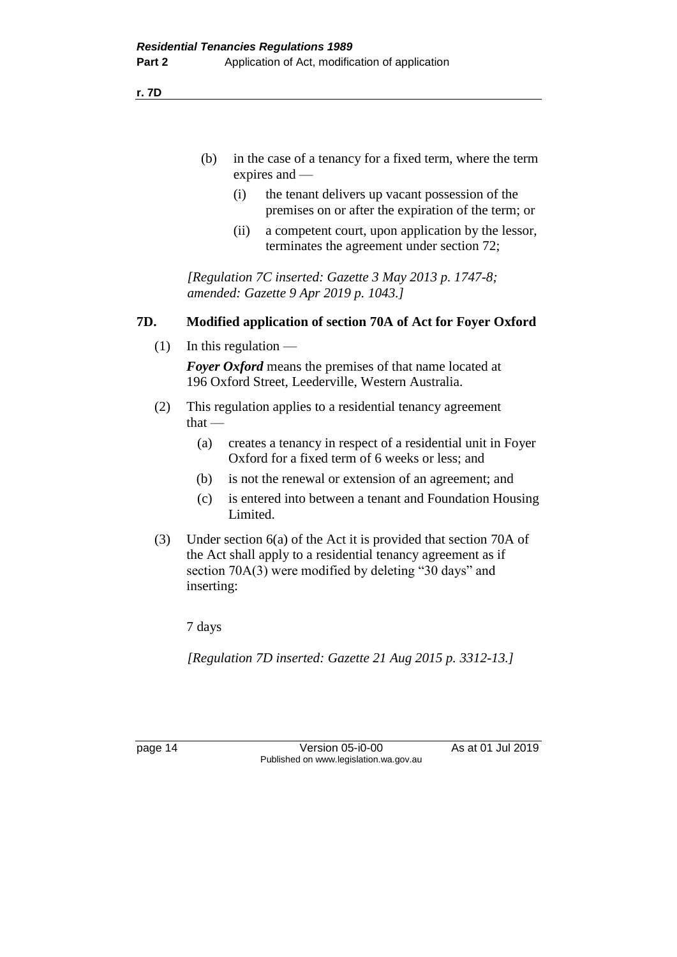**r. 7D**

- (b) in the case of a tenancy for a fixed term, where the term expires and —
	- (i) the tenant delivers up vacant possession of the premises on or after the expiration of the term; or
	- (ii) a competent court, upon application by the lessor, terminates the agreement under section 72;

*[Regulation 7C inserted: Gazette 3 May 2013 p. 1747-8; amended: Gazette 9 Apr 2019 p. 1043.]*

### **7D. Modified application of section 70A of Act for Foyer Oxford**

 $(1)$  In this regulation —

*Foyer Oxford* means the premises of that name located at 196 Oxford Street, Leederville, Western Australia.

- (2) This regulation applies to a residential tenancy agreement  $that -$ 
	- (a) creates a tenancy in respect of a residential unit in Foyer Oxford for a fixed term of 6 weeks or less; and
	- (b) is not the renewal or extension of an agreement; and
	- (c) is entered into between a tenant and Foundation Housing Limited.
- (3) Under section 6(a) of the Act it is provided that section 70A of the Act shall apply to a residential tenancy agreement as if section 70A(3) were modified by deleting "30 days" and inserting:

7 days

*[Regulation 7D inserted: Gazette 21 Aug 2015 p. 3312-13.]*

page 14 Version 05-i0-00 As at 01 Jul 2019 Published on www.legislation.wa.gov.au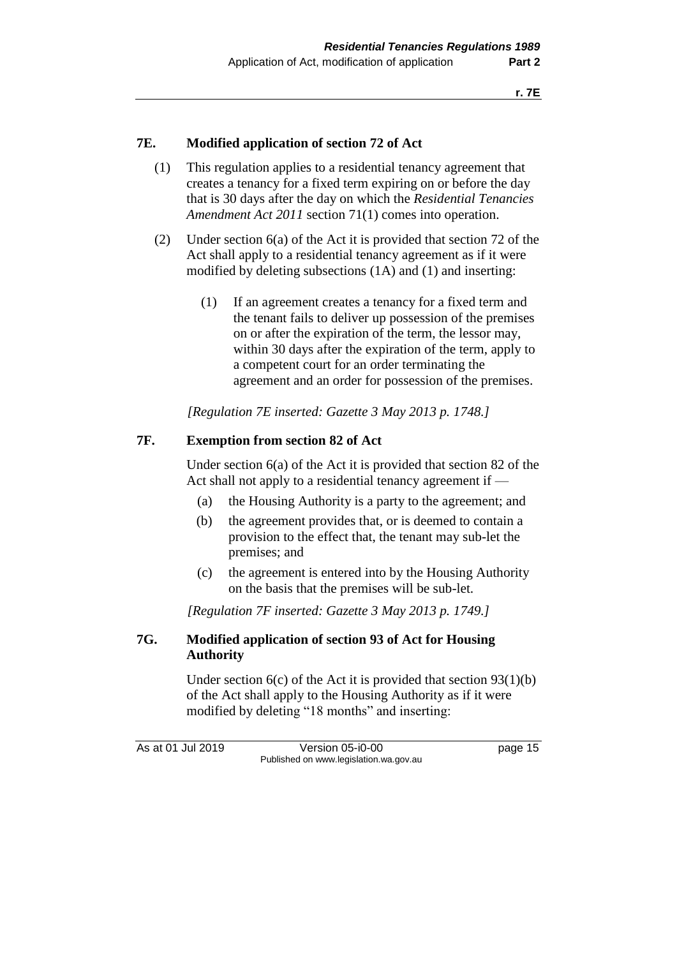#### **7E. Modified application of section 72 of Act**

- (1) This regulation applies to a residential tenancy agreement that creates a tenancy for a fixed term expiring on or before the day that is 30 days after the day on which the *Residential Tenancies Amendment Act 2011* section 71(1) comes into operation.
- (2) Under section 6(a) of the Act it is provided that section 72 of the Act shall apply to a residential tenancy agreement as if it were modified by deleting subsections (1A) and (1) and inserting:
	- (1) If an agreement creates a tenancy for a fixed term and the tenant fails to deliver up possession of the premises on or after the expiration of the term, the lessor may, within 30 days after the expiration of the term, apply to a competent court for an order terminating the agreement and an order for possession of the premises.

*[Regulation 7E inserted: Gazette 3 May 2013 p. 1748.]*

#### **7F. Exemption from section 82 of Act**

Under section 6(a) of the Act it is provided that section 82 of the Act shall not apply to a residential tenancy agreement if —

- (a) the Housing Authority is a party to the agreement; and
- (b) the agreement provides that, or is deemed to contain a provision to the effect that, the tenant may sub-let the premises; and
- (c) the agreement is entered into by the Housing Authority on the basis that the premises will be sub-let.

*[Regulation 7F inserted: Gazette 3 May 2013 p. 1749.]*

### **7G. Modified application of section 93 of Act for Housing Authority**

Under section  $6(c)$  of the Act it is provided that section  $93(1)(b)$ of the Act shall apply to the Housing Authority as if it were modified by deleting "18 months" and inserting:

As at 01 Jul 2019 Version 05-i0-00 page 15 Published on www.legislation.wa.gov.au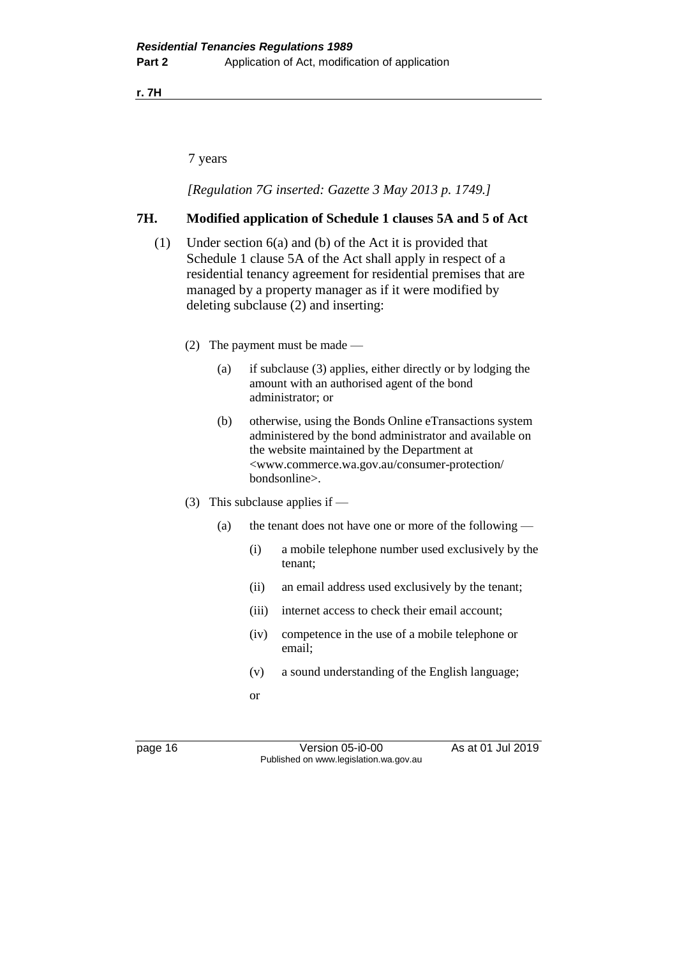**r. 7H**

7 years

#### *[Regulation 7G inserted: Gazette 3 May 2013 p. 1749.]*

#### **7H. Modified application of Schedule 1 clauses 5A and 5 of Act**

- (1) Under section 6(a) and (b) of the Act it is provided that Schedule 1 clause 5A of the Act shall apply in respect of a residential tenancy agreement for residential premises that are managed by a property manager as if it were modified by deleting subclause (2) and inserting:
	- (2) The payment must be made
		- (a) if subclause (3) applies, either directly or by lodging the amount with an authorised agent of the bond administrator; or
		- (b) otherwise, using the Bonds Online eTransactions system administered by the bond administrator and available on the website maintained by the Department at <www.commerce.wa.gov.au/consumer-protection/ bondsonline>.
	- (3) This subclause applies if
		- (a) the tenant does not have one or more of the following
			- (i) a mobile telephone number used exclusively by the tenant;
			- (ii) an email address used exclusively by the tenant;
			- (iii) internet access to check their email account;
			- (iv) competence in the use of a mobile telephone or email;
			- (v) a sound understanding of the English language;
			- or

page 16 Version 05-i0-00 As at 01 Jul 2019 Published on www.legislation.wa.gov.au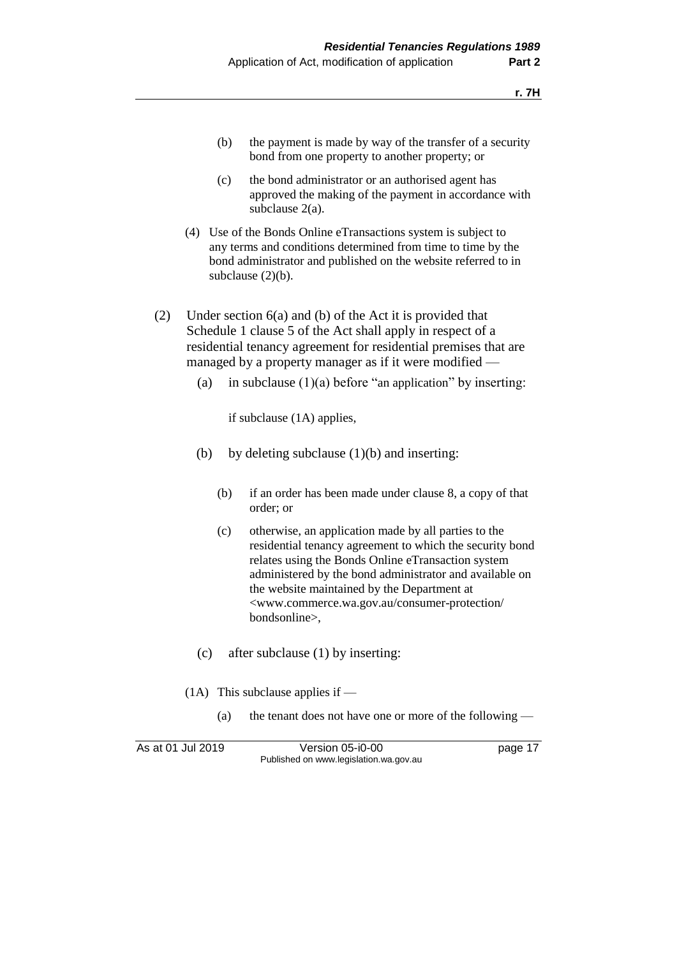- (b) the payment is made by way of the transfer of a security bond from one property to another property; or
- (c) the bond administrator or an authorised agent has approved the making of the payment in accordance with subclause 2(a).
- (4) Use of the Bonds Online eTransactions system is subject to any terms and conditions determined from time to time by the bond administrator and published on the website referred to in subclause  $(2)(b)$ .
- (2) Under section 6(a) and (b) of the Act it is provided that Schedule 1 clause 5 of the Act shall apply in respect of a residential tenancy agreement for residential premises that are managed by a property manager as if it were modified —
	- (a) in subclause  $(1)(a)$  before "an application" by inserting:

if subclause (1A) applies,

- (b) by deleting subclause  $(1)(b)$  and inserting:
	- (b) if an order has been made under clause 8, a copy of that order; or
	- (c) otherwise, an application made by all parties to the residential tenancy agreement to which the security bond relates using the Bonds Online eTransaction system administered by the bond administrator and available on the website maintained by the Department at <www.commerce.wa.gov.au/consumer-protection/ bondsonline>,
- (c) after subclause (1) by inserting:
- (1A) This subclause applies if
	- (a) the tenant does not have one or more of the following —

As at 01 Jul 2019 Version 05-i0-00 page 17 Published on www.legislation.wa.gov.au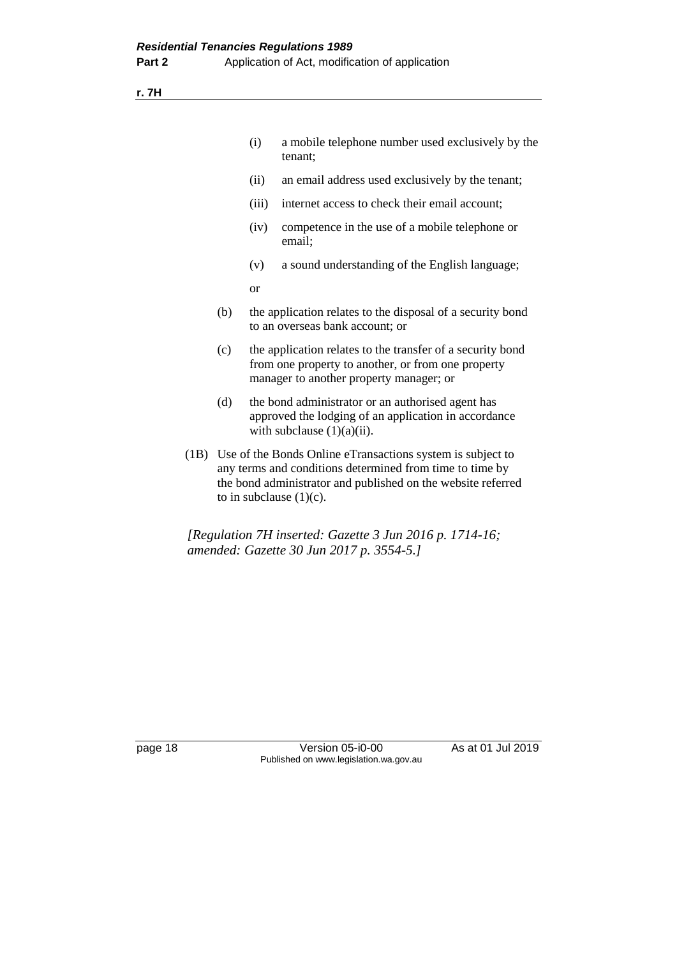**r. 7H**

| (i) | a mobile telephone number used exclusively by the |
|-----|---------------------------------------------------|
|     | tenant:                                           |

- (ii) an email address used exclusively by the tenant;
- (iii) internet access to check their email account;
- (iv) competence in the use of a mobile telephone or email;
- (v) a sound understanding of the English language;
- or
- (b) the application relates to the disposal of a security bond to an overseas bank account; or
- (c) the application relates to the transfer of a security bond from one property to another, or from one property manager to another property manager; or
- (d) the bond administrator or an authorised agent has approved the lodging of an application in accordance with subclause  $(1)(a)(ii)$ .
- (1B) Use of the Bonds Online eTransactions system is subject to any terms and conditions determined from time to time by the bond administrator and published on the website referred to in subclause  $(1)(c)$ .

*[Regulation 7H inserted: Gazette 3 Jun 2016 p. 1714-16; amended: Gazette 30 Jun 2017 p. 3554-5.]*

page 18 Version 05-i0-00 As at 01 Jul 2019 Published on www.legislation.wa.gov.au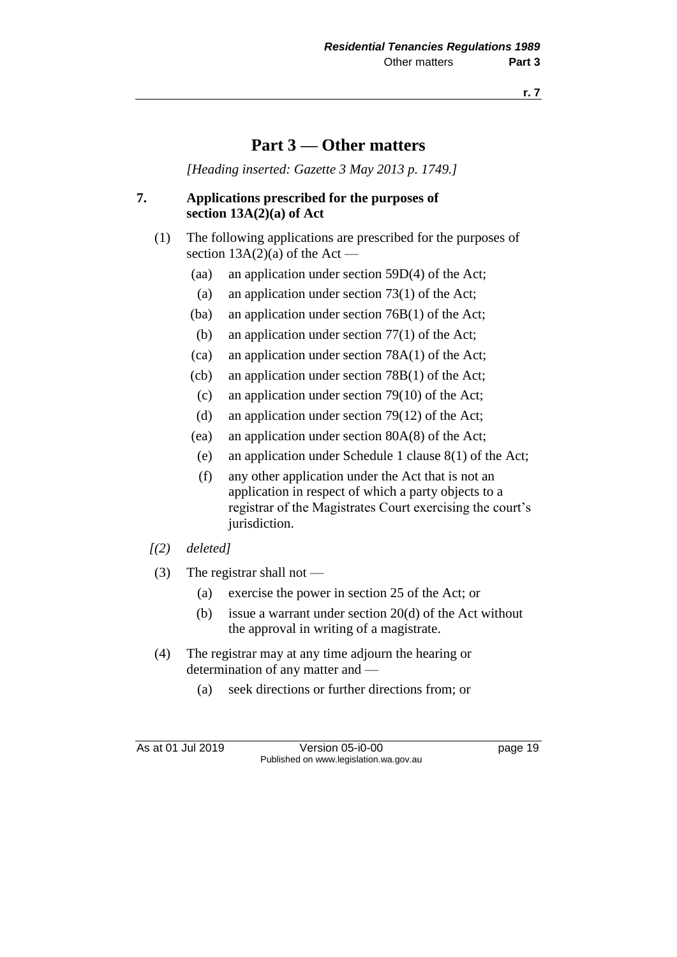# **Part 3 — Other matters**

*[Heading inserted: Gazette 3 May 2013 p. 1749.]*

## **7. Applications prescribed for the purposes of section 13A(2)(a) of Act**

- (1) The following applications are prescribed for the purposes of section  $13A(2)(a)$  of the Act —
	- (aa) an application under section 59D(4) of the Act;
	- (a) an application under section 73(1) of the Act;
	- (ba) an application under section 76B(1) of the Act;
	- (b) an application under section 77(1) of the Act;
	- (ca) an application under section 78A(1) of the Act;
	- (cb) an application under section 78B(1) of the Act;
		- (c) an application under section 79(10) of the Act;
	- (d) an application under section 79(12) of the Act;
	- (ea) an application under section 80A(8) of the Act;
	- (e) an application under Schedule 1 clause 8(1) of the Act;
	- (f) any other application under the Act that is not an application in respect of which a party objects to a registrar of the Magistrates Court exercising the court's jurisdiction.
- *[(2) deleted]*
- (3) The registrar shall not
	- (a) exercise the power in section 25 of the Act; or
	- (b) issue a warrant under section 20(d) of the Act without the approval in writing of a magistrate.
- (4) The registrar may at any time adjourn the hearing or determination of any matter and —
	- (a) seek directions or further directions from; or

As at 01 Jul 2019 Version 05-i0-00 page 19 Published on www.legislation.wa.gov.au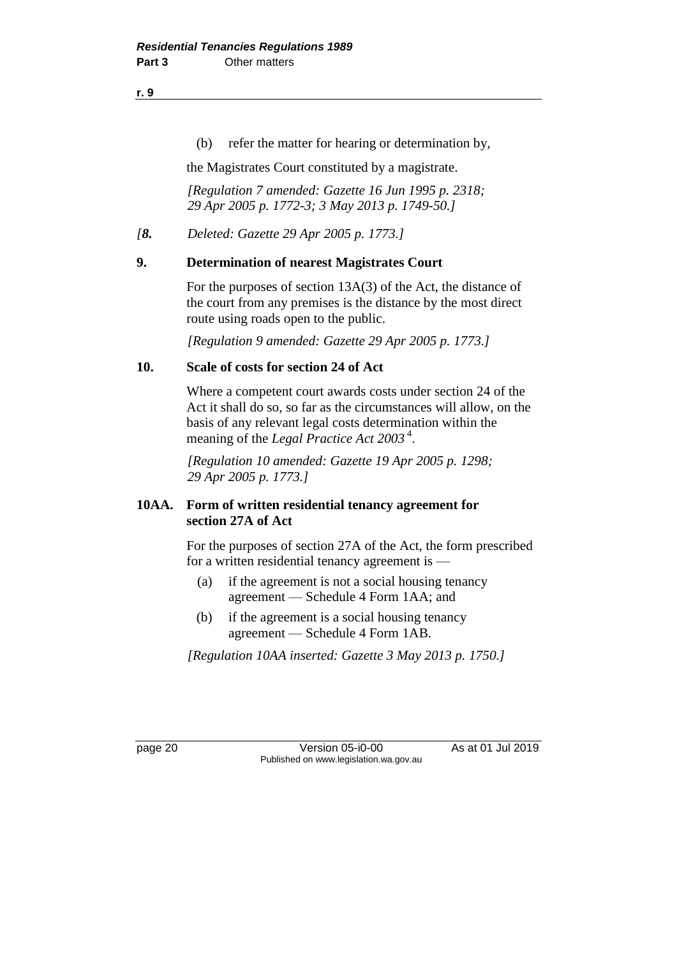**r. 9**

(b) refer the matter for hearing or determination by,

the Magistrates Court constituted by a magistrate.

*[Regulation 7 amended: Gazette 16 Jun 1995 p. 2318; 29 Apr 2005 p. 1772-3; 3 May 2013 p. 1749-50.]* 

*[8. Deleted: Gazette 29 Apr 2005 p. 1773.]*

### **9. Determination of nearest Magistrates Court**

For the purposes of section 13A(3) of the Act, the distance of the court from any premises is the distance by the most direct route using roads open to the public.

*[Regulation 9 amended: Gazette 29 Apr 2005 p. 1773.]*

### **10. Scale of costs for section 24 of Act**

Where a competent court awards costs under section 24 of the Act it shall do so, so far as the circumstances will allow, on the basis of any relevant legal costs determination within the meaning of the *Legal Practice Act 2003* <sup>4</sup> .

*[Regulation 10 amended: Gazette 19 Apr 2005 p. 1298; 29 Apr 2005 p. 1773.]*

## **10AA. Form of written residential tenancy agreement for section 27A of Act**

For the purposes of section 27A of the Act, the form prescribed for a written residential tenancy agreement is —

- (a) if the agreement is not a social housing tenancy agreement — Schedule 4 Form 1AA; and
- (b) if the agreement is a social housing tenancy agreement — Schedule 4 Form 1AB.

*[Regulation 10AA inserted: Gazette 3 May 2013 p. 1750.]* 

page 20 Version 05-i0-00 As at 01 Jul 2019 Published on www.legislation.wa.gov.au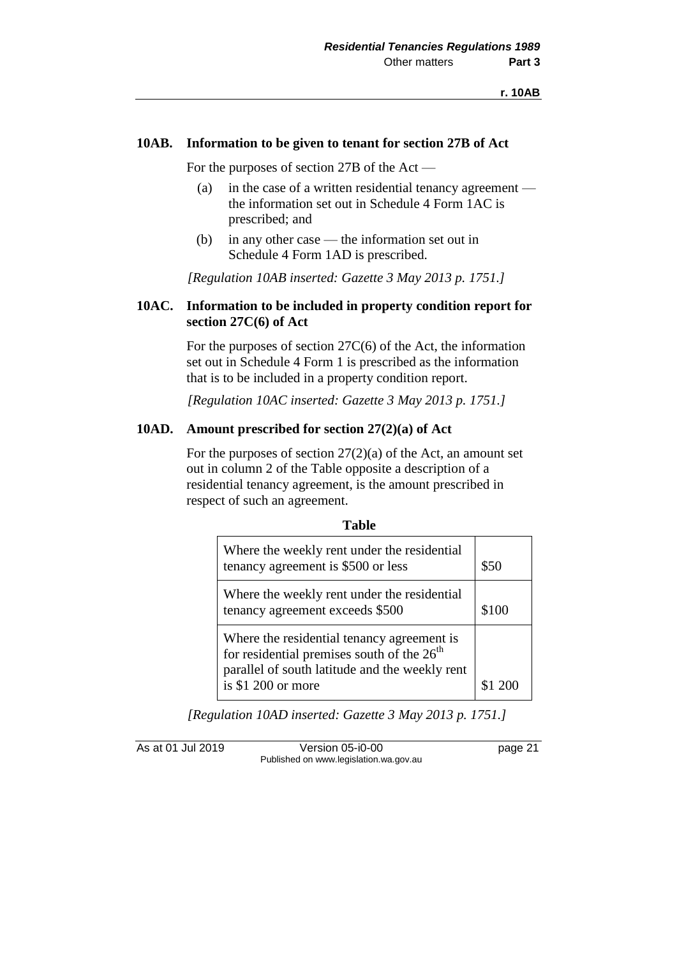#### **10AB. Information to be given to tenant for section 27B of Act**

For the purposes of section 27B of the Act —

- (a) in the case of a written residential tenancy agreement the information set out in Schedule 4 Form 1AC is prescribed; and
- (b) in any other case the information set out in Schedule 4 Form 1AD is prescribed.

*[Regulation 10AB inserted: Gazette 3 May 2013 p. 1751.]* 

#### **10AC. Information to be included in property condition report for section 27C(6) of Act**

For the purposes of section 27C(6) of the Act, the information set out in Schedule 4 Form 1 is prescribed as the information that is to be included in a property condition report.

*[Regulation 10AC inserted: Gazette 3 May 2013 p. 1751.]* 

#### **10AD. Amount prescribed for section 27(2)(a) of Act**

For the purposes of section  $27(2)(a)$  of the Act, an amount set out in column 2 of the Table opposite a description of a residential tenancy agreement, is the amount prescribed in respect of such an agreement.

**Table**

| Where the weekly rent under the residential<br>tenancy agreement is \$500 or less                                                                                             | \$50  |
|-------------------------------------------------------------------------------------------------------------------------------------------------------------------------------|-------|
| Where the weekly rent under the residential<br>tenancy agreement exceeds \$500                                                                                                | \$100 |
| Where the residential tenancy agreement is<br>for residential premises south of the 26 <sup>th</sup><br>parallel of south latitude and the weekly rent<br>is $$1 200$ or more |       |

*[Regulation 10AD inserted: Gazette 3 May 2013 p. 1751.]* 

As at 01 Jul 2019 Version 05-i0-00 page 21 Published on www.legislation.wa.gov.au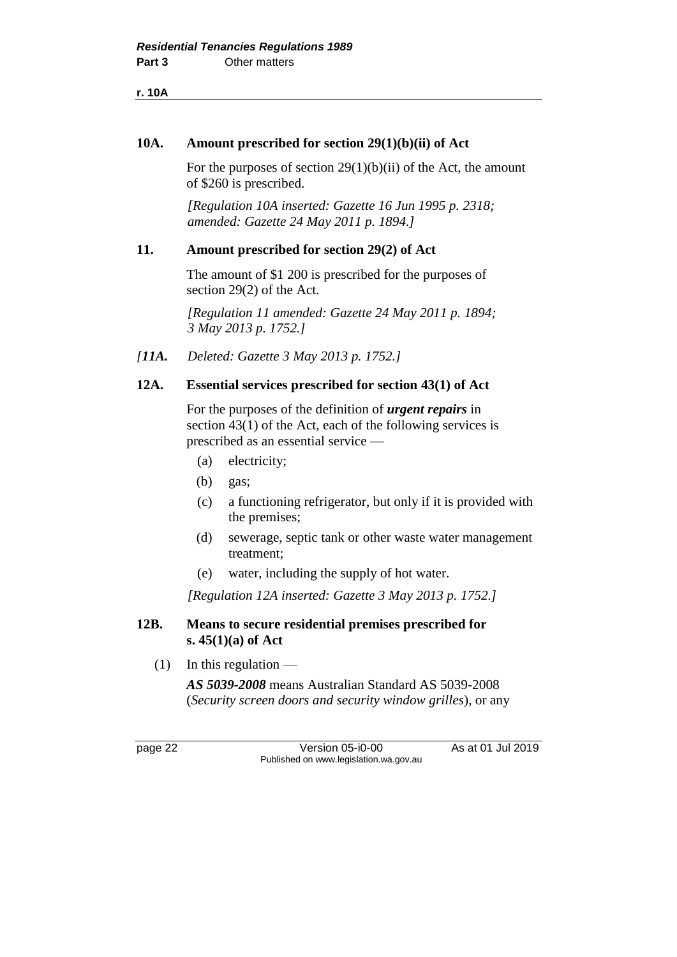**r. 10A**

#### **10A. Amount prescribed for section 29(1)(b)(ii) of Act**

For the purposes of section  $29(1)(b)(ii)$  of the Act, the amount of \$260 is prescribed.

*[Regulation 10A inserted: Gazette 16 Jun 1995 p. 2318; amended: Gazette 24 May 2011 p. 1894.]* 

## **11. Amount prescribed for section 29(2) of Act**

The amount of \$1 200 is prescribed for the purposes of section 29(2) of the Act.

*[Regulation 11 amended: Gazette 24 May 2011 p. 1894; 3 May 2013 p. 1752.]* 

*[11A. Deleted: Gazette 3 May 2013 p. 1752.]*

# **12A. Essential services prescribed for section 43(1) of Act**

For the purposes of the definition of *urgent repairs* in section 43(1) of the Act, each of the following services is prescribed as an essential service —

- (a) electricity;
- (b) gas;
- (c) a functioning refrigerator, but only if it is provided with the premises;
- (d) sewerage, septic tank or other waste water management treatment;
- (e) water, including the supply of hot water.

*[Regulation 12A inserted: Gazette 3 May 2013 p. 1752.]* 

### **12B. Means to secure residential premises prescribed for s. 45(1)(a) of Act**

 $(1)$  In this regulation —

*AS 5039-2008* means Australian Standard AS 5039-2008 (*Security screen doors and security window grilles*), or any

page 22 Version 05-i0-00 As at 01 Jul 2019 Published on www.legislation.wa.gov.au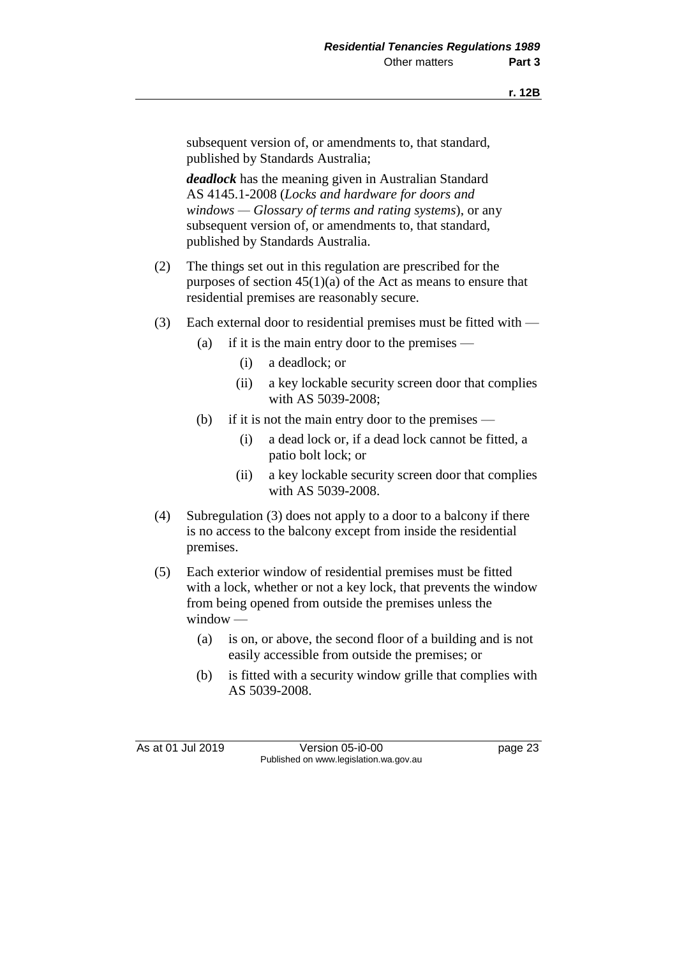subsequent version of, or amendments to, that standard, published by Standards Australia;

*deadlock* has the meaning given in Australian Standard AS 4145.1-2008 (*Locks and hardware for doors and windows — Glossary of terms and rating systems*), or any subsequent version of, or amendments to, that standard, published by Standards Australia.

- (2) The things set out in this regulation are prescribed for the purposes of section 45(1)(a) of the Act as means to ensure that residential premises are reasonably secure.
- (3) Each external door to residential premises must be fitted with
	- (a) if it is the main entry door to the premises
		- (i) a deadlock; or
		- (ii) a key lockable security screen door that complies with AS 5039-2008;
	- (b) if it is not the main entry door to the premises
		- (i) a dead lock or, if a dead lock cannot be fitted, a patio bolt lock; or
		- (ii) a key lockable security screen door that complies with AS 5039-2008.
- (4) Subregulation (3) does not apply to a door to a balcony if there is no access to the balcony except from inside the residential premises.
- (5) Each exterior window of residential premises must be fitted with a lock, whether or not a key lock, that prevents the window from being opened from outside the premises unless the window —
	- (a) is on, or above, the second floor of a building and is not easily accessible from outside the premises; or
	- (b) is fitted with a security window grille that complies with AS 5039-2008.

As at 01 Jul 2019 Version 05-i0-00 page 23 Published on www.legislation.wa.gov.au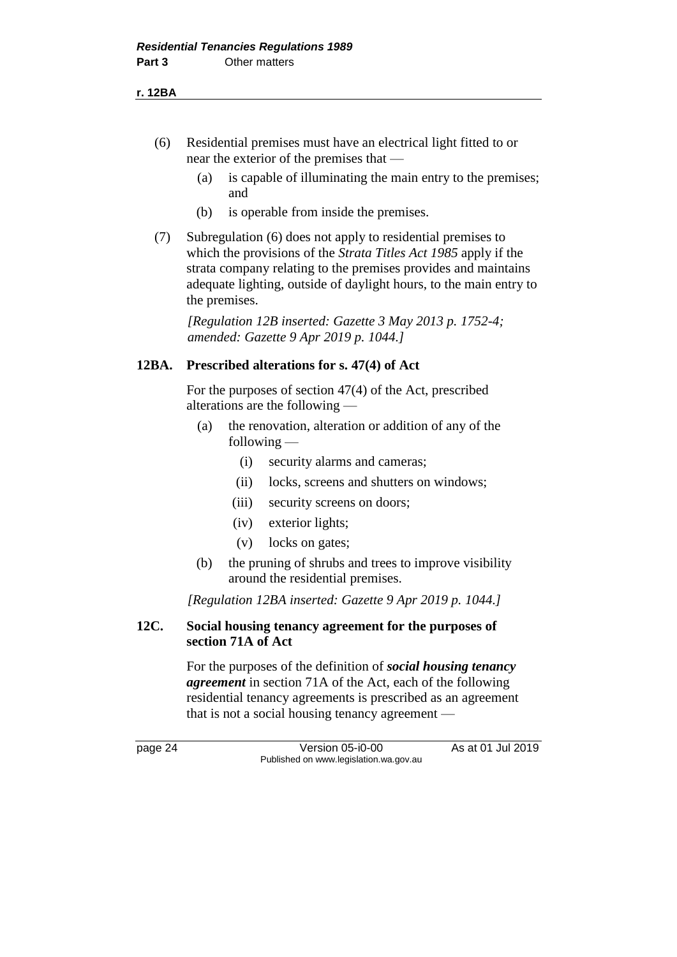- (6) Residential premises must have an electrical light fitted to or near the exterior of the premises that —
	- (a) is capable of illuminating the main entry to the premises; and
	- (b) is operable from inside the premises.
- (7) Subregulation (6) does not apply to residential premises to which the provisions of the *Strata Titles Act 1985* apply if the strata company relating to the premises provides and maintains adequate lighting, outside of daylight hours, to the main entry to the premises.

*[Regulation 12B inserted: Gazette 3 May 2013 p. 1752-4; amended: Gazette 9 Apr 2019 p. 1044.]* 

#### **12BA. Prescribed alterations for s. 47(4) of Act**

For the purposes of section 47(4) of the Act, prescribed alterations are the following —

- (a) the renovation, alteration or addition of any of the following —
	- (i) security alarms and cameras;
	- (ii) locks, screens and shutters on windows;
	- (iii) security screens on doors;
	- (iv) exterior lights;
	- (v) locks on gates;
- (b) the pruning of shrubs and trees to improve visibility around the residential premises.

*[Regulation 12BA inserted: Gazette 9 Apr 2019 p. 1044.]* 

#### **12C. Social housing tenancy agreement for the purposes of section 71A of Act**

For the purposes of the definition of *social housing tenancy agreement* in section 71A of the Act, each of the following residential tenancy agreements is prescribed as an agreement that is not a social housing tenancy agreement —

page 24 Version 05-i0-00 As at 01 Jul 2019 Published on www.legislation.wa.gov.au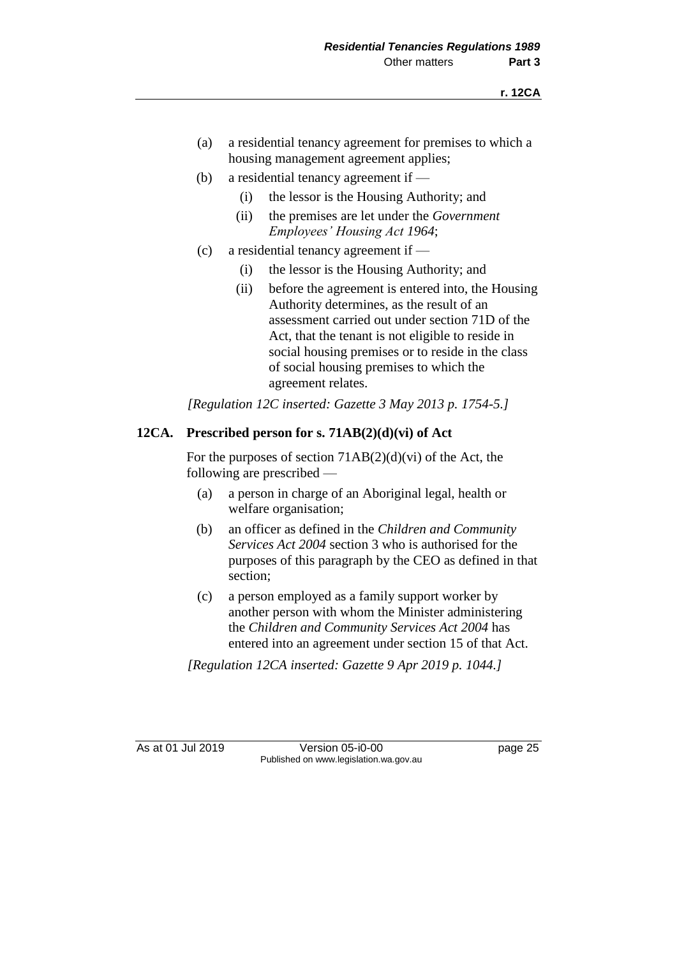- (a) a residential tenancy agreement for premises to which a housing management agreement applies;
- (b) a residential tenancy agreement if
	- (i) the lessor is the Housing Authority; and
	- (ii) the premises are let under the *Government Employees' Housing Act 1964*;
- (c) a residential tenancy agreement if
	- (i) the lessor is the Housing Authority; and
	- (ii) before the agreement is entered into, the Housing Authority determines, as the result of an assessment carried out under section 71D of the Act, that the tenant is not eligible to reside in social housing premises or to reside in the class of social housing premises to which the agreement relates.

*[Regulation 12C inserted: Gazette 3 May 2013 p. 1754-5.]* 

### **12CA. Prescribed person for s. 71AB(2)(d)(vi) of Act**

For the purposes of section  $71AB(2)(d)(vi)$  of the Act, the following are prescribed —

- (a) a person in charge of an Aboriginal legal, health or welfare organisation;
- (b) an officer as defined in the *Children and Community Services Act 2004* section 3 who is authorised for the purposes of this paragraph by the CEO as defined in that section;
- (c) a person employed as a family support worker by another person with whom the Minister administering the *Children and Community Services Act 2004* has entered into an agreement under section 15 of that Act.

*[Regulation 12CA inserted: Gazette 9 Apr 2019 p. 1044.]* 

As at 01 Jul 2019 Version 05-i0-00 page 25 Published on www.legislation.wa.gov.au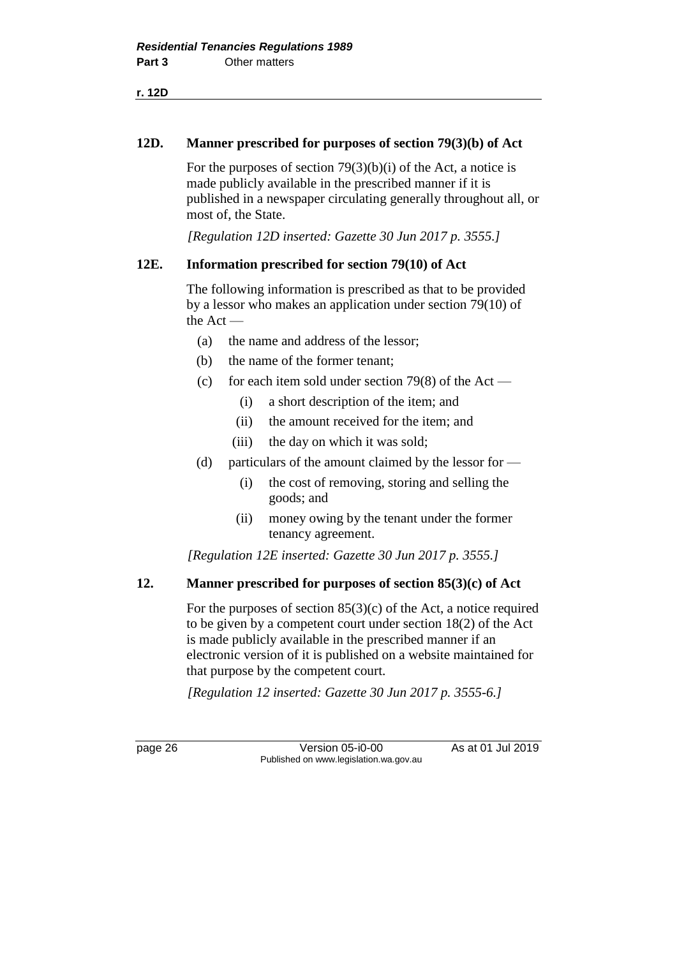**r. 12D**

### **12D. Manner prescribed for purposes of section 79(3)(b) of Act**

For the purposes of section  $79(3)(b)(i)$  of the Act, a notice is made publicly available in the prescribed manner if it is published in a newspaper circulating generally throughout all, or most of, the State.

*[Regulation 12D inserted: Gazette 30 Jun 2017 p. 3555.]* 

### **12E. Information prescribed for section 79(10) of Act**

The following information is prescribed as that to be provided by a lessor who makes an application under section 79(10) of the Act —

- (a) the name and address of the lessor;
- (b) the name of the former tenant;
- (c) for each item sold under section 79(8) of the Act
	- (i) a short description of the item; and
	- (ii) the amount received for the item; and
	- (iii) the day on which it was sold;
- (d) particulars of the amount claimed by the lessor for  $-$ 
	- (i) the cost of removing, storing and selling the goods; and
	- (ii) money owing by the tenant under the former tenancy agreement.

*[Regulation 12E inserted: Gazette 30 Jun 2017 p. 3555.]* 

#### **12. Manner prescribed for purposes of section 85(3)(c) of Act**

For the purposes of section  $85(3)(c)$  of the Act, a notice required to be given by a competent court under section 18(2) of the Act is made publicly available in the prescribed manner if an electronic version of it is published on a website maintained for that purpose by the competent court.

*[Regulation 12 inserted: Gazette 30 Jun 2017 p. 3555-6.]* 

page 26 Version 05-i0-00 As at 01 Jul 2019 Published on www.legislation.wa.gov.au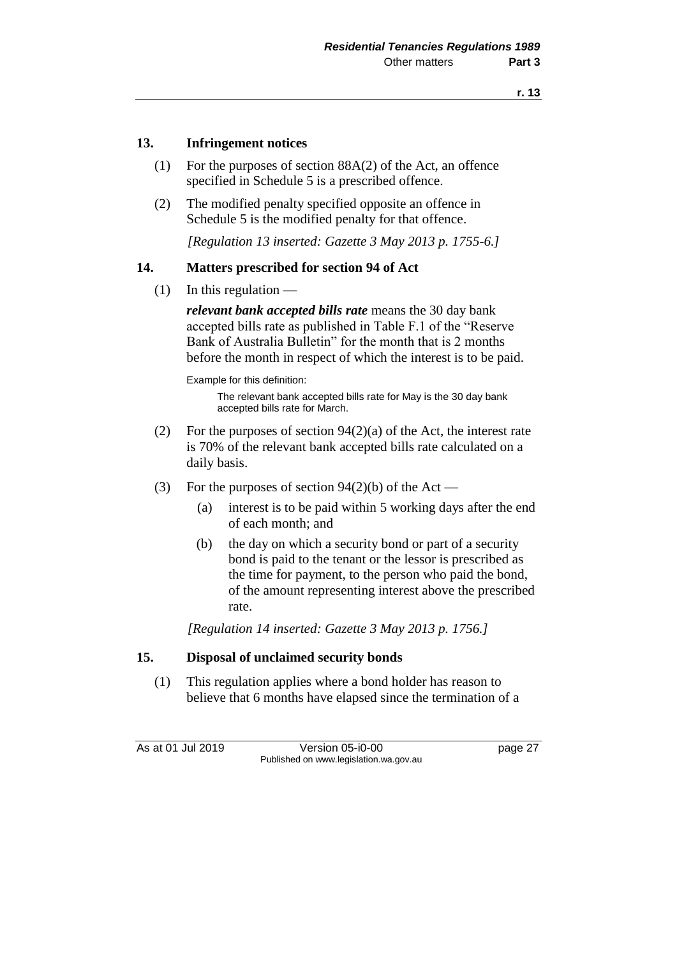#### **13. Infringement notices**

- (1) For the purposes of section 88A(2) of the Act, an offence specified in Schedule 5 is a prescribed offence.
- (2) The modified penalty specified opposite an offence in Schedule 5 is the modified penalty for that offence.

*[Regulation 13 inserted: Gazette 3 May 2013 p. 1755-6.]*

#### **14. Matters prescribed for section 94 of Act**

 $(1)$  In this regulation —

*relevant bank accepted bills rate* means the 30 day bank accepted bills rate as published in Table F.1 of the "Reserve Bank of Australia Bulletin" for the month that is 2 months before the month in respect of which the interest is to be paid.

Example for this definition:

The relevant bank accepted bills rate for May is the 30 day bank accepted bills rate for March.

- (2) For the purposes of section  $94(2)(a)$  of the Act, the interest rate is 70% of the relevant bank accepted bills rate calculated on a daily basis.
- (3) For the purposes of section  $94(2)(b)$  of the Act
	- (a) interest is to be paid within 5 working days after the end of each month; and
	- (b) the day on which a security bond or part of a security bond is paid to the tenant or the lessor is prescribed as the time for payment, to the person who paid the bond, of the amount representing interest above the prescribed rate.

*[Regulation 14 inserted: Gazette 3 May 2013 p. 1756.]*

#### **15. Disposal of unclaimed security bonds**

(1) This regulation applies where a bond holder has reason to believe that 6 months have elapsed since the termination of a

As at 01 Jul 2019 Version 05-i0-00 page 27 Published on www.legislation.wa.gov.au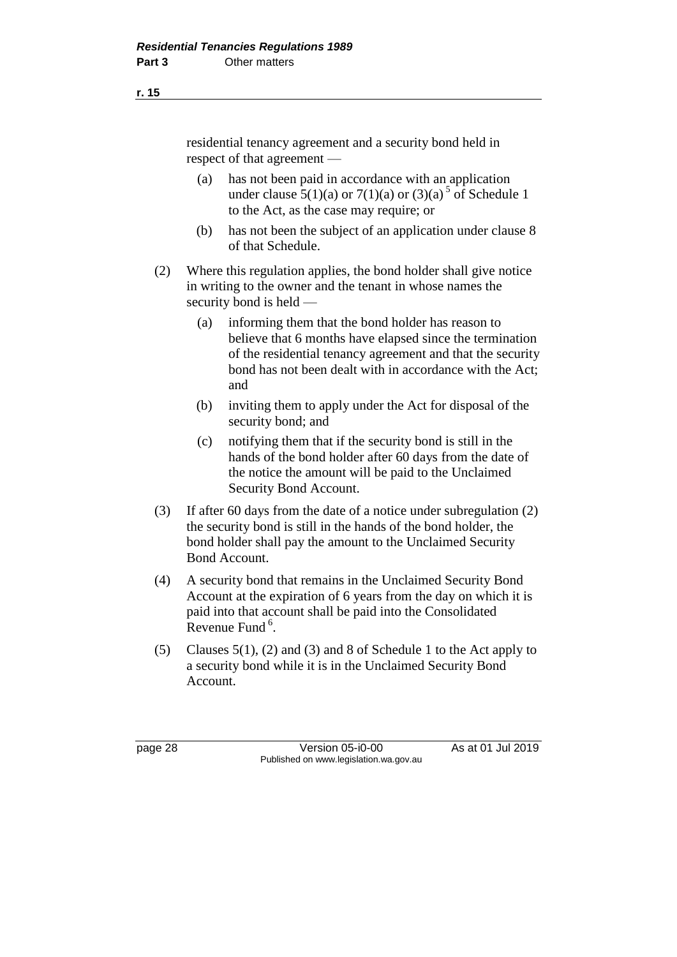residential tenancy agreement and a security bond held in respect of that agreement —

- (a) has not been paid in accordance with an application under clause  $5(1)(a)$  or  $7(1)(a)$  or  $(3)(a)$ <sup>5</sup> of Schedule 1 to the Act, as the case may require; or
- (b) has not been the subject of an application under clause 8 of that Schedule.
- (2) Where this regulation applies, the bond holder shall give notice in writing to the owner and the tenant in whose names the security bond is held —
	- (a) informing them that the bond holder has reason to believe that 6 months have elapsed since the termination of the residential tenancy agreement and that the security bond has not been dealt with in accordance with the Act; and
	- (b) inviting them to apply under the Act for disposal of the security bond; and
	- (c) notifying them that if the security bond is still in the hands of the bond holder after 60 days from the date of the notice the amount will be paid to the Unclaimed Security Bond Account.
- (3) If after 60 days from the date of a notice under subregulation (2) the security bond is still in the hands of the bond holder, the bond holder shall pay the amount to the Unclaimed Security Bond Account.
- (4) A security bond that remains in the Unclaimed Security Bond Account at the expiration of 6 years from the day on which it is paid into that account shall be paid into the Consolidated Revenue Fund<sup>6</sup>.
- (5) Clauses 5(1), (2) and (3) and 8 of Schedule 1 to the Act apply to a security bond while it is in the Unclaimed Security Bond Account.

page 28 Version 05-i0-00 As at 01 Jul 2019 Published on www.legislation.wa.gov.au

**r. 15**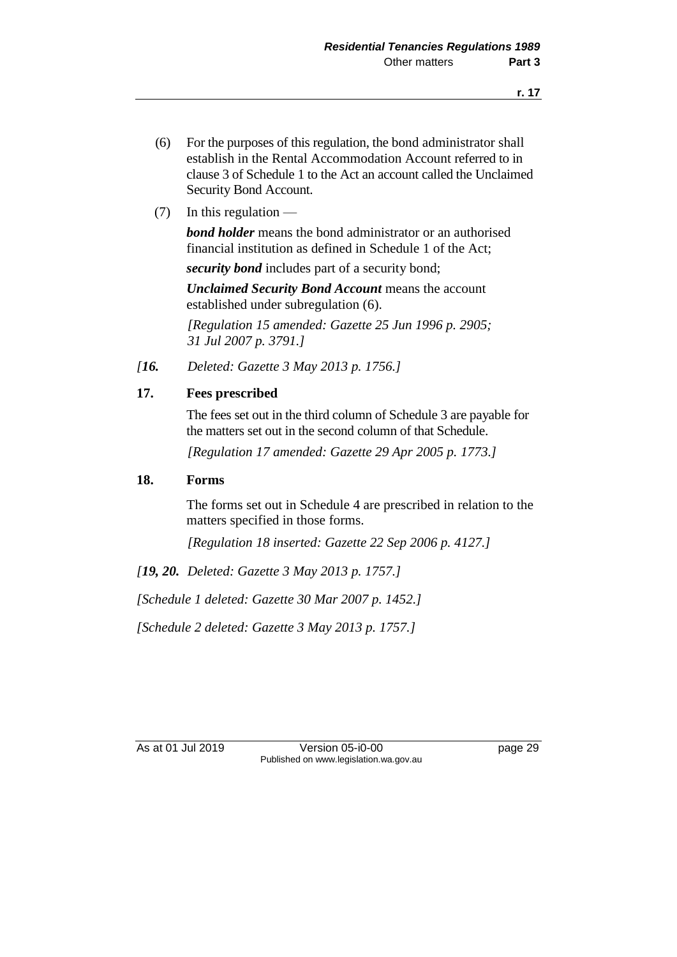- (6) For the purposes of this regulation, the bond administrator shall establish in the Rental Accommodation Account referred to in clause 3 of Schedule 1 to the Act an account called the Unclaimed Security Bond Account.
- (7) In this regulation —

*bond holder* means the bond administrator or an authorised financial institution as defined in Schedule 1 of the Act;

*security bond* includes part of a security bond;

*Unclaimed Security Bond Account* means the account established under subregulation (6).

*[Regulation 15 amended: Gazette 25 Jun 1996 p. 2905; 31 Jul 2007 p. 3791.]* 

*[16. Deleted: Gazette 3 May 2013 p. 1756.]*

# **17. Fees prescribed**

The fees set out in the third column of Schedule 3 are payable for the matters set out in the second column of that Schedule.

*[Regulation 17 amended: Gazette 29 Apr 2005 p. 1773.]*

## **18. Forms**

The forms set out in Schedule 4 are prescribed in relation to the matters specified in those forms.

*[Regulation 18 inserted: Gazette 22 Sep 2006 p. 4127.]*

*[19, 20. Deleted: Gazette 3 May 2013 p. 1757.]*

*[Schedule 1 deleted: Gazette 30 Mar 2007 p. 1452.]*

*[Schedule 2 deleted: Gazette 3 May 2013 p. 1757.]*

As at 01 Jul 2019 Version 05-i0-00 page 29 Published on www.legislation.wa.gov.au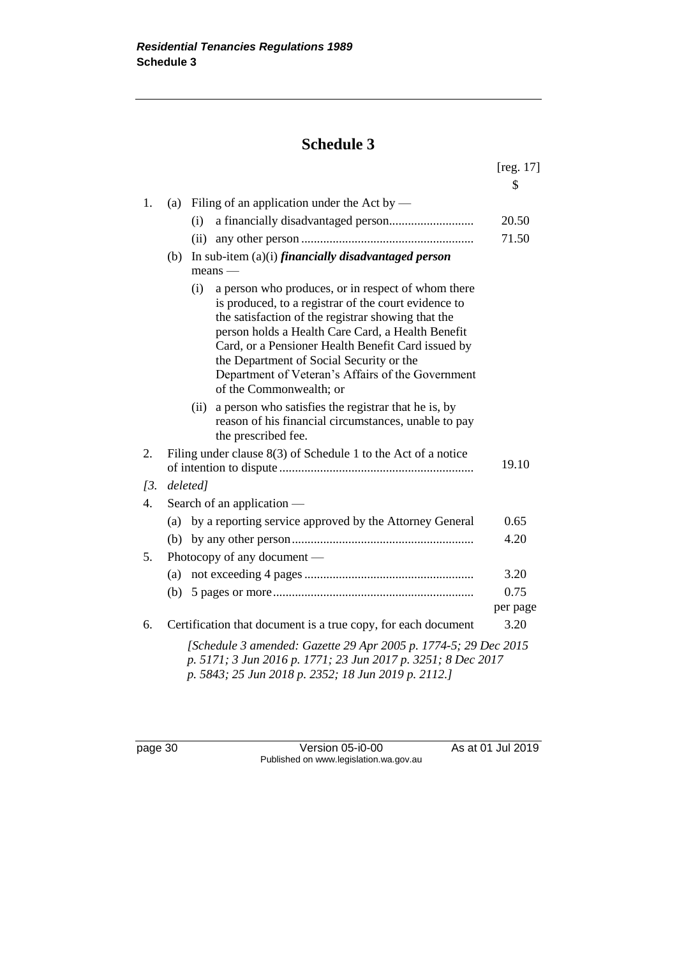# **Schedule 3**

|                  |     |          |                                                                                                                                                                                                                                                                                                                                                                                                         | [reg. 17]<br>\$ |
|------------------|-----|----------|---------------------------------------------------------------------------------------------------------------------------------------------------------------------------------------------------------------------------------------------------------------------------------------------------------------------------------------------------------------------------------------------------------|-----------------|
| 1.               | (a) |          | Filing of an application under the Act by $-$                                                                                                                                                                                                                                                                                                                                                           |                 |
|                  |     | (i)      |                                                                                                                                                                                                                                                                                                                                                                                                         | 20.50           |
|                  |     | (ii)     |                                                                                                                                                                                                                                                                                                                                                                                                         | 71.50           |
|                  | (b) |          | In sub-item $(a)(i)$ financially disadvantaged person<br>$means$ —                                                                                                                                                                                                                                                                                                                                      |                 |
|                  |     | (i)      | a person who produces, or in respect of whom there<br>is produced, to a registrar of the court evidence to<br>the satisfaction of the registrar showing that the<br>person holds a Health Care Card, a Health Benefit<br>Card, or a Pensioner Health Benefit Card issued by<br>the Department of Social Security or the<br>Department of Veteran's Affairs of the Government<br>of the Commonwealth; or |                 |
|                  |     | (ii)     | a person who satisfies the registrar that he is, by<br>reason of his financial circumstances, unable to pay<br>the prescribed fee.                                                                                                                                                                                                                                                                      |                 |
| 2.               |     |          | Filing under clause $8(3)$ of Schedule 1 to the Act of a notice                                                                                                                                                                                                                                                                                                                                         | 19.10           |
| $\overline{3}$ . |     | deleted] |                                                                                                                                                                                                                                                                                                                                                                                                         |                 |
| $\overline{4}$ . |     |          | Search of an application —                                                                                                                                                                                                                                                                                                                                                                              |                 |
|                  | (a) |          | by a reporting service approved by the Attorney General                                                                                                                                                                                                                                                                                                                                                 | 0.65            |
|                  | (b) |          |                                                                                                                                                                                                                                                                                                                                                                                                         | 4.20            |
| 5.               |     |          | Photocopy of any document —                                                                                                                                                                                                                                                                                                                                                                             |                 |
|                  | (a) |          |                                                                                                                                                                                                                                                                                                                                                                                                         | 3.20            |
|                  |     |          |                                                                                                                                                                                                                                                                                                                                                                                                         | 0.75            |
|                  |     |          |                                                                                                                                                                                                                                                                                                                                                                                                         | per page        |
| 6.               |     |          | Certification that document is a true copy, for each document                                                                                                                                                                                                                                                                                                                                           | 3.20            |
|                  |     |          | [Schedule 3 amended: Gazette 29 Apr 2005 p. 1774-5; 29 Dec 2015<br>p. 5171; 3 Jun 2016 p. 1771; 23 Jun 2017 p. 3251; 8 Dec 2017<br>p. 5843; 25 Jun 2018 p. 2352; 18 Jun 2019 p. 2112.]                                                                                                                                                                                                                  |                 |

page 30 Version 05-i0-00 As at 01 Jul 2019 Published on www.legislation.wa.gov.au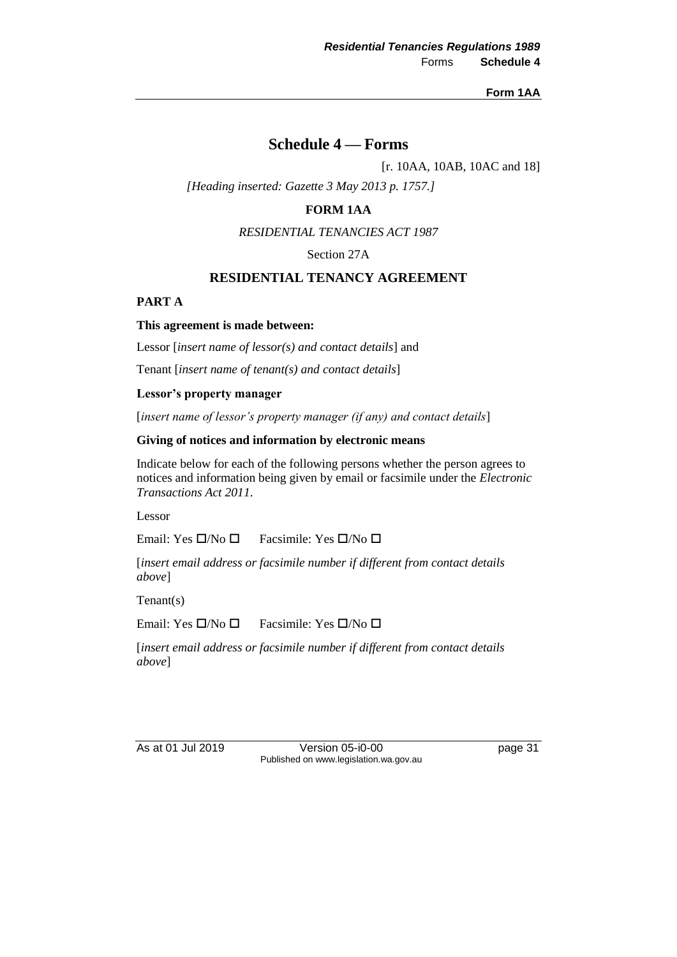# **Schedule 4 — Forms**

[r. 10AA, 10AB, 10AC and 18]

*[Heading inserted: Gazette 3 May 2013 p. 1757.]*

# **FORM 1AA**

*RESIDENTIAL TENANCIES ACT 1987*

Section 27A

## **RESIDENTIAL TENANCY AGREEMENT**

### **PART A**

#### **This agreement is made between:**

Lessor [*insert name of lessor(s) and contact details*] and

Tenant [*insert name of tenant(s) and contact details*]

#### **Lessor's property manager**

[*insert name of lessor's property manager (if any) and contact details*]

### **Giving of notices and information by electronic means**

Indicate below for each of the following persons whether the person agrees to notices and information being given by email or facsimile under the *Electronic Transactions Act 2011*.

Lessor

Email: Yes  $\Box/\mathrm{No} \Box$  Facsimile: Yes  $\Box/\mathrm{No} \Box$ 

[*insert email address or facsimile number if different from contact details above*]

Tenant(s)

Email: Yes  $\Box/\mathrm{No}\ \Box$  Facsimile: Yes  $\Box/\mathrm{No}\ \Box$ 

[*insert email address or facsimile number if different from contact details above*]

As at 01 Jul 2019 Version 05-i0-00 page 31 Published on www.legislation.wa.gov.au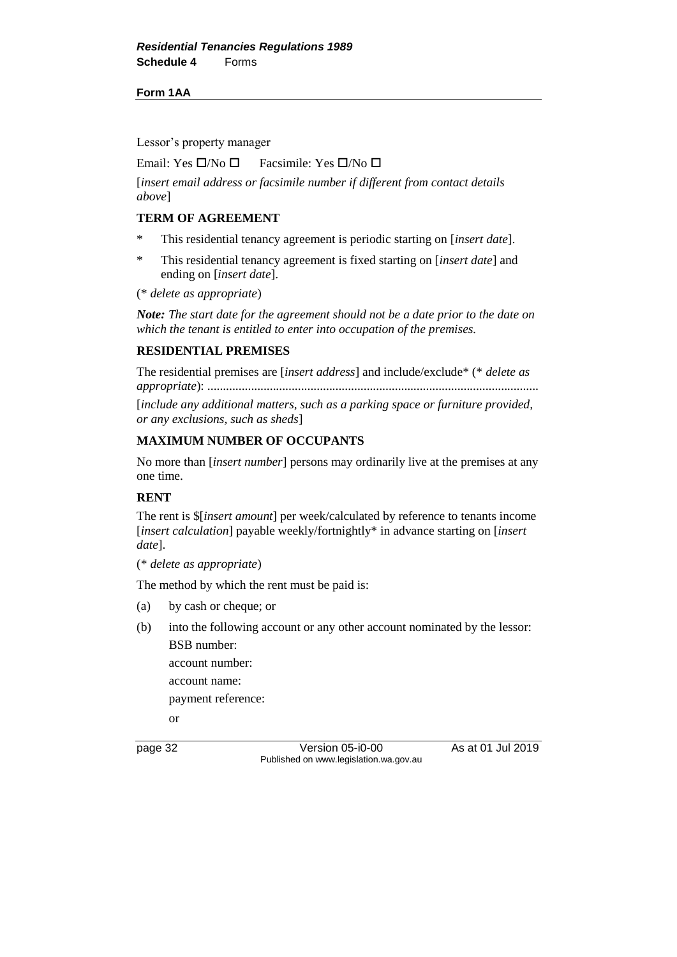Lessor's property manager

Email: Yes  $\Box/\mathrm{No}\ \Box$  Facsimile: Yes  $\Box/\mathrm{No}\ \Box$ 

[*insert email address or facsimile number if different from contact details above*]

# **TERM OF AGREEMENT**

- \* This residential tenancy agreement is periodic starting on [*insert date*].
- \* This residential tenancy agreement is fixed starting on [*insert date*] and ending on [*insert date*].

(\* *delete as appropriate*)

*Note: The start date for the agreement should not be a date prior to the date on which the tenant is entitled to enter into occupation of the premises.*

# **RESIDENTIAL PREMISES**

The residential premises are [*insert address*] and include/exclude\* (\* *delete as appropriate*): ..........................................................................................................

[*include any additional matters, such as a parking space or furniture provided, or any exclusions, such as sheds*]

# **MAXIMUM NUMBER OF OCCUPANTS**

No more than [*insert number*] persons may ordinarily live at the premises at any one time.

# **RENT**

The rent is \$[*insert amount*] per week/calculated by reference to tenants income [*insert calculation*] payable weekly/fortnightly\* in advance starting on [*insert date*].

(\* *delete as appropriate*)

The method by which the rent must be paid is:

- (a) by cash or cheque; or
- (b) into the following account or any other account nominated by the lessor: BSB number:

account number: account name: payment reference:

or

page 32 Version 05-i0-00 As at 01 Jul 2019 Published on www.legislation.wa.gov.au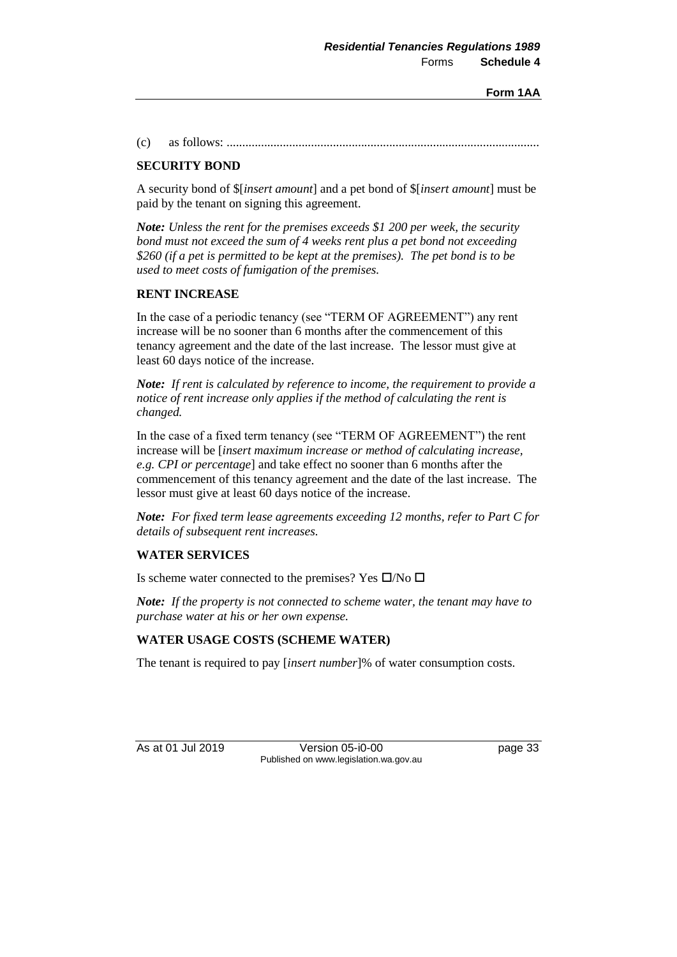(c) as follows: ....................................................................................................

# **SECURITY BOND**

A security bond of \$[*insert amount*] and a pet bond of \$[*insert amount*] must be paid by the tenant on signing this agreement.

*Note: Unless the rent for the premises exceeds \$1 200 per week, the security bond must not exceed the sum of 4 weeks rent plus a pet bond not exceeding \$260 (if a pet is permitted to be kept at the premises). The pet bond is to be used to meet costs of fumigation of the premises.*

### **RENT INCREASE**

In the case of a periodic tenancy (see "TERM OF AGREEMENT") any rent increase will be no sooner than 6 months after the commencement of this tenancy agreement and the date of the last increase. The lessor must give at least 60 days notice of the increase.

*Note: If rent is calculated by reference to income, the requirement to provide a notice of rent increase only applies if the method of calculating the rent is changed.*

In the case of a fixed term tenancy (see "TERM OF AGREEMENT") the rent increase will be [*insert maximum increase or method of calculating increase, e.g. CPI or percentage*] and take effect no sooner than 6 months after the commencement of this tenancy agreement and the date of the last increase. The lessor must give at least 60 days notice of the increase.

*Note: For fixed term lease agreements exceeding 12 months, refer to Part C for details of subsequent rent increases.*

### **WATER SERVICES**

Is scheme water connected to the premises? Yes  $\Box$ /No  $\Box$ 

*Note: If the property is not connected to scheme water, the tenant may have to purchase water at his or her own expense.*

### **WATER USAGE COSTS (SCHEME WATER)**

The tenant is required to pay [*insert number*]% of water consumption costs.

As at 01 Jul 2019 Version 05-i0-00 Page 33 Published on www.legislation.wa.gov.au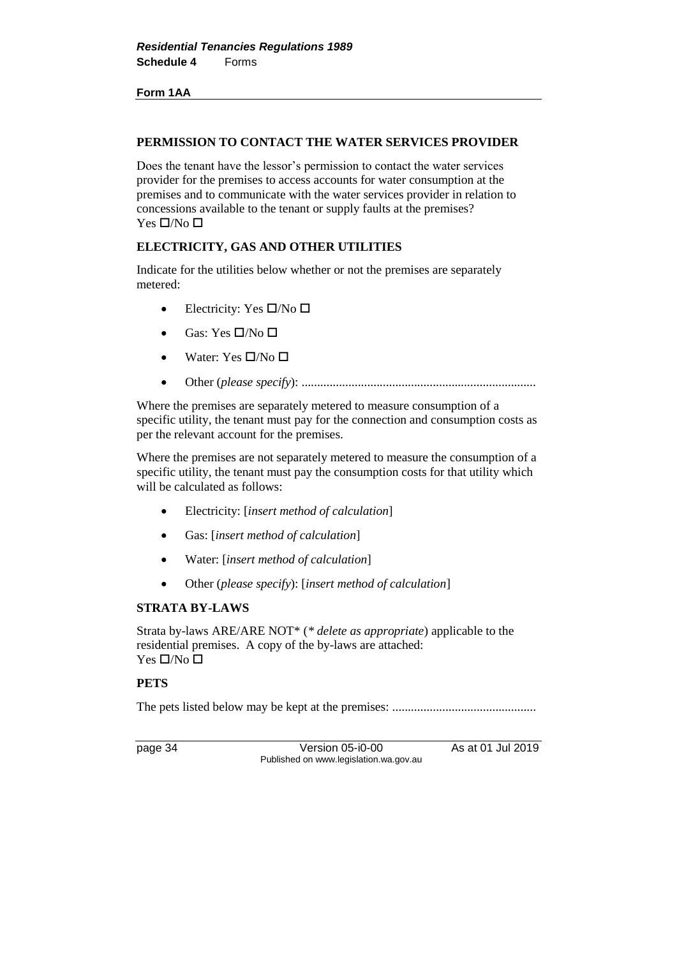### **PERMISSION TO CONTACT THE WATER SERVICES PROVIDER**

Does the tenant have the lessor's permission to contact the water services provider for the premises to access accounts for water consumption at the premises and to communicate with the water services provider in relation to concessions available to the tenant or supply faults at the premises? Yes  $\square/No \square$ 

# **ELECTRICITY, GAS AND OTHER UTILITIES**

Indicate for the utilities below whether or not the premises are separately metered:

- Electricity: Yes  $\square/N$ o  $\square$
- Gas: Yes  $\Box$ /No  $\Box$
- Water: Yes  $\Box/N_0 \Box$
- Other (*please specify*): ...........................................................................

Where the premises are separately metered to measure consumption of a specific utility, the tenant must pay for the connection and consumption costs as per the relevant account for the premises.

Where the premises are not separately metered to measure the consumption of a specific utility, the tenant must pay the consumption costs for that utility which will be calculated as follows:

- Electricity: [*insert method of calculation*]
- Gas: [*insert method of calculation*]
- Water: [*insert method of calculation*]
- Other (*please specify*): [*insert method of calculation*]

### **STRATA BY-LAWS**

Strata by-laws ARE/ARE NOT\* (*\* delete as appropriate*) applicable to the residential premises. A copy of the by-laws are attached: Yes  $\Box$ /No  $\Box$ 

### **PETS**

The pets listed below may be kept at the premises: ..............................................

page 34 Version 05-i0-00 As at 01 Jul 2019 Published on www.legislation.wa.gov.au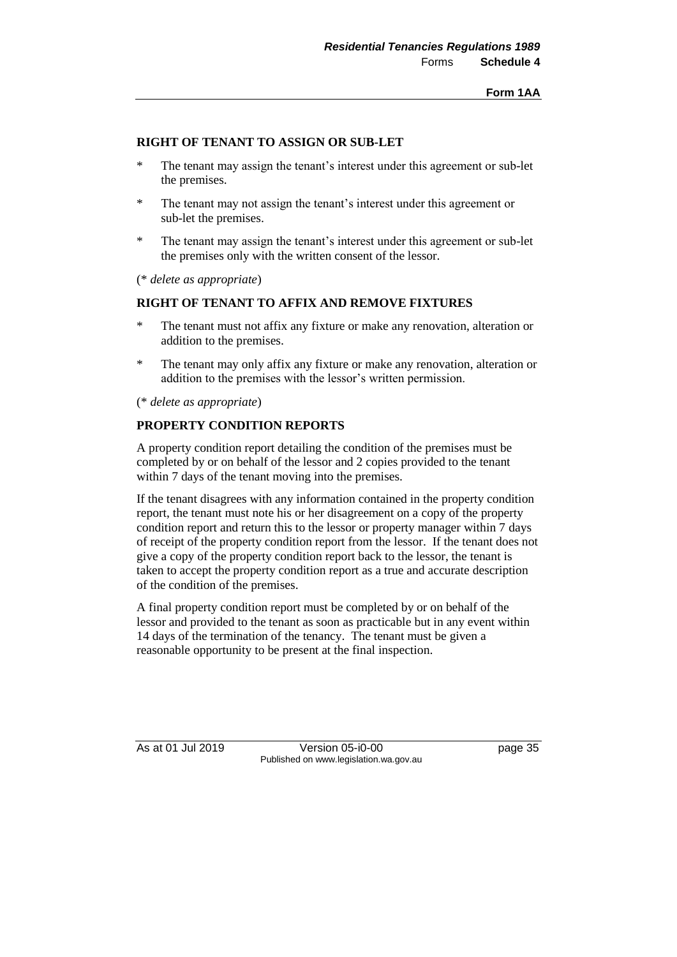#### **RIGHT OF TENANT TO ASSIGN OR SUB-LET**

- \* The tenant may assign the tenant's interest under this agreement or sub-let the premises.
- \* The tenant may not assign the tenant's interest under this agreement or sub-let the premises.
- \* The tenant may assign the tenant's interest under this agreement or sub-let the premises only with the written consent of the lessor.

(\* *delete as appropriate*)

#### **RIGHT OF TENANT TO AFFIX AND REMOVE FIXTURES**

- \* The tenant must not affix any fixture or make any renovation, alteration or addition to the premises.
- \* The tenant may only affix any fixture or make any renovation, alteration or addition to the premises with the lessor's written permission.

(\* *delete as appropriate*)

### **PROPERTY CONDITION REPORTS**

A property condition report detailing the condition of the premises must be completed by or on behalf of the lessor and 2 copies provided to the tenant within 7 days of the tenant moving into the premises.

If the tenant disagrees with any information contained in the property condition report, the tenant must note his or her disagreement on a copy of the property condition report and return this to the lessor or property manager within 7 days of receipt of the property condition report from the lessor. If the tenant does not give a copy of the property condition report back to the lessor, the tenant is taken to accept the property condition report as a true and accurate description of the condition of the premises.

A final property condition report must be completed by or on behalf of the lessor and provided to the tenant as soon as practicable but in any event within 14 days of the termination of the tenancy. The tenant must be given a reasonable opportunity to be present at the final inspection.

As at 01 Jul 2019 Version 05-i0-00 page 35 Published on www.legislation.wa.gov.au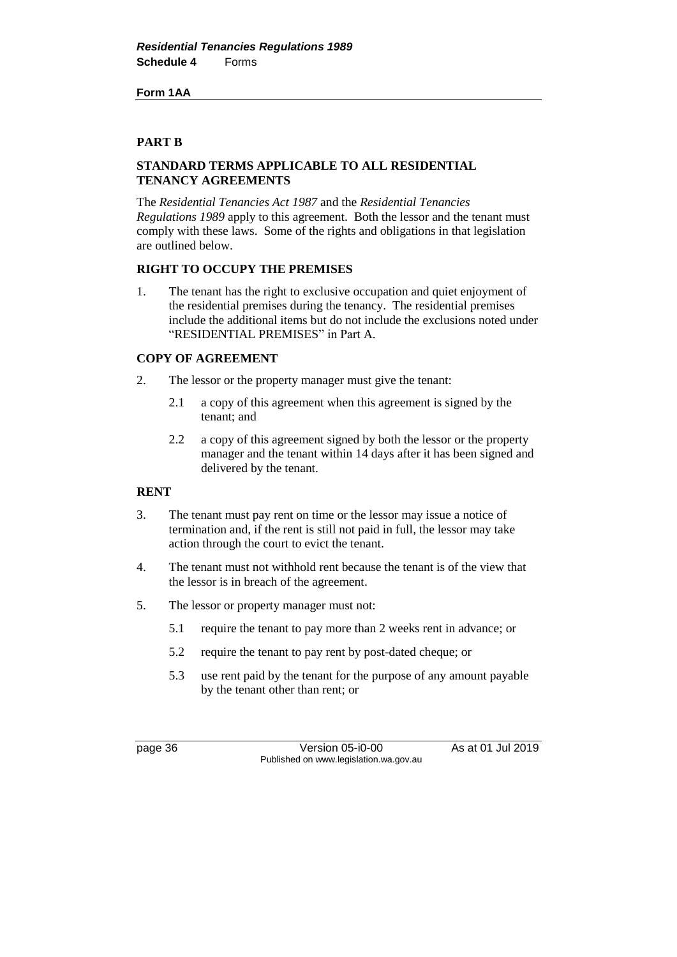# **PART B**

# **STANDARD TERMS APPLICABLE TO ALL RESIDENTIAL TENANCY AGREEMENTS**

The *Residential Tenancies Act 1987* and the *Residential Tenancies Regulations 1989* apply to this agreement. Both the lessor and the tenant must comply with these laws. Some of the rights and obligations in that legislation are outlined below.

# **RIGHT TO OCCUPY THE PREMISES**

1. The tenant has the right to exclusive occupation and quiet enjoyment of the residential premises during the tenancy. The residential premises include the additional items but do not include the exclusions noted under "RESIDENTIAL PREMISES" in Part A.

# **COPY OF AGREEMENT**

- 2. The lessor or the property manager must give the tenant:
	- 2.1 a copy of this agreement when this agreement is signed by the tenant; and
	- 2.2 a copy of this agreement signed by both the lessor or the property manager and the tenant within 14 days after it has been signed and delivered by the tenant.

### **RENT**

- 3. The tenant must pay rent on time or the lessor may issue a notice of termination and, if the rent is still not paid in full, the lessor may take action through the court to evict the tenant.
- 4. The tenant must not withhold rent because the tenant is of the view that the lessor is in breach of the agreement.
- 5. The lessor or property manager must not:
	- 5.1 require the tenant to pay more than 2 weeks rent in advance; or
	- 5.2 require the tenant to pay rent by post-dated cheque; or
	- 5.3 use rent paid by the tenant for the purpose of any amount payable by the tenant other than rent; or

page 36 Version 05-i0-00 As at 01 Jul 2019 Published on www.legislation.wa.gov.au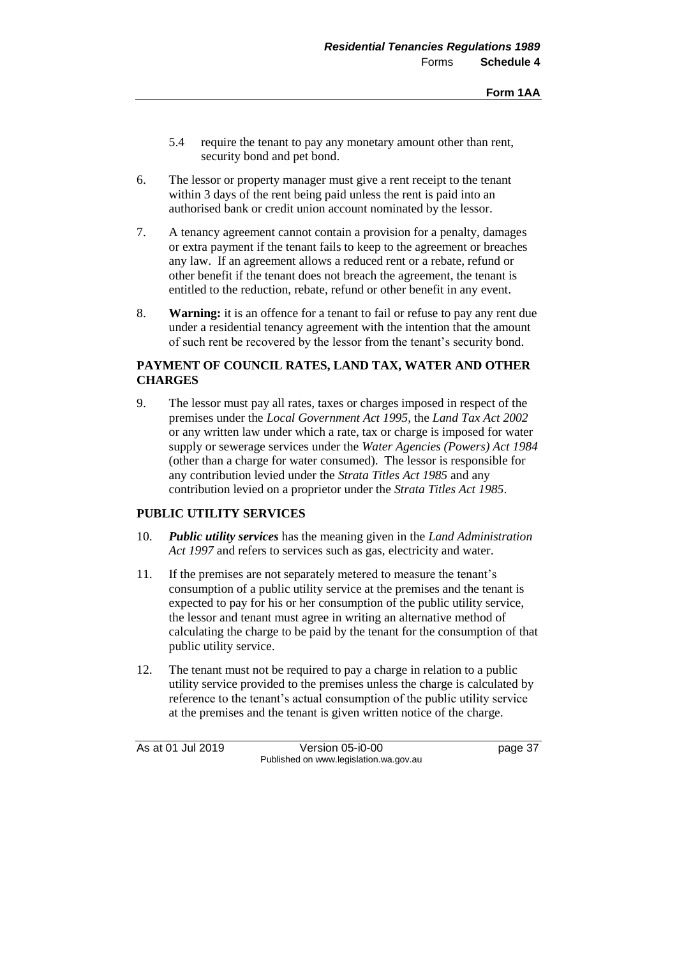- 5.4 require the tenant to pay any monetary amount other than rent, security bond and pet bond.
- 6. The lessor or property manager must give a rent receipt to the tenant within 3 days of the rent being paid unless the rent is paid into an authorised bank or credit union account nominated by the lessor.
- 7. A tenancy agreement cannot contain a provision for a penalty, damages or extra payment if the tenant fails to keep to the agreement or breaches any law. If an agreement allows a reduced rent or a rebate, refund or other benefit if the tenant does not breach the agreement, the tenant is entitled to the reduction, rebate, refund or other benefit in any event.
- 8. **Warning:** it is an offence for a tenant to fail or refuse to pay any rent due under a residential tenancy agreement with the intention that the amount of such rent be recovered by the lessor from the tenant's security bond.

# **PAYMENT OF COUNCIL RATES, LAND TAX, WATER AND OTHER CHARGES**

9. The lessor must pay all rates, taxes or charges imposed in respect of the premises under the *Local Government Act 1995*, the *Land Tax Act 2002* or any written law under which a rate, tax or charge is imposed for water supply or sewerage services under the *Water Agencies (Powers) Act 1984* (other than a charge for water consumed). The lessor is responsible for any contribution levied under the *Strata Titles Act 1985* and any contribution levied on a proprietor under the *Strata Titles Act 1985*.

# **PUBLIC UTILITY SERVICES**

- 10. *Public utility services* has the meaning given in the *Land Administration Act 1997* and refers to services such as gas, electricity and water.
- 11. If the premises are not separately metered to measure the tenant's consumption of a public utility service at the premises and the tenant is expected to pay for his or her consumption of the public utility service, the lessor and tenant must agree in writing an alternative method of calculating the charge to be paid by the tenant for the consumption of that public utility service.
- 12. The tenant must not be required to pay a charge in relation to a public utility service provided to the premises unless the charge is calculated by reference to the tenant's actual consumption of the public utility service at the premises and the tenant is given written notice of the charge.

As at 01 Jul 2019 Version 05-i0-00 page 37 Published on www.legislation.wa.gov.au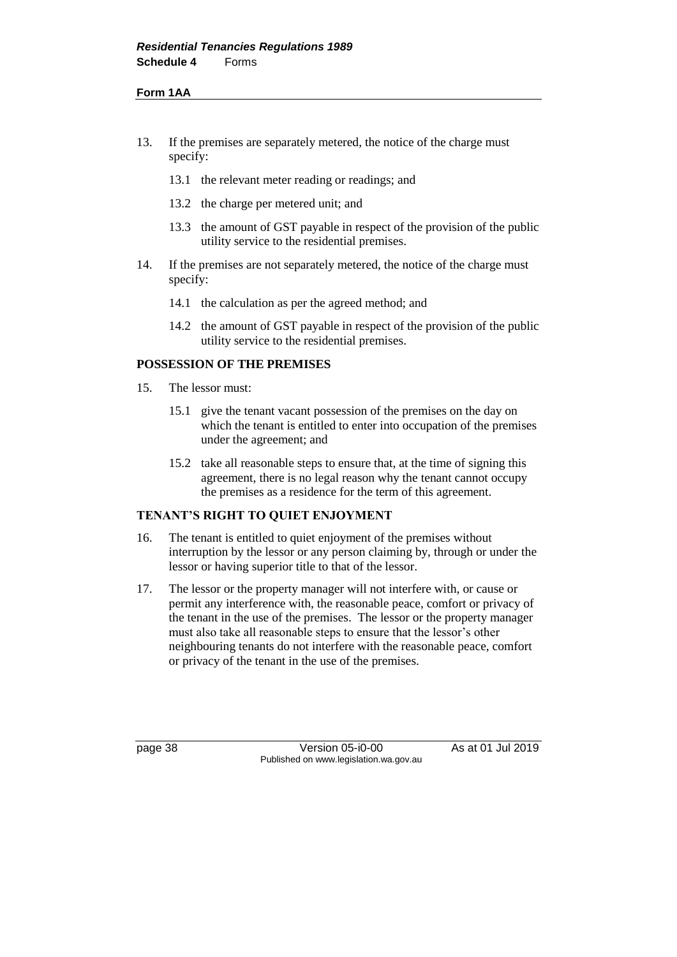- 13. If the premises are separately metered, the notice of the charge must specify:
	- 13.1 the relevant meter reading or readings; and
	- 13.2 the charge per metered unit; and
	- 13.3 the amount of GST payable in respect of the provision of the public utility service to the residential premises.
- 14. If the premises are not separately metered, the notice of the charge must specify:
	- 14.1 the calculation as per the agreed method; and
	- 14.2 the amount of GST payable in respect of the provision of the public utility service to the residential premises.

### **POSSESSION OF THE PREMISES**

- 15. The lessor must:
	- 15.1 give the tenant vacant possession of the premises on the day on which the tenant is entitled to enter into occupation of the premises under the agreement; and
	- 15.2 take all reasonable steps to ensure that, at the time of signing this agreement, there is no legal reason why the tenant cannot occupy the premises as a residence for the term of this agreement.

# **TENANT'S RIGHT TO QUIET ENJOYMENT**

- 16. The tenant is entitled to quiet enjoyment of the premises without interruption by the lessor or any person claiming by, through or under the lessor or having superior title to that of the lessor.
- 17. The lessor or the property manager will not interfere with, or cause or permit any interference with, the reasonable peace, comfort or privacy of the tenant in the use of the premises. The lessor or the property manager must also take all reasonable steps to ensure that the lessor's other neighbouring tenants do not interfere with the reasonable peace, comfort or privacy of the tenant in the use of the premises.

page 38 Version 05-i0-00 As at 01 Jul 2019 Published on www.legislation.wa.gov.au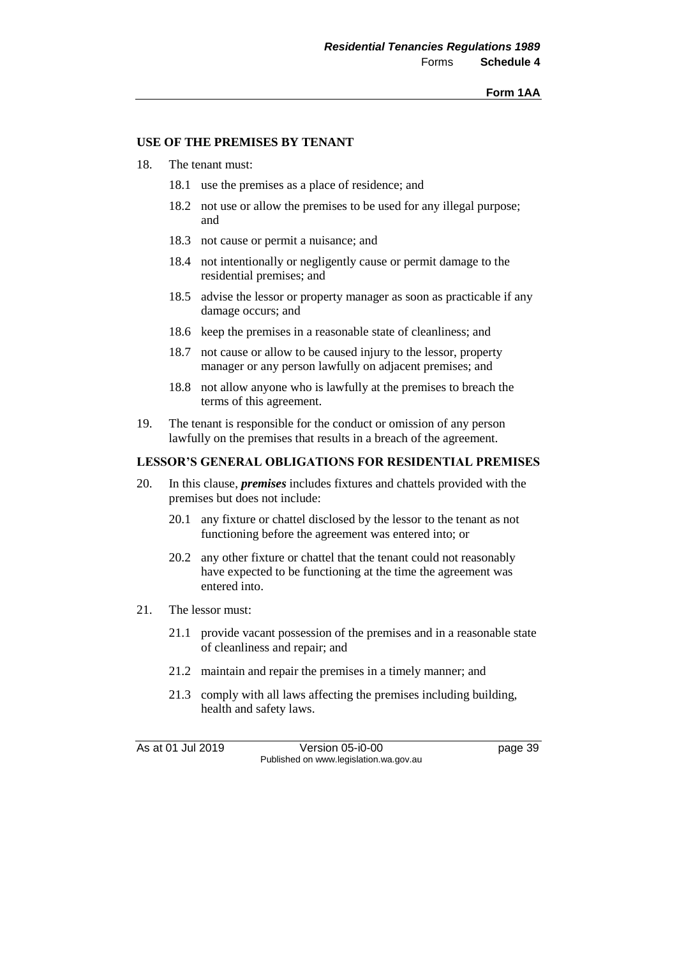#### **USE OF THE PREMISES BY TENANT**

- 18. The tenant must:
	- 18.1 use the premises as a place of residence; and
	- 18.2 not use or allow the premises to be used for any illegal purpose; and
	- 18.3 not cause or permit a nuisance; and
	- 18.4 not intentionally or negligently cause or permit damage to the residential premises; and
	- 18.5 advise the lessor or property manager as soon as practicable if any damage occurs; and
	- 18.6 keep the premises in a reasonable state of cleanliness; and
	- 18.7 not cause or allow to be caused injury to the lessor, property manager or any person lawfully on adjacent premises; and
	- 18.8 not allow anyone who is lawfully at the premises to breach the terms of this agreement.
- 19. The tenant is responsible for the conduct or omission of any person lawfully on the premises that results in a breach of the agreement.

#### **LESSOR'S GENERAL OBLIGATIONS FOR RESIDENTIAL PREMISES**

- 20. In this clause, *premises* includes fixtures and chattels provided with the premises but does not include:
	- 20.1 any fixture or chattel disclosed by the lessor to the tenant as not functioning before the agreement was entered into; or
	- 20.2 any other fixture or chattel that the tenant could not reasonably have expected to be functioning at the time the agreement was entered into.
- 21. The lessor must:
	- 21.1 provide vacant possession of the premises and in a reasonable state of cleanliness and repair; and
	- 21.2 maintain and repair the premises in a timely manner; and
	- 21.3 comply with all laws affecting the premises including building, health and safety laws.

As at 01 Jul 2019 Version 05-i0-00 Page 39 Published on www.legislation.wa.gov.au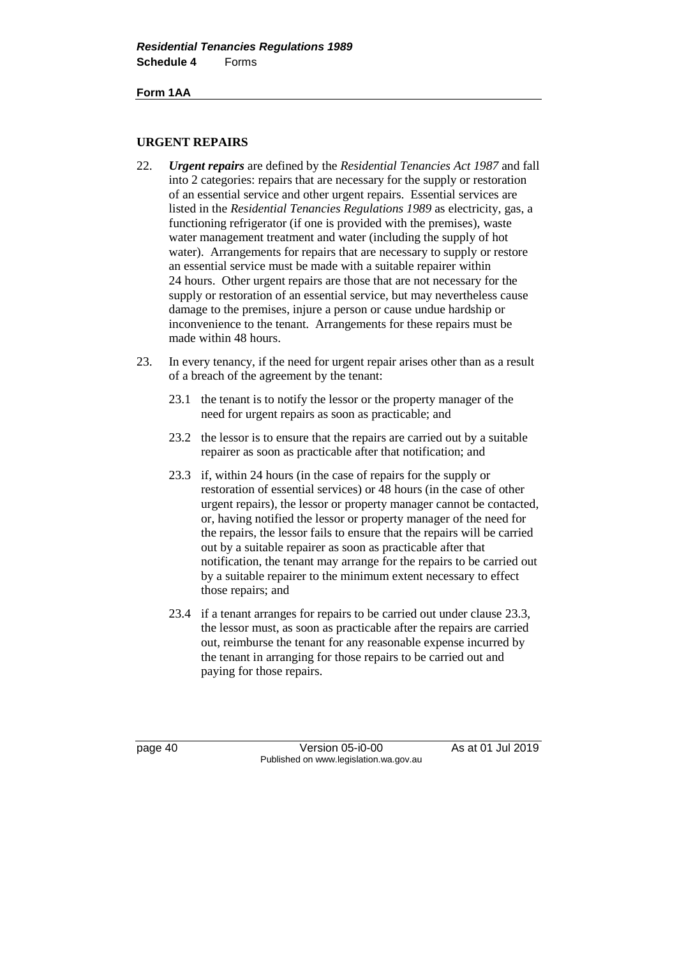## **URGENT REPAIRS**

- 22. *Urgent repairs* are defined by the *Residential Tenancies Act 1987* and fall into 2 categories: repairs that are necessary for the supply or restoration of an essential service and other urgent repairs. Essential services are listed in the *Residential Tenancies Regulations 1989* as electricity, gas, a functioning refrigerator (if one is provided with the premises), waste water management treatment and water (including the supply of hot water). Arrangements for repairs that are necessary to supply or restore an essential service must be made with a suitable repairer within 24 hours. Other urgent repairs are those that are not necessary for the supply or restoration of an essential service, but may nevertheless cause damage to the premises, injure a person or cause undue hardship or inconvenience to the tenant. Arrangements for these repairs must be made within 48 hours.
- 23. In every tenancy, if the need for urgent repair arises other than as a result of a breach of the agreement by the tenant:
	- 23.1 the tenant is to notify the lessor or the property manager of the need for urgent repairs as soon as practicable; and
	- 23.2 the lessor is to ensure that the repairs are carried out by a suitable repairer as soon as practicable after that notification; and
	- 23.3 if, within 24 hours (in the case of repairs for the supply or restoration of essential services) or 48 hours (in the case of other urgent repairs), the lessor or property manager cannot be contacted, or, having notified the lessor or property manager of the need for the repairs, the lessor fails to ensure that the repairs will be carried out by a suitable repairer as soon as practicable after that notification, the tenant may arrange for the repairs to be carried out by a suitable repairer to the minimum extent necessary to effect those repairs; and
	- 23.4 if a tenant arranges for repairs to be carried out under clause 23.3, the lessor must, as soon as practicable after the repairs are carried out, reimburse the tenant for any reasonable expense incurred by the tenant in arranging for those repairs to be carried out and paying for those repairs.

page 40 Version 05-i0-00 As at 01 Jul 2019 Published on www.legislation.wa.gov.au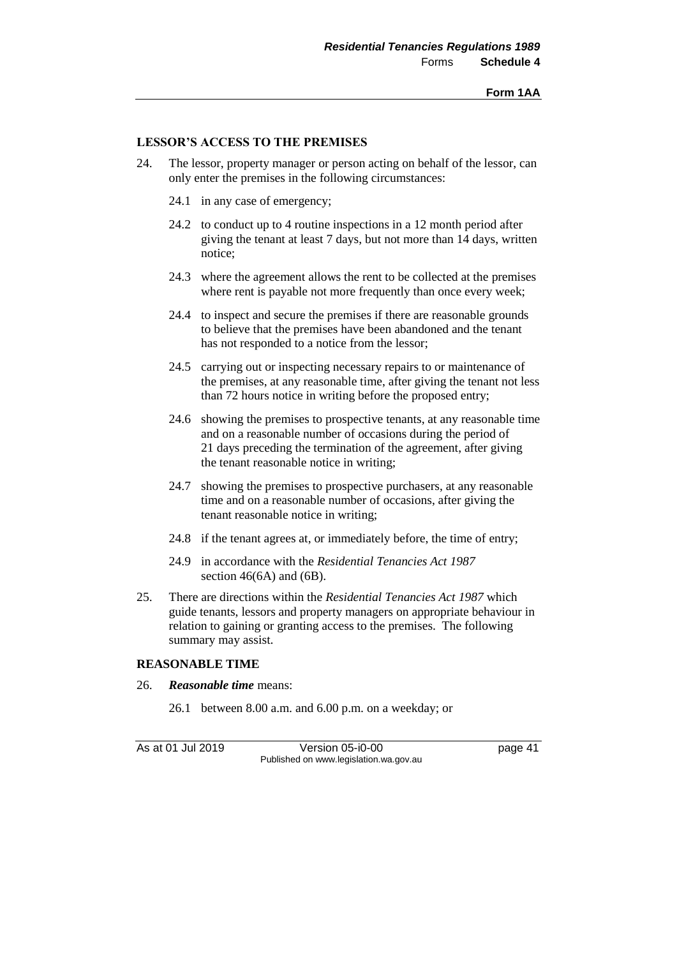#### **LESSOR'S ACCESS TO THE PREMISES**

- 24. The lessor, property manager or person acting on behalf of the lessor, can only enter the premises in the following circumstances:
	- 24.1 in any case of emergency;
	- 24.2 to conduct up to 4 routine inspections in a 12 month period after giving the tenant at least 7 days, but not more than 14 days, written notice;
	- 24.3 where the agreement allows the rent to be collected at the premises where rent is payable not more frequently than once every week;
	- 24.4 to inspect and secure the premises if there are reasonable grounds to believe that the premises have been abandoned and the tenant has not responded to a notice from the lessor;
	- 24.5 carrying out or inspecting necessary repairs to or maintenance of the premises, at any reasonable time, after giving the tenant not less than 72 hours notice in writing before the proposed entry;
	- 24.6 showing the premises to prospective tenants, at any reasonable time and on a reasonable number of occasions during the period of 21 days preceding the termination of the agreement, after giving the tenant reasonable notice in writing;
	- 24.7 showing the premises to prospective purchasers, at any reasonable time and on a reasonable number of occasions, after giving the tenant reasonable notice in writing;
	- 24.8 if the tenant agrees at, or immediately before, the time of entry;
	- 24.9 in accordance with the *Residential Tenancies Act 1987* section  $46(6A)$  and  $(6B)$ .
- 25. There are directions within the *Residential Tenancies Act 1987* which guide tenants, lessors and property managers on appropriate behaviour in relation to gaining or granting access to the premises. The following summary may assist.

#### **REASONABLE TIME**

- 26. *Reasonable time* means:
	- 26.1 between 8.00 a.m. and 6.00 p.m. on a weekday; or

As at 01 Jul 2019 Version 05-i0-00 page 41 Published on www.legislation.wa.gov.au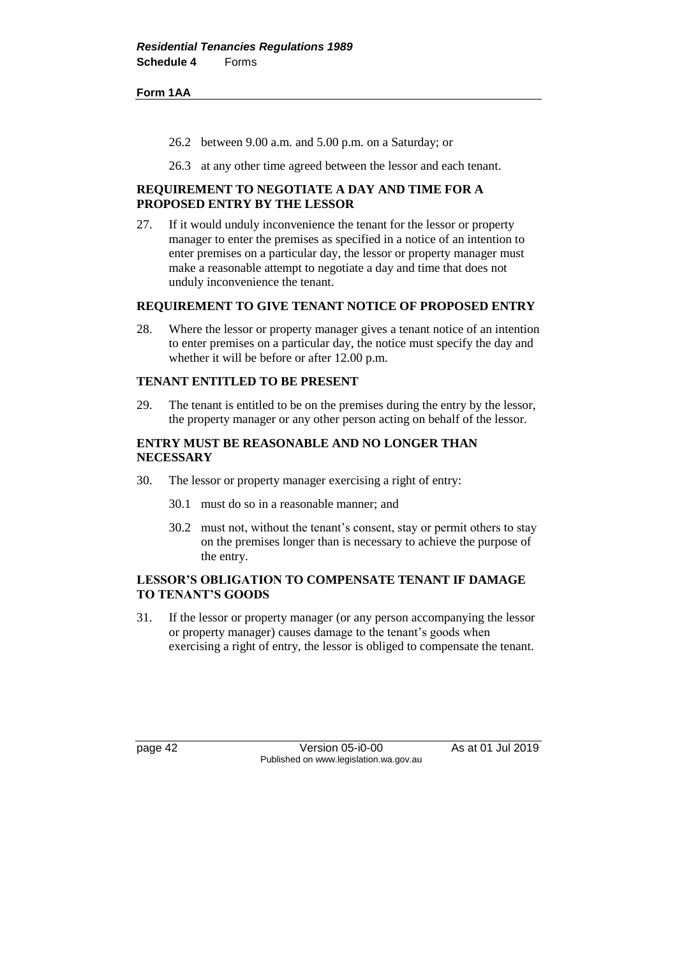- 26.2 between 9.00 a.m. and 5.00 p.m. on a Saturday; or
- 26.3 at any other time agreed between the lessor and each tenant.

# **REQUIREMENT TO NEGOTIATE A DAY AND TIME FOR A PROPOSED ENTRY BY THE LESSOR**

27. If it would unduly inconvenience the tenant for the lessor or property manager to enter the premises as specified in a notice of an intention to enter premises on a particular day, the lessor or property manager must make a reasonable attempt to negotiate a day and time that does not unduly inconvenience the tenant.

### **REQUIREMENT TO GIVE TENANT NOTICE OF PROPOSED ENTRY**

28. Where the lessor or property manager gives a tenant notice of an intention to enter premises on a particular day, the notice must specify the day and whether it will be before or after 12.00 p.m.

# **TENANT ENTITLED TO BE PRESENT**

29. The tenant is entitled to be on the premises during the entry by the lessor, the property manager or any other person acting on behalf of the lessor.

### **ENTRY MUST BE REASONABLE AND NO LONGER THAN NECESSARY**

- 30. The lessor or property manager exercising a right of entry:
	- 30.1 must do so in a reasonable manner; and
	- 30.2 must not, without the tenant's consent, stay or permit others to stay on the premises longer than is necessary to achieve the purpose of the entry.

# **LESSOR'S OBLIGATION TO COMPENSATE TENANT IF DAMAGE TO TENANT'S GOODS**

31. If the lessor or property manager (or any person accompanying the lessor or property manager) causes damage to the tenant's goods when exercising a right of entry, the lessor is obliged to compensate the tenant.

page 42 Version 05-i0-00 As at 01 Jul 2019 Published on www.legislation.wa.gov.au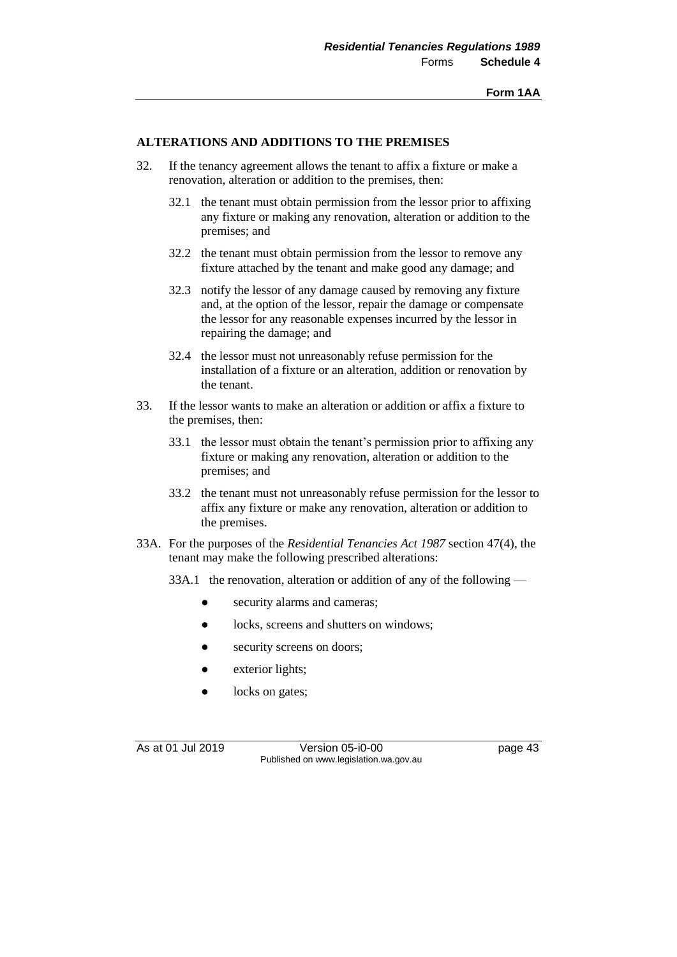#### **ALTERATIONS AND ADDITIONS TO THE PREMISES**

- 32. If the tenancy agreement allows the tenant to affix a fixture or make a renovation, alteration or addition to the premises, then:
	- 32.1 the tenant must obtain permission from the lessor prior to affixing any fixture or making any renovation, alteration or addition to the premises; and
	- 32.2 the tenant must obtain permission from the lessor to remove any fixture attached by the tenant and make good any damage; and
	- 32.3 notify the lessor of any damage caused by removing any fixture and, at the option of the lessor, repair the damage or compensate the lessor for any reasonable expenses incurred by the lessor in repairing the damage; and
	- 32.4 the lessor must not unreasonably refuse permission for the installation of a fixture or an alteration, addition or renovation by the tenant.
- 33. If the lessor wants to make an alteration or addition or affix a fixture to the premises, then:
	- 33.1 the lessor must obtain the tenant's permission prior to affixing any fixture or making any renovation, alteration or addition to the premises; and
	- 33.2 the tenant must not unreasonably refuse permission for the lessor to affix any fixture or make any renovation, alteration or addition to the premises.
- 33A. For the purposes of the *Residential Tenancies Act 1987* section 47(4), the tenant may make the following prescribed alterations:

33A.1 the renovation, alteration or addition of any of the following —

- security alarms and cameras;
- locks, screens and shutters on windows;
- security screens on doors;
- exterior lights:
- locks on gates;

As at 01 Jul 2019 Version 05-i0-00 page 43 Published on www.legislation.wa.gov.au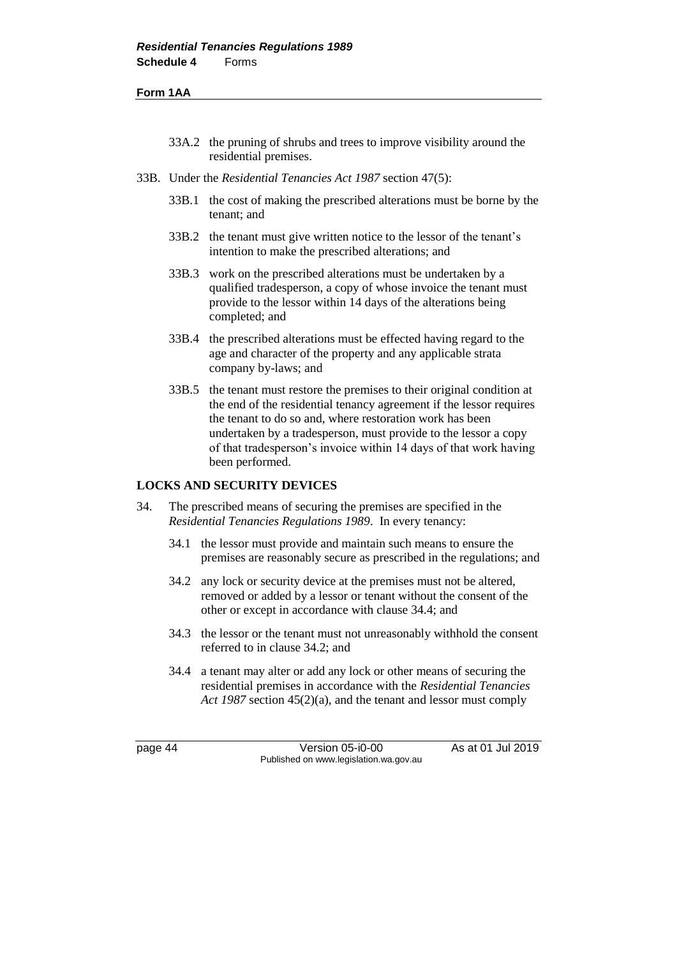- 33A.2 the pruning of shrubs and trees to improve visibility around the residential premises.
- 33B. Under the *Residential Tenancies Act 1987* section 47(5):
	- 33B.1 the cost of making the prescribed alterations must be borne by the tenant; and
	- 33B.2 the tenant must give written notice to the lessor of the tenant's intention to make the prescribed alterations; and
	- 33B.3 work on the prescribed alterations must be undertaken by a qualified tradesperson, a copy of whose invoice the tenant must provide to the lessor within 14 days of the alterations being completed; and
	- 33B.4 the prescribed alterations must be effected having regard to the age and character of the property and any applicable strata company by-laws; and
	- 33B.5 the tenant must restore the premises to their original condition at the end of the residential tenancy agreement if the lessor requires the tenant to do so and, where restoration work has been undertaken by a tradesperson, must provide to the lessor a copy of that tradesperson's invoice within 14 days of that work having been performed.

# **LOCKS AND SECURITY DEVICES**

- 34. The prescribed means of securing the premises are specified in the *Residential Tenancies Regulations 1989*. In every tenancy:
	- 34.1 the lessor must provide and maintain such means to ensure the premises are reasonably secure as prescribed in the regulations; and
	- 34.2 any lock or security device at the premises must not be altered, removed or added by a lessor or tenant without the consent of the other or except in accordance with clause 34.4; and
	- 34.3 the lessor or the tenant must not unreasonably withhold the consent referred to in clause 34.2; and
	- 34.4 a tenant may alter or add any lock or other means of securing the residential premises in accordance with the *Residential Tenancies Act 1987* section 45(2)(a), and the tenant and lessor must comply

page 44 Version 05-i0-00 As at 01 Jul 2019 Published on www.legislation.wa.gov.au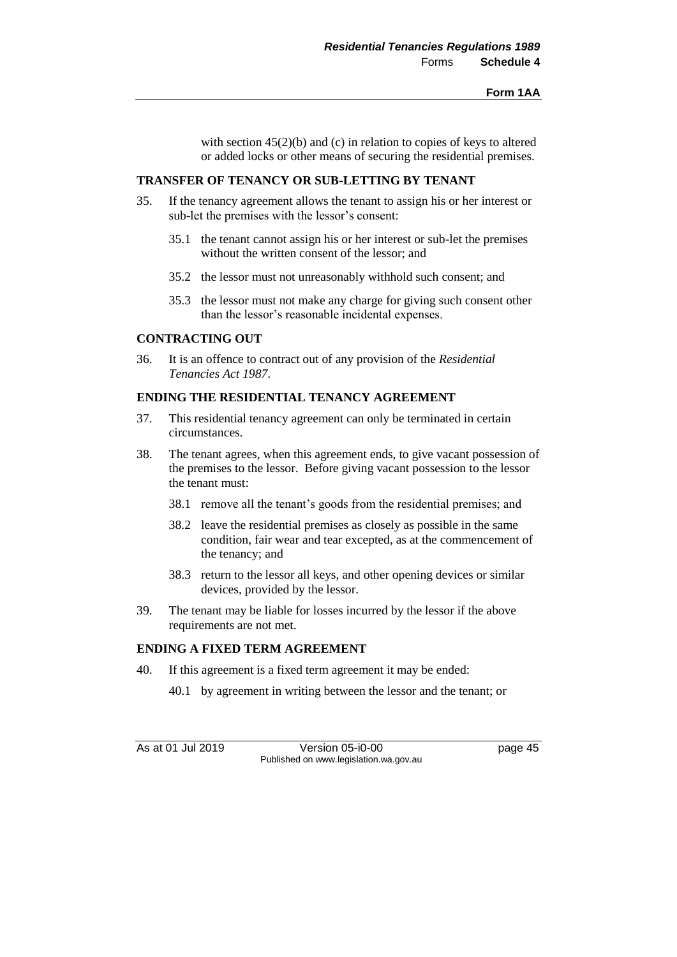with section  $45(2)(b)$  and (c) in relation to copies of keys to altered or added locks or other means of securing the residential premises.

# **TRANSFER OF TENANCY OR SUB-LETTING BY TENANT**

- 35. If the tenancy agreement allows the tenant to assign his or her interest or sub-let the premises with the lessor's consent:
	- 35.1 the tenant cannot assign his or her interest or sub-let the premises without the written consent of the lessor; and
	- 35.2 the lessor must not unreasonably withhold such consent; and
	- 35.3 the lessor must not make any charge for giving such consent other than the lessor's reasonable incidental expenses.

### **CONTRACTING OUT**

36. It is an offence to contract out of any provision of the *Residential Tenancies Act 1987*.

# **ENDING THE RESIDENTIAL TENANCY AGREEMENT**

- 37. This residential tenancy agreement can only be terminated in certain circumstances.
- 38. The tenant agrees, when this agreement ends, to give vacant possession of the premises to the lessor. Before giving vacant possession to the lessor the tenant must:
	- 38.1 remove all the tenant's goods from the residential premises; and
	- 38.2 leave the residential premises as closely as possible in the same condition, fair wear and tear excepted, as at the commencement of the tenancy; and
	- 38.3 return to the lessor all keys, and other opening devices or similar devices, provided by the lessor.
- 39. The tenant may be liable for losses incurred by the lessor if the above requirements are not met.

#### **ENDING A FIXED TERM AGREEMENT**

- 40. If this agreement is a fixed term agreement it may be ended:
	- 40.1 by agreement in writing between the lessor and the tenant; or

As at 01 Jul 2019 Version 05-i0-00 Page 45 Published on www.legislation.wa.gov.au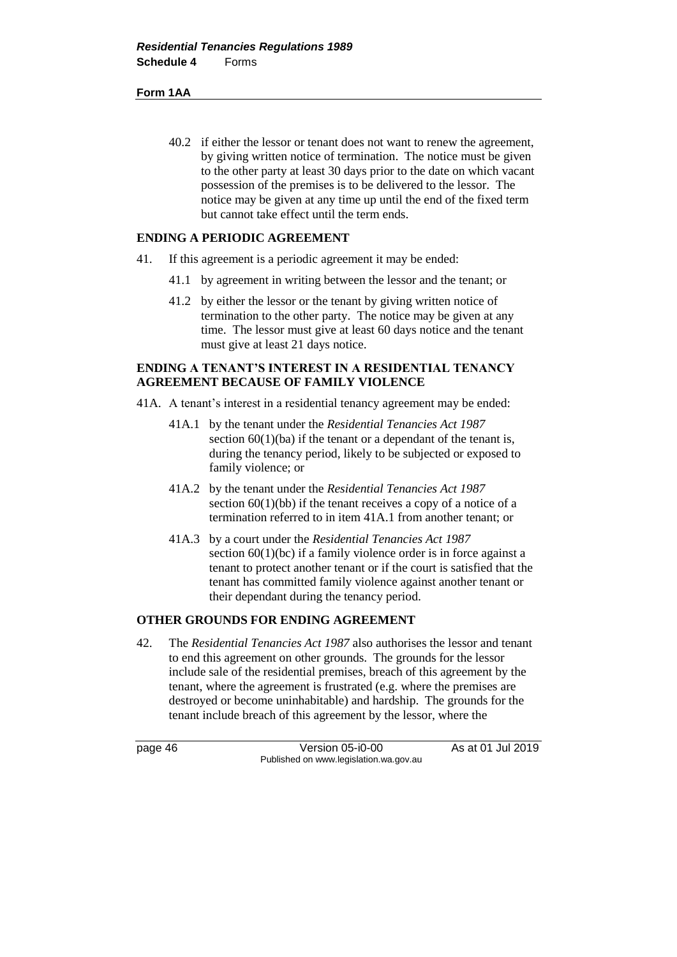40.2 if either the lessor or tenant does not want to renew the agreement, by giving written notice of termination. The notice must be given to the other party at least 30 days prior to the date on which vacant possession of the premises is to be delivered to the lessor. The notice may be given at any time up until the end of the fixed term but cannot take effect until the term ends.

# **ENDING A PERIODIC AGREEMENT**

- 41. If this agreement is a periodic agreement it may be ended:
	- 41.1 by agreement in writing between the lessor and the tenant; or
	- 41.2 by either the lessor or the tenant by giving written notice of termination to the other party. The notice may be given at any time. The lessor must give at least 60 days notice and the tenant must give at least 21 days notice.

# **ENDING A TENANT'S INTEREST IN A RESIDENTIAL TENANCY AGREEMENT BECAUSE OF FAMILY VIOLENCE**

- 41A. A tenant's interest in a residential tenancy agreement may be ended:
	- 41A.1 by the tenant under the *Residential Tenancies Act 1987*  section  $60(1)(ba)$  if the tenant or a dependant of the tenant is, during the tenancy period, likely to be subjected or exposed to family violence; or
	- 41A.2 by the tenant under the *Residential Tenancies Act 1987*  section  $60(1)(bb)$  if the tenant receives a copy of a notice of a termination referred to in item 41A.1 from another tenant; or
	- 41A.3 by a court under the *Residential Tenancies Act 1987*  section  $60(1)(bc)$  if a family violence order is in force against a tenant to protect another tenant or if the court is satisfied that the tenant has committed family violence against another tenant or their dependant during the tenancy period.

# **OTHER GROUNDS FOR ENDING AGREEMENT**

42. The *Residential Tenancies Act 1987* also authorises the lessor and tenant to end this agreement on other grounds. The grounds for the lessor include sale of the residential premises, breach of this agreement by the tenant, where the agreement is frustrated (e.g. where the premises are destroyed or become uninhabitable) and hardship. The grounds for the tenant include breach of this agreement by the lessor, where the

page 46 Version 05-i0-00 As at 01 Jul 2019 Published on www.legislation.wa.gov.au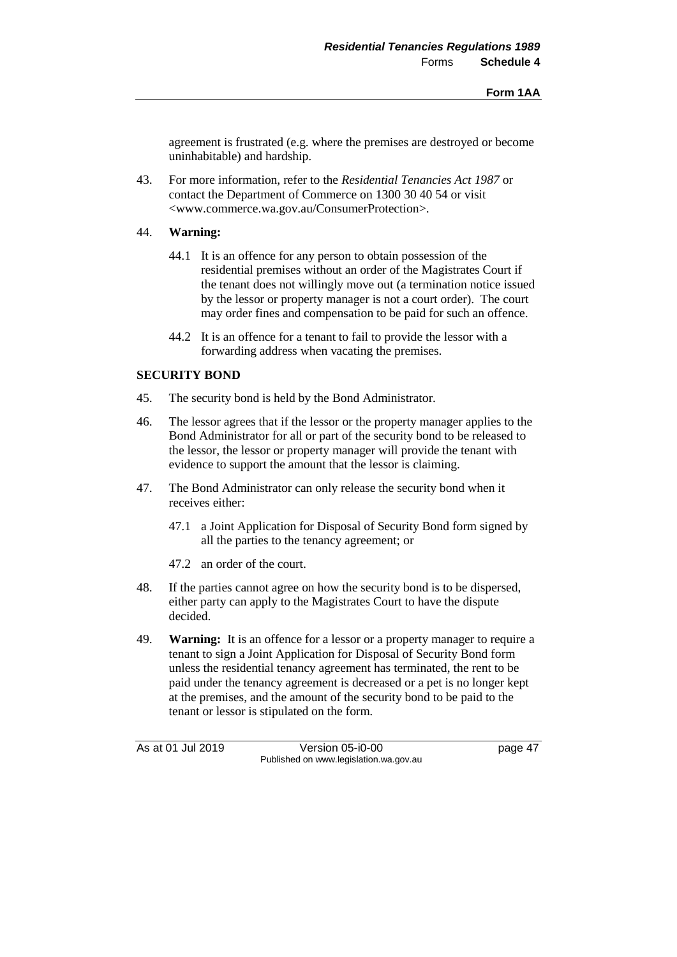agreement is frustrated (e.g. where the premises are destroyed or become uninhabitable) and hardship.

43. For more information, refer to the *Residential Tenancies Act 1987* or contact the Department of Commerce on 1300 30 40 54 or visit <www.commerce.wa.gov.au/ConsumerProtection>.

## 44. **Warning:**

- 44.1 It is an offence for any person to obtain possession of the residential premises without an order of the Magistrates Court if the tenant does not willingly move out (a termination notice issued by the lessor or property manager is not a court order). The court may order fines and compensation to be paid for such an offence.
- 44.2 It is an offence for a tenant to fail to provide the lessor with a forwarding address when vacating the premises.

# **SECURITY BOND**

- 45. The security bond is held by the Bond Administrator.
- 46. The lessor agrees that if the lessor or the property manager applies to the Bond Administrator for all or part of the security bond to be released to the lessor, the lessor or property manager will provide the tenant with evidence to support the amount that the lessor is claiming.
- 47. The Bond Administrator can only release the security bond when it receives either:
	- 47.1 a Joint Application for Disposal of Security Bond form signed by all the parties to the tenancy agreement; or
	- 47.2 an order of the court.
- 48. If the parties cannot agree on how the security bond is to be dispersed, either party can apply to the Magistrates Court to have the dispute decided.
- 49. **Warning:** It is an offence for a lessor or a property manager to require a tenant to sign a Joint Application for Disposal of Security Bond form unless the residential tenancy agreement has terminated, the rent to be paid under the tenancy agreement is decreased or a pet is no longer kept at the premises, and the amount of the security bond to be paid to the tenant or lessor is stipulated on the form.

As at 01 Jul 2019 Version 05-i0-00 page 47 Published on www.legislation.wa.gov.au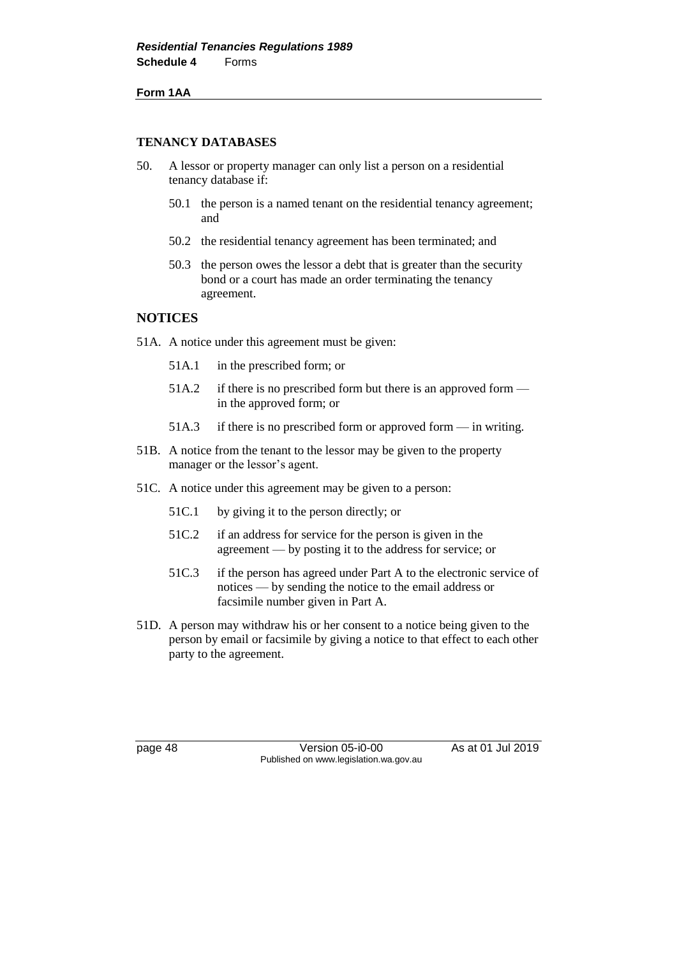### **TENANCY DATABASES**

- 50. A lessor or property manager can only list a person on a residential tenancy database if:
	- 50.1 the person is a named tenant on the residential tenancy agreement; and
	- 50.2 the residential tenancy agreement has been terminated; and
	- 50.3 the person owes the lessor a debt that is greater than the security bond or a court has made an order terminating the tenancy agreement.

# **NOTICES**

- 51A. A notice under this agreement must be given:
	- 51A.1 in the prescribed form; or
	- 51A.2 if there is no prescribed form but there is an approved form in the approved form; or
	- 51A.3 if there is no prescribed form or approved form in writing.
- 51B. A notice from the tenant to the lessor may be given to the property manager or the lessor's agent.
- 51C. A notice under this agreement may be given to a person:
	- 51C.1 by giving it to the person directly; or
	- 51C.2 if an address for service for the person is given in the agreement — by posting it to the address for service; or
	- 51C.3 if the person has agreed under Part A to the electronic service of notices — by sending the notice to the email address or facsimile number given in Part A.
- 51D. A person may withdraw his or her consent to a notice being given to the person by email or facsimile by giving a notice to that effect to each other party to the agreement.

page 48 Version 05-i0-00 As at 01 Jul 2019 Published on www.legislation.wa.gov.au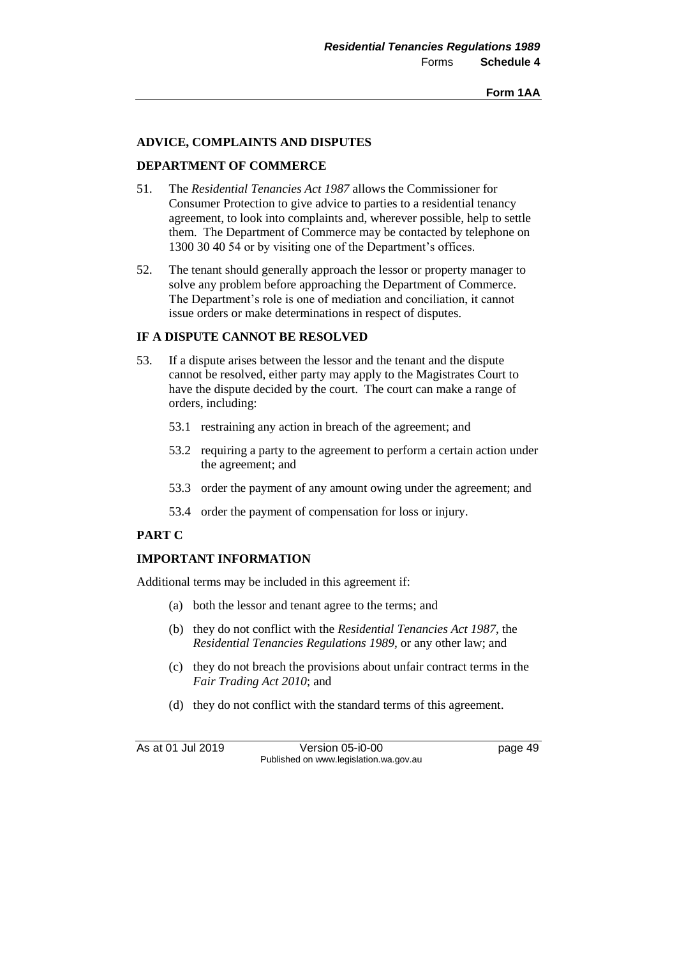### **ADVICE, COMPLAINTS AND DISPUTES**

#### **DEPARTMENT OF COMMERCE**

- 51. The *Residential Tenancies Act 1987* allows the Commissioner for Consumer Protection to give advice to parties to a residential tenancy agreement, to look into complaints and, wherever possible, help to settle them. The Department of Commerce may be contacted by telephone on 1300 30 40 54 or by visiting one of the Department's offices.
- 52. The tenant should generally approach the lessor or property manager to solve any problem before approaching the Department of Commerce. The Department's role is one of mediation and conciliation, it cannot issue orders or make determinations in respect of disputes.

### **IF A DISPUTE CANNOT BE RESOLVED**

- 53. If a dispute arises between the lessor and the tenant and the dispute cannot be resolved, either party may apply to the Magistrates Court to have the dispute decided by the court. The court can make a range of orders, including:
	- 53.1 restraining any action in breach of the agreement; and
	- 53.2 requiring a party to the agreement to perform a certain action under the agreement; and
	- 53.3 order the payment of any amount owing under the agreement; and
	- 53.4 order the payment of compensation for loss or injury.

#### **PART C**

## **IMPORTANT INFORMATION**

Additional terms may be included in this agreement if:

- (a) both the lessor and tenant agree to the terms; and
- (b) they do not conflict with the *Residential Tenancies Act 1987*, the *Residential Tenancies Regulations 1989*, or any other law; and
- (c) they do not breach the provisions about unfair contract terms in the *Fair Trading Act 2010*; and
- (d) they do not conflict with the standard terms of this agreement.

As at 01 Jul 2019 Version 05-i0-00 Page 49 Published on www.legislation.wa.gov.au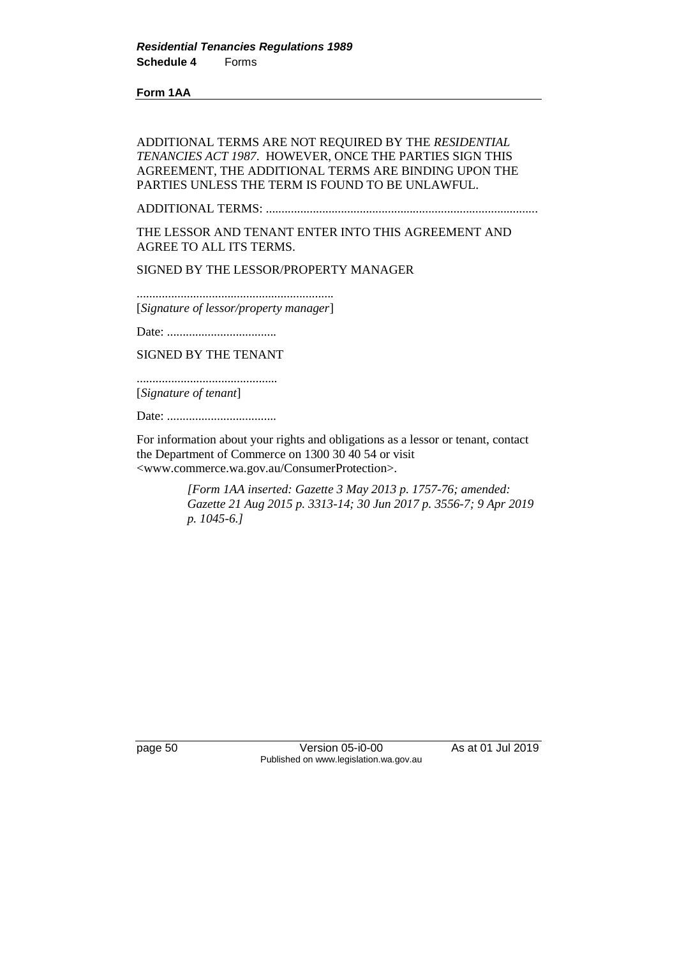ADDITIONAL TERMS ARE NOT REQUIRED BY THE *RESIDENTIAL TENANCIES ACT 1987*. HOWEVER, ONCE THE PARTIES SIGN THIS AGREEMENT, THE ADDITIONAL TERMS ARE BINDING UPON THE PARTIES UNLESS THE TERM IS FOUND TO BE UNLAWFUL.

ADDITIONAL TERMS: .......................................................................................

THE LESSOR AND TENANT ENTER INTO THIS AGREEMENT AND AGREE TO ALL ITS TERMS.

SIGNED BY THE LESSOR/PROPERTY MANAGER

............................................................... [*Signature of lessor/property manager*]

Date: ...................................

SIGNED BY THE TENANT

............................................. [*Signature of tenant*]

Date: ...................................

For information about your rights and obligations as a lessor or tenant, contact the Department of Commerce on 1300 30 40 54 or visit <www.commerce.wa.gov.au/ConsumerProtection>.

> *[Form 1AA inserted: Gazette 3 May 2013 p. 1757-76; amended: Gazette 21 Aug 2015 p. 3313-14; 30 Jun 2017 p. 3556-7; 9 Apr 2019 p. 1045-6.]*

page 50 Version 05-i0-00 As at 01 Jul 2019 Published on www.legislation.wa.gov.au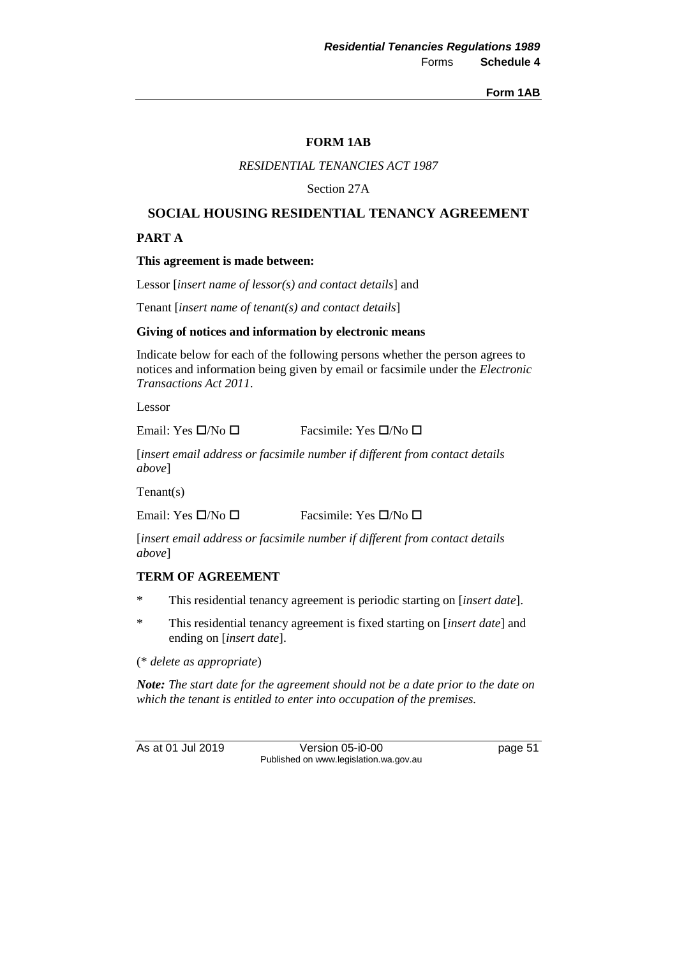#### **FORM 1AB**

#### *RESIDENTIAL TENANCIES ACT 1987*

#### Section 27A

### **SOCIAL HOUSING RESIDENTIAL TENANCY AGREEMENT**

**PART A**

#### **This agreement is made between:**

Lessor [*insert name of lessor(s) and contact details*] and

Tenant [*insert name of tenant(s) and contact details*]

#### **Giving of notices and information by electronic means**

Indicate below for each of the following persons whether the person agrees to notices and information being given by email or facsimile under the *Electronic Transactions Act 2011*.

Lessor

Email: Yes  $\square/N$ o  $\square$  Facsimile: Yes  $\square/N$ o  $\square$ 

[*insert email address or facsimile number if different from contact details above*]

Tenant(s)

Email: Yes  $\Box/\mathrm{No} \Box$  Facsimile: Yes  $\Box/\mathrm{No} \Box$ 

[*insert email address or facsimile number if different from contact details above*]

# **TERM OF AGREEMENT**

- \* This residential tenancy agreement is periodic starting on [*insert date*].
- \* This residential tenancy agreement is fixed starting on [*insert date*] and ending on [*insert date*].

(\* *delete as appropriate*)

*Note: The start date for the agreement should not be a date prior to the date on which the tenant is entitled to enter into occupation of the premises.*

As at 01 Jul 2019 Version 05-i0-00 page 51 Published on www.legislation.wa.gov.au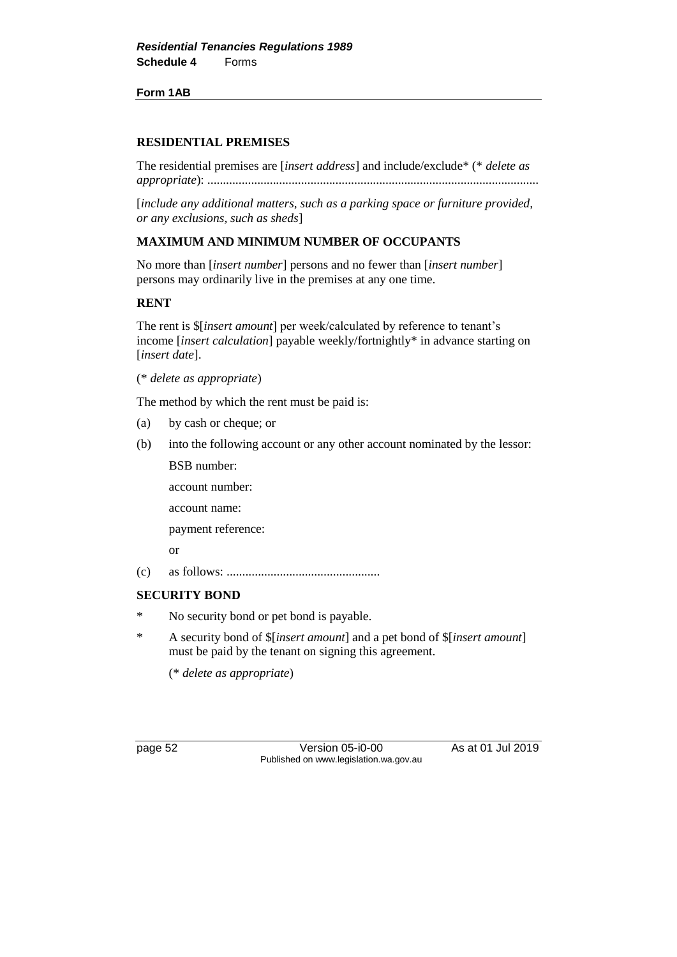## **RESIDENTIAL PREMISES**

The residential premises are [*insert address*] and include/exclude\* (\* *delete as appropriate*): ..........................................................................................................

[*include any additional matters, such as a parking space or furniture provided, or any exclusions, such as sheds*]

# **MAXIMUM AND MINIMUM NUMBER OF OCCUPANTS**

No more than [*insert number*] persons and no fewer than [*insert number*] persons may ordinarily live in the premises at any one time.

# **RENT**

The rent is \$[*insert amount*] per week/calculated by reference to tenant's income [*insert calculation*] payable weekly/fortnightly\* in advance starting on [*insert date*].

(\* *delete as appropriate*)

The method by which the rent must be paid is:

- (a) by cash or cheque; or
- (b) into the following account or any other account nominated by the lessor:

BSB number:

account number:

account name:

payment reference:

or

(c) as follows: .................................................

# **SECURITY BOND**

- \* No security bond or pet bond is payable.
- \* A security bond of \$[*insert amount*] and a pet bond of \$[*insert amount*] must be paid by the tenant on signing this agreement.

(\* *delete as appropriate*)

page 52 Version 05-i0-00 As at 01 Jul 2019 Published on www.legislation.wa.gov.au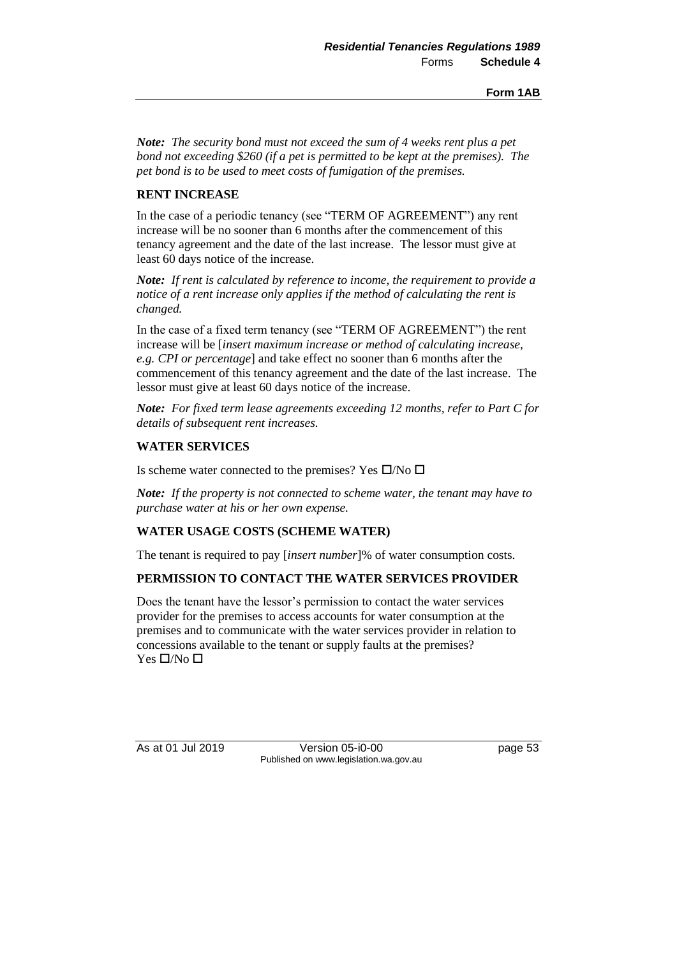*Note: The security bond must not exceed the sum of 4 weeks rent plus a pet bond not exceeding \$260 (if a pet is permitted to be kept at the premises). The pet bond is to be used to meet costs of fumigation of the premises.*

## **RENT INCREASE**

In the case of a periodic tenancy (see "TERM OF AGREEMENT") any rent increase will be no sooner than 6 months after the commencement of this tenancy agreement and the date of the last increase. The lessor must give at least 60 days notice of the increase.

*Note: If rent is calculated by reference to income, the requirement to provide a notice of a rent increase only applies if the method of calculating the rent is changed.*

In the case of a fixed term tenancy (see "TERM OF AGREEMENT") the rent increase will be [*insert maximum increase or method of calculating increase, e.g. CPI or percentage*] and take effect no sooner than 6 months after the commencement of this tenancy agreement and the date of the last increase. The lessor must give at least 60 days notice of the increase.

*Note: For fixed term lease agreements exceeding 12 months, refer to Part C for details of subsequent rent increases.*

# **WATER SERVICES**

Is scheme water connected to the premises? Yes  $\square$ /No  $\square$ 

*Note: If the property is not connected to scheme water, the tenant may have to purchase water at his or her own expense.*

# **WATER USAGE COSTS (SCHEME WATER)**

The tenant is required to pay [*insert number*]% of water consumption costs.

# **PERMISSION TO CONTACT THE WATER SERVICES PROVIDER**

Does the tenant have the lessor's permission to contact the water services provider for the premises to access accounts for water consumption at the premises and to communicate with the water services provider in relation to concessions available to the tenant or supply faults at the premises? Yes  $\square/N_0 \square$ 

As at 01 Jul 2019 Version 05-i0-00 page 53 Published on www.legislation.wa.gov.au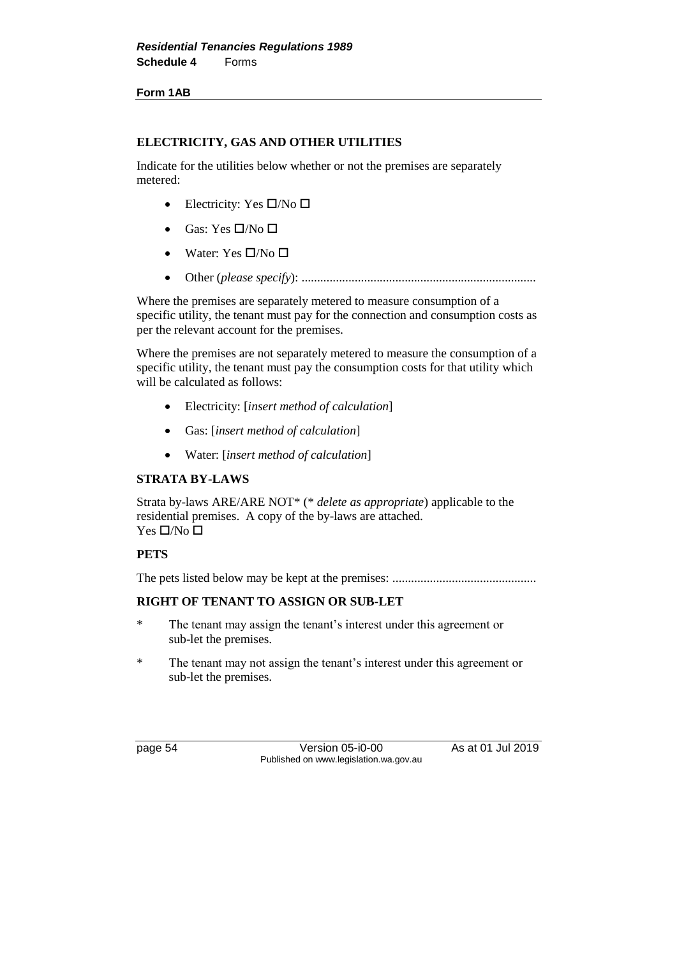## **ELECTRICITY, GAS AND OTHER UTILITIES**

Indicate for the utilities below whether or not the premises are separately metered:

- Electricity: Yes  $\square/N$ o  $\square$
- Gas: Yes  $\square/N_0 \square$
- Water: Yes  $\Box$ /No  $\Box$
- Other (*please specify*): ...........................................................................

Where the premises are separately metered to measure consumption of a specific utility, the tenant must pay for the connection and consumption costs as per the relevant account for the premises.

Where the premises are not separately metered to measure the consumption of a specific utility, the tenant must pay the consumption costs for that utility which will be calculated as follows:

- Electricity: [*insert method of calculation*]
- Gas: [*insert method of calculation*]
- Water: [*insert method of calculation*]

## **STRATA BY-LAWS**

Strata by-laws ARE/ARE NOT\* (\* *delete as appropriate*) applicable to the residential premises. A copy of the by-laws are attached. Yes  $\square/N_0 \square$ 

# **PETS**

The pets listed below may be kept at the premises: ..............................................

# **RIGHT OF TENANT TO ASSIGN OR SUB-LET**

- \* The tenant may assign the tenant's interest under this agreement or sub-let the premises.
- \* The tenant may not assign the tenant's interest under this agreement or sub-let the premises.

page 54 Version 05-i0-00 As at 01 Jul 2019 Published on www.legislation.wa.gov.au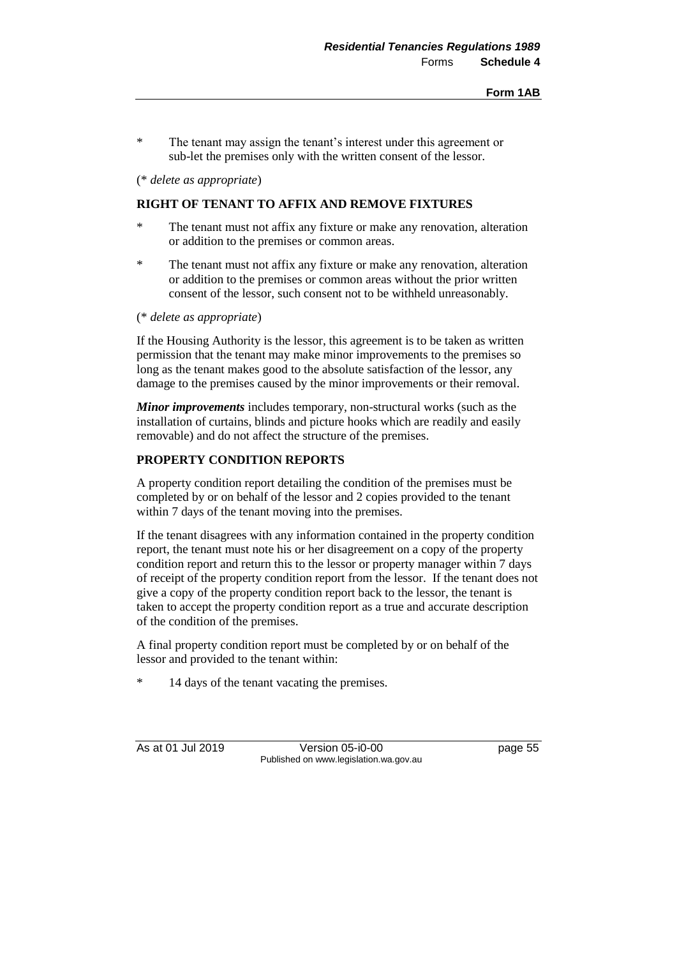\* The tenant may assign the tenant's interest under this agreement or sub-let the premises only with the written consent of the lessor.

#### (\* *delete as appropriate*)

## **RIGHT OF TENANT TO AFFIX AND REMOVE FIXTURES**

- \* The tenant must not affix any fixture or make any renovation, alteration or addition to the premises or common areas.
- \* The tenant must not affix any fixture or make any renovation, alteration or addition to the premises or common areas without the prior written consent of the lessor, such consent not to be withheld unreasonably.

(\* *delete as appropriate*)

If the Housing Authority is the lessor, this agreement is to be taken as written permission that the tenant may make minor improvements to the premises so long as the tenant makes good to the absolute satisfaction of the lessor, any damage to the premises caused by the minor improvements or their removal.

*Minor improvements* includes temporary, non-structural works (such as the installation of curtains, blinds and picture hooks which are readily and easily removable) and do not affect the structure of the premises.

# **PROPERTY CONDITION REPORTS**

A property condition report detailing the condition of the premises must be completed by or on behalf of the lessor and 2 copies provided to the tenant within 7 days of the tenant moving into the premises.

If the tenant disagrees with any information contained in the property condition report, the tenant must note his or her disagreement on a copy of the property condition report and return this to the lessor or property manager within 7 days of receipt of the property condition report from the lessor. If the tenant does not give a copy of the property condition report back to the lessor, the tenant is taken to accept the property condition report as a true and accurate description of the condition of the premises.

A final property condition report must be completed by or on behalf of the lessor and provided to the tenant within:

\* 14 days of the tenant vacating the premises.

As at 01 Jul 2019 Version 05-i0-00 page 55 Published on www.legislation.wa.gov.au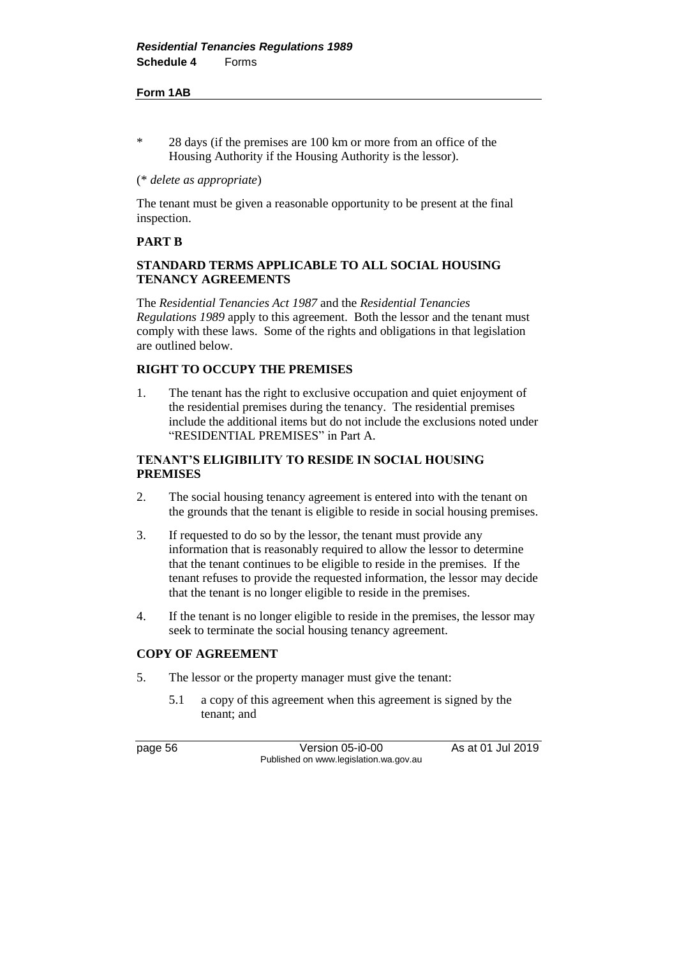\* 28 days (if the premises are 100 km or more from an office of the Housing Authority if the Housing Authority is the lessor).

## (\* *delete as appropriate*)

The tenant must be given a reasonable opportunity to be present at the final inspection.

### **PART B**

## **STANDARD TERMS APPLICABLE TO ALL SOCIAL HOUSING TENANCY AGREEMENTS**

The *Residential Tenancies Act 1987* and the *Residential Tenancies Regulations 1989* apply to this agreement. Both the lessor and the tenant must comply with these laws. Some of the rights and obligations in that legislation are outlined below.

### **RIGHT TO OCCUPY THE PREMISES**

1. The tenant has the right to exclusive occupation and quiet enjoyment of the residential premises during the tenancy. The residential premises include the additional items but do not include the exclusions noted under "RESIDENTIAL PREMISES" in Part A.

# **TENANT'S ELIGIBILITY TO RESIDE IN SOCIAL HOUSING PREMISES**

- 2. The social housing tenancy agreement is entered into with the tenant on the grounds that the tenant is eligible to reside in social housing premises.
- 3. If requested to do so by the lessor, the tenant must provide any information that is reasonably required to allow the lessor to determine that the tenant continues to be eligible to reside in the premises. If the tenant refuses to provide the requested information, the lessor may decide that the tenant is no longer eligible to reside in the premises.
- 4. If the tenant is no longer eligible to reside in the premises, the lessor may seek to terminate the social housing tenancy agreement.

# **COPY OF AGREEMENT**

- 5. The lessor or the property manager must give the tenant:
	- 5.1 a copy of this agreement when this agreement is signed by the tenant; and

page 56 Version 05-i0-00 As at 01 Jul 2019 Published on www.legislation.wa.gov.au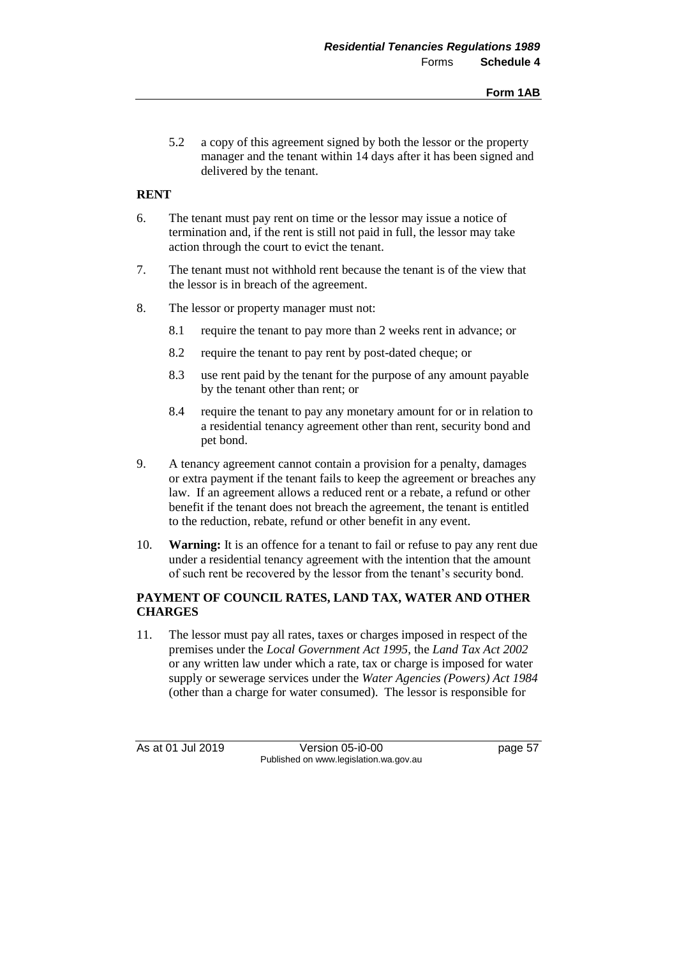5.2 a copy of this agreement signed by both the lessor or the property manager and the tenant within 14 days after it has been signed and delivered by the tenant.

# **RENT**

- 6. The tenant must pay rent on time or the lessor may issue a notice of termination and, if the rent is still not paid in full, the lessor may take action through the court to evict the tenant.
- 7. The tenant must not withhold rent because the tenant is of the view that the lessor is in breach of the agreement.
- 8. The lessor or property manager must not:
	- 8.1 require the tenant to pay more than 2 weeks rent in advance; or
	- 8.2 require the tenant to pay rent by post-dated cheque; or
	- 8.3 use rent paid by the tenant for the purpose of any amount payable by the tenant other than rent; or
	- 8.4 require the tenant to pay any monetary amount for or in relation to a residential tenancy agreement other than rent, security bond and pet bond.
- 9. A tenancy agreement cannot contain a provision for a penalty, damages or extra payment if the tenant fails to keep the agreement or breaches any law. If an agreement allows a reduced rent or a rebate, a refund or other benefit if the tenant does not breach the agreement, the tenant is entitled to the reduction, rebate, refund or other benefit in any event.
- 10. **Warning:** It is an offence for a tenant to fail or refuse to pay any rent due under a residential tenancy agreement with the intention that the amount of such rent be recovered by the lessor from the tenant's security bond.

# **PAYMENT OF COUNCIL RATES, LAND TAX, WATER AND OTHER CHARGES**

11. The lessor must pay all rates, taxes or charges imposed in respect of the premises under the *Local Government Act 1995*, the *Land Tax Act 2002* or any written law under which a rate, tax or charge is imposed for water supply or sewerage services under the *Water Agencies (Powers) Act 1984* (other than a charge for water consumed). The lessor is responsible for

As at 01 Jul 2019 Version 05-i0-00 page 57 Published on www.legislation.wa.gov.au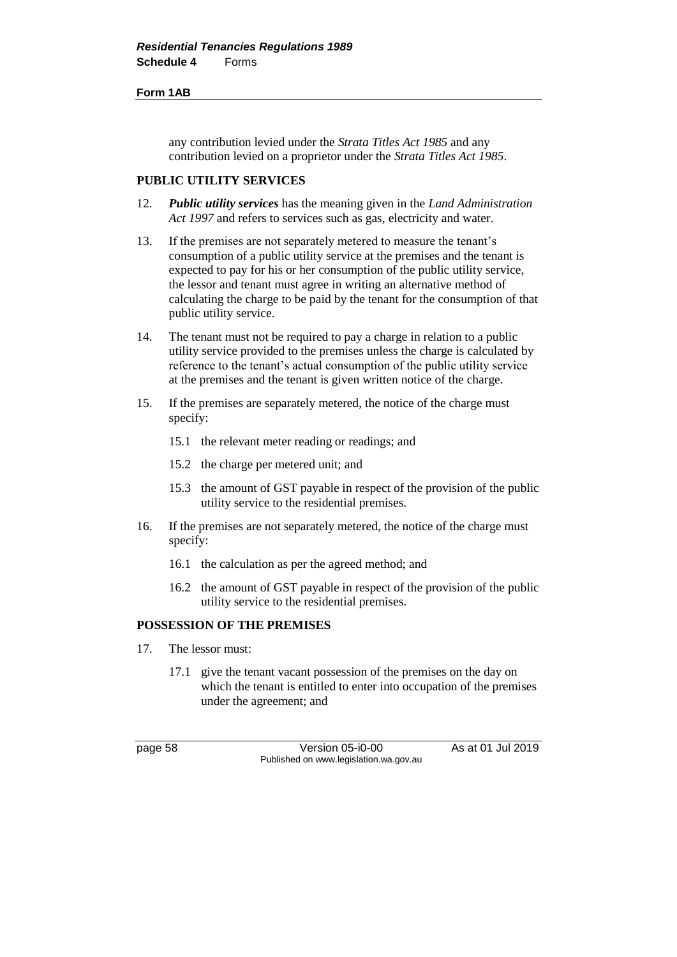any contribution levied under the *Strata Titles Act 1985* and any contribution levied on a proprietor under the *Strata Titles Act 1985*.

## **PUBLIC UTILITY SERVICES**

- 12. *Public utility services* has the meaning given in the *Land Administration Act 1997* and refers to services such as gas, electricity and water.
- 13. If the premises are not separately metered to measure the tenant's consumption of a public utility service at the premises and the tenant is expected to pay for his or her consumption of the public utility service, the lessor and tenant must agree in writing an alternative method of calculating the charge to be paid by the tenant for the consumption of that public utility service.
- 14. The tenant must not be required to pay a charge in relation to a public utility service provided to the premises unless the charge is calculated by reference to the tenant's actual consumption of the public utility service at the premises and the tenant is given written notice of the charge.
- 15. If the premises are separately metered, the notice of the charge must specify:
	- 15.1 the relevant meter reading or readings; and
	- 15.2 the charge per metered unit; and
	- 15.3 the amount of GST payable in respect of the provision of the public utility service to the residential premises.
- 16. If the premises are not separately metered, the notice of the charge must specify:
	- 16.1 the calculation as per the agreed method; and
	- 16.2 the amount of GST payable in respect of the provision of the public utility service to the residential premises.

# **POSSESSION OF THE PREMISES**

- 17. The lessor must:
	- 17.1 give the tenant vacant possession of the premises on the day on which the tenant is entitled to enter into occupation of the premises under the agreement; and

page 58 Version 05-i0-00 As at 01 Jul 2019 Published on www.legislation.wa.gov.au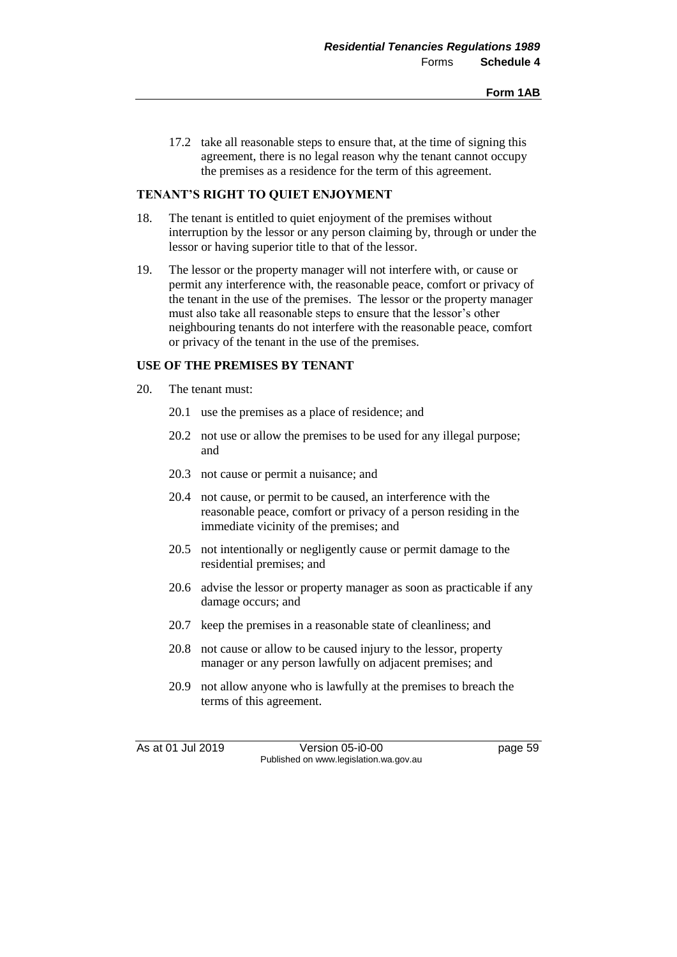17.2 take all reasonable steps to ensure that, at the time of signing this agreement, there is no legal reason why the tenant cannot occupy the premises as a residence for the term of this agreement.

## **TENANT'S RIGHT TO QUIET ENJOYMENT**

- 18. The tenant is entitled to quiet enjoyment of the premises without interruption by the lessor or any person claiming by, through or under the lessor or having superior title to that of the lessor.
- 19. The lessor or the property manager will not interfere with, or cause or permit any interference with, the reasonable peace, comfort or privacy of the tenant in the use of the premises. The lessor or the property manager must also take all reasonable steps to ensure that the lessor's other neighbouring tenants do not interfere with the reasonable peace, comfort or privacy of the tenant in the use of the premises.

# **USE OF THE PREMISES BY TENANT**

- 20. The tenant must:
	- 20.1 use the premises as a place of residence; and
	- 20.2 not use or allow the premises to be used for any illegal purpose; and
	- 20.3 not cause or permit a nuisance; and
	- 20.4 not cause, or permit to be caused, an interference with the reasonable peace, comfort or privacy of a person residing in the immediate vicinity of the premises; and
	- 20.5 not intentionally or negligently cause or permit damage to the residential premises; and
	- 20.6 advise the lessor or property manager as soon as practicable if any damage occurs; and
	- 20.7 keep the premises in a reasonable state of cleanliness; and
	- 20.8 not cause or allow to be caused injury to the lessor, property manager or any person lawfully on adjacent premises; and
	- 20.9 not allow anyone who is lawfully at the premises to breach the terms of this agreement.

As at 01 Jul 2019 Version 05-i0-00 page 59 Published on www.legislation.wa.gov.au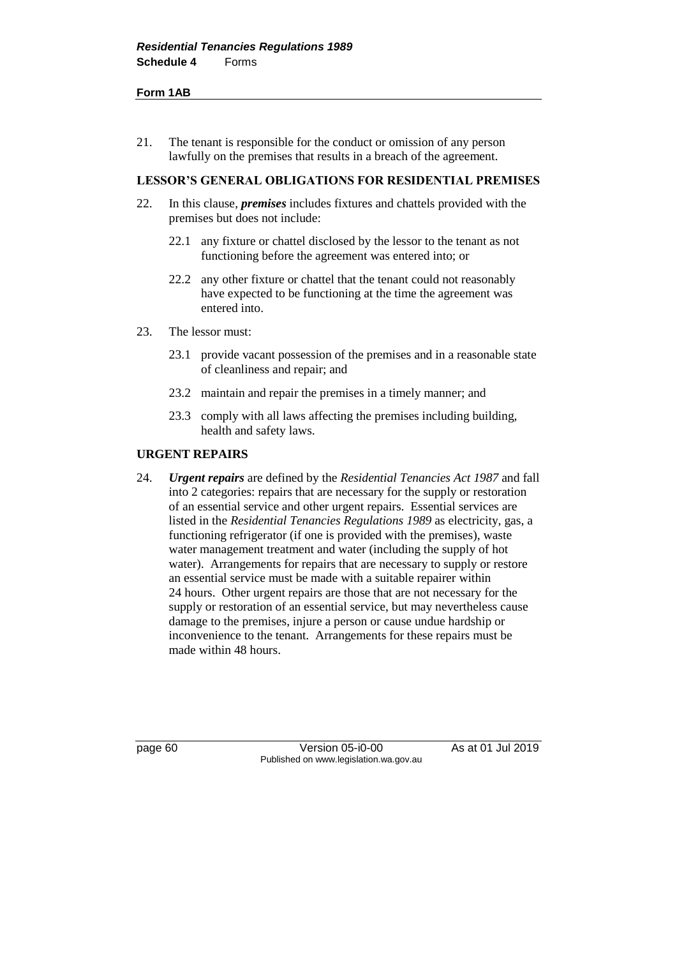21. The tenant is responsible for the conduct or omission of any person lawfully on the premises that results in a breach of the agreement.

# **LESSOR'S GENERAL OBLIGATIONS FOR RESIDENTIAL PREMISES**

- 22. In this clause, *premises* includes fixtures and chattels provided with the premises but does not include:
	- 22.1 any fixture or chattel disclosed by the lessor to the tenant as not functioning before the agreement was entered into; or
	- 22.2 any other fixture or chattel that the tenant could not reasonably have expected to be functioning at the time the agreement was entered into.
- 23. The lessor must:
	- 23.1 provide vacant possession of the premises and in a reasonable state of cleanliness and repair; and
	- 23.2 maintain and repair the premises in a timely manner; and
	- 23.3 comply with all laws affecting the premises including building, health and safety laws.

### **URGENT REPAIRS**

24. *Urgent repairs* are defined by the *Residential Tenancies Act 1987* and fall into 2 categories: repairs that are necessary for the supply or restoration of an essential service and other urgent repairs. Essential services are listed in the *Residential Tenancies Regulations 1989* as electricity, gas, a functioning refrigerator (if one is provided with the premises), waste water management treatment and water (including the supply of hot water). Arrangements for repairs that are necessary to supply or restore an essential service must be made with a suitable repairer within 24 hours. Other urgent repairs are those that are not necessary for the supply or restoration of an essential service, but may nevertheless cause damage to the premises, injure a person or cause undue hardship or inconvenience to the tenant. Arrangements for these repairs must be made within 48 hours.

page 60 Version 05-i0-00 As at 01 Jul 2019 Published on www.legislation.wa.gov.au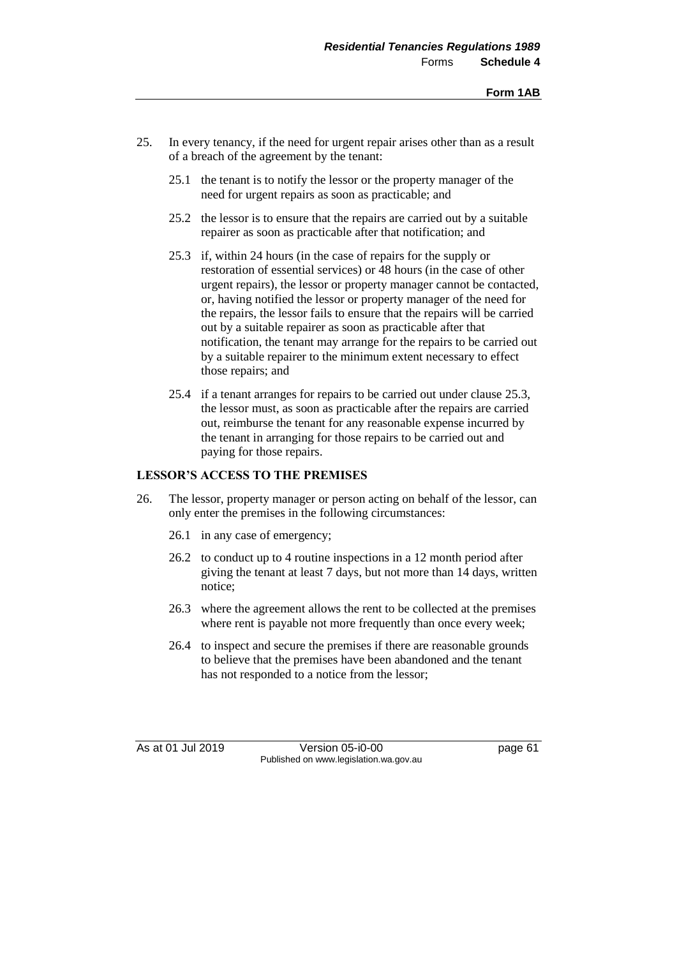- 25. In every tenancy, if the need for urgent repair arises other than as a result of a breach of the agreement by the tenant:
	- 25.1 the tenant is to notify the lessor or the property manager of the need for urgent repairs as soon as practicable; and
	- 25.2 the lessor is to ensure that the repairs are carried out by a suitable repairer as soon as practicable after that notification; and
	- 25.3 if, within 24 hours (in the case of repairs for the supply or restoration of essential services) or 48 hours (in the case of other urgent repairs), the lessor or property manager cannot be contacted, or, having notified the lessor or property manager of the need for the repairs, the lessor fails to ensure that the repairs will be carried out by a suitable repairer as soon as practicable after that notification, the tenant may arrange for the repairs to be carried out by a suitable repairer to the minimum extent necessary to effect those repairs; and
	- 25.4 if a tenant arranges for repairs to be carried out under clause 25.3, the lessor must, as soon as practicable after the repairs are carried out, reimburse the tenant for any reasonable expense incurred by the tenant in arranging for those repairs to be carried out and paying for those repairs.

### **LESSOR'S ACCESS TO THE PREMISES**

- 26. The lessor, property manager or person acting on behalf of the lessor, can only enter the premises in the following circumstances:
	- 26.1 in any case of emergency;
	- 26.2 to conduct up to 4 routine inspections in a 12 month period after giving the tenant at least 7 days, but not more than 14 days, written notice;
	- 26.3 where the agreement allows the rent to be collected at the premises where rent is payable not more frequently than once every week;
	- 26.4 to inspect and secure the premises if there are reasonable grounds to believe that the premises have been abandoned and the tenant has not responded to a notice from the lessor;

As at 01 Jul 2019 Version 05-i0-00 page 61 Published on www.legislation.wa.gov.au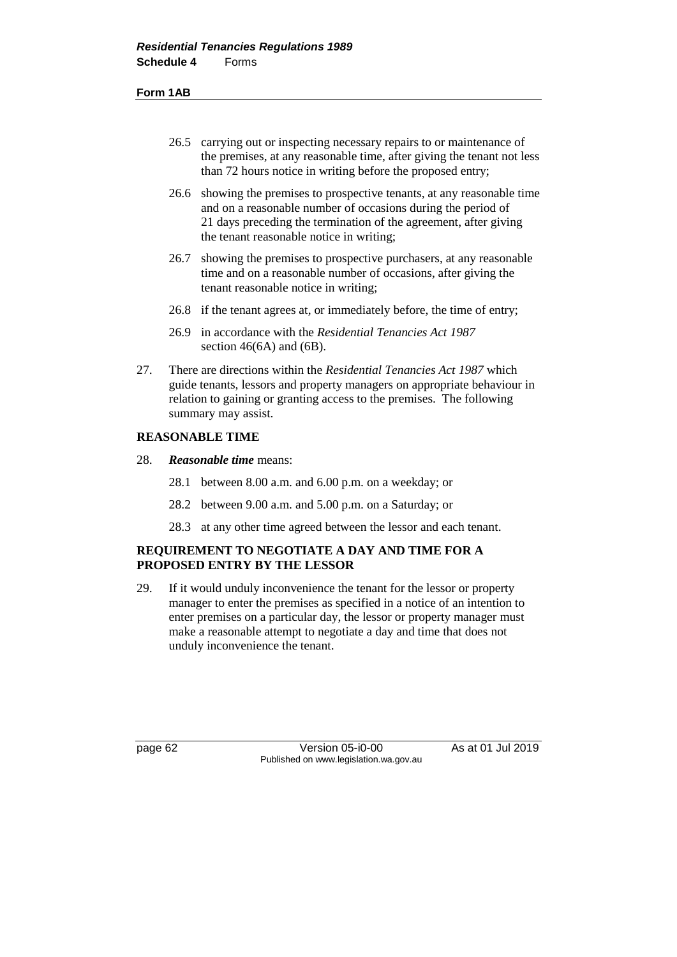- 26.5 carrying out or inspecting necessary repairs to or maintenance of the premises, at any reasonable time, after giving the tenant not less than 72 hours notice in writing before the proposed entry;
- 26.6 showing the premises to prospective tenants, at any reasonable time and on a reasonable number of occasions during the period of 21 days preceding the termination of the agreement, after giving the tenant reasonable notice in writing;
- 26.7 showing the premises to prospective purchasers, at any reasonable time and on a reasonable number of occasions, after giving the tenant reasonable notice in writing;
- 26.8 if the tenant agrees at, or immediately before, the time of entry;
- 26.9 in accordance with the *Residential Tenancies Act 1987* section  $46(6A)$  and  $(6B)$ .
- 27. There are directions within the *Residential Tenancies Act 1987* which guide tenants, lessors and property managers on appropriate behaviour in relation to gaining or granting access to the premises. The following summary may assist.

#### **REASONABLE TIME**

#### 28. *Reasonable time* means:

- 28.1 between 8.00 a.m. and 6.00 p.m. on a weekday; or
- 28.2 between 9.00 a.m. and 5.00 p.m. on a Saturday; or
- 28.3 at any other time agreed between the lessor and each tenant.

# **REQUIREMENT TO NEGOTIATE A DAY AND TIME FOR A PROPOSED ENTRY BY THE LESSOR**

29. If it would unduly inconvenience the tenant for the lessor or property manager to enter the premises as specified in a notice of an intention to enter premises on a particular day, the lessor or property manager must make a reasonable attempt to negotiate a day and time that does not unduly inconvenience the tenant.

page 62 Version 05-i0-00 As at 01 Jul 2019 Published on www.legislation.wa.gov.au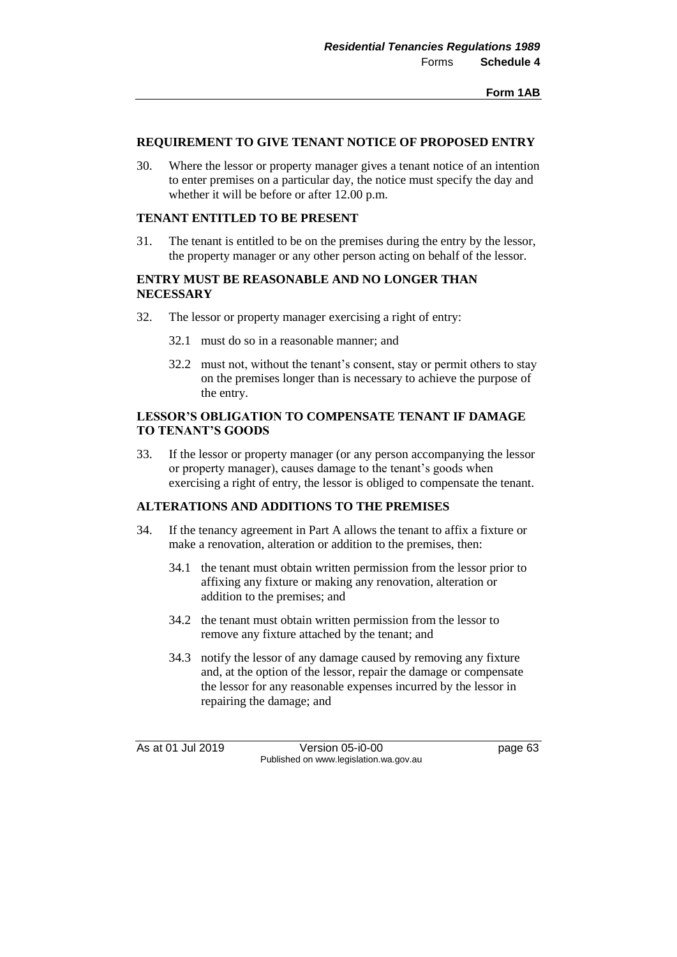# **REQUIREMENT TO GIVE TENANT NOTICE OF PROPOSED ENTRY**

30. Where the lessor or property manager gives a tenant notice of an intention to enter premises on a particular day, the notice must specify the day and whether it will be before or after 12.00 p.m.

# **TENANT ENTITLED TO BE PRESENT**

31. The tenant is entitled to be on the premises during the entry by the lessor, the property manager or any other person acting on behalf of the lessor.

# **ENTRY MUST BE REASONABLE AND NO LONGER THAN NECESSARY**

- 32. The lessor or property manager exercising a right of entry:
	- 32.1 must do so in a reasonable manner; and
	- 32.2 must not, without the tenant's consent, stay or permit others to stay on the premises longer than is necessary to achieve the purpose of the entry.

# **LESSOR'S OBLIGATION TO COMPENSATE TENANT IF DAMAGE TO TENANT'S GOODS**

33. If the lessor or property manager (or any person accompanying the lessor or property manager), causes damage to the tenant's goods when exercising a right of entry, the lessor is obliged to compensate the tenant.

# **ALTERATIONS AND ADDITIONS TO THE PREMISES**

- 34. If the tenancy agreement in Part A allows the tenant to affix a fixture or make a renovation, alteration or addition to the premises, then:
	- 34.1 the tenant must obtain written permission from the lessor prior to affixing any fixture or making any renovation, alteration or addition to the premises; and
	- 34.2 the tenant must obtain written permission from the lessor to remove any fixture attached by the tenant; and
	- 34.3 notify the lessor of any damage caused by removing any fixture and, at the option of the lessor, repair the damage or compensate the lessor for any reasonable expenses incurred by the lessor in repairing the damage; and

As at 01 Jul 2019 Version 05-i0-00 page 63 Published on www.legislation.wa.gov.au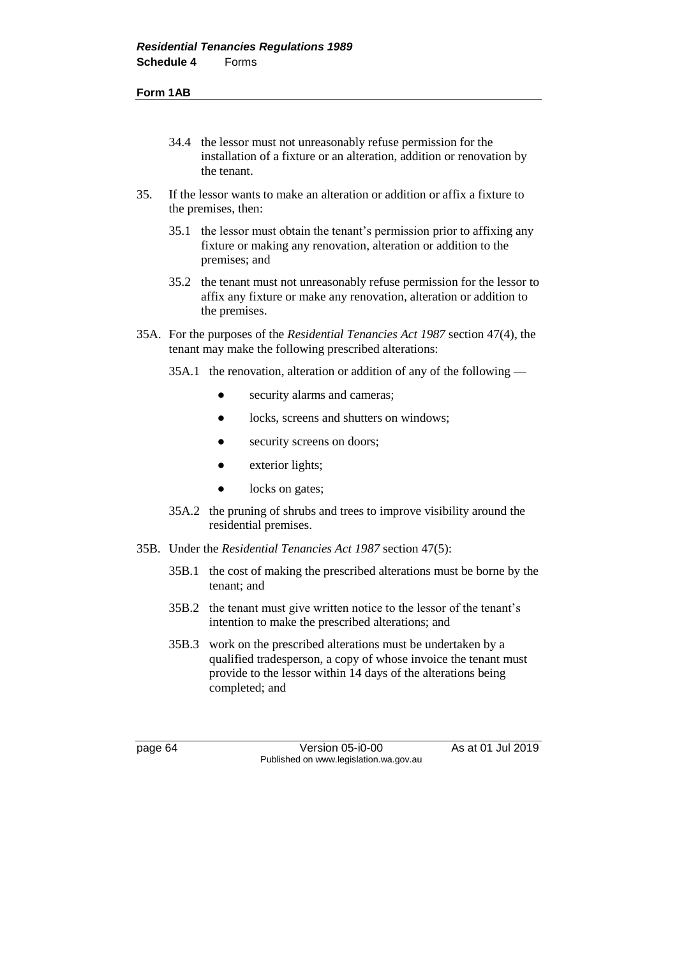- 34.4 the lessor must not unreasonably refuse permission for the installation of a fixture or an alteration, addition or renovation by the tenant.
- 35. If the lessor wants to make an alteration or addition or affix a fixture to the premises, then:
	- 35.1 the lessor must obtain the tenant's permission prior to affixing any fixture or making any renovation, alteration or addition to the premises; and
	- 35.2 the tenant must not unreasonably refuse permission for the lessor to affix any fixture or make any renovation, alteration or addition to the premises.
- 35A. For the purposes of the *Residential Tenancies Act 1987* section 47(4), the tenant may make the following prescribed alterations:
	- 35A.1 the renovation, alteration or addition of any of the following
		- security alarms and cameras;
		- locks, screens and shutters on windows;
		- security screens on doors;
		- exterior lights;
		- locks on gates;
	- 35A.2 the pruning of shrubs and trees to improve visibility around the residential premises.
- 35B. Under the *Residential Tenancies Act 1987* section 47(5):
	- 35B.1 the cost of making the prescribed alterations must be borne by the tenant; and
	- 35B.2 the tenant must give written notice to the lessor of the tenant's intention to make the prescribed alterations; and
	- 35B.3 work on the prescribed alterations must be undertaken by a qualified tradesperson, a copy of whose invoice the tenant must provide to the lessor within 14 days of the alterations being completed; and

page 64 Version 05-i0-00 As at 01 Jul 2019 Published on www.legislation.wa.gov.au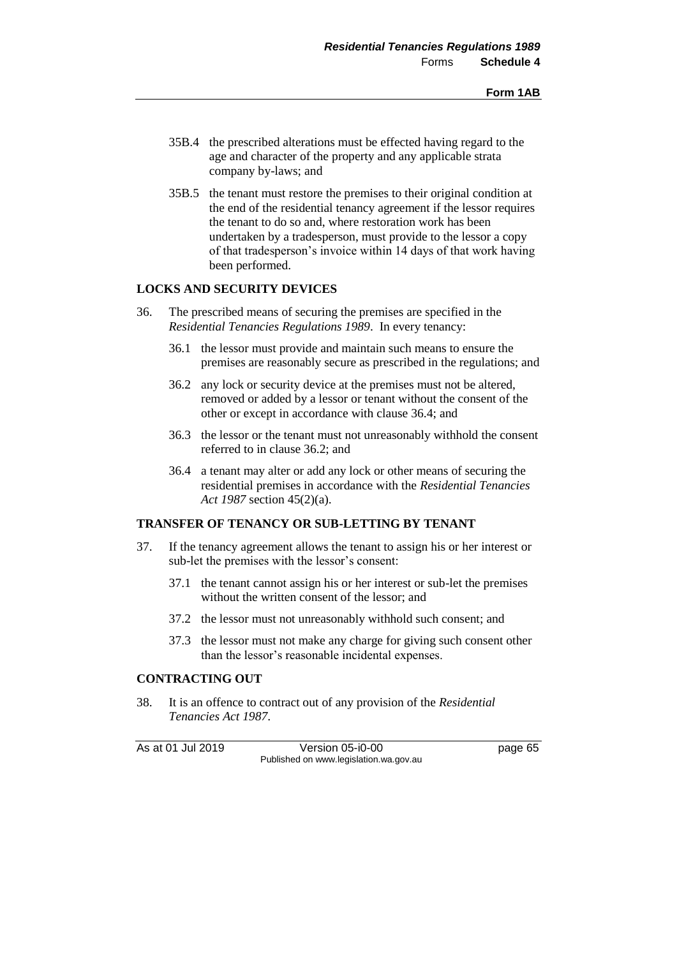- 35B.4 the prescribed alterations must be effected having regard to the age and character of the property and any applicable strata company by-laws; and
- 35B.5 the tenant must restore the premises to their original condition at the end of the residential tenancy agreement if the lessor requires the tenant to do so and, where restoration work has been undertaken by a tradesperson, must provide to the lessor a copy of that tradesperson's invoice within 14 days of that work having been performed.

#### **LOCKS AND SECURITY DEVICES**

- 36. The prescribed means of securing the premises are specified in the *Residential Tenancies Regulations 1989*. In every tenancy:
	- 36.1 the lessor must provide and maintain such means to ensure the premises are reasonably secure as prescribed in the regulations; and
	- 36.2 any lock or security device at the premises must not be altered, removed or added by a lessor or tenant without the consent of the other or except in accordance with clause 36.4; and
	- 36.3 the lessor or the tenant must not unreasonably withhold the consent referred to in clause 36.2; and
	- 36.4 a tenant may alter or add any lock or other means of securing the residential premises in accordance with the *Residential Tenancies Act 1987* section 45(2)(a).

## **TRANSFER OF TENANCY OR SUB-LETTING BY TENANT**

- 37. If the tenancy agreement allows the tenant to assign his or her interest or sub-let the premises with the lessor's consent:
	- 37.1 the tenant cannot assign his or her interest or sub-let the premises without the written consent of the lessor; and
	- 37.2 the lessor must not unreasonably withhold such consent; and
	- 37.3 the lessor must not make any charge for giving such consent other than the lessor's reasonable incidental expenses.

### **CONTRACTING OUT**

38. It is an offence to contract out of any provision of the *Residential Tenancies Act 1987*.

As at 01 Jul 2019 Version 05-i0-00 page 65 Published on www.legislation.wa.gov.au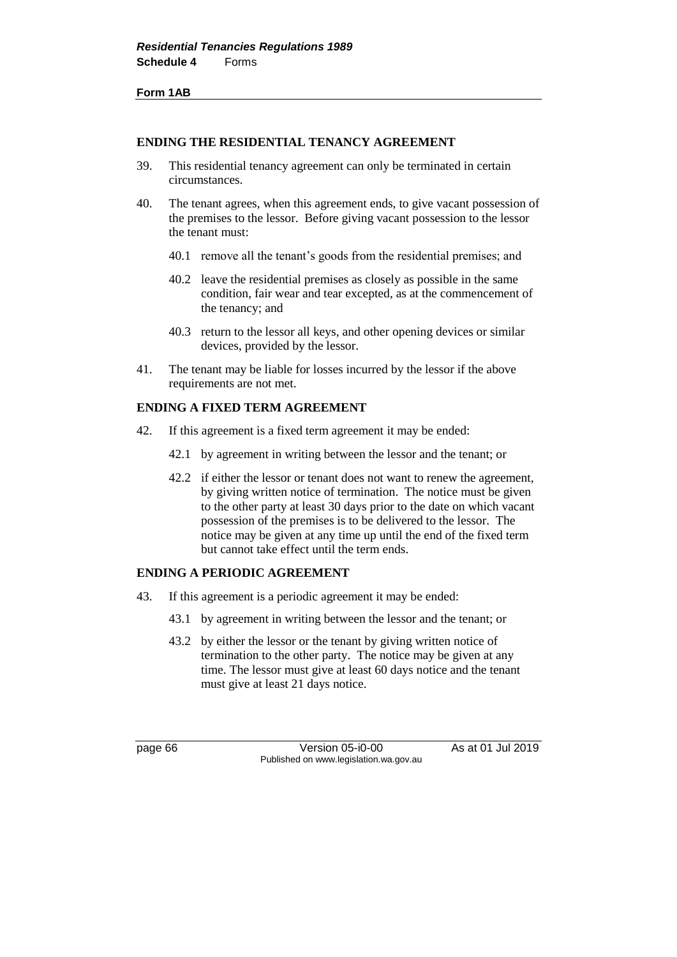#### **ENDING THE RESIDENTIAL TENANCY AGREEMENT**

- 39. This residential tenancy agreement can only be terminated in certain circumstances.
- 40. The tenant agrees, when this agreement ends, to give vacant possession of the premises to the lessor. Before giving vacant possession to the lessor the tenant must:
	- 40.1 remove all the tenant's goods from the residential premises; and
	- 40.2 leave the residential premises as closely as possible in the same condition, fair wear and tear excepted, as at the commencement of the tenancy; and
	- 40.3 return to the lessor all keys, and other opening devices or similar devices, provided by the lessor.
- 41. The tenant may be liable for losses incurred by the lessor if the above requirements are not met.

### **ENDING A FIXED TERM AGREEMENT**

- 42. If this agreement is a fixed term agreement it may be ended:
	- 42.1 by agreement in writing between the lessor and the tenant; or
	- 42.2 if either the lessor or tenant does not want to renew the agreement, by giving written notice of termination. The notice must be given to the other party at least 30 days prior to the date on which vacant possession of the premises is to be delivered to the lessor. The notice may be given at any time up until the end of the fixed term but cannot take effect until the term ends.

## **ENDING A PERIODIC AGREEMENT**

- 43. If this agreement is a periodic agreement it may be ended:
	- 43.1 by agreement in writing between the lessor and the tenant; or
	- 43.2 by either the lessor or the tenant by giving written notice of termination to the other party. The notice may be given at any time. The lessor must give at least 60 days notice and the tenant must give at least 21 days notice.

page 66 Version 05-i0-00 As at 01 Jul 2019 Published on www.legislation.wa.gov.au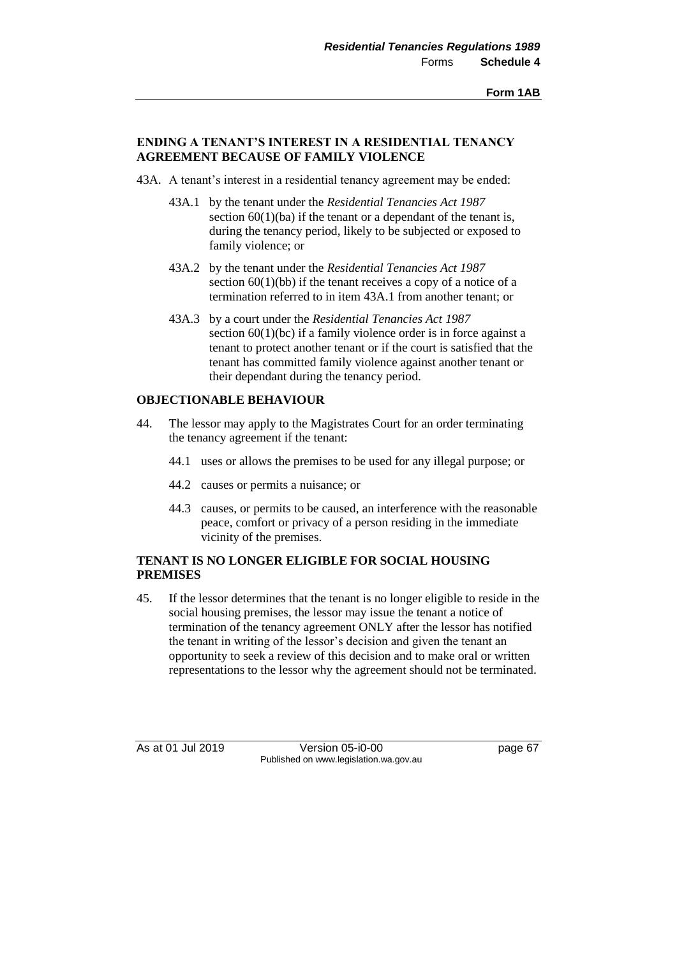## **ENDING A TENANT'S INTEREST IN A RESIDENTIAL TENANCY AGREEMENT BECAUSE OF FAMILY VIOLENCE**

- 43A. A tenant's interest in a residential tenancy agreement may be ended:
	- 43A.1 by the tenant under the *Residential Tenancies Act 1987*  section  $60(1)(ba)$  if the tenant or a dependant of the tenant is, during the tenancy period, likely to be subjected or exposed to family violence; or
	- 43A.2 by the tenant under the *Residential Tenancies Act 1987*  section  $60(1)(bb)$  if the tenant receives a copy of a notice of a termination referred to in item 43A.1 from another tenant; or
	- 43A.3 by a court under the *Residential Tenancies Act 1987*  section  $60(1)(bc)$  if a family violence order is in force against a tenant to protect another tenant or if the court is satisfied that the tenant has committed family violence against another tenant or their dependant during the tenancy period.

## **OBJECTIONABLE BEHAVIOUR**

- 44. The lessor may apply to the Magistrates Court for an order terminating the tenancy agreement if the tenant:
	- 44.1 uses or allows the premises to be used for any illegal purpose; or
	- 44.2 causes or permits a nuisance; or
	- 44.3 causes, or permits to be caused, an interference with the reasonable peace, comfort or privacy of a person residing in the immediate vicinity of the premises.

# **TENANT IS NO LONGER ELIGIBLE FOR SOCIAL HOUSING PREMISES**

45. If the lessor determines that the tenant is no longer eligible to reside in the social housing premises, the lessor may issue the tenant a notice of termination of the tenancy agreement ONLY after the lessor has notified the tenant in writing of the lessor's decision and given the tenant an opportunity to seek a review of this decision and to make oral or written representations to the lessor why the agreement should not be terminated.

As at 01 Jul 2019 Version 05-i0-00 page 67 Published on www.legislation.wa.gov.au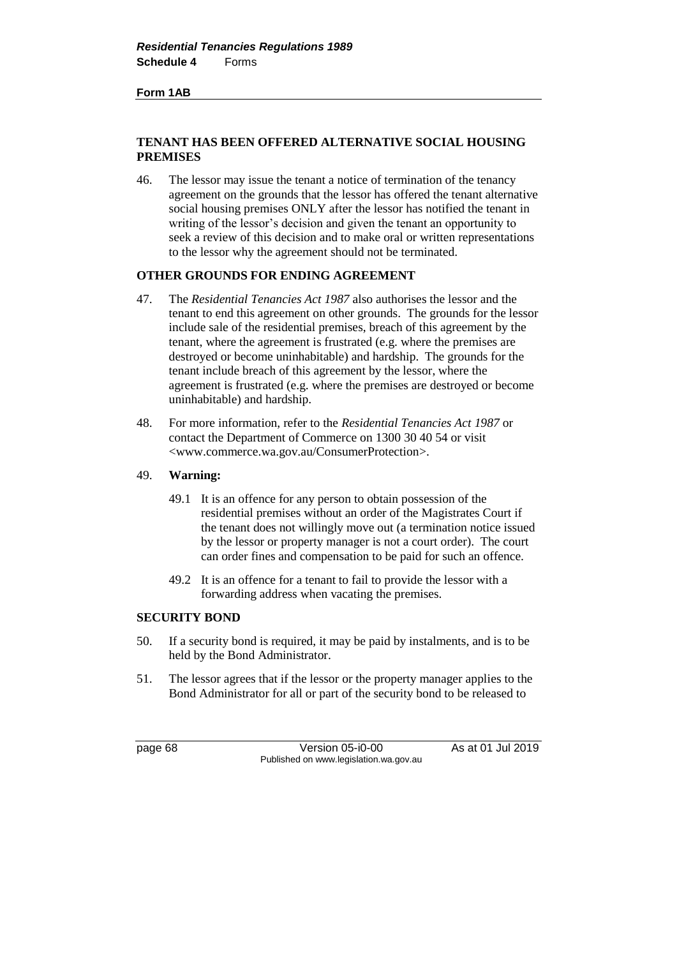### **Form 1AB**

# **TENANT HAS BEEN OFFERED ALTERNATIVE SOCIAL HOUSING PREMISES**

46. The lessor may issue the tenant a notice of termination of the tenancy agreement on the grounds that the lessor has offered the tenant alternative social housing premises ONLY after the lessor has notified the tenant in writing of the lessor's decision and given the tenant an opportunity to seek a review of this decision and to make oral or written representations to the lessor why the agreement should not be terminated.

## **OTHER GROUNDS FOR ENDING AGREEMENT**

- 47. The *Residential Tenancies Act 1987* also authorises the lessor and the tenant to end this agreement on other grounds. The grounds for the lessor include sale of the residential premises, breach of this agreement by the tenant, where the agreement is frustrated (e.g. where the premises are destroyed or become uninhabitable) and hardship. The grounds for the tenant include breach of this agreement by the lessor, where the agreement is frustrated (e.g. where the premises are destroyed or become uninhabitable) and hardship.
- 48. For more information, refer to the *Residential Tenancies Act 1987* or contact the Department of Commerce on 1300 30 40 54 or visit [<www.commerce.wa.gov.au/ConsumerProtection>](http://www.commerce.wa.gov.au/ConsumerProtection).

## 49. **Warning:**

- 49.1 It is an offence for any person to obtain possession of the residential premises without an order of the Magistrates Court if the tenant does not willingly move out (a termination notice issued by the lessor or property manager is not a court order). The court can order fines and compensation to be paid for such an offence.
- 49.2 It is an offence for a tenant to fail to provide the lessor with a forwarding address when vacating the premises.

## **SECURITY BOND**

- 50. If a security bond is required, it may be paid by instalments, and is to be held by the Bond Administrator.
- 51. The lessor agrees that if the lessor or the property manager applies to the Bond Administrator for all or part of the security bond to be released to

page 68 Version 05-i0-00 As at 01 Jul 2019 Published on www.legislation.wa.gov.au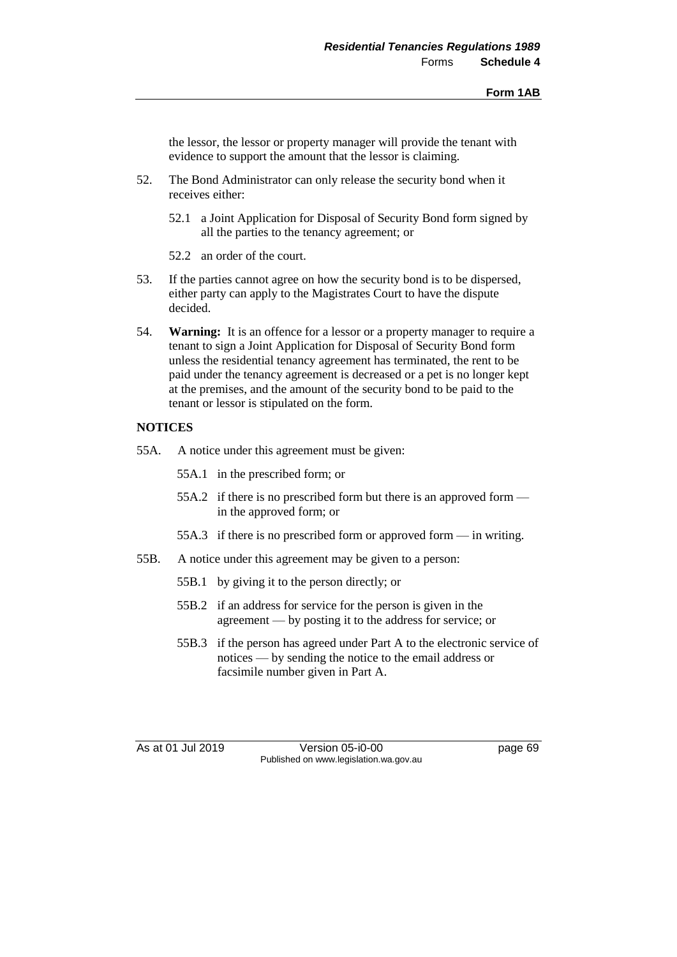the lessor, the lessor or property manager will provide the tenant with evidence to support the amount that the lessor is claiming.

- 52. The Bond Administrator can only release the security bond when it receives either:
	- 52.1 a Joint Application for Disposal of Security Bond form signed by all the parties to the tenancy agreement; or
	- 52.2 an order of the court.
- 53. If the parties cannot agree on how the security bond is to be dispersed, either party can apply to the Magistrates Court to have the dispute decided.
- 54. **Warning:** It is an offence for a lessor or a property manager to require a tenant to sign a Joint Application for Disposal of Security Bond form unless the residential tenancy agreement has terminated, the rent to be paid under the tenancy agreement is decreased or a pet is no longer kept at the premises, and the amount of the security bond to be paid to the tenant or lessor is stipulated on the form.

### **NOTICES**

- 55A. A notice under this agreement must be given:
	- 55A.1 in the prescribed form; or
	- 55A.2 if there is no prescribed form but there is an approved form in the approved form; or
	- 55A.3 if there is no prescribed form or approved form in writing.
- 55B. A notice under this agreement may be given to a person:
	- 55B.1 by giving it to the person directly; or
	- 55B.2 if an address for service for the person is given in the agreement — by posting it to the address for service; or
	- 55B.3 if the person has agreed under Part A to the electronic service of notices — by sending the notice to the email address or facsimile number given in Part A.

As at 01 Jul 2019 Version 05-i0-00 Page 69 Published on www.legislation.wa.gov.au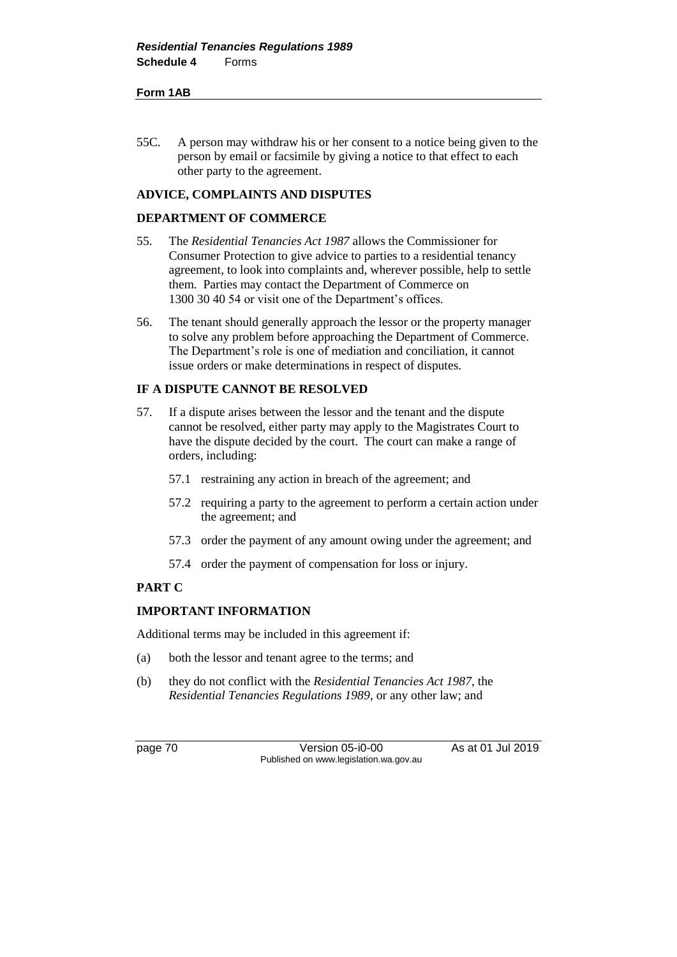## **Form 1AB**

55C. A person may withdraw his or her consent to a notice being given to the person by email or facsimile by giving a notice to that effect to each other party to the agreement.

# **ADVICE, COMPLAINTS AND DISPUTES**

# **DEPARTMENT OF COMMERCE**

- 55. The *Residential Tenancies Act 1987* allows the Commissioner for Consumer Protection to give advice to parties to a residential tenancy agreement, to look into complaints and, wherever possible, help to settle them. Parties may contact the Department of Commerce on 1300 30 40 54 or visit one of the Department's offices.
- 56. The tenant should generally approach the lessor or the property manager to solve any problem before approaching the Department of Commerce. The Department's role is one of mediation and conciliation, it cannot issue orders or make determinations in respect of disputes.

# **IF A DISPUTE CANNOT BE RESOLVED**

- 57. If a dispute arises between the lessor and the tenant and the dispute cannot be resolved, either party may apply to the Magistrates Court to have the dispute decided by the court. The court can make a range of orders, including:
	- 57.1 restraining any action in breach of the agreement; and
	- 57.2 requiring a party to the agreement to perform a certain action under the agreement; and
	- 57.3 order the payment of any amount owing under the agreement; and
	- 57.4 order the payment of compensation for loss or injury.

# **PART C**

# **IMPORTANT INFORMATION**

Additional terms may be included in this agreement if:

- (a) both the lessor and tenant agree to the terms; and
- (b) they do not conflict with the *Residential Tenancies Act 1987*, the *Residential Tenancies Regulations 1989*, or any other law; and

page 70 Version 05-i0-00 As at 01 Jul 2019 Published on www.legislation.wa.gov.au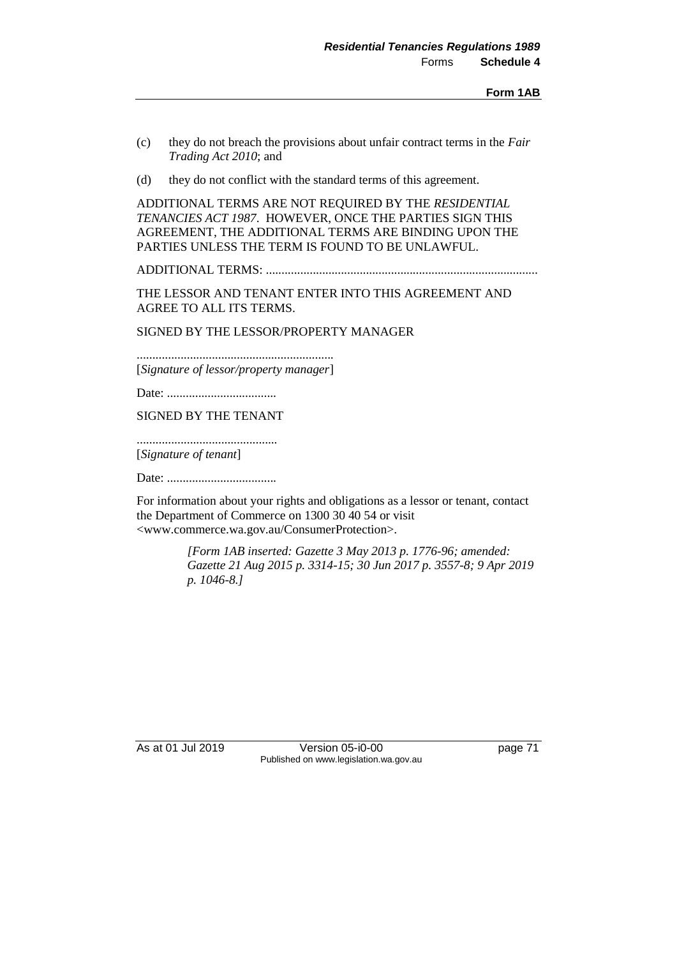- (c) they do not breach the provisions about unfair contract terms in the *Fair Trading Act 2010*; and
- (d) they do not conflict with the standard terms of this agreement.

ADDITIONAL TERMS ARE NOT REQUIRED BY THE *RESIDENTIAL TENANCIES ACT 1987*. HOWEVER, ONCE THE PARTIES SIGN THIS AGREEMENT, THE ADDITIONAL TERMS ARE BINDING UPON THE PARTIES UNLESS THE TERM IS FOUND TO BE UNLAWFUL.

ADDITIONAL TERMS: .......................................................................................

THE LESSOR AND TENANT ENTER INTO THIS AGREEMENT AND AGREE TO ALL ITS TERMS.

SIGNED BY THE LESSOR/PROPERTY MANAGER

............................................................... [*Signature of lessor/property manager*]

Date: ...................................

SIGNED BY THE TENANT

............................................. [*Signature of tenant*]

Date: ...................................

For information about your rights and obligations as a lessor or tenant, contact the Department of Commerce on 1300 30 40 54 or visit <www.commerce.wa.gov.au/ConsumerProtection>.

> *[Form 1AB inserted: Gazette 3 May 2013 p. 1776-96; amended: Gazette 21 Aug 2015 p. 3314-15; 30 Jun 2017 p. 3557-8; 9 Apr 2019 p. 1046-8.]*

As at 01 Jul 2019 Version 05-i0-00 page 71 Published on www.legislation.wa.gov.au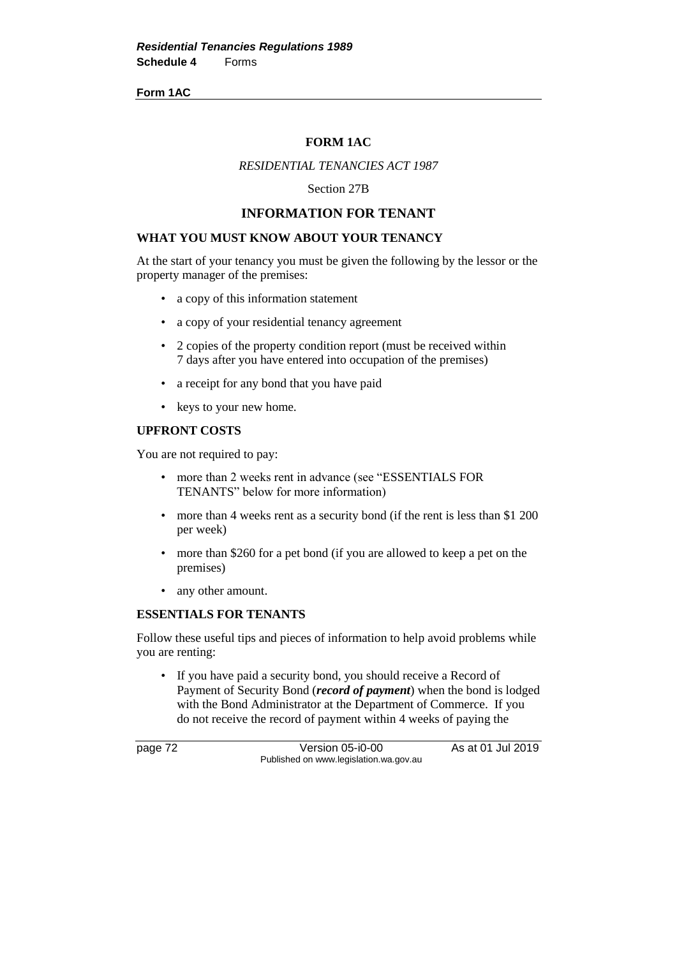**Form 1AC**

## **FORM 1AC**

# *RESIDENTIAL TENANCIES ACT 1987*

Section 27B

# **INFORMATION FOR TENANT**

## **WHAT YOU MUST KNOW ABOUT YOUR TENANCY**

At the start of your tenancy you must be given the following by the lessor or the property manager of the premises:

- a copy of this information statement
- a copy of your residential tenancy agreement
- 2 copies of the property condition report (must be received within 7 days after you have entered into occupation of the premises)
- a receipt for any bond that you have paid
- keys to your new home.

### **UPFRONT COSTS**

You are not required to pay:

- more than 2 weeks rent in advance (see "ESSENTIALS FOR TENANTS" below for more information)
- more than 4 weeks rent as a security bond (if the rent is less than \$1 200) per week)
- more than \$260 for a pet bond (if you are allowed to keep a pet on the premises)
- any other amount.

## **ESSENTIALS FOR TENANTS**

Follow these useful tips and pieces of information to help avoid problems while you are renting:

If you have paid a security bond, you should receive a Record of Payment of Security Bond (*record of payment*) when the bond is lodged with the Bond Administrator at the Department of Commerce. If you do not receive the record of payment within 4 weeks of paying the

page 72 Version 05-i0-00 As at 01 Jul 2019 Published on www.legislation.wa.gov.au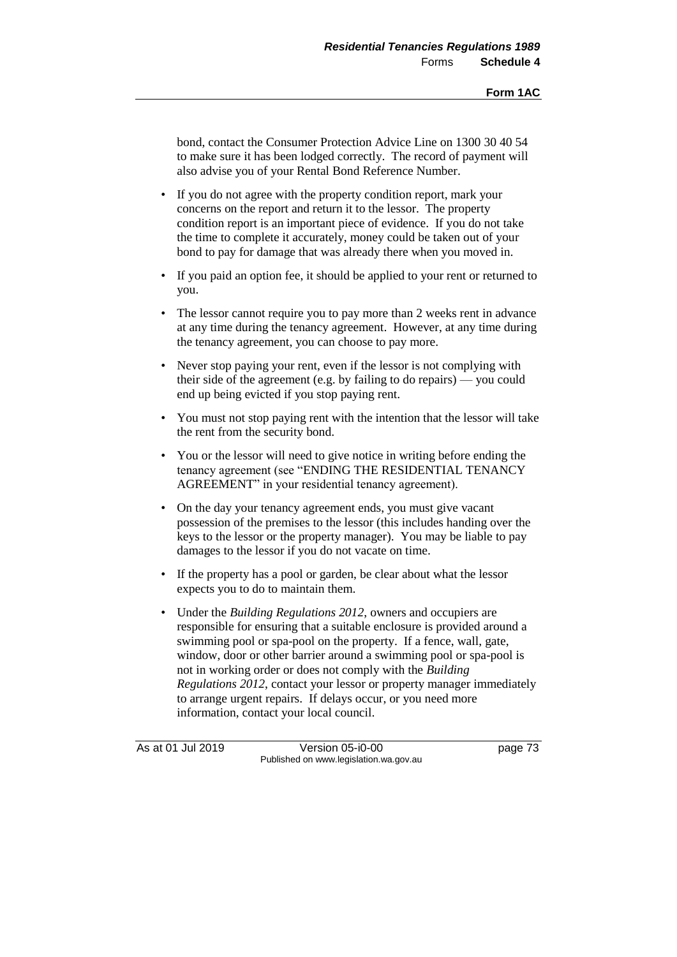bond, contact the Consumer Protection Advice Line on 1300 30 40 54 to make sure it has been lodged correctly. The record of payment will also advise you of your Rental Bond Reference Number.

If you do not agree with the property condition report, mark your concerns on the report and return it to the lessor. The property condition report is an important piece of evidence. If you do not take the time to complete it accurately, money could be taken out of your bond to pay for damage that was already there when you moved in.

- If you paid an option fee, it should be applied to your rent or returned to you.
- The lessor cannot require you to pay more than 2 weeks rent in advance at any time during the tenancy agreement. However, at any time during the tenancy agreement, you can choose to pay more.
- Never stop paying your rent, even if the lessor is not complying with their side of the agreement (e.g. by failing to do repairs) — you could end up being evicted if you stop paying rent.
- You must not stop paying rent with the intention that the lessor will take the rent from the security bond.
- You or the lessor will need to give notice in writing before ending the tenancy agreement (see "ENDING THE RESIDENTIAL TENANCY AGREEMENT" in your residential tenancy agreement).
- On the day your tenancy agreement ends, you must give vacant possession of the premises to the lessor (this includes handing over the keys to the lessor or the property manager). You may be liable to pay damages to the lessor if you do not vacate on time.
- If the property has a pool or garden, be clear about what the lessor expects you to do to maintain them.
- Under the *Building Regulations 2012*, owners and occupiers are responsible for ensuring that a suitable enclosure is provided around a swimming pool or spa-pool on the property. If a fence, wall, gate, window, door or other barrier around a swimming pool or spa-pool is not in working order or does not comply with the *Building Regulations 2012*, contact your lessor or property manager immediately to arrange urgent repairs. If delays occur, or you need more information, contact your local council.

As at 01 Jul 2019 Version 05-i0-00 page 73 Published on www.legislation.wa.gov.au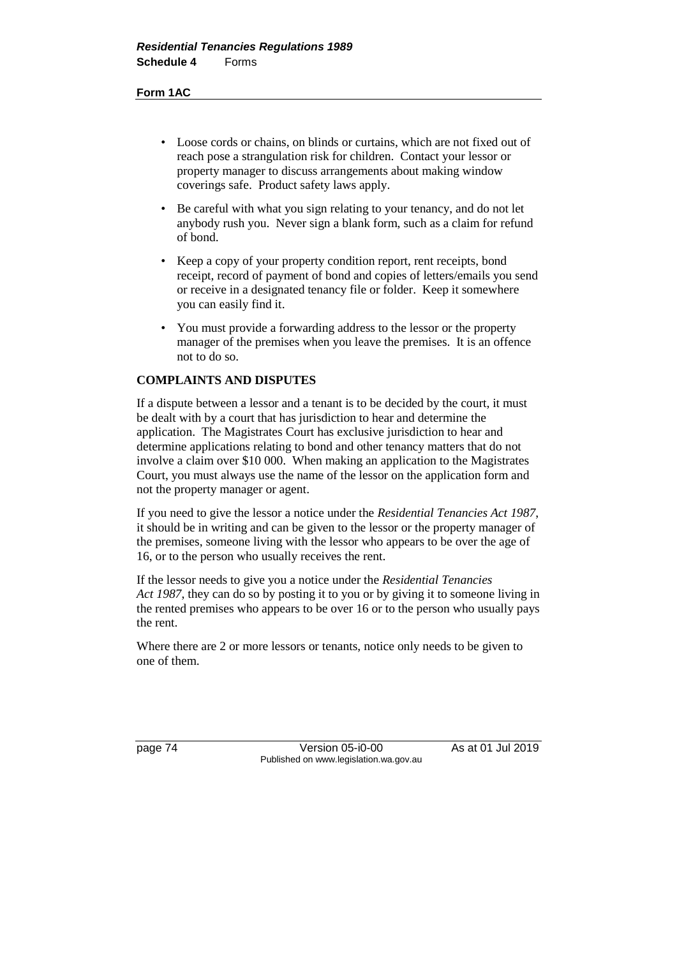### **Form 1AC**

- Loose cords or chains, on blinds or curtains, which are not fixed out of reach pose a strangulation risk for children. Contact your lessor or property manager to discuss arrangements about making window coverings safe. Product safety laws apply.
- Be careful with what you sign relating to your tenancy, and do not let anybody rush you. Never sign a blank form, such as a claim for refund of bond.
- Keep a copy of your property condition report, rent receipts, bond receipt, record of payment of bond and copies of letters/emails you send or receive in a designated tenancy file or folder. Keep it somewhere you can easily find it.
- You must provide a forwarding address to the lessor or the property manager of the premises when you leave the premises. It is an offence not to do so.

## **COMPLAINTS AND DISPUTES**

If a dispute between a lessor and a tenant is to be decided by the court, it must be dealt with by a court that has jurisdiction to hear and determine the application. The Magistrates Court has exclusive jurisdiction to hear and determine applications relating to bond and other tenancy matters that do not involve a claim over \$10 000. When making an application to the Magistrates Court, you must always use the name of the lessor on the application form and not the property manager or agent.

If you need to give the lessor a notice under the *Residential Tenancies Act 1987*, it should be in writing and can be given to the lessor or the property manager of the premises, someone living with the lessor who appears to be over the age of 16, or to the person who usually receives the rent.

If the lessor needs to give you a notice under the *Residential Tenancies Act 1987*, they can do so by posting it to you or by giving it to someone living in the rented premises who appears to be over 16 or to the person who usually pays the rent.

Where there are 2 or more lessors or tenants, notice only needs to be given to one of them.

page 74 Version 05-i0-00 As at 01 Jul 2019 Published on www.legislation.wa.gov.au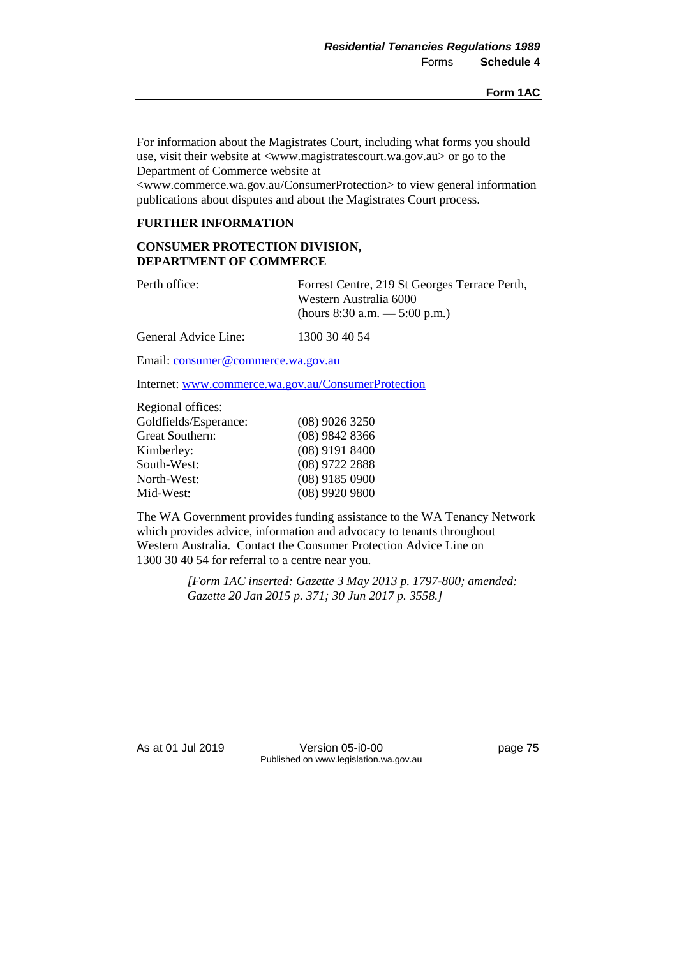For information about the Magistrates Court, including what forms you should use, visit their website at <www.magistratescourt.wa.gov.au> or go to the Department of Commerce website at

<www.commerce.wa.gov.au/ConsumerProtection> to view general information publications about disputes and about the Magistrates Court process.

## **FURTHER INFORMATION**

### **CONSUMER PROTECTION DIVISION, DEPARTMENT OF COMMERCE**

Perth office: Forrest Centre, 219 St Georges Terrace Perth, Western Australia 6000 (hours 8:30 a.m. — 5:00 p.m.)

General Advice Line: 1300 30 40 54

Email: [consumer@commerce.wa.gov.au](mailto:consumer@commerce.wa.gov.au)

Internet: [www.commerce.wa.gov.au/ConsumerProtection](http://www.commerce.wa.gov.au/ConsumerProtection)

| Regional offices:      |                  |
|------------------------|------------------|
| Goldfields/Esperance:  | $(08)$ 9026 3250 |
| <b>Great Southern:</b> | (08) 9842 8366   |
| Kimberley:             | $(08)$ 9191 8400 |
| South-West:            | $(08)$ 9722 2888 |
| North-West:            | $(08)$ 9185 0900 |
| Mid-West:              | $(08)$ 9920 9800 |

The WA Government provides funding assistance to the WA Tenancy Network which provides advice, information and advocacy to tenants throughout Western Australia. Contact the Consumer Protection Advice Line on 1300 30 40 54 for referral to a centre near you.

> *[Form 1AC inserted: Gazette 3 May 2013 p. 1797-800; amended: Gazette 20 Jan 2015 p. 371; 30 Jun 2017 p. 3558.]*

As at 01 Jul 2019 Version 05-i0-00 page 75 Published on www.legislation.wa.gov.au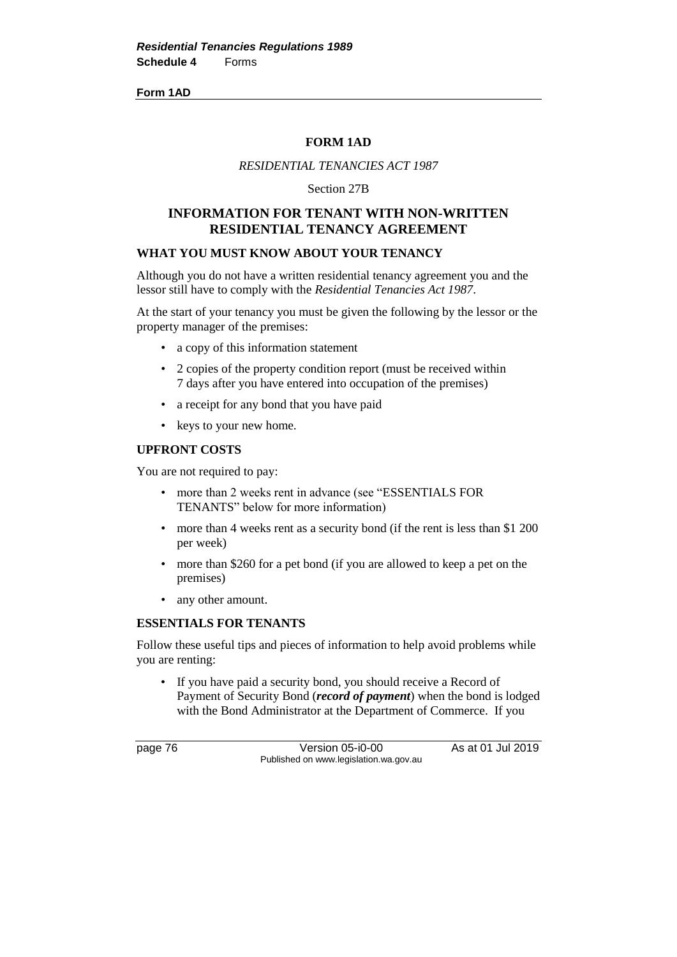## **FORM 1AD**

### *RESIDENTIAL TENANCIES ACT 1987*

Section 27B

# **INFORMATION FOR TENANT WITH NON-WRITTEN RESIDENTIAL TENANCY AGREEMENT**

### **WHAT YOU MUST KNOW ABOUT YOUR TENANCY**

Although you do not have a written residential tenancy agreement you and the lessor still have to comply with the *Residential Tenancies Act 1987*.

At the start of your tenancy you must be given the following by the lessor or the property manager of the premises:

- a copy of this information statement
- 2 copies of the property condition report (must be received within 7 days after you have entered into occupation of the premises)
- a receipt for any bond that you have paid
- keys to your new home.

### **UPFRONT COSTS**

You are not required to pay:

- more than 2 weeks rent in advance (see "ESSENTIALS FOR TENANTS" below for more information)
- more than 4 weeks rent as a security bond (if the rent is less than \$1 200) per week)
- more than \$260 for a pet bond (if you are allowed to keep a pet on the premises)
- any other amount.

# **ESSENTIALS FOR TENANTS**

Follow these useful tips and pieces of information to help avoid problems while you are renting:

• If you have paid a security bond, you should receive a Record of Payment of Security Bond (*record of payment*) when the bond is lodged with the Bond Administrator at the Department of Commerce. If you

page 76 Version 05-i0-00 As at 01 Jul 2019 Published on www.legislation.wa.gov.au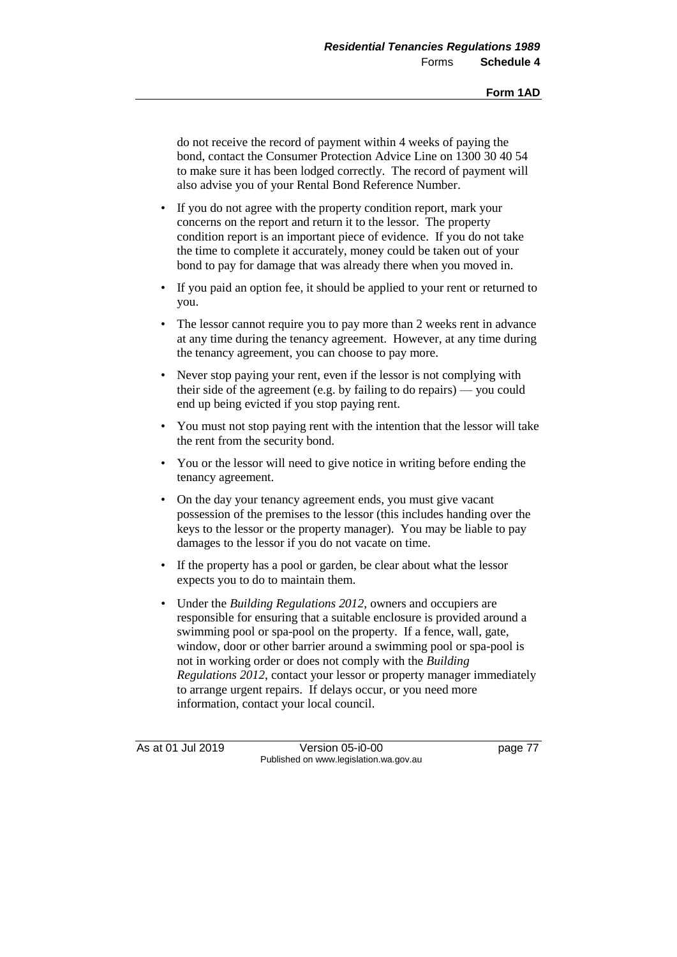do not receive the record of payment within 4 weeks of paying the bond, contact the Consumer Protection Advice Line on 1300 30 40 54 to make sure it has been lodged correctly. The record of payment will also advise you of your Rental Bond Reference Number.

- If you do not agree with the property condition report, mark your concerns on the report and return it to the lessor. The property condition report is an important piece of evidence. If you do not take the time to complete it accurately, money could be taken out of your bond to pay for damage that was already there when you moved in.
- If you paid an option fee, it should be applied to your rent or returned to you.
- The lessor cannot require you to pay more than 2 weeks rent in advance at any time during the tenancy agreement. However, at any time during the tenancy agreement, you can choose to pay more.
- Never stop paying your rent, even if the lessor is not complying with their side of the agreement (e.g. by failing to do repairs) — you could end up being evicted if you stop paying rent.
- You must not stop paying rent with the intention that the lessor will take the rent from the security bond.
- You or the lessor will need to give notice in writing before ending the tenancy agreement.
- On the day your tenancy agreement ends, you must give vacant possession of the premises to the lessor (this includes handing over the keys to the lessor or the property manager). You may be liable to pay damages to the lessor if you do not vacate on time.
- If the property has a pool or garden, be clear about what the lessor expects you to do to maintain them.
- Under the *Building Regulations 2012*, owners and occupiers are responsible for ensuring that a suitable enclosure is provided around a swimming pool or spa-pool on the property. If a fence, wall, gate, window, door or other barrier around a swimming pool or spa-pool is not in working order or does not comply with the *Building Regulations 2012*, contact your lessor or property manager immediately to arrange urgent repairs. If delays occur, or you need more information, contact your local council.

As at 01 Jul 2019 Version 05-i0-00 page 77 Published on www.legislation.wa.gov.au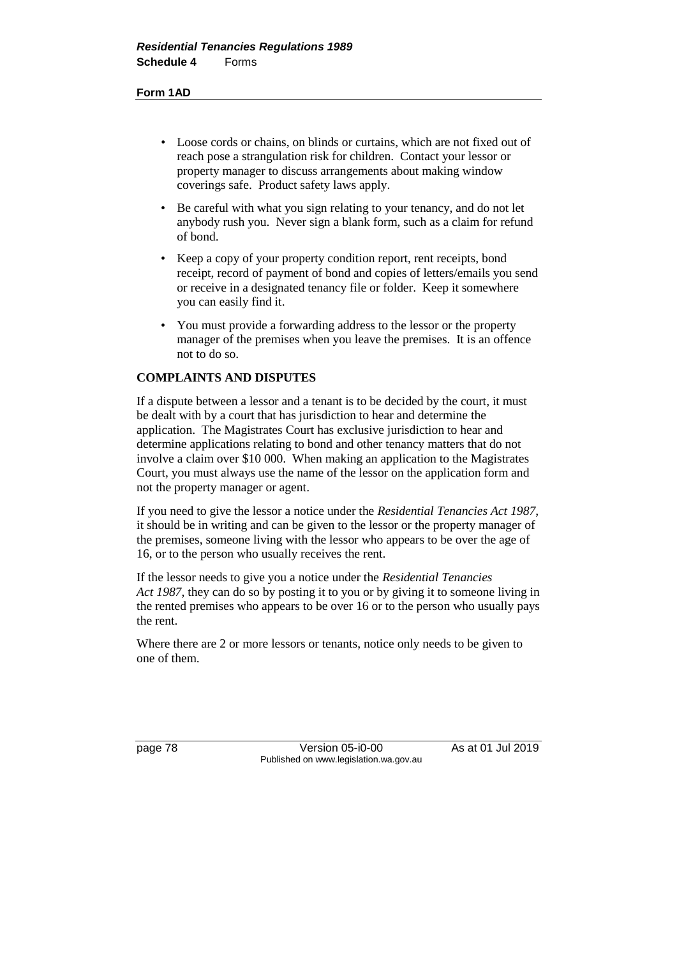- Loose cords or chains, on blinds or curtains, which are not fixed out of reach pose a strangulation risk for children. Contact your lessor or property manager to discuss arrangements about making window coverings safe. Product safety laws apply.
- Be careful with what you sign relating to your tenancy, and do not let anybody rush you. Never sign a blank form, such as a claim for refund of bond.
- Keep a copy of your property condition report, rent receipts, bond receipt, record of payment of bond and copies of letters/emails you send or receive in a designated tenancy file or folder. Keep it somewhere you can easily find it.
- You must provide a forwarding address to the lessor or the property manager of the premises when you leave the premises. It is an offence not to do so.

# **COMPLAINTS AND DISPUTES**

If a dispute between a lessor and a tenant is to be decided by the court, it must be dealt with by a court that has jurisdiction to hear and determine the application. The Magistrates Court has exclusive jurisdiction to hear and determine applications relating to bond and other tenancy matters that do not involve a claim over \$10 000. When making an application to the Magistrates Court, you must always use the name of the lessor on the application form and not the property manager or agent.

If you need to give the lessor a notice under the *Residential Tenancies Act 1987*, it should be in writing and can be given to the lessor or the property manager of the premises, someone living with the lessor who appears to be over the age of 16, or to the person who usually receives the rent.

If the lessor needs to give you a notice under the *Residential Tenancies Act 1987*, they can do so by posting it to you or by giving it to someone living in the rented premises who appears to be over 16 or to the person who usually pays the rent.

Where there are 2 or more lessors or tenants, notice only needs to be given to one of them.

page 78 Version 05-i0-00 As at 01 Jul 2019 Published on www.legislation.wa.gov.au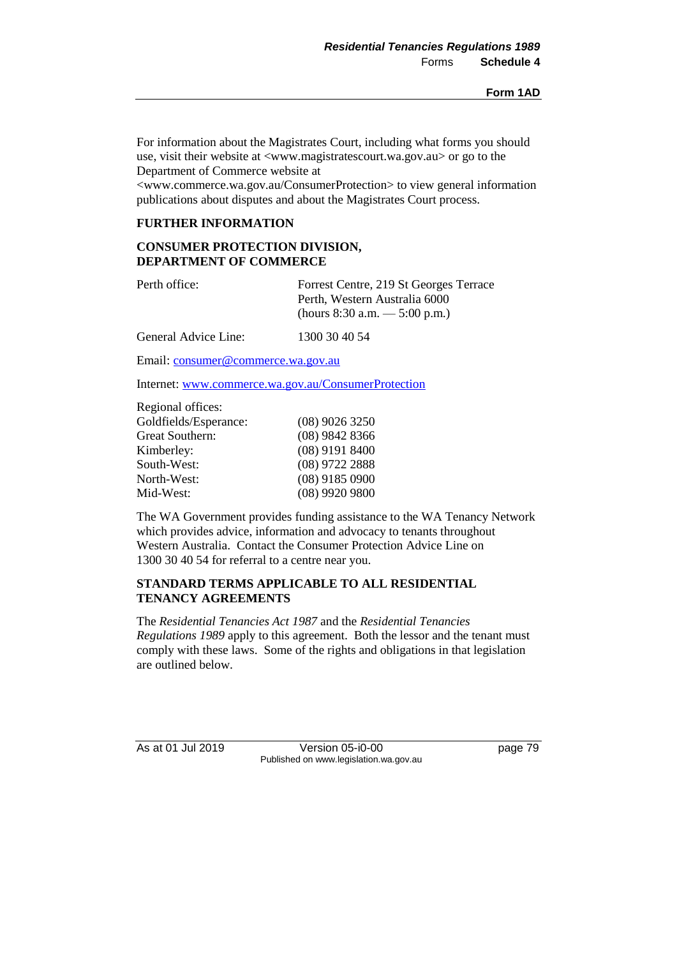For information about the Magistrates Court, including what forms you should use, visit their website at <www.magistratescourt.wa.gov.au> or go to the Department of Commerce website at

<www.commerce.wa.gov.au/ConsumerProtection> to view general information publications about disputes and about the Magistrates Court process.

## **FURTHER INFORMATION**

### **CONSUMER PROTECTION DIVISION, DEPARTMENT OF COMMERCE**

| Perth office: | Forrest Centre, 219 St Georges Terrace |
|---------------|----------------------------------------|
|               | Perth, Western Australia 6000          |
|               | (hours $8:30$ a.m. $-5:00$ p.m.)       |

General Advice Line: 1300 30 40 54

Email: [consumer@commerce.wa.gov.au](mailto:consumer@commerce.wa.gov.au)

Internet: [www.commerce.wa.gov.au/ConsumerProtection](http://www.commerce.wa.gov.au/ConsumerProtection)

| Regional offices:      |                  |
|------------------------|------------------|
| Goldfields/Esperance:  | $(08)$ 9026 3250 |
| <b>Great Southern:</b> | $(08)$ 9842 8366 |
| Kimberley:             | $(08)$ 9191 8400 |
| South-West:            | $(08)$ 9722 2888 |
| North-West:            | $(08)$ 9185 0900 |
| Mid-West:              | $(08)$ 9920 9800 |

The WA Government provides funding assistance to the WA Tenancy Network which provides advice, information and advocacy to tenants throughout Western Australia. Contact the Consumer Protection Advice Line on 1300 30 40 54 for referral to a centre near you.

## **STANDARD TERMS APPLICABLE TO ALL RESIDENTIAL TENANCY AGREEMENTS**

The *Residential Tenancies Act 1987* and the *Residential Tenancies Regulations 1989* apply to this agreement. Both the lessor and the tenant must comply with these laws. Some of the rights and obligations in that legislation are outlined below.

As at 01 Jul 2019 Version 05-i0-00 page 79 Published on www.legislation.wa.gov.au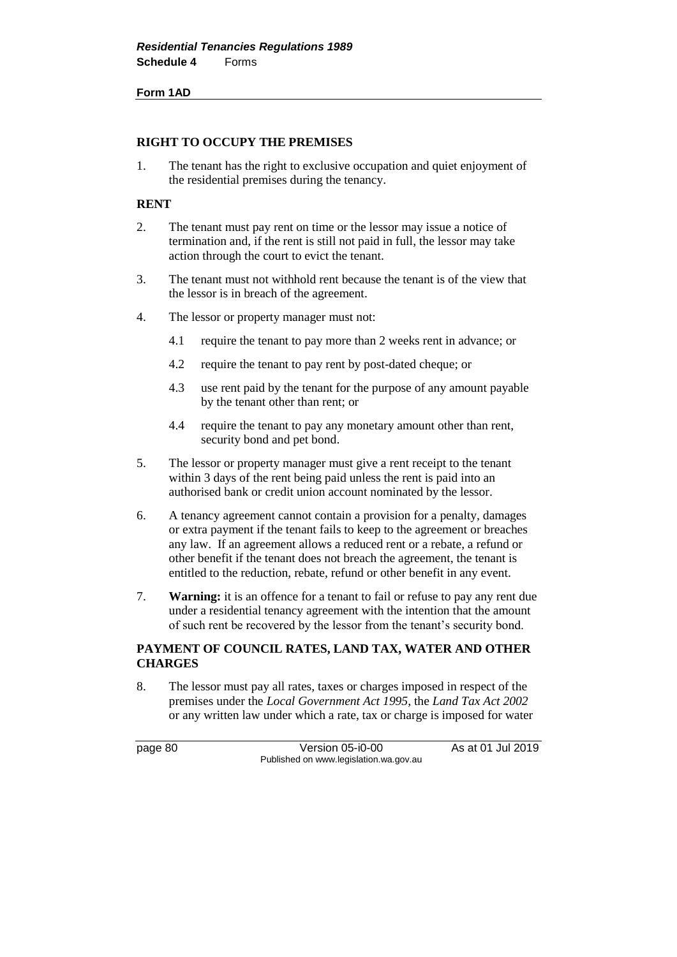### **RIGHT TO OCCUPY THE PREMISES**

1. The tenant has the right to exclusive occupation and quiet enjoyment of the residential premises during the tenancy.

## **RENT**

- 2. The tenant must pay rent on time or the lessor may issue a notice of termination and, if the rent is still not paid in full, the lessor may take action through the court to evict the tenant.
- 3. The tenant must not withhold rent because the tenant is of the view that the lessor is in breach of the agreement.
- 4. The lessor or property manager must not:
	- 4.1 require the tenant to pay more than 2 weeks rent in advance; or
	- 4.2 require the tenant to pay rent by post-dated cheque; or
	- 4.3 use rent paid by the tenant for the purpose of any amount payable by the tenant other than rent; or
	- 4.4 require the tenant to pay any monetary amount other than rent, security bond and pet bond.
- 5. The lessor or property manager must give a rent receipt to the tenant within 3 days of the rent being paid unless the rent is paid into an authorised bank or credit union account nominated by the lessor.
- 6. A tenancy agreement cannot contain a provision for a penalty, damages or extra payment if the tenant fails to keep to the agreement or breaches any law. If an agreement allows a reduced rent or a rebate, a refund or other benefit if the tenant does not breach the agreement, the tenant is entitled to the reduction, rebate, refund or other benefit in any event.
- 7. **Warning:** it is an offence for a tenant to fail or refuse to pay any rent due under a residential tenancy agreement with the intention that the amount of such rent be recovered by the lessor from the tenant's security bond.

# **PAYMENT OF COUNCIL RATES, LAND TAX, WATER AND OTHER CHARGES**

8. The lessor must pay all rates, taxes or charges imposed in respect of the premises under the *Local Government Act 1995*, the *Land Tax Act 2002* or any written law under which a rate, tax or charge is imposed for water

page 80 Version 05-i0-00 As at 01 Jul 2019 Published on www.legislation.wa.gov.au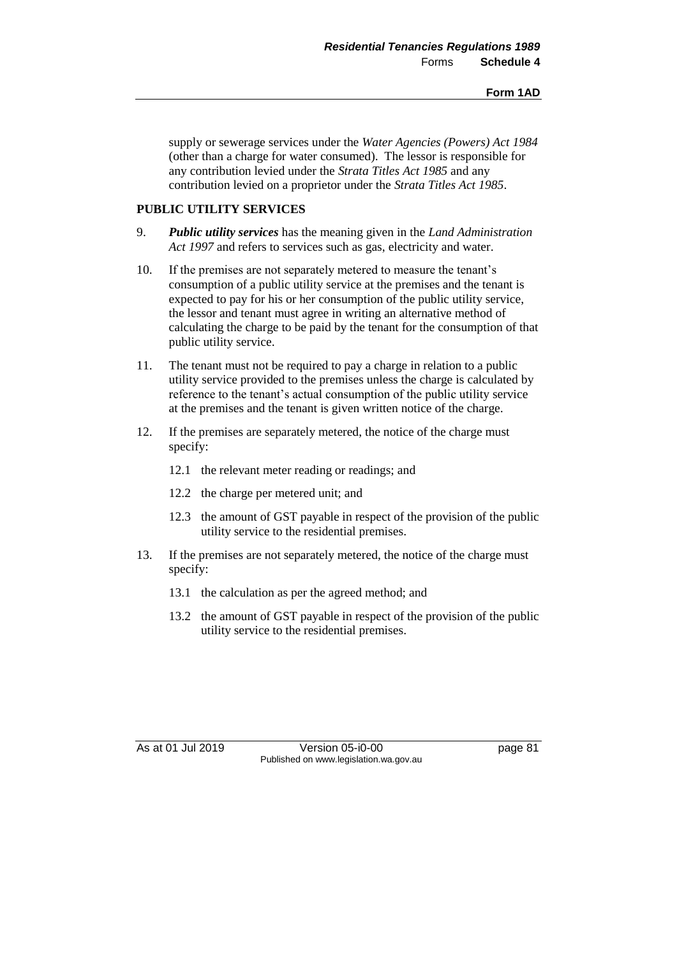supply or sewerage services under the *Water Agencies (Powers) Act 1984* (other than a charge for water consumed). The lessor is responsible for any contribution levied under the *Strata Titles Act 1985* and any contribution levied on a proprietor under the *Strata Titles Act 1985*.

# **PUBLIC UTILITY SERVICES**

- 9. *Public utility services* has the meaning given in the *Land Administration Act 1997* and refers to services such as gas, electricity and water.
- 10. If the premises are not separately metered to measure the tenant's consumption of a public utility service at the premises and the tenant is expected to pay for his or her consumption of the public utility service, the lessor and tenant must agree in writing an alternative method of calculating the charge to be paid by the tenant for the consumption of that public utility service.
- 11. The tenant must not be required to pay a charge in relation to a public utility service provided to the premises unless the charge is calculated by reference to the tenant's actual consumption of the public utility service at the premises and the tenant is given written notice of the charge.
- 12. If the premises are separately metered, the notice of the charge must specify:
	- 12.1 the relevant meter reading or readings; and
	- 12.2 the charge per metered unit; and
	- 12.3 the amount of GST payable in respect of the provision of the public utility service to the residential premises.
- 13. If the premises are not separately metered, the notice of the charge must specify:
	- 13.1 the calculation as per the agreed method; and
	- 13.2 the amount of GST payable in respect of the provision of the public utility service to the residential premises.

As at 01 Jul 2019 Version 05-i0-00 page 81 Published on www.legislation.wa.gov.au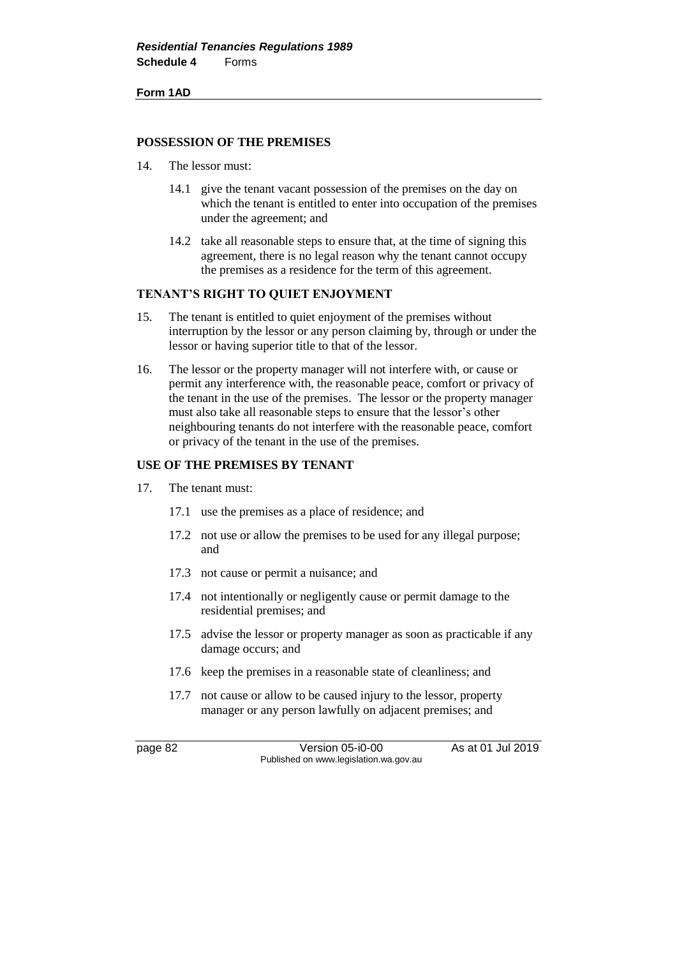### **POSSESSION OF THE PREMISES**

- 14. The lessor must:
	- 14.1 give the tenant vacant possession of the premises on the day on which the tenant is entitled to enter into occupation of the premises under the agreement; and
	- 14.2 take all reasonable steps to ensure that, at the time of signing this agreement, there is no legal reason why the tenant cannot occupy the premises as a residence for the term of this agreement.

# **TENANT'S RIGHT TO QUIET ENJOYMENT**

- 15. The tenant is entitled to quiet enjoyment of the premises without interruption by the lessor or any person claiming by, through or under the lessor or having superior title to that of the lessor.
- 16. The lessor or the property manager will not interfere with, or cause or permit any interference with, the reasonable peace, comfort or privacy of the tenant in the use of the premises. The lessor or the property manager must also take all reasonable steps to ensure that the lessor's other neighbouring tenants do not interfere with the reasonable peace, comfort or privacy of the tenant in the use of the premises.

## **USE OF THE PREMISES BY TENANT**

- 17. The tenant must:
	- 17.1 use the premises as a place of residence; and
	- 17.2 not use or allow the premises to be used for any illegal purpose; and
	- 17.3 not cause or permit a nuisance; and
	- 17.4 not intentionally or negligently cause or permit damage to the residential premises; and
	- 17.5 advise the lessor or property manager as soon as practicable if any damage occurs; and
	- 17.6 keep the premises in a reasonable state of cleanliness; and
	- 17.7 not cause or allow to be caused injury to the lessor, property manager or any person lawfully on adjacent premises; and

page 82 Version 05-i0-00 As at 01 Jul 2019 Published on www.legislation.wa.gov.au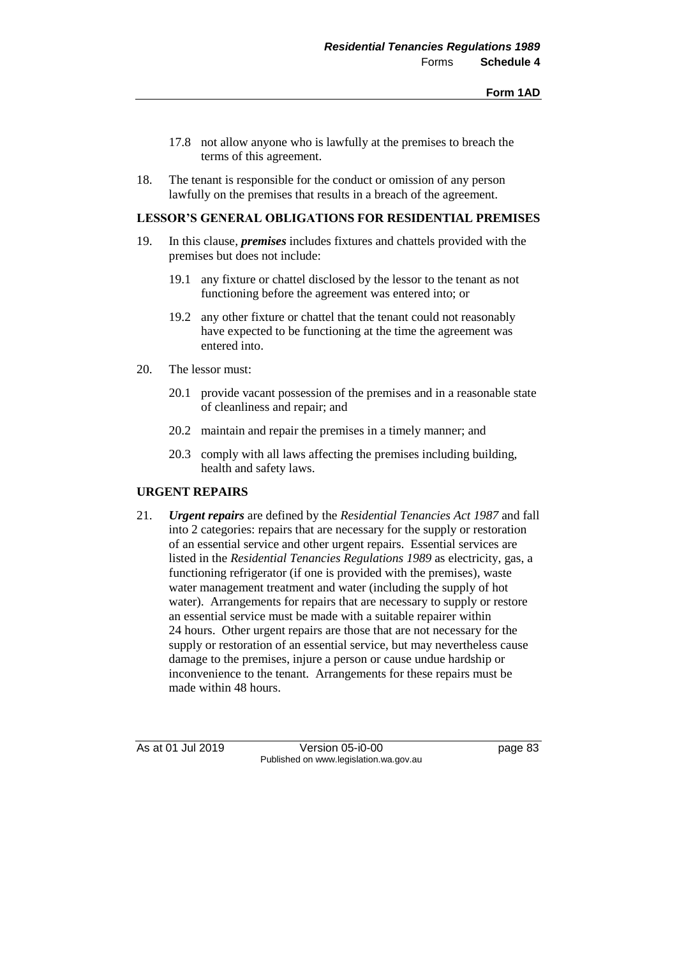- 17.8 not allow anyone who is lawfully at the premises to breach the terms of this agreement.
- 18. The tenant is responsible for the conduct or omission of any person lawfully on the premises that results in a breach of the agreement.

# **LESSOR'S GENERAL OBLIGATIONS FOR RESIDENTIAL PREMISES**

- 19. In this clause, *premises* includes fixtures and chattels provided with the premises but does not include:
	- 19.1 any fixture or chattel disclosed by the lessor to the tenant as not functioning before the agreement was entered into; or
	- 19.2 any other fixture or chattel that the tenant could not reasonably have expected to be functioning at the time the agreement was entered into.
- 20. The lessor must:
	- 20.1 provide vacant possession of the premises and in a reasonable state of cleanliness and repair; and
	- 20.2 maintain and repair the premises in a timely manner; and
	- 20.3 comply with all laws affecting the premises including building, health and safety laws.

# **URGENT REPAIRS**

21. *Urgent repairs* are defined by the *Residential Tenancies Act 1987* and fall into 2 categories: repairs that are necessary for the supply or restoration of an essential service and other urgent repairs. Essential services are listed in the *Residential Tenancies Regulations 1989* as electricity, gas, a functioning refrigerator (if one is provided with the premises), waste water management treatment and water (including the supply of hot water). Arrangements for repairs that are necessary to supply or restore an essential service must be made with a suitable repairer within 24 hours.Other urgent repairs are those that are not necessary for the supply or restoration of an essential service, but may nevertheless cause damage to the premises, injure a person or cause undue hardship or inconvenience to the tenant. Arrangements for these repairs must be made within 48 hours.

As at 01 Jul 2019 Version 05-i0-00 page 83 Published on www.legislation.wa.gov.au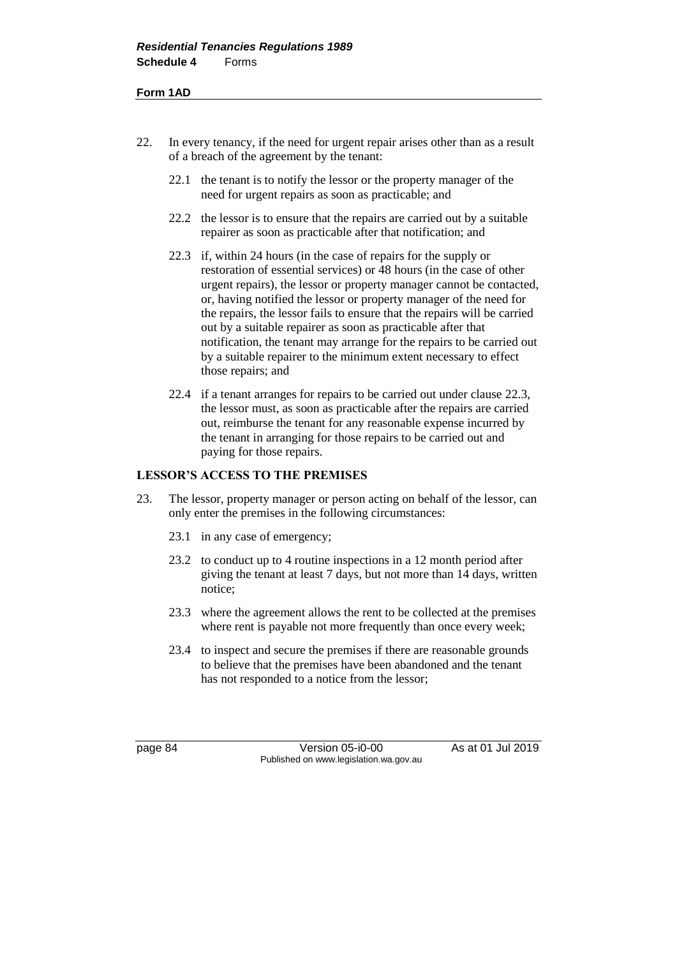- 22. In every tenancy, if the need for urgent repair arises other than as a result of a breach of the agreement by the tenant:
	- 22.1 the tenant is to notify the lessor or the property manager of the need for urgent repairs as soon as practicable; and
	- 22.2 the lessor is to ensure that the repairs are carried out by a suitable repairer as soon as practicable after that notification; and
	- 22.3 if, within 24 hours (in the case of repairs for the supply or restoration of essential services) or 48 hours (in the case of other urgent repairs), the lessor or property manager cannot be contacted, or, having notified the lessor or property manager of the need for the repairs, the lessor fails to ensure that the repairs will be carried out by a suitable repairer as soon as practicable after that notification, the tenant may arrange for the repairs to be carried out by a suitable repairer to the minimum extent necessary to effect those repairs; and
	- 22.4 if a tenant arranges for repairs to be carried out under clause 22.3, the lessor must, as soon as practicable after the repairs are carried out, reimburse the tenant for any reasonable expense incurred by the tenant in arranging for those repairs to be carried out and paying for those repairs.

### **LESSOR'S ACCESS TO THE PREMISES**

- 23. The lessor, property manager or person acting on behalf of the lessor, can only enter the premises in the following circumstances:
	- 23.1 in any case of emergency;
	- 23.2 to conduct up to 4 routine inspections in a 12 month period after giving the tenant at least 7 days, but not more than 14 days, written notice;
	- 23.3 where the agreement allows the rent to be collected at the premises where rent is payable not more frequently than once every week;
	- 23.4 to inspect and secure the premises if there are reasonable grounds to believe that the premises have been abandoned and the tenant has not responded to a notice from the lessor;

page 84 Version 05-i0-00 As at 01 Jul 2019 Published on www.legislation.wa.gov.au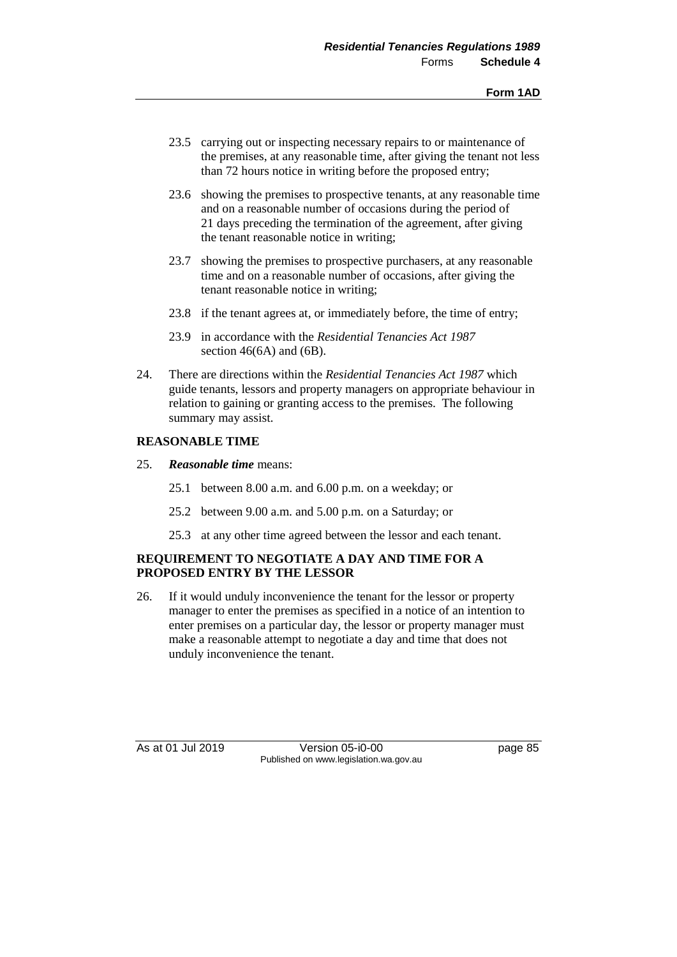- 23.5 carrying out or inspecting necessary repairs to or maintenance of the premises, at any reasonable time, after giving the tenant not less than 72 hours notice in writing before the proposed entry;
- 23.6 showing the premises to prospective tenants, at any reasonable time and on a reasonable number of occasions during the period of 21 days preceding the termination of the agreement, after giving the tenant reasonable notice in writing;
- 23.7 showing the premises to prospective purchasers, at any reasonable time and on a reasonable number of occasions, after giving the tenant reasonable notice in writing;
- 23.8 if the tenant agrees at, or immediately before, the time of entry;
- 23.9 in accordance with the *Residential Tenancies Act 1987*  section  $46(6A)$  and  $(6B)$ .
- 24. There are directions within the *Residential Tenancies Act 1987* which guide tenants, lessors and property managers on appropriate behaviour in relation to gaining or granting access to the premises. The following summary may assist.

# **REASONABLE TIME**

- 25. *Reasonable time* means:
	- 25.1 between 8.00 a.m. and 6.00 p.m. on a weekday; or
	- 25.2 between 9.00 a.m. and 5.00 p.m. on a Saturday; or
	- 25.3 at any other time agreed between the lessor and each tenant.

## **REQUIREMENT TO NEGOTIATE A DAY AND TIME FOR A PROPOSED ENTRY BY THE LESSOR**

26. If it would unduly inconvenience the tenant for the lessor or property manager to enter the premises as specified in a notice of an intention to enter premises on a particular day, the lessor or property manager must make a reasonable attempt to negotiate a day and time that does not unduly inconvenience the tenant.

As at 01 Jul 2019 Version 05-i0-00 page 85 Published on www.legislation.wa.gov.au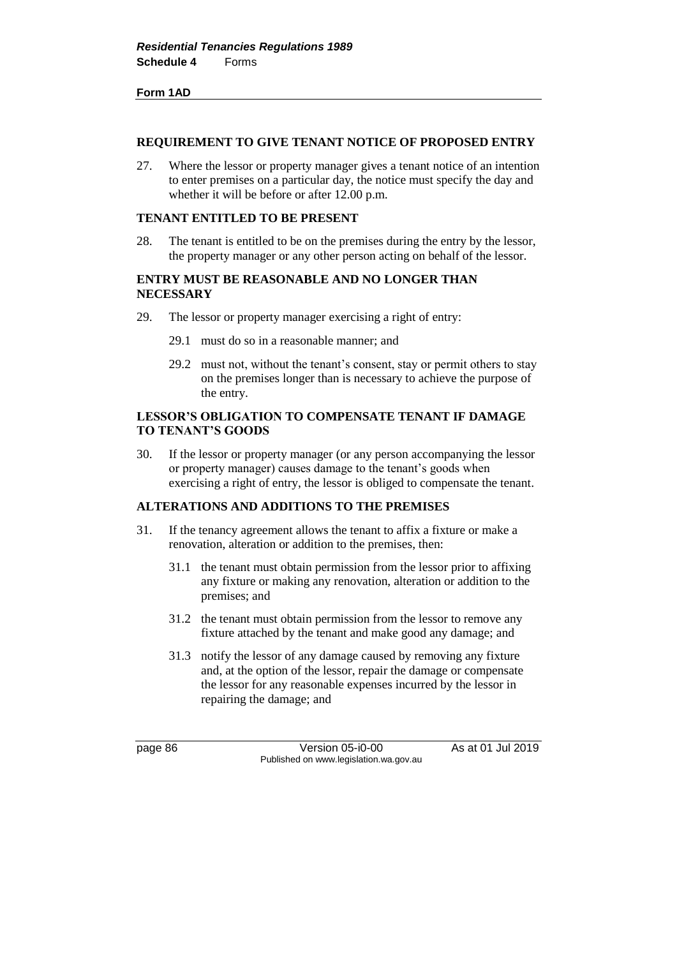# **REQUIREMENT TO GIVE TENANT NOTICE OF PROPOSED ENTRY**

27. Where the lessor or property manager gives a tenant notice of an intention to enter premises on a particular day, the notice must specify the day and whether it will be before or after 12.00 p.m.

# **TENANT ENTITLED TO BE PRESENT**

28. The tenant is entitled to be on the premises during the entry by the lessor, the property manager or any other person acting on behalf of the lessor.

# **ENTRY MUST BE REASONABLE AND NO LONGER THAN NECESSARY**

- 29. The lessor or property manager exercising a right of entry:
	- 29.1 must do so in a reasonable manner; and
	- 29.2 must not, without the tenant's consent, stay or permit others to stay on the premises longer than is necessary to achieve the purpose of the entry.

# **LESSOR'S OBLIGATION TO COMPENSATE TENANT IF DAMAGE TO TENANT'S GOODS**

30. If the lessor or property manager (or any person accompanying the lessor or property manager) causes damage to the tenant's goods when exercising a right of entry, the lessor is obliged to compensate the tenant.

# **ALTERATIONS AND ADDITIONS TO THE PREMISES**

- 31. If the tenancy agreement allows the tenant to affix a fixture or make a renovation, alteration or addition to the premises, then:
	- 31.1 the tenant must obtain permission from the lessor prior to affixing any fixture or making any renovation, alteration or addition to the premises; and
	- 31.2 the tenant must obtain permission from the lessor to remove any fixture attached by the tenant and make good any damage; and
	- 31.3 notify the lessor of any damage caused by removing any fixture and, at the option of the lessor, repair the damage or compensate the lessor for any reasonable expenses incurred by the lessor in repairing the damage; and

page 86 Version 05-i0-00 As at 01 Jul 2019 Published on www.legislation.wa.gov.au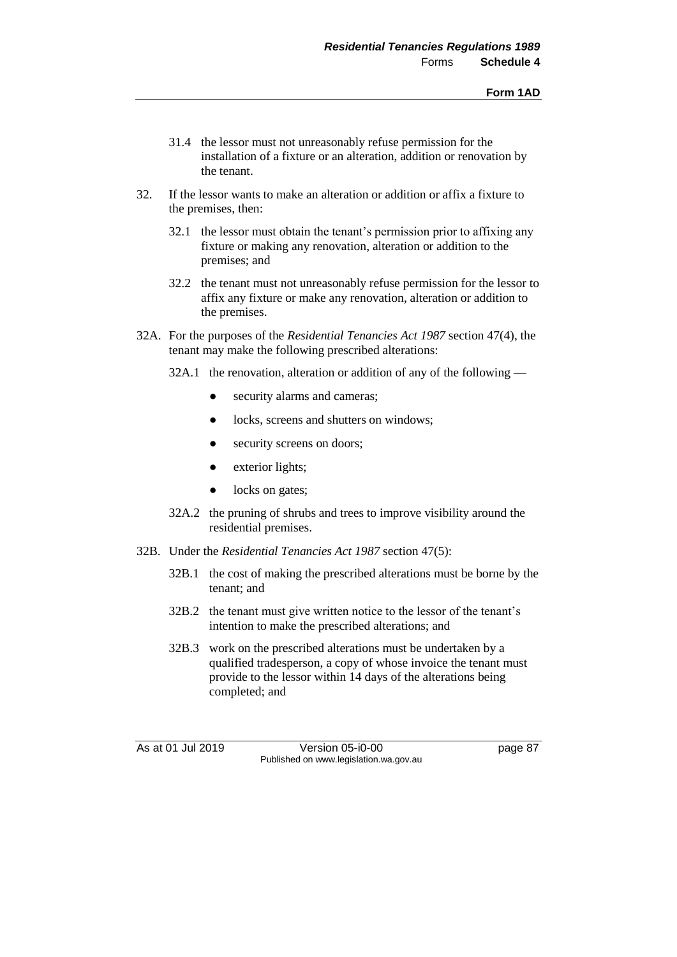- 31.4 the lessor must not unreasonably refuse permission for the installation of a fixture or an alteration, addition or renovation by the tenant.
- 32. If the lessor wants to make an alteration or addition or affix a fixture to the premises, then:
	- 32.1 the lessor must obtain the tenant's permission prior to affixing any fixture or making any renovation, alteration or addition to the premises; and
	- 32.2 the tenant must not unreasonably refuse permission for the lessor to affix any fixture or make any renovation, alteration or addition to the premises.
- 32A. For the purposes of the *Residential Tenancies Act 1987* section 47(4), the tenant may make the following prescribed alterations:
	- 32A.1 the renovation, alteration or addition of any of the following
		- security alarms and cameras;
		- locks, screens and shutters on windows;
		- security screens on doors;
		- exterior lights;
		- locks on gates;
	- 32A.2 the pruning of shrubs and trees to improve visibility around the residential premises.
- 32B. Under the *Residential Tenancies Act 1987* section 47(5):
	- 32B.1 the cost of making the prescribed alterations must be borne by the tenant; and
	- 32B.2 the tenant must give written notice to the lessor of the tenant's intention to make the prescribed alterations; and
	- 32B.3 work on the prescribed alterations must be undertaken by a qualified tradesperson, a copy of whose invoice the tenant must provide to the lessor within 14 days of the alterations being completed; and

As at 01 Jul 2019 Version 05-i0-00 page 87 Published on www.legislation.wa.gov.au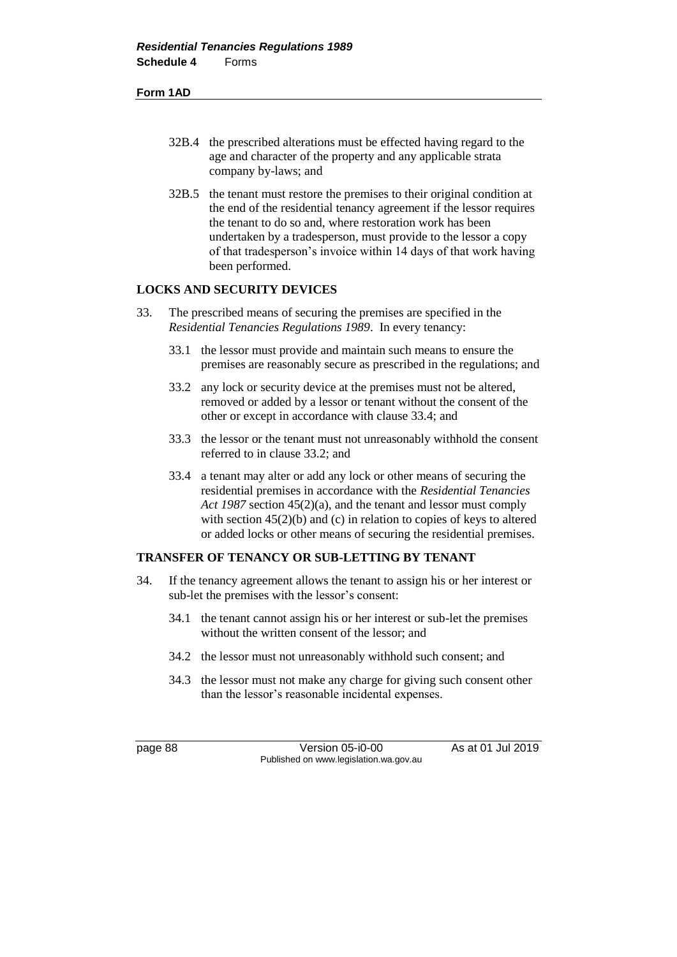- 32B.4 the prescribed alterations must be effected having regard to the age and character of the property and any applicable strata company by-laws; and
- 32B.5 the tenant must restore the premises to their original condition at the end of the residential tenancy agreement if the lessor requires the tenant to do so and, where restoration work has been undertaken by a tradesperson, must provide to the lessor a copy of that tradesperson's invoice within 14 days of that work having been performed.

# **LOCKS AND SECURITY DEVICES**

- 33. The prescribed means of securing the premises are specified in the *Residential Tenancies Regulations 1989*. In every tenancy:
	- 33.1 the lessor must provide and maintain such means to ensure the premises are reasonably secure as prescribed in the regulations; and
	- 33.2 any lock or security device at the premises must not be altered, removed or added by a lessor or tenant without the consent of the other or except in accordance with clause 33.4; and
	- 33.3 the lessor or the tenant must not unreasonably withhold the consent referred to in clause 33.2; and
	- 33.4 a tenant may alter or add any lock or other means of securing the residential premises in accordance with the *Residential Tenancies Act 1987* section 45(2)(a), and the tenant and lessor must comply with section  $45(2)(b)$  and (c) in relation to copies of keys to altered or added locks or other means of securing the residential premises.

# **TRANSFER OF TENANCY OR SUB-LETTING BY TENANT**

- 34. If the tenancy agreement allows the tenant to assign his or her interest or sub-let the premises with the lessor's consent:
	- 34.1 the tenant cannot assign his or her interest or sub-let the premises without the written consent of the lessor; and
	- 34.2 the lessor must not unreasonably withhold such consent; and
	- 34.3 the lessor must not make any charge for giving such consent other than the lessor's reasonable incidental expenses.

page 88 Version 05-i0-00 As at 01 Jul 2019 Published on www.legislation.wa.gov.au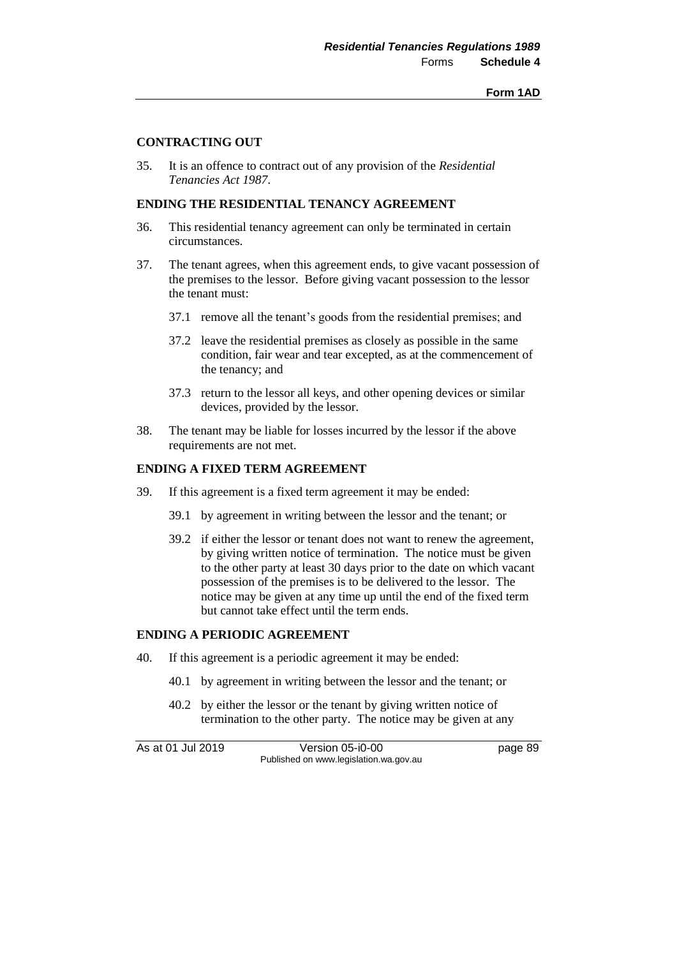### **CONTRACTING OUT**

35. It is an offence to contract out of any provision of the *Residential Tenancies Act 1987*.

### **ENDING THE RESIDENTIAL TENANCY AGREEMENT**

- 36. This residential tenancy agreement can only be terminated in certain circumstances.
- 37. The tenant agrees, when this agreement ends, to give vacant possession of the premises to the lessor. Before giving vacant possession to the lessor the tenant must:
	- 37.1 remove all the tenant's goods from the residential premises; and
	- 37.2 leave the residential premises as closely as possible in the same condition, fair wear and tear excepted, as at the commencement of the tenancy; and
	- 37.3 return to the lessor all keys, and other opening devices or similar devices, provided by the lessor.
- 38. The tenant may be liable for losses incurred by the lessor if the above requirements are not met.

# **ENDING A FIXED TERM AGREEMENT**

- 39. If this agreement is a fixed term agreement it may be ended:
	- 39.1 by agreement in writing between the lessor and the tenant; or
	- 39.2 if either the lessor or tenant does not want to renew the agreement, by giving written notice of termination. The notice must be given to the other party at least 30 days prior to the date on which vacant possession of the premises is to be delivered to the lessor. The notice may be given at any time up until the end of the fixed term but cannot take effect until the term ends.

## **ENDING A PERIODIC AGREEMENT**

- 40. If this agreement is a periodic agreement it may be ended:
	- 40.1 by agreement in writing between the lessor and the tenant; or
	- 40.2 by either the lessor or the tenant by giving written notice of termination to the other party. The notice may be given at any

As at 01 Jul 2019 Version 05-i0-00 page 89 Published on www.legislation.wa.gov.au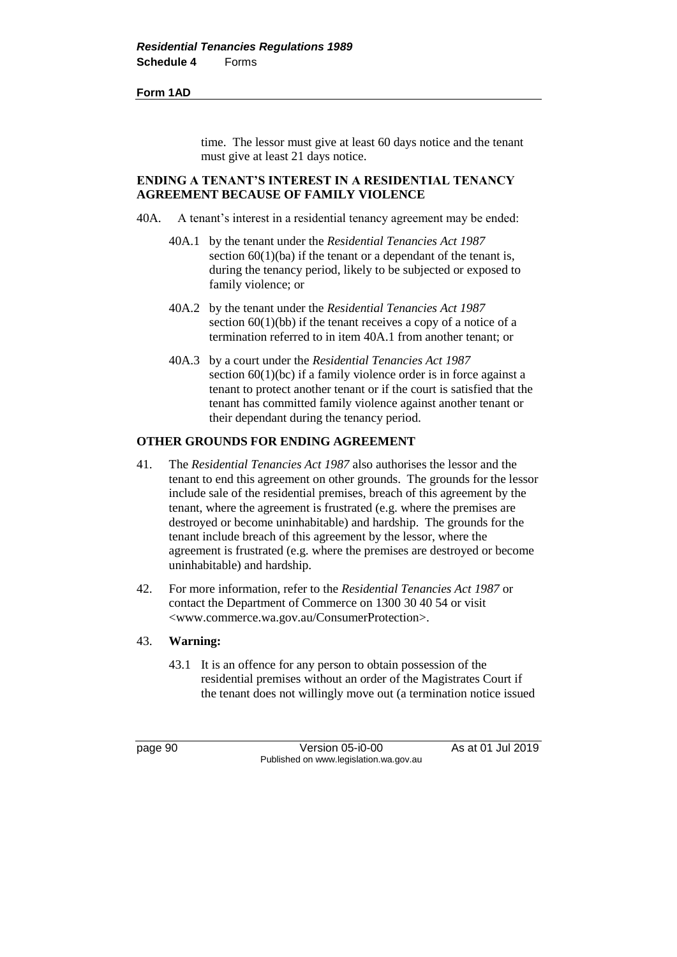time. The lessor must give at least 60 days notice and the tenant must give at least 21 days notice.

## **ENDING A TENANT'S INTEREST IN A RESIDENTIAL TENANCY AGREEMENT BECAUSE OF FAMILY VIOLENCE**

- 40A. A tenant's interest in a residential tenancy agreement may be ended:
	- 40A.1 by the tenant under the *Residential Tenancies Act 1987*  section  $60(1)(ba)$  if the tenant or a dependant of the tenant is, during the tenancy period, likely to be subjected or exposed to family violence; or
	- 40A.2 by the tenant under the *Residential Tenancies Act 1987*  section  $60(1)(bb)$  if the tenant receives a copy of a notice of a termination referred to in item 40A.1 from another tenant; or
	- 40A.3 by a court under the *Residential Tenancies Act 1987*  section 60(1)(bc) if a family violence order is in force against a tenant to protect another tenant or if the court is satisfied that the tenant has committed family violence against another tenant or their dependant during the tenancy period.

# **OTHER GROUNDS FOR ENDING AGREEMENT**

- 41. The *Residential Tenancies Act 1987* also authorises the lessor and the tenant to end this agreement on other grounds. The grounds for the lessor include sale of the residential premises, breach of this agreement by the tenant, where the agreement is frustrated (e.g. where the premises are destroyed or become uninhabitable) and hardship. The grounds for the tenant include breach of this agreement by the lessor, where the agreement is frustrated (e.g. where the premises are destroyed or become uninhabitable) and hardship.
- 42. For more information, refer to the *Residential Tenancies Act 1987* or contact the Department of Commerce on 1300 30 40 54 or visit <www.commerce.wa.gov.au/ConsumerProtection>.

## 43. **Warning:**

43.1 It is an offence for any person to obtain possession of the residential premises without an order of the Magistrates Court if the tenant does not willingly move out (a termination notice issued

page 90 Version 05-i0-00 As at 01 Jul 2019 Published on www.legislation.wa.gov.au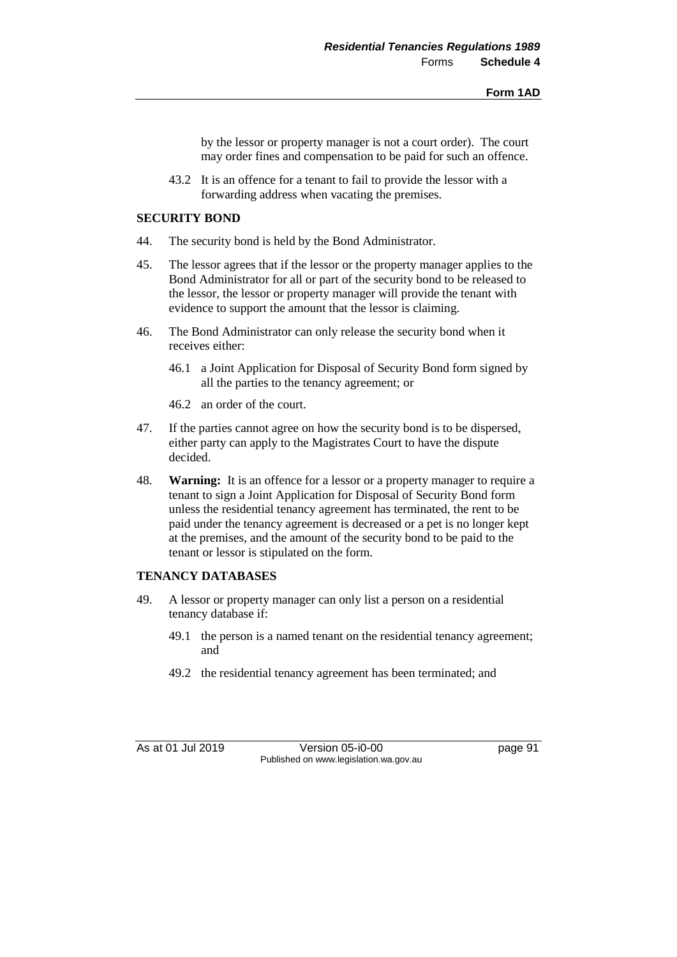by the lessor or property manager is not a court order). The court may order fines and compensation to be paid for such an offence.

43.2 It is an offence for a tenant to fail to provide the lessor with a forwarding address when vacating the premises.

## **SECURITY BOND**

- 44. The security bond is held by the Bond Administrator.
- 45. The lessor agrees that if the lessor or the property manager applies to the Bond Administrator for all or part of the security bond to be released to the lessor, the lessor or property manager will provide the tenant with evidence to support the amount that the lessor is claiming.
- 46. The Bond Administrator can only release the security bond when it receives either:
	- 46.1 a Joint Application for Disposal of Security Bond form signed by all the parties to the tenancy agreement; or
	- 46.2 an order of the court.
- 47. If the parties cannot agree on how the security bond is to be dispersed, either party can apply to the Magistrates Court to have the dispute decided.
- 48. **Warning:** It is an offence for a lessor or a property manager to require a tenant to sign a Joint Application for Disposal of Security Bond form unless the residential tenancy agreement has terminated, the rent to be paid under the tenancy agreement is decreased or a pet is no longer kept at the premises, and the amount of the security bond to be paid to the tenant or lessor is stipulated on the form.

## **TENANCY DATABASES**

- 49. A lessor or property manager can only list a person on a residential tenancy database if:
	- 49.1 the person is a named tenant on the residential tenancy agreement; and
	- 49.2 the residential tenancy agreement has been terminated; and

As at 01 Jul 2019 Version 05-i0-00 page 91 Published on www.legislation.wa.gov.au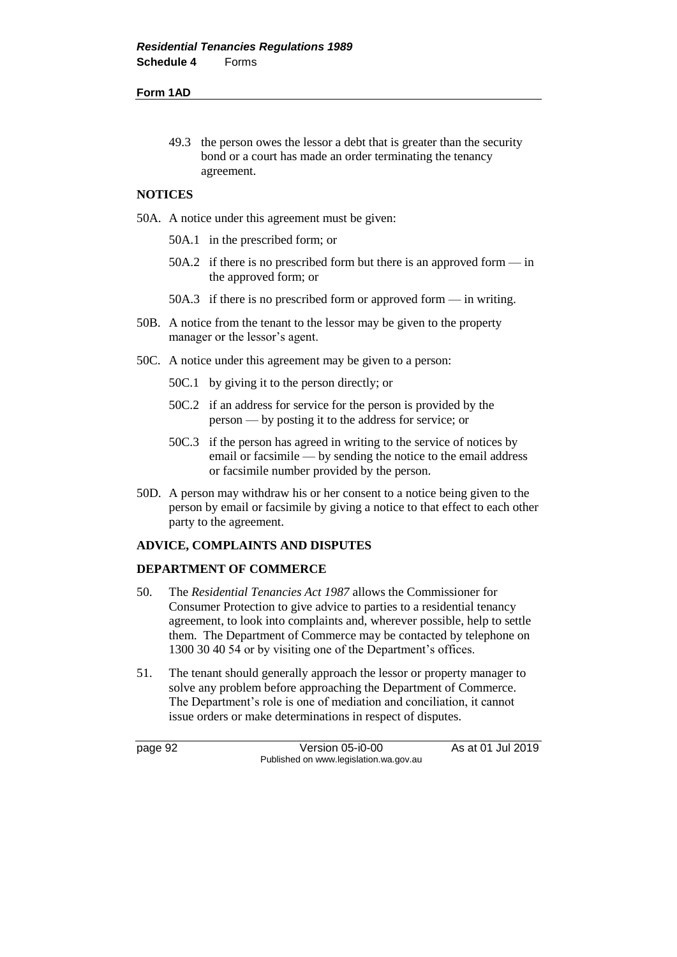49.3 the person owes the lessor a debt that is greater than the security bond or a court has made an order terminating the tenancy agreement.

### **NOTICES**

- 50A. A notice under this agreement must be given:
	- 50A.1 in the prescribed form; or
	- 50A.2 if there is no prescribed form but there is an approved form in the approved form; or
	- 50A.3 if there is no prescribed form or approved form in writing.
- 50B. A notice from the tenant to the lessor may be given to the property manager or the lessor's agent.
- 50C. A notice under this agreement may be given to a person:
	- 50C.1 by giving it to the person directly; or
	- 50C.2 if an address for service for the person is provided by the person — by posting it to the address for service; or
	- 50C.3 if the person has agreed in writing to the service of notices by email or facsimile — by sending the notice to the email address or facsimile number provided by the person.
- 50D. A person may withdraw his or her consent to a notice being given to the person by email or facsimile by giving a notice to that effect to each other party to the agreement.

## **ADVICE, COMPLAINTS AND DISPUTES**

## **DEPARTMENT OF COMMERCE**

- 50. The *Residential Tenancies Act 1987* allows the Commissioner for Consumer Protection to give advice to parties to a residential tenancy agreement, to look into complaints and, wherever possible, help to settle them. The Department of Commerce may be contacted by telephone on 1300 30 40 54 or by visiting one of the Department's offices.
- 51. The tenant should generally approach the lessor or property manager to solve any problem before approaching the Department of Commerce. The Department's role is one of mediation and conciliation, it cannot issue orders or make determinations in respect of disputes.

page 92 Version 05-i0-00 As at 01 Jul 2019 Published on www.legislation.wa.gov.au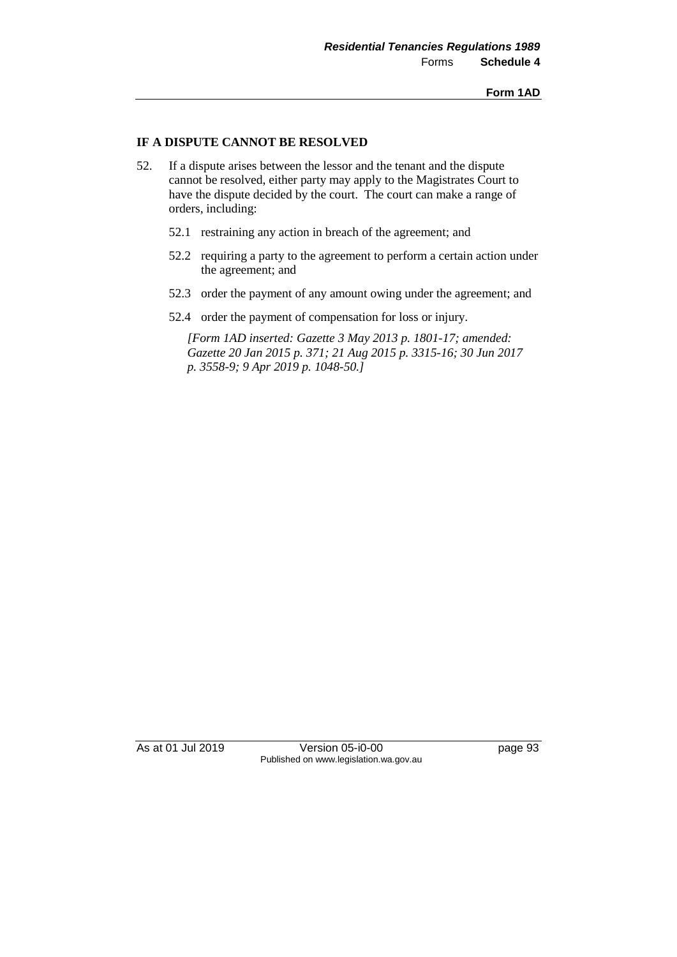### **IF A DISPUTE CANNOT BE RESOLVED**

- 52. If a dispute arises between the lessor and the tenant and the dispute cannot be resolved, either party may apply to the Magistrates Court to have the dispute decided by the court. The court can make a range of orders, including:
	- 52.1 restraining any action in breach of the agreement; and
	- 52.2 requiring a party to the agreement to perform a certain action under the agreement; and
	- 52.3 order the payment of any amount owing under the agreement; and
	- 52.4 order the payment of compensation for loss or injury.

*[Form 1AD inserted: Gazette 3 May 2013 p. 1801-17; amended: Gazette 20 Jan 2015 p. 371; 21 Aug 2015 p. 3315-16; 30 Jun 2017 p. 3558-9; 9 Apr 2019 p. 1048-50.]*

As at 01 Jul 2019 Version 05-i0-00 page 93 Published on www.legislation.wa.gov.au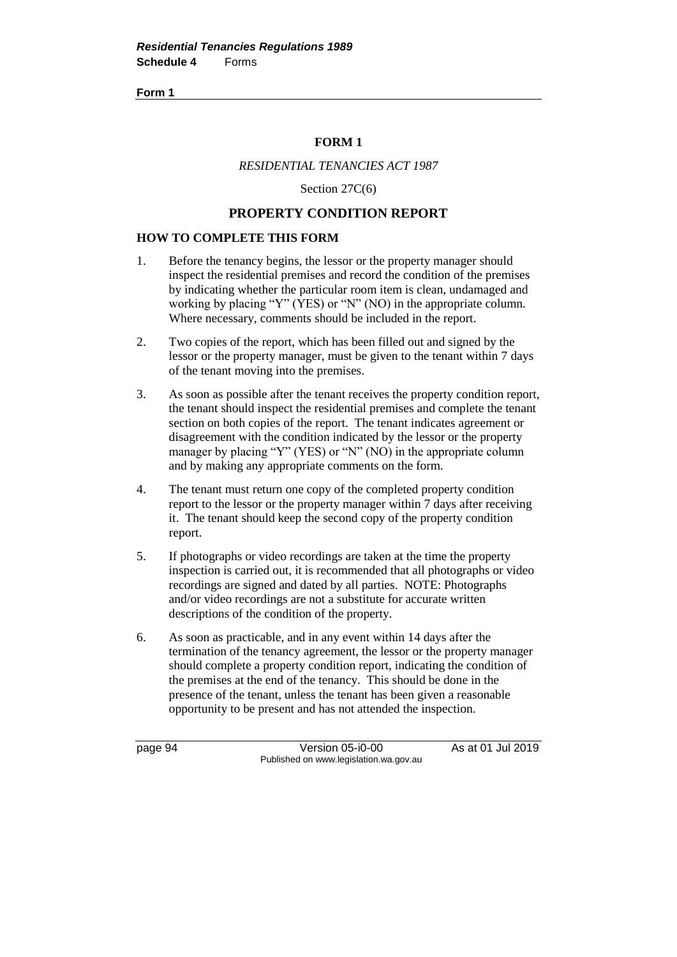# **FORM 1**

# *RESIDENTIAL TENANCIES ACT 1987*

Section 27C(6)

# **PROPERTY CONDITION REPORT**

## **HOW TO COMPLETE THIS FORM**

- 1. Before the tenancy begins, the lessor or the property manager should inspect the residential premises and record the condition of the premises by indicating whether the particular room item is clean, undamaged and working by placing "Y" (YES) or "N" (NO) in the appropriate column. Where necessary, comments should be included in the report.
- 2. Two copies of the report, which has been filled out and signed by the lessor or the property manager, must be given to the tenant within 7 days of the tenant moving into the premises.
- 3. As soon as possible after the tenant receives the property condition report, the tenant should inspect the residential premises and complete the tenant section on both copies of the report. The tenant indicates agreement or disagreement with the condition indicated by the lessor or the property manager by placing "Y" (YES) or "N" (NO) in the appropriate column and by making any appropriate comments on the form.
- 4. The tenant must return one copy of the completed property condition report to the lessor or the property manager within 7 days after receiving it. The tenant should keep the second copy of the property condition report.
- 5. If photographs or video recordings are taken at the time the property inspection is carried out, it is recommended that all photographs or video recordings are signed and dated by all parties. NOTE: Photographs and/or video recordings are not a substitute for accurate written descriptions of the condition of the property.
- 6. As soon as practicable, and in any event within 14 days after the termination of the tenancy agreement, the lessor or the property manager should complete a property condition report, indicating the condition of the premises at the end of the tenancy. This should be done in the presence of the tenant, unless the tenant has been given a reasonable opportunity to be present and has not attended the inspection.

page 94 Version 05-i0-00 As at 01 Jul 2019 Published on www.legislation.wa.gov.au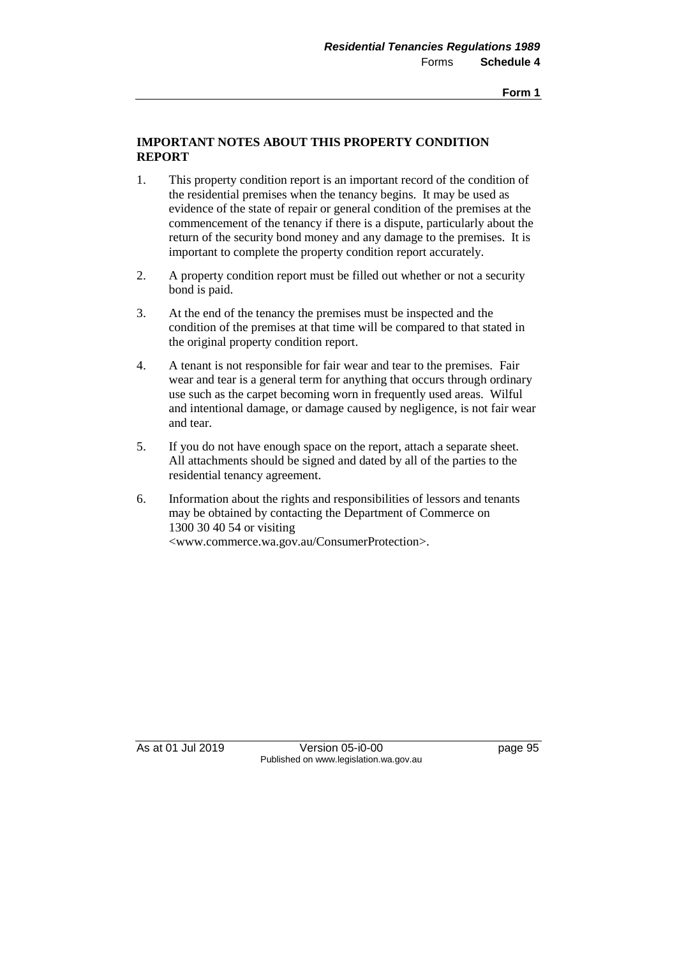# **IMPORTANT NOTES ABOUT THIS PROPERTY CONDITION REPORT**

- 1. This property condition report is an important record of the condition of the residential premises when the tenancy begins. It may be used as evidence of the state of repair or general condition of the premises at the commencement of the tenancy if there is a dispute, particularly about the return of the security bond money and any damage to the premises. It is important to complete the property condition report accurately.
- 2. A property condition report must be filled out whether or not a security bond is paid.
- 3. At the end of the tenancy the premises must be inspected and the condition of the premises at that time will be compared to that stated in the original property condition report.
- 4. A tenant is not responsible for fair wear and tear to the premises.Fair wear and tear is a general term for anything that occurs through ordinary use such as the carpet becoming worn in frequently used areas. Wilful and intentional damage, or damage caused by negligence, is not fair wear and tear.
- 5. If you do not have enough space on the report, attach a separate sheet. All attachments should be signed and dated by all of the parties to the residential tenancy agreement.
- 6. Information about the rights and responsibilities of lessors and tenants may be obtained by contacting the Department of Commerce on 1300 30 40 54 or visiting <www.commerce.wa.gov.au/ConsumerProtection>.

As at 01 Jul 2019 Version 05-i0-00 page 95 Published on www.legislation.wa.gov.au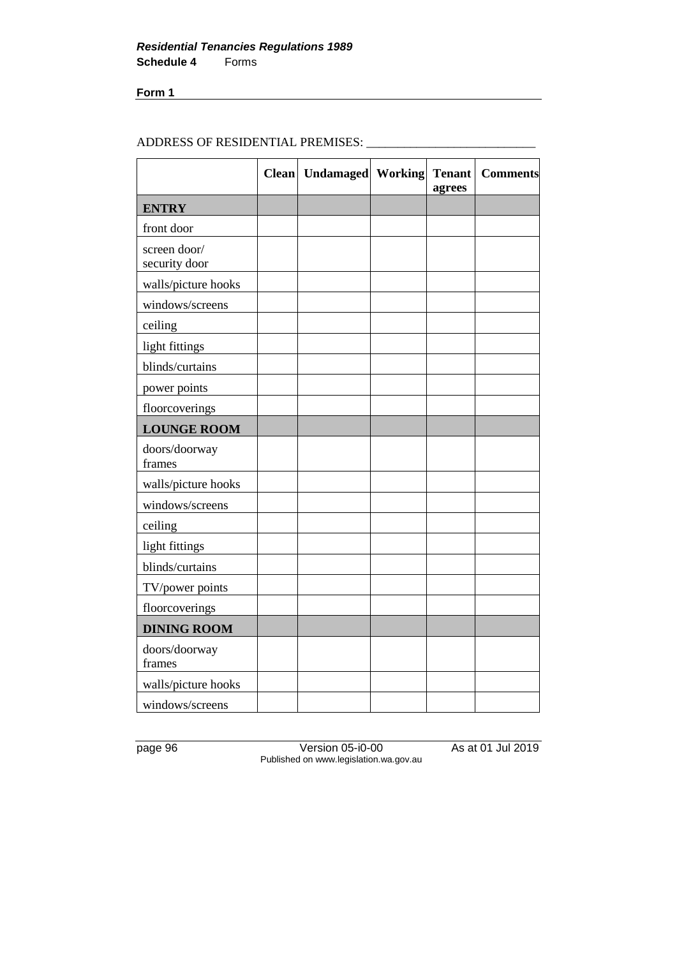# ADDRESS OF RESIDENTIAL PREMISES: \_\_\_\_\_\_\_\_\_\_\_\_\_\_\_\_\_\_\_\_\_\_\_\_\_\_\_

|                               | <b>Clean</b> | <b>Undamaged</b> Working | <b>Tenant</b><br>agrees | <b>Comments</b> |
|-------------------------------|--------------|--------------------------|-------------------------|-----------------|
| <b>ENTRY</b>                  |              |                          |                         |                 |
| front door                    |              |                          |                         |                 |
| screen door/<br>security door |              |                          |                         |                 |
| walls/picture hooks           |              |                          |                         |                 |
| windows/screens               |              |                          |                         |                 |
| ceiling                       |              |                          |                         |                 |
| light fittings                |              |                          |                         |                 |
| blinds/curtains               |              |                          |                         |                 |
| power points                  |              |                          |                         |                 |
| floorcoverings                |              |                          |                         |                 |
| <b>LOUNGE ROOM</b>            |              |                          |                         |                 |
| doors/doorway<br>frames       |              |                          |                         |                 |
| walls/picture hooks           |              |                          |                         |                 |
| windows/screens               |              |                          |                         |                 |
| ceiling                       |              |                          |                         |                 |
| light fittings                |              |                          |                         |                 |
| blinds/curtains               |              |                          |                         |                 |
| TV/power points               |              |                          |                         |                 |
| floorcoverings                |              |                          |                         |                 |
| <b>DINING ROOM</b>            |              |                          |                         |                 |
| doors/doorway<br>frames       |              |                          |                         |                 |
| walls/picture hooks           |              |                          |                         |                 |
| windows/screens               |              |                          |                         |                 |

page 96 Version 05-i0-00 As at 01 Jul 2019 Published on www.legislation.wa.gov.au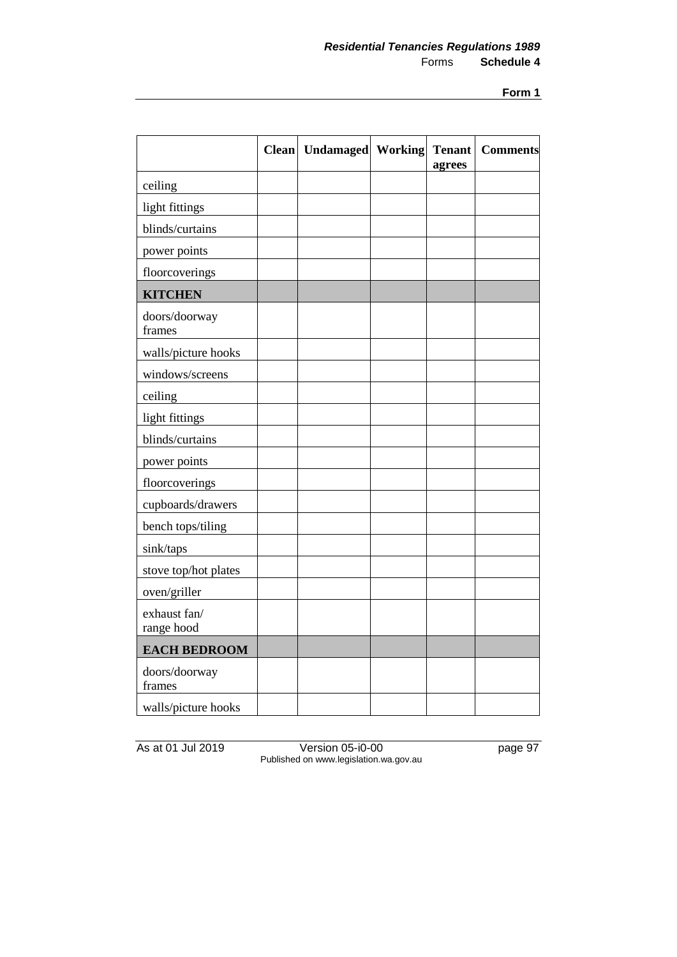|                            | <b>Clean</b> | <b>Undamaged</b> Working | <b>Tenant</b><br>agrees | <b>Comments</b> |
|----------------------------|--------------|--------------------------|-------------------------|-----------------|
| ceiling                    |              |                          |                         |                 |
| light fittings             |              |                          |                         |                 |
| blinds/curtains            |              |                          |                         |                 |
| power points               |              |                          |                         |                 |
| floorcoverings             |              |                          |                         |                 |
| <b>KITCHEN</b>             |              |                          |                         |                 |
| doors/doorway<br>frames    |              |                          |                         |                 |
| walls/picture hooks        |              |                          |                         |                 |
| windows/screens            |              |                          |                         |                 |
| ceiling                    |              |                          |                         |                 |
| light fittings             |              |                          |                         |                 |
| blinds/curtains            |              |                          |                         |                 |
| power points               |              |                          |                         |                 |
| floorcoverings             |              |                          |                         |                 |
| cupboards/drawers          |              |                          |                         |                 |
| bench tops/tiling          |              |                          |                         |                 |
| sink/taps                  |              |                          |                         |                 |
| stove top/hot plates       |              |                          |                         |                 |
| oven/griller               |              |                          |                         |                 |
| exhaust fan/<br>range hood |              |                          |                         |                 |
| <b>EACH BEDROOM</b>        |              |                          |                         |                 |
| doors/doorway<br>frames    |              |                          |                         |                 |
| walls/picture hooks        |              |                          |                         |                 |

As at 01 Jul 2019 Version 05-i0-00 page 97 Published on www.legislation.wa.gov.au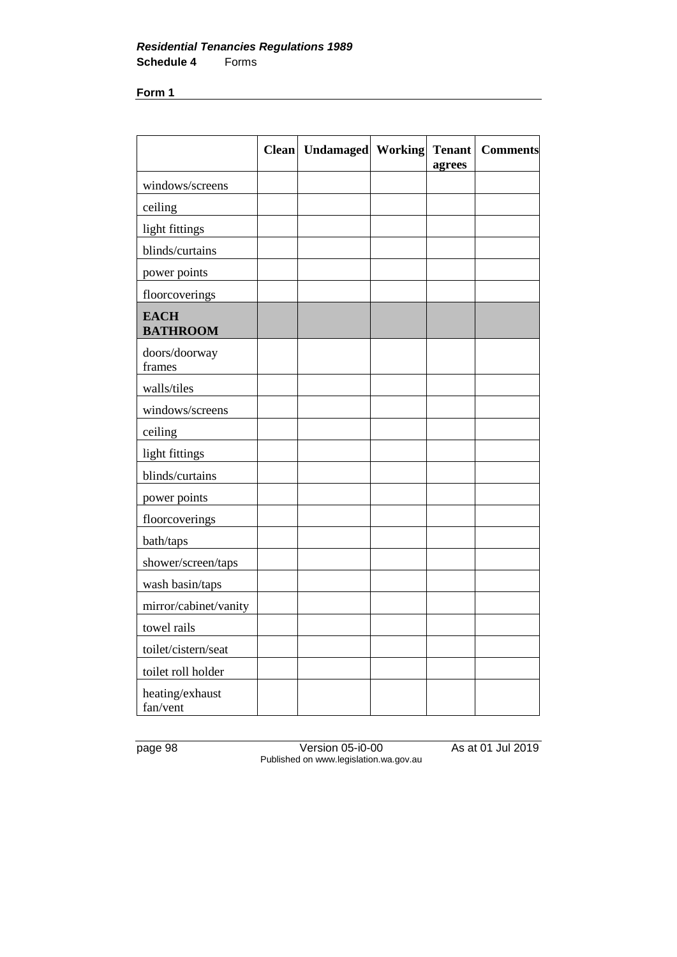|                                | <b>Clean</b> | <b>Undamaged</b> Working | <b>Tenant</b><br>agrees | <b>Comments</b> |
|--------------------------------|--------------|--------------------------|-------------------------|-----------------|
| windows/screens                |              |                          |                         |                 |
| ceiling                        |              |                          |                         |                 |
| light fittings                 |              |                          |                         |                 |
| blinds/curtains                |              |                          |                         |                 |
| power points                   |              |                          |                         |                 |
| floorcoverings                 |              |                          |                         |                 |
| <b>EACH</b><br><b>BATHROOM</b> |              |                          |                         |                 |
| doors/doorway<br>frames        |              |                          |                         |                 |
| walls/tiles                    |              |                          |                         |                 |
| windows/screens                |              |                          |                         |                 |
| ceiling                        |              |                          |                         |                 |
| light fittings                 |              |                          |                         |                 |
| blinds/curtains                |              |                          |                         |                 |
| power points                   |              |                          |                         |                 |
| floorcoverings                 |              |                          |                         |                 |
| bath/taps                      |              |                          |                         |                 |
| shower/screen/taps             |              |                          |                         |                 |
| wash basin/taps                |              |                          |                         |                 |
| mirror/cabinet/vanity          |              |                          |                         |                 |
| towel rails                    |              |                          |                         |                 |
| toilet/cistern/seat            |              |                          |                         |                 |
| toilet roll holder             |              |                          |                         |                 |
| heating/exhaust<br>fan/vent    |              |                          |                         |                 |

page 98 Version 05-i0-00 As at 01 Jul 2019 Published on www.legislation.wa.gov.au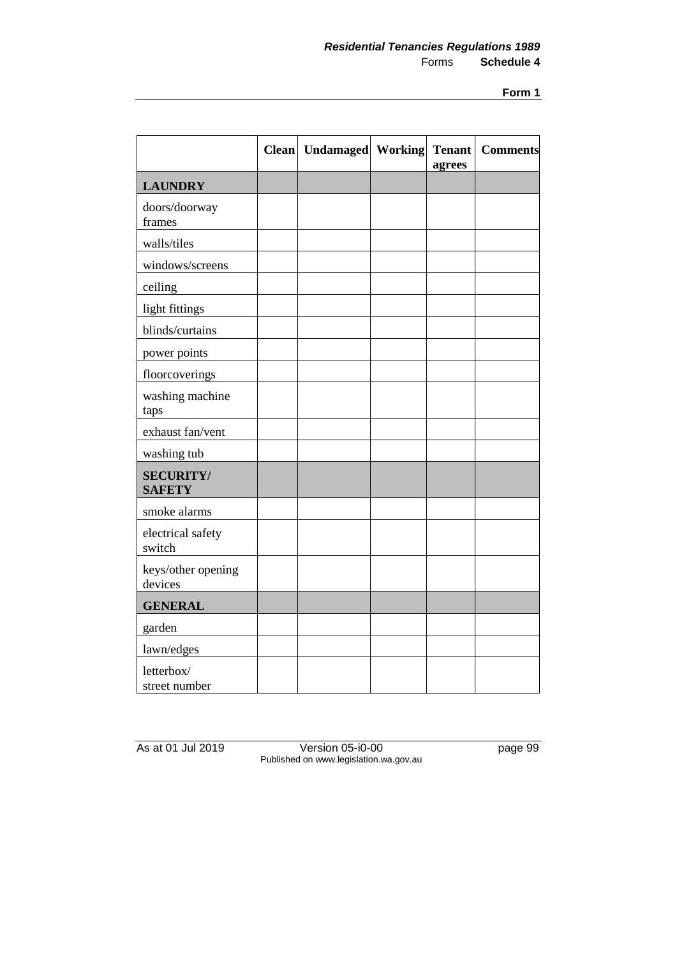|                                   | <b>Clean</b> | <b>Undamaged</b> Working | <b>Tenant</b><br>agrees | <b>Comments</b> |
|-----------------------------------|--------------|--------------------------|-------------------------|-----------------|
| <b>LAUNDRY</b>                    |              |                          |                         |                 |
| doors/doorway<br>frames           |              |                          |                         |                 |
| walls/tiles                       |              |                          |                         |                 |
| windows/screens                   |              |                          |                         |                 |
| ceiling                           |              |                          |                         |                 |
| light fittings                    |              |                          |                         |                 |
| blinds/curtains                   |              |                          |                         |                 |
| power points                      |              |                          |                         |                 |
| floorcoverings                    |              |                          |                         |                 |
| washing machine<br>taps           |              |                          |                         |                 |
| exhaust fan/vent                  |              |                          |                         |                 |
| washing tub                       |              |                          |                         |                 |
| <b>SECURITY/</b><br><b>SAFETY</b> |              |                          |                         |                 |
| smoke alarms                      |              |                          |                         |                 |
| electrical safety<br>switch       |              |                          |                         |                 |
| keys/other opening<br>devices     |              |                          |                         |                 |
| <b>GENERAL</b>                    |              |                          |                         |                 |
| garden                            |              |                          |                         |                 |
| lawn/edges                        |              |                          |                         |                 |
| letterbox/<br>street number       |              |                          |                         |                 |

As at 01 Jul 2019 Version 05-i0-00 page 99 Published on www.legislation.wa.gov.au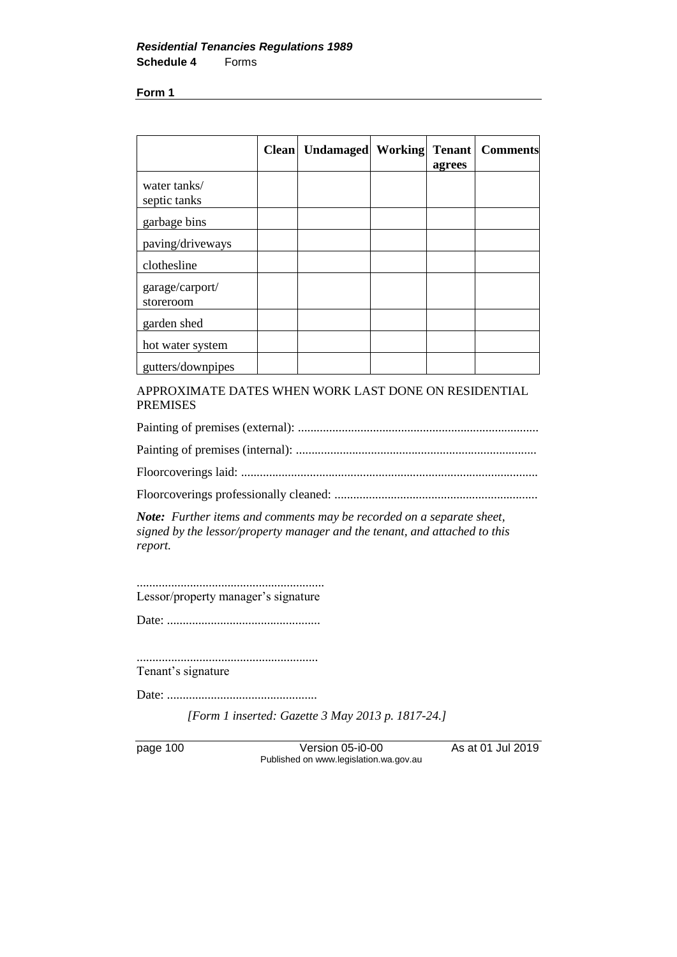|                              | <b>Clean</b> | <b>Undamaged</b> | Working | <b>Tenant</b><br>agrees | <b>Comments</b> |
|------------------------------|--------------|------------------|---------|-------------------------|-----------------|
| water tanks/<br>septic tanks |              |                  |         |                         |                 |
| garbage bins                 |              |                  |         |                         |                 |
| paving/driveways             |              |                  |         |                         |                 |
| clothesline                  |              |                  |         |                         |                 |
| garage/carport/<br>storeroom |              |                  |         |                         |                 |
| garden shed                  |              |                  |         |                         |                 |
| hot water system             |              |                  |         |                         |                 |
| gutters/downpipes            |              |                  |         |                         |                 |

APPROXIMATE DATES WHEN WORK LAST DONE ON RESIDENTIAL PREMISES

*Note: Further items and comments may be recorded on a separate sheet, signed by the lessor/property manager and the tenant, and attached to this report.*

............................................................ Lessor/property manager's signature

Date: .................................................

.......................................................... Tenant's signature

Date: ................................................

*[Form 1 inserted: Gazette 3 May 2013 p. 1817-24.]*

page 100 Version 05-i0-00 As at 01 Jul 2019 Published on www.legislation.wa.gov.au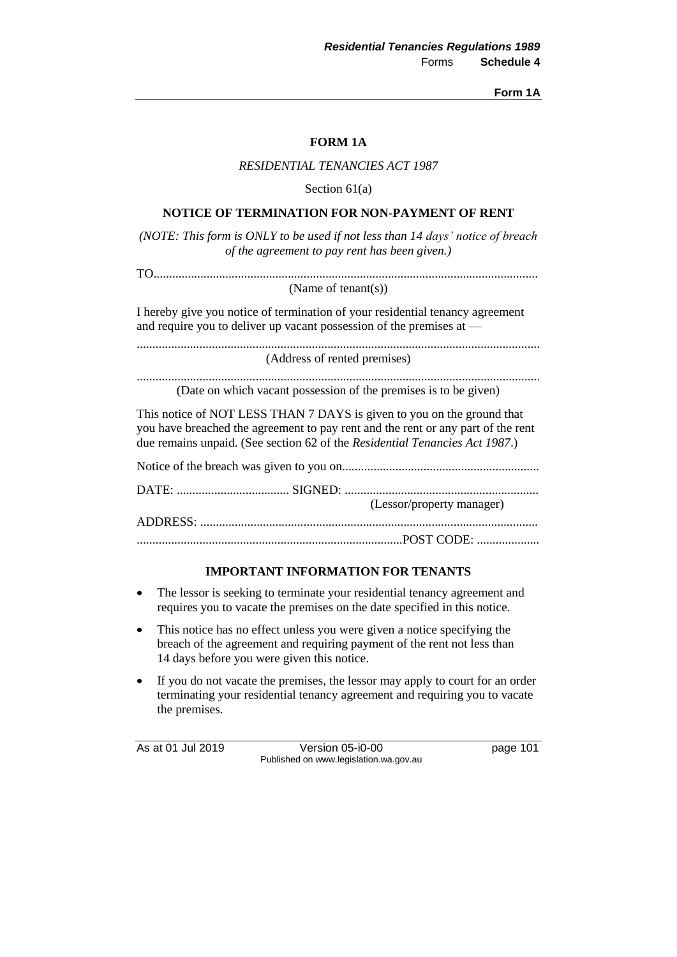| <b>FORM 1A</b>                                                                                                                                                                                                                            |
|-------------------------------------------------------------------------------------------------------------------------------------------------------------------------------------------------------------------------------------------|
| RESIDENTIAL TENANCIES ACT 1987                                                                                                                                                                                                            |
| Section $61(a)$                                                                                                                                                                                                                           |
| NOTICE OF TERMINATION FOR NON-PAYMENT OF RENT                                                                                                                                                                                             |
| (NOTE: This form is ONLY to be used if not less than 14 days' notice of breach<br>of the agreement to pay rent has been given.)                                                                                                           |
|                                                                                                                                                                                                                                           |
| (Name of tenant(s))                                                                                                                                                                                                                       |
| I hereby give you notice of termination of your residential tenancy agreement<br>and require you to deliver up vacant possession of the premises at —                                                                                     |
| (Address of rented premises)                                                                                                                                                                                                              |
| (Date on which vacant possession of the premises is to be given)                                                                                                                                                                          |
| This notice of NOT LESS THAN 7 DAYS is given to you on the ground that<br>you have breached the agreement to pay rent and the rent or any part of the rent<br>due remains unpaid. (See section 62 of the Residential Tenancies Act 1987.) |
|                                                                                                                                                                                                                                           |
| (Lessor/property manager)                                                                                                                                                                                                                 |
|                                                                                                                                                                                                                                           |
|                                                                                                                                                                                                                                           |
| <b>IMPORTANT INFORMATION FOR TENANTS</b>                                                                                                                                                                                                  |
| The lessor is seeking to terminate your residential tenancy agreement and<br>$\bullet$<br>requires you to vacate the premises on the date specified in this notice.                                                                       |

- This notice has no effect unless you were given a notice specifying the breach of the agreement and requiring payment of the rent not less than 14 days before you were given this notice.
- If you do not vacate the premises, the lessor may apply to court for an order terminating your residential tenancy agreement and requiring you to vacate the premises.

As at 01 Jul 2019 Version 05-i0-00 page 101 Published on www.legislation.wa.gov.au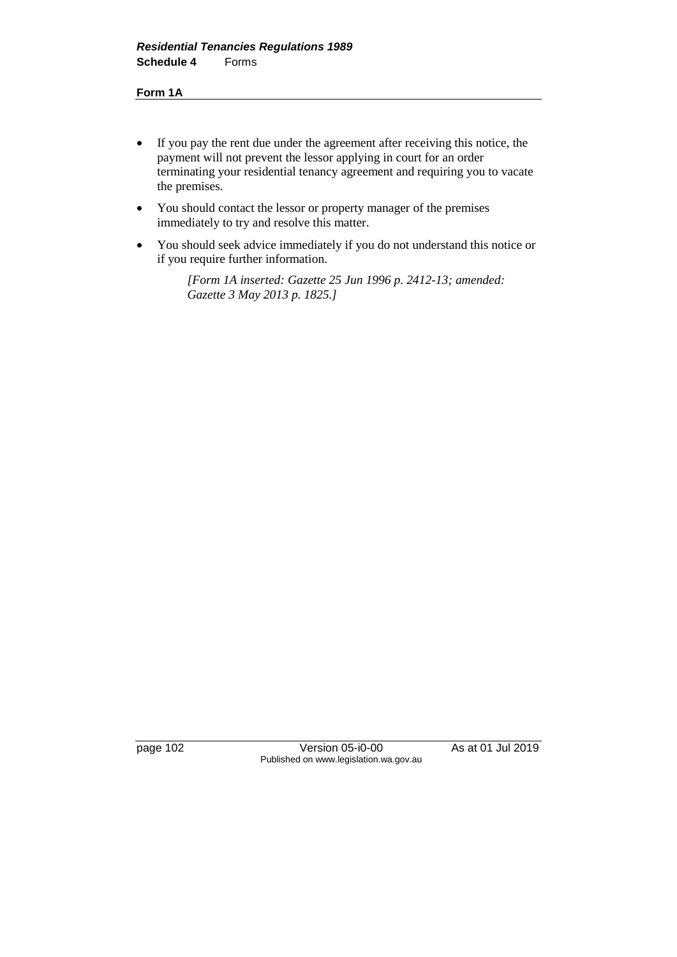- If you pay the rent due under the agreement after receiving this notice, the payment will not prevent the lessor applying in court for an order terminating your residential tenancy agreement and requiring you to vacate the premises.
- You should contact the lessor or property manager of the premises immediately to try and resolve this matter.
- You should seek advice immediately if you do not understand this notice or if you require further information.

*[Form 1A inserted: Gazette 25 Jun 1996 p. 2412-13; amended: Gazette 3 May 2013 p. 1825.]*

page 102 Version 05-i0-00 As at 01 Jul 2019 Published on www.legislation.wa.gov.au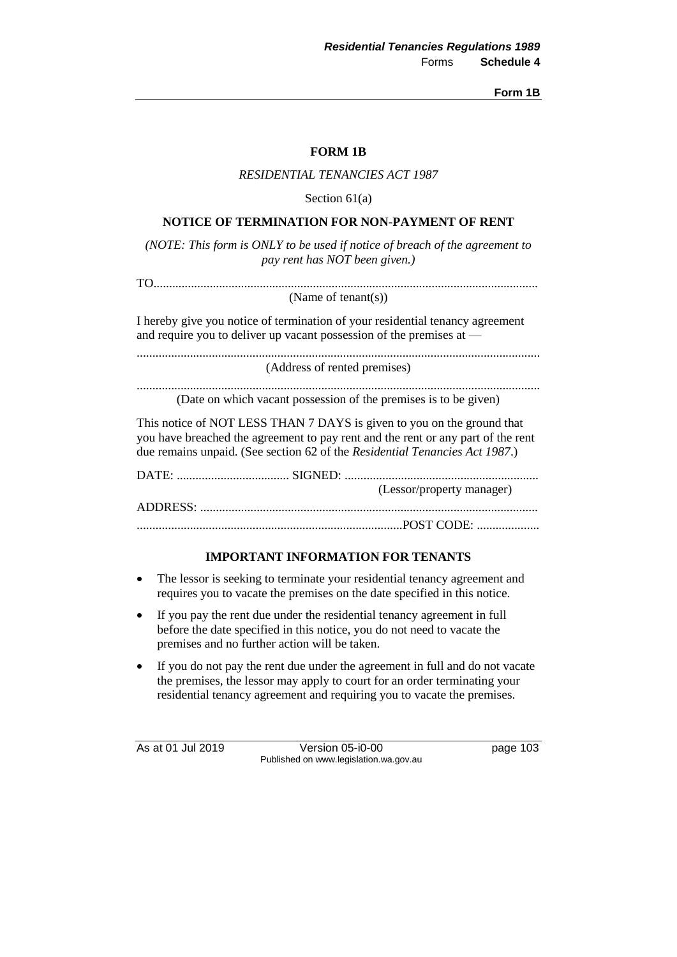#### **Form 1B**

## **FORM 1B**

#### *RESIDENTIAL TENANCIES ACT 1987*

Section 61(a)

#### **NOTICE OF TERMINATION FOR NON-PAYMENT OF RENT**

*(NOTE: This form is ONLY to be used if notice of breach of the agreement to pay rent has NOT been given.)*

TO...........................................................................................................................

(Name of tenant(s))

I hereby give you notice of termination of your residential tenancy agreement and require you to deliver up vacant possession of the premises at —

.................................................................................................................................

(Address of rented premises)

................................................................................................................................. (Date on which vacant possession of the premises is to be given)

This notice of NOT LESS THAN 7 DAYS is given to you on the ground that you have breached the agreement to pay rent and the rent or any part of the rent due remains unpaid. (See section 62 of the *Residential Tenancies Act 1987*.)

| (Lessor/property manager) |  |
|---------------------------|--|
|                           |  |
|                           |  |

## **IMPORTANT INFORMATION FOR TENANTS**

- The lessor is seeking to terminate your residential tenancy agreement and requires you to vacate the premises on the date specified in this notice.
- If you pay the rent due under the residential tenancy agreement in full before the date specified in this notice, you do not need to vacate the premises and no further action will be taken.
- If you do not pay the rent due under the agreement in full and do not vacate the premises, the lessor may apply to court for an order terminating your residential tenancy agreement and requiring you to vacate the premises.

As at 01 Jul 2019 Version 05-i0-00 page 103 Published on www.legislation.wa.gov.au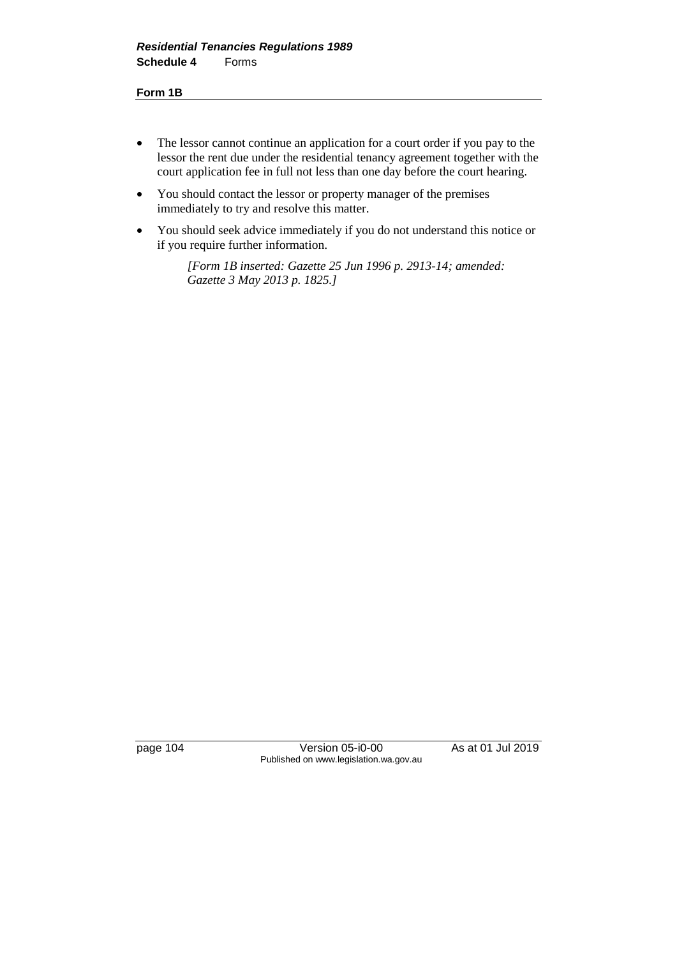## **Form 1B**

- The lessor cannot continue an application for a court order if you pay to the lessor the rent due under the residential tenancy agreement together with the court application fee in full not less than one day before the court hearing.
- You should contact the lessor or property manager of the premises immediately to try and resolve this matter.
- You should seek advice immediately if you do not understand this notice or if you require further information.

*[Form 1B inserted: Gazette 25 Jun 1996 p. 2913-14; amended: Gazette 3 May 2013 p. 1825.]*

page 104 Version 05-i0-00 As at 01 Jul 2019 Published on www.legislation.wa.gov.au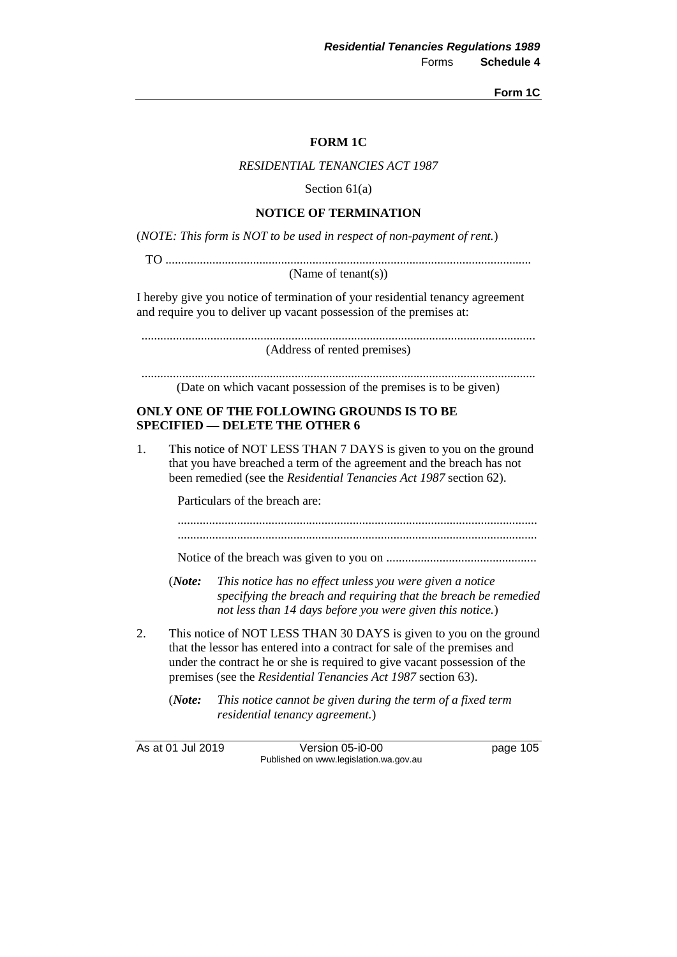**Form 1C**

## **FORM 1C**

#### *RESIDENTIAL TENANCIES ACT 1987*

Section 61(a)

#### **NOTICE OF TERMINATION**

(*NOTE: This form is NOT to be used in respect of non-payment of rent.*)

TO .....................................................................................................................

(Name of tenant(s))

I hereby give you notice of termination of your residential tenancy agreement and require you to deliver up vacant possession of the premises at:

..............................................................................................................................

(Address of rented premises)

..............................................................................................................................

(Date on which vacant possession of the premises is to be given)

#### **ONLY ONE OF THE FOLLOWING GROUNDS IS TO BE SPECIFIED — DELETE THE OTHER 6**

1. This notice of NOT LESS THAN 7 DAYS is given to you on the ground that you have breached a term of the agreement and the breach has not been remedied (see the *Residential Tenancies Act 1987* section 62).

Particulars of the breach are:

................................................................................................................... ...................................................................................................................

Notice of the breach was given to you on ................................................

- (*Note: This notice has no effect unless you were given a notice specifying the breach and requiring that the breach be remedied not less than 14 days before you were given this notice.*)
- 2. This notice of NOT LESS THAN 30 DAYS is given to you on the ground that the lessor has entered into a contract for sale of the premises and under the contract he or she is required to give vacant possession of the premises (see the *Residential Tenancies Act 1987* section 63).

(*Note: This notice cannot be given during the term of a fixed term residential tenancy agreement.*)

As at 01 Jul 2019 Version 05-i0-00 page 105 Published on www.legislation.wa.gov.au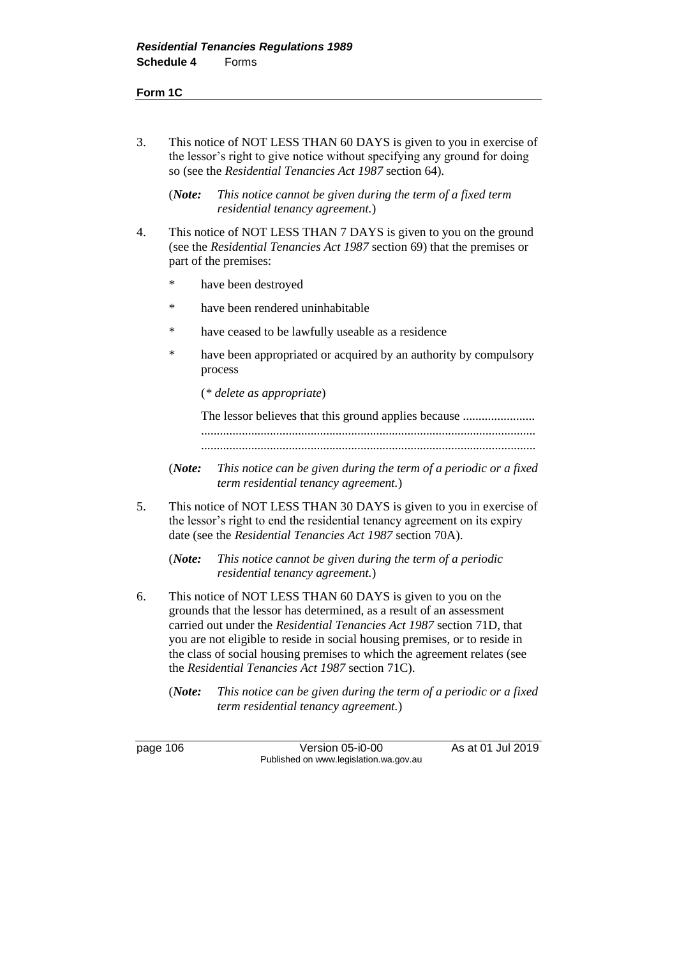## **Form 1C**

3. This notice of NOT LESS THAN 60 DAYS is given to you in exercise of the lessor's right to give notice without specifying any ground for doing so (see the *Residential Tenancies Act 1987* section 64).

(*Note: This notice cannot be given during the term of a fixed term residential tenancy agreement.*)

- 4. This notice of NOT LESS THAN 7 DAYS is given to you on the ground (see the *Residential Tenancies Act 1987* section 69) that the premises or part of the premises:
	- \* have been destroyed
	- \* have been rendered uninhabitable
	- \* have ceased to be lawfully useable as a residence
	- \* have been appropriated or acquired by an authority by compulsory process

(*\* delete as appropriate*)

The lessor believes that this ground applies because ....................... ........................................................................................................... ...........................................................................................................

- (*Note: This notice can be given during the term of a periodic or a fixed term residential tenancy agreement.*)
- 5. This notice of NOT LESS THAN 30 DAYS is given to you in exercise of the lessor's right to end the residential tenancy agreement on its expiry date (see the *Residential Tenancies Act 1987* section 70A).

(*Note: This notice cannot be given during the term of a periodic residential tenancy agreement.*)

- 6. This notice of NOT LESS THAN 60 DAYS is given to you on the grounds that the lessor has determined, as a result of an assessment carried out under the *Residential Tenancies Act 1987* section 71D, that you are not eligible to reside in social housing premises, or to reside in the class of social housing premises to which the agreement relates (see the *Residential Tenancies Act 1987* section 71C).
	- (*Note: This notice can be given during the term of a periodic or a fixed term residential tenancy agreement.*)

page 106 Version 05-i0-00 As at 01 Jul 2019 Published on www.legislation.wa.gov.au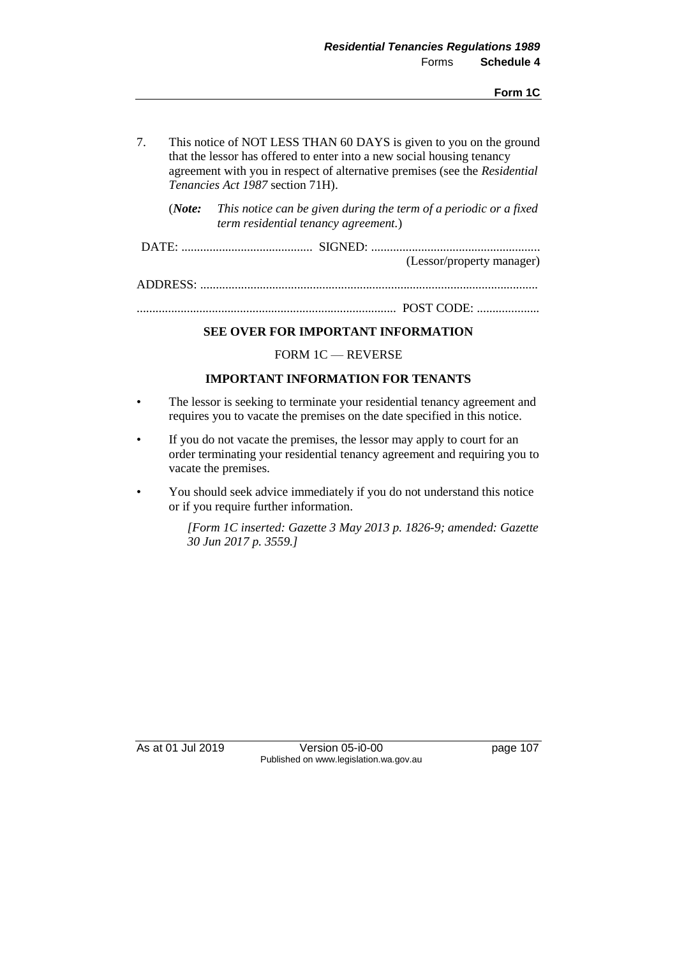- 7. This notice of NOT LESS THAN 60 DAYS is given to you on the ground that the lessor has offered to enter into a new social housing tenancy agreement with you in respect of alternative premises (see the *Residential Tenancies Act 1987* section 71H).
	- (*Note: This notice can be given during the term of a periodic or a fixed term residential tenancy agreement.*)

DATE: .......................................... SIGNED: ...................................................... (Lessor/property manager)

ADDRESS: ............................................................................................................

................................................................................... POST CODE: ....................

## **SEE OVER FOR IMPORTANT INFORMATION**

## FORM 1C — REVERSE

## **IMPORTANT INFORMATION FOR TENANTS**

- The lessor is seeking to terminate your residential tenancy agreement and requires you to vacate the premises on the date specified in this notice.
- If you do not vacate the premises, the lessor may apply to court for an order terminating your residential tenancy agreement and requiring you to vacate the premises.
- You should seek advice immediately if you do not understand this notice or if you require further information.

*[Form 1C inserted: Gazette 3 May 2013 p. 1826-9; amended: Gazette 30 Jun 2017 p. 3559.]*

As at 01 Jul 2019 Version 05-i0-00 page 107 Published on www.legislation.wa.gov.au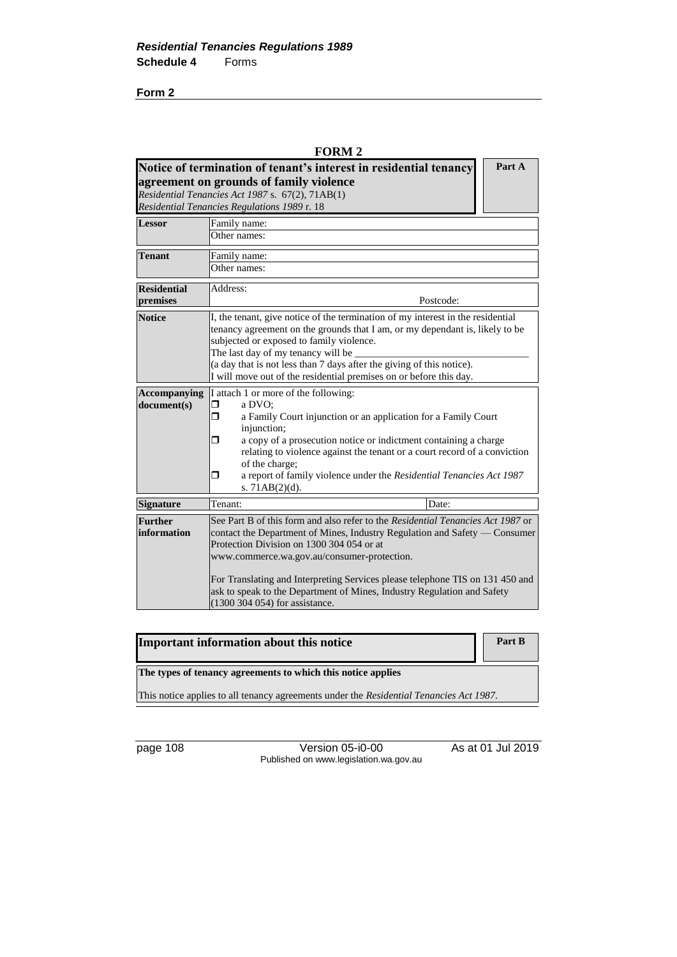|                                                                                                                                                                                                                            | <b>FORM2</b>                                                                                                                                                                                                                                                                                                                                                                                                                                            |  |  |  |
|----------------------------------------------------------------------------------------------------------------------------------------------------------------------------------------------------------------------------|---------------------------------------------------------------------------------------------------------------------------------------------------------------------------------------------------------------------------------------------------------------------------------------------------------------------------------------------------------------------------------------------------------------------------------------------------------|--|--|--|
| Part A<br>Notice of termination of tenant's interest in residential tenancy<br>agreement on grounds of family violence<br>Residential Tenancies Act 1987 s. 67(2), 71AB(1)<br>Residential Tenancies Regulations 1989 r. 18 |                                                                                                                                                                                                                                                                                                                                                                                                                                                         |  |  |  |
| Lessor                                                                                                                                                                                                                     | Family name:<br>Other names:                                                                                                                                                                                                                                                                                                                                                                                                                            |  |  |  |
| <b>Tenant</b>                                                                                                                                                                                                              | Family name:<br>Other names:                                                                                                                                                                                                                                                                                                                                                                                                                            |  |  |  |
| <b>Residential</b><br>premises                                                                                                                                                                                             | Address:<br>Postcode:                                                                                                                                                                                                                                                                                                                                                                                                                                   |  |  |  |
| <b>Notice</b>                                                                                                                                                                                                              | I, the tenant, give notice of the termination of my interest in the residential<br>tenancy agreement on the grounds that I am, or my dependant is, likely to be<br>subjected or exposed to family violence.<br>The last day of my tenancy will be<br>(a day that is not less than 7 days after the giving of this notice).<br>I will move out of the residential premises on or before this day.                                                        |  |  |  |
| <b>Accompanying</b><br>document(s)                                                                                                                                                                                         | I attach 1 or more of the following:<br>σ<br>a DVO:<br>⊓<br>a Family Court injunction or an application for a Family Court<br>injunction;<br>a copy of a prosecution notice or indictment containing a charge<br>⊓<br>relating to violence against the tenant or a court record of a conviction<br>of the charge;<br>a report of family violence under the Residential Tenancies Act 1987<br>□<br>s. $71AB(2)(d)$ .                                     |  |  |  |
| <b>Signature</b>                                                                                                                                                                                                           | Tenant:<br>Date:                                                                                                                                                                                                                                                                                                                                                                                                                                        |  |  |  |
| <b>Further</b><br>information                                                                                                                                                                                              | See Part B of this form and also refer to the Residential Tenancies Act 1987 or<br>contact the Department of Mines, Industry Regulation and Safety — Consumer<br>Protection Division on 1300 304 054 or at<br>www.commerce.wa.gov.au/consumer-protection.<br>For Translating and Interpreting Services please telephone TIS on 131 450 and<br>ask to speak to the Department of Mines, Industry Regulation and Safety<br>(1300 304 054) for assistance. |  |  |  |

| Important information about this notice                                                 |  |  |
|-----------------------------------------------------------------------------------------|--|--|
| The types of tenancy agreements to which this notice applies                            |  |  |
| This notice applies to all tenancy agreements under the Residential Tenancies Act 1987. |  |  |

page 108 Version 05-i0-00 As at 01 Jul 2019 Published on www.legislation.wa.gov.au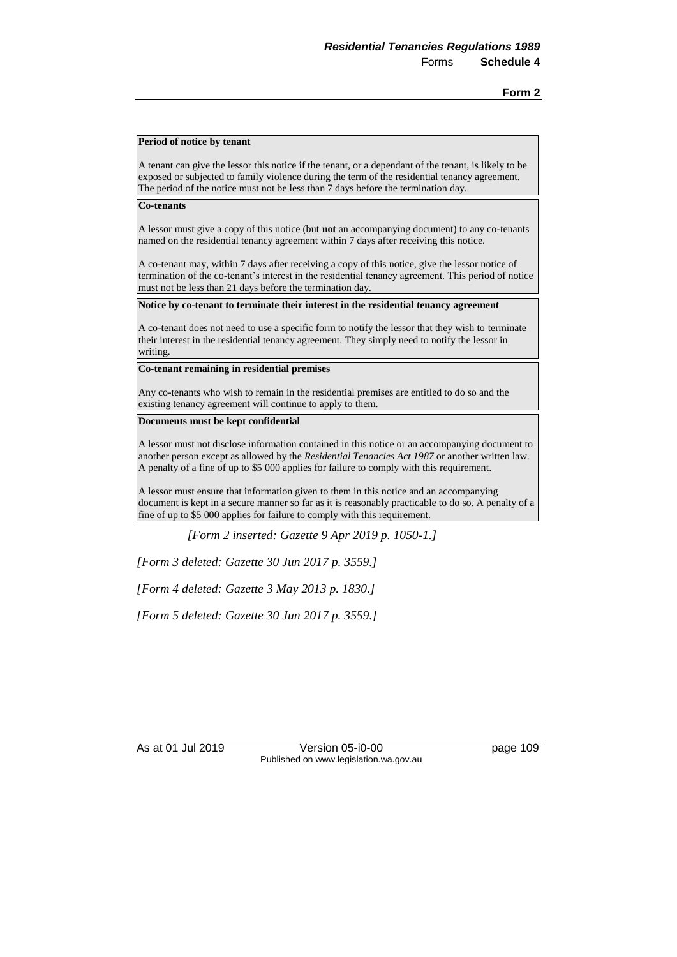#### **Period of notice by tenant**

A tenant can give the lessor this notice if the tenant, or a dependant of the tenant, is likely to be exposed or subjected to family violence during the term of the residential tenancy agreement. The period of the notice must not be less than 7 days before the termination day.

## **Co-tenants**

A lessor must give a copy of this notice (but **not** an accompanying document) to any co-tenants named on the residential tenancy agreement within 7 days after receiving this notice.

A co-tenant may, within 7 days after receiving a copy of this notice, give the lessor notice of termination of the co-tenant's interest in the residential tenancy agreement. This period of notice must not be less than 21 days before the termination day.

**Notice by co-tenant to terminate their interest in the residential tenancy agreement**

A co-tenant does not need to use a specific form to notify the lessor that they wish to terminate their interest in the residential tenancy agreement. They simply need to notify the lessor in writing.

#### **Co-tenant remaining in residential premises**

Any co-tenants who wish to remain in the residential premises are entitled to do so and the existing tenancy agreement will continue to apply to them.

#### **Documents must be kept confidential**

A lessor must not disclose information contained in this notice or an accompanying document to another person except as allowed by the *Residential Tenancies Act 1987* or another written law. A penalty of a fine of up to \$5 000 applies for failure to comply with this requirement.

A lessor must ensure that information given to them in this notice and an accompanying document is kept in a secure manner so far as it is reasonably practicable to do so. A penalty of a fine of up to \$5 000 applies for failure to comply with this requirement.

*[Form 2 inserted: Gazette 9 Apr 2019 p. 1050-1.]*

*[Form 3 deleted: Gazette 30 Jun 2017 p. 3559.]*

*[Form 4 deleted: Gazette 3 May 2013 p. 1830.]*

*[Form 5 deleted: Gazette 30 Jun 2017 p. 3559.]*

As at 01 Jul 2019 Version 05-i0-00 page 109 Published on www.legislation.wa.gov.au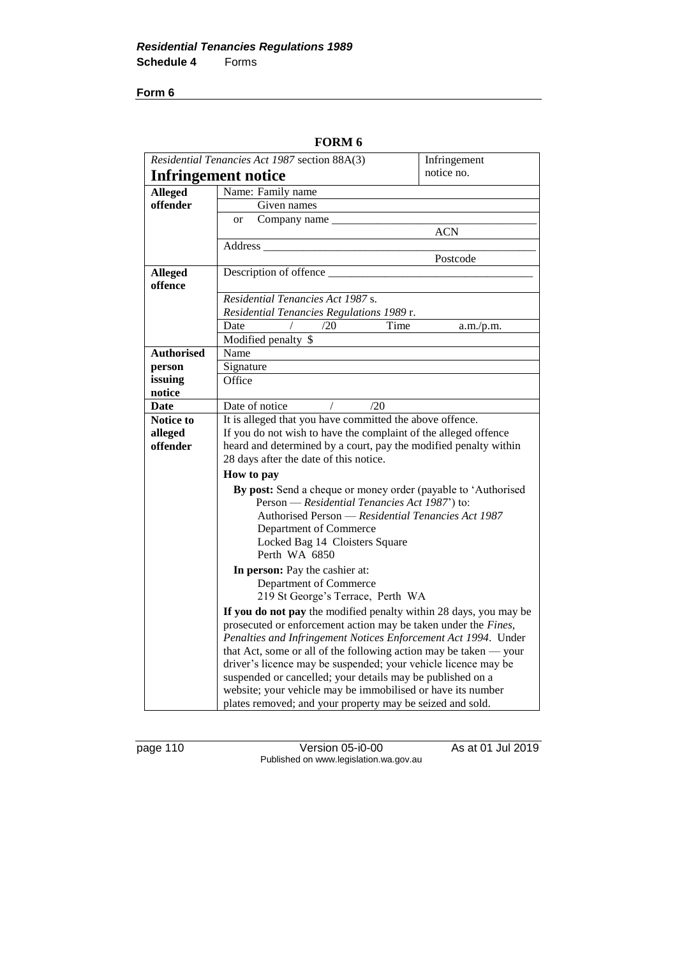| Residential Tenancies Act 1987 section 88A(3) |                                                                                                                           | Infringement |  |
|-----------------------------------------------|---------------------------------------------------------------------------------------------------------------------------|--------------|--|
| Infringement notice                           |                                                                                                                           | notice no.   |  |
| <b>Alleged</b>                                | Name: Family name                                                                                                         |              |  |
| offender                                      | Given names                                                                                                               |              |  |
|                                               | Company name<br><b>or</b>                                                                                                 |              |  |
|                                               |                                                                                                                           | <b>ACN</b>   |  |
|                                               | Address                                                                                                                   |              |  |
|                                               |                                                                                                                           | Postcode     |  |
| <b>Alleged</b>                                | Description of offence                                                                                                    |              |  |
| offence                                       |                                                                                                                           |              |  |
|                                               | Residential Tenancies Act 1987 s.                                                                                         |              |  |
|                                               | Residential Tenancies Regulations 1989 r.<br>/20<br>Time<br>Date                                                          | a.m./p.m.    |  |
|                                               | Modified penalty \$                                                                                                       |              |  |
| <b>Authorised</b>                             | Name                                                                                                                      |              |  |
| person                                        | Signature                                                                                                                 |              |  |
| issuing                                       | Office                                                                                                                    |              |  |
| notice                                        |                                                                                                                           |              |  |
| Date                                          | /20<br>Date of notice                                                                                                     |              |  |
| Notice to                                     | It is alleged that you have committed the above offence.                                                                  |              |  |
| alleged                                       | If you do not wish to have the complaint of the alleged offence                                                           |              |  |
| offender                                      | heard and determined by a court, pay the modified penalty within                                                          |              |  |
|                                               | 28 days after the date of this notice.                                                                                    |              |  |
|                                               | How to pay                                                                                                                |              |  |
|                                               | By post: Send a cheque or money order (payable to 'Authorised                                                             |              |  |
|                                               | Person — Residential Tenancies Act 1987') to:<br>Authorised Person - Residential Tenancies Act 1987                       |              |  |
|                                               | Department of Commerce                                                                                                    |              |  |
|                                               | Locked Bag 14 Cloisters Square                                                                                            |              |  |
|                                               | Perth WA 6850                                                                                                             |              |  |
|                                               | In person: Pay the cashier at:                                                                                            |              |  |
|                                               | Department of Commerce                                                                                                    |              |  |
|                                               | 219 St George's Terrace, Perth WA                                                                                         |              |  |
|                                               | If you do not pay the modified penalty within 28 days, you may be                                                         |              |  |
|                                               | prosecuted or enforcement action may be taken under the Fines,                                                            |              |  |
|                                               | Penalties and Infringement Notices Enforcement Act 1994. Under                                                            |              |  |
|                                               | that Act, some or all of the following action may be taken — your                                                         |              |  |
|                                               | driver's licence may be suspended; your vehicle licence may be                                                            |              |  |
|                                               | suspended or cancelled; your details may be published on a<br>website; your vehicle may be immobilised or have its number |              |  |
|                                               | plates removed; and your property may be seized and sold.                                                                 |              |  |
|                                               |                                                                                                                           |              |  |

**FORM 6**

page 110 Version 05-i0-00 As at 01 Jul 2019 Published on www.legislation.wa.gov.au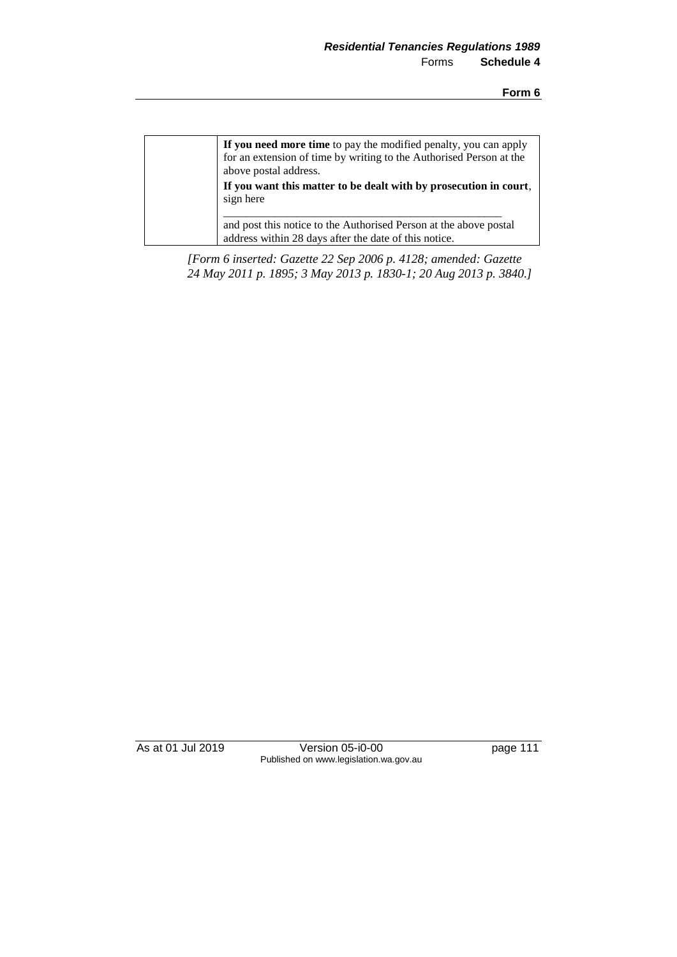| If you need more time to pay the modified penalty, you can apply<br>for an extension of time by writing to the Authorised Person at the<br>above postal address.<br>If you want this matter to be dealt with by prosecution in court,<br>sign here |
|----------------------------------------------------------------------------------------------------------------------------------------------------------------------------------------------------------------------------------------------------|
| and post this notice to the Authorised Person at the above postal<br>address within 28 days after the date of this notice.                                                                                                                         |

*[Form 6 inserted: Gazette 22 Sep 2006 p. 4128; amended: Gazette 24 May 2011 p. 1895; 3 May 2013 p. 1830-1; 20 Aug 2013 p. 3840.]*

As at 01 Jul 2019 Version 05-i0-00 page 111 Published on www.legislation.wa.gov.au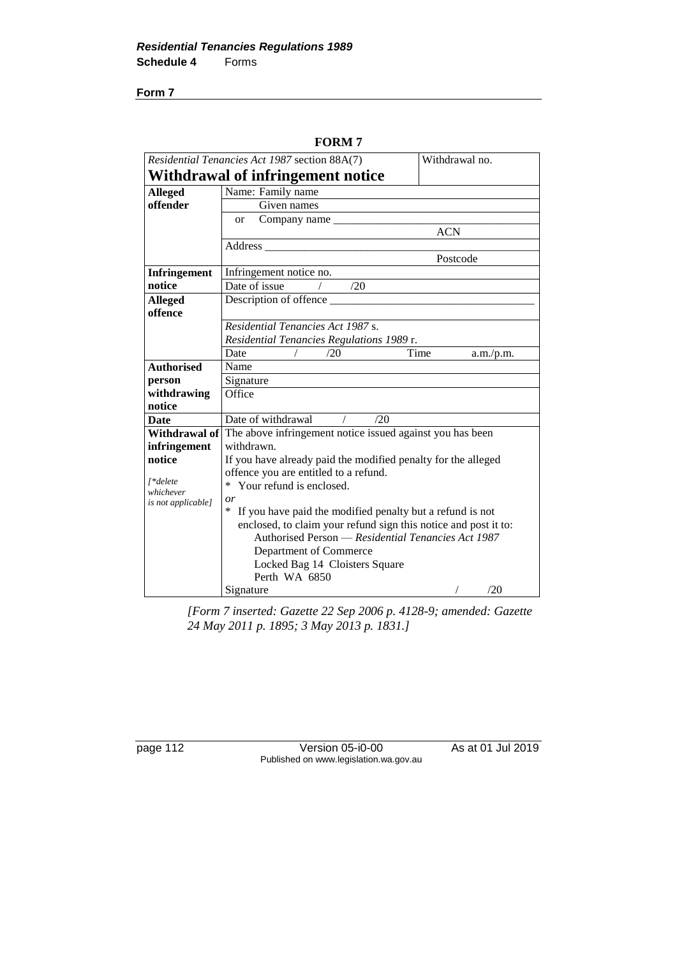| Residential Tenancies Act 1987 section 88A(7) | Withdrawal no.                                                                                                                                                                                                                 |                   |  |  |
|-----------------------------------------------|--------------------------------------------------------------------------------------------------------------------------------------------------------------------------------------------------------------------------------|-------------------|--|--|
|                                               | Withdrawal of infringement notice                                                                                                                                                                                              |                   |  |  |
| <b>Alleged</b>                                | Name: Family name                                                                                                                                                                                                              |                   |  |  |
| offender                                      | Given names                                                                                                                                                                                                                    |                   |  |  |
|                                               | Company name ____<br>or                                                                                                                                                                                                        |                   |  |  |
|                                               |                                                                                                                                                                                                                                | <b>ACN</b>        |  |  |
|                                               | Address and the state of the state of the state of the state of the state of the state of the state of the state of the state of the state of the state of the state of the state of the state of the state of the state of th |                   |  |  |
|                                               |                                                                                                                                                                                                                                | Postcode          |  |  |
| <b>Infringement</b>                           | Infringement notice no.                                                                                                                                                                                                        |                   |  |  |
| notice                                        | Date of issue<br>/20                                                                                                                                                                                                           |                   |  |  |
| <b>Alleged</b>                                | Description of offence                                                                                                                                                                                                         |                   |  |  |
| offence                                       |                                                                                                                                                                                                                                |                   |  |  |
|                                               | Residential Tenancies Act 1987 s.                                                                                                                                                                                              |                   |  |  |
|                                               | Residential Tenancies Regulations 1989 r.                                                                                                                                                                                      |                   |  |  |
|                                               | /20<br>Date                                                                                                                                                                                                                    | Time<br>a.m./p.m. |  |  |
| <b>Authorised</b>                             | Name                                                                                                                                                                                                                           |                   |  |  |
| person                                        | Signature                                                                                                                                                                                                                      |                   |  |  |
| withdrawing                                   | Office                                                                                                                                                                                                                         |                   |  |  |
| notice                                        |                                                                                                                                                                                                                                |                   |  |  |
| <b>Date</b>                                   | Date of withdrawal<br>/20                                                                                                                                                                                                      |                   |  |  |
|                                               | <b>Withdrawal of</b> The above infringement notice issued against you has been                                                                                                                                                 |                   |  |  |
| infringement                                  | withdrawn.                                                                                                                                                                                                                     |                   |  |  |
| notice                                        | If you have already paid the modified penalty for the alleged                                                                                                                                                                  |                   |  |  |
| [*delete                                      | offence you are entitled to a refund.                                                                                                                                                                                          |                   |  |  |
| whichever                                     | * Your refund is enclosed.                                                                                                                                                                                                     |                   |  |  |
| is not applicable]                            | or                                                                                                                                                                                                                             |                   |  |  |
|                                               | If you have paid the modified penalty but a refund is not<br>*<br>enclosed, to claim your refund sign this notice and post it to:                                                                                              |                   |  |  |
|                                               | Authorised Person - Residential Tenancies Act 1987                                                                                                                                                                             |                   |  |  |
|                                               |                                                                                                                                                                                                                                |                   |  |  |
|                                               | Department of Commerce                                                                                                                                                                                                         |                   |  |  |
|                                               | Locked Bag 14 Cloisters Square<br>Perth WA 6850                                                                                                                                                                                |                   |  |  |
|                                               | Signature                                                                                                                                                                                                                      | /20               |  |  |

**FORM 7**

*[Form 7 inserted: Gazette 22 Sep 2006 p. 4128-9; amended: Gazette 24 May 2011 p. 1895; 3 May 2013 p. 1831.]*

page 112 Version 05-i0-00 As at 01 Jul 2019 Published on www.legislation.wa.gov.au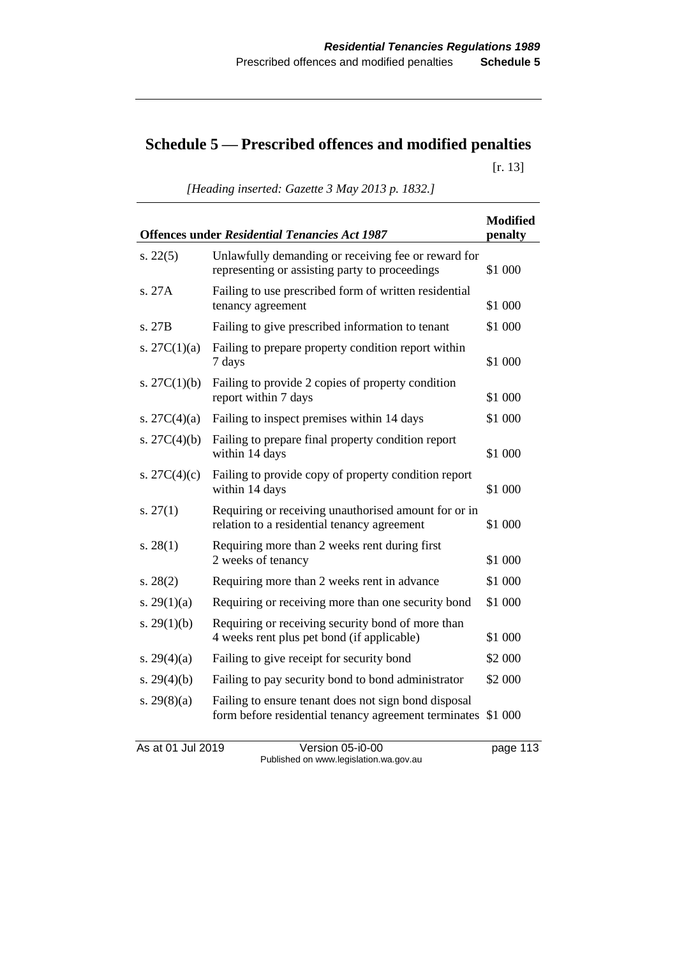# **Schedule 5 — Prescribed offences and modified penalties**

[r. 13]

*[Heading inserted: Gazette 3 May 2013 p. 1832.]*

|                | <b>Offences under Residential Tenancies Act 1987</b>                                                                 | <b>Modified</b><br>penalty |
|----------------|----------------------------------------------------------------------------------------------------------------------|----------------------------|
| s. $22(5)$     | Unlawfully demanding or receiving fee or reward for<br>representing or assisting party to proceedings                | \$1 000                    |
| s. 27A         | Failing to use prescribed form of written residential<br>tenancy agreement                                           | \$1 000                    |
| s. 27B         | Failing to give prescribed information to tenant                                                                     | \$1 000                    |
| s. $27C(1)(a)$ | Failing to prepare property condition report within<br>7 days                                                        | \$1 000                    |
| s. $27C(1)(b)$ | Failing to provide 2 copies of property condition<br>report within 7 days                                            | \$1 000                    |
| s. $27C(4)(a)$ | Failing to inspect premises within 14 days                                                                           | \$1 000                    |
| s. $27C(4)(b)$ | Failing to prepare final property condition report<br>within 14 days                                                 | \$1 000                    |
| s. $27C(4)(c)$ | Failing to provide copy of property condition report<br>within 14 days                                               | \$1 000                    |
| s. $27(1)$     | Requiring or receiving unauthorised amount for or in<br>relation to a residential tenancy agreement                  | \$1 000                    |
| s. $28(1)$     | Requiring more than 2 weeks rent during first<br>2 weeks of tenancy                                                  | \$1 000                    |
| s. $28(2)$     | Requiring more than 2 weeks rent in advance                                                                          | \$1 000                    |
| s. $29(1)(a)$  | Requiring or receiving more than one security bond                                                                   | \$1 000                    |
| s. $29(1)(b)$  | Requiring or receiving security bond of more than<br>4 weeks rent plus pet bond (if applicable)                      | \$1 000                    |
| s. $29(4)(a)$  | Failing to give receipt for security bond                                                                            | \$2 000                    |
| s. $29(4)(b)$  | Failing to pay security bond to bond administrator                                                                   | \$2 000                    |
| s. $29(8)(a)$  | Failing to ensure tenant does not sign bond disposal<br>form before residential tenancy agreement terminates \$1 000 |                            |

As at 01 Jul 2019 Version 05-i0-00 page 113 Published on www.legislation.wa.gov.au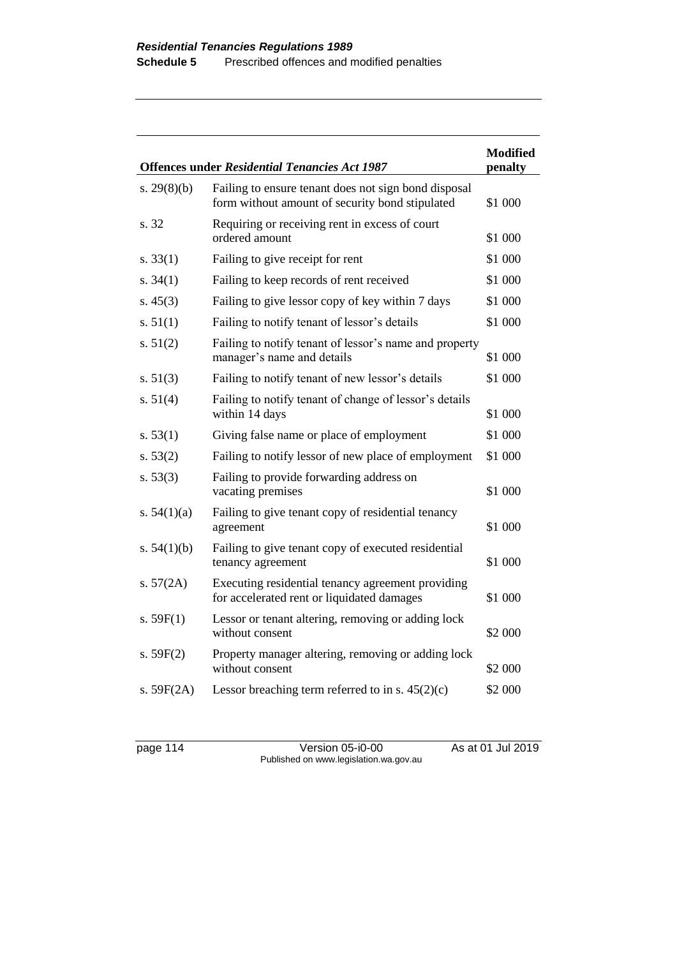|               | <b>Offences under Residential Tenancies Act 1987</b>                                                    | <b>Modified</b><br>penalty |
|---------------|---------------------------------------------------------------------------------------------------------|----------------------------|
| s. $29(8)(b)$ | Failing to ensure tenant does not sign bond disposal<br>form without amount of security bond stipulated | \$1 000                    |
| s. 32         | Requiring or receiving rent in excess of court<br>ordered amount                                        | \$1 000                    |
| s. $33(1)$    | Failing to give receipt for rent                                                                        | \$1 000                    |
| s. $34(1)$    | Failing to keep records of rent received                                                                | \$1 000                    |
| s. $45(3)$    | Failing to give lessor copy of key within 7 days                                                        | \$1 000                    |
| s. $51(1)$    | Failing to notify tenant of lessor's details                                                            | \$1 000                    |
| s. $51(2)$    | Failing to notify tenant of lessor's name and property<br>manager's name and details                    | \$1 000                    |
| s. 51(3)      | Failing to notify tenant of new lessor's details                                                        | \$1 000                    |
| s. $51(4)$    | Failing to notify tenant of change of lessor's details<br>within 14 days                                | \$1 000                    |
| s. $53(1)$    | Giving false name or place of employment                                                                | \$1 000                    |
| s. $53(2)$    | Failing to notify lessor of new place of employment                                                     | \$1 000                    |
| s. $53(3)$    | Failing to provide forwarding address on<br>vacating premises                                           | \$1 000                    |
| s. $54(1)(a)$ | Failing to give tenant copy of residential tenancy<br>agreement                                         | \$1 000                    |
| s. $54(1)(b)$ | Failing to give tenant copy of executed residential<br>tenancy agreement                                | \$1 000                    |
| s. 57(2A)     | Executing residential tenancy agreement providing<br>for accelerated rent or liquidated damages         | \$1 000                    |
| s. $59F(1)$   | Lessor or tenant altering, removing or adding lock<br>without consent                                   | \$2 000                    |
| s. $59F(2)$   | Property manager altering, removing or adding lock<br>without consent                                   | \$2 000                    |
| s. $59F(2A)$  | Lessor breaching term referred to in s. $45(2)(c)$                                                      | \$2 000                    |

page 114 Version 05-i0-00 As at 01 Jul 2019 Published on www.legislation.wa.gov.au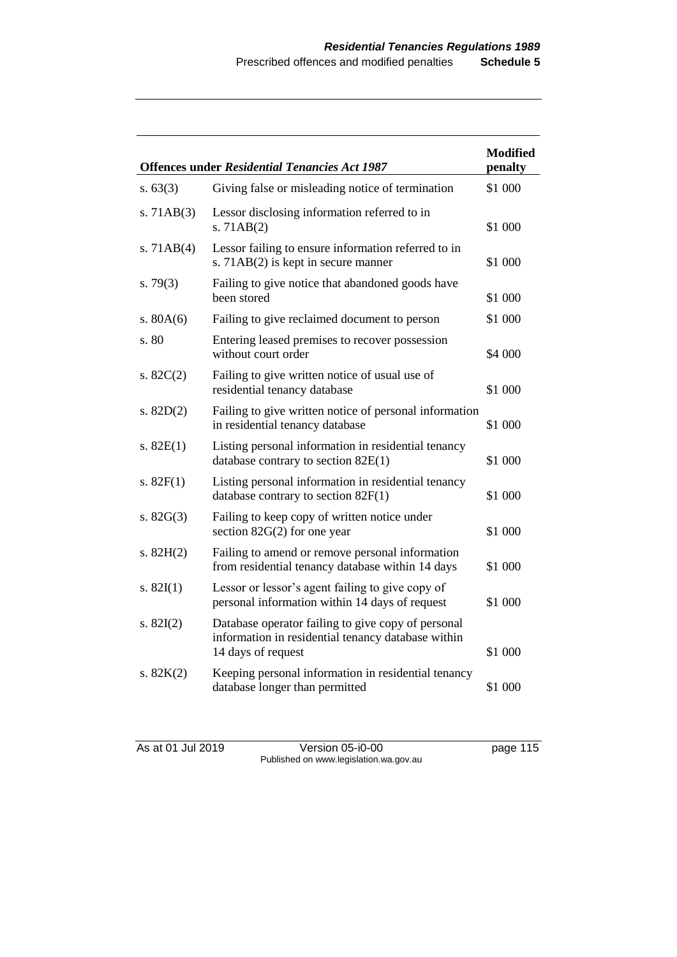|              | <b>Offences under Residential Tenancies Act 1987</b>                                                                           | <b>Modified</b><br>penalty |
|--------------|--------------------------------------------------------------------------------------------------------------------------------|----------------------------|
| s. $63(3)$   | Giving false or misleading notice of termination                                                                               | \$1 000                    |
| s. $71AB(3)$ | Lessor disclosing information referred to in<br>s. $71AB(2)$                                                                   | \$1 000                    |
| s. $71AB(4)$ | Lessor failing to ensure information referred to in<br>s. $71AB(2)$ is kept in secure manner                                   | \$1 000                    |
| s. $79(3)$   | Failing to give notice that abandoned goods have<br>been stored                                                                | \$1 000                    |
| s. $80A(6)$  | Failing to give reclaimed document to person                                                                                   | \$1 000                    |
| s. 80        | Entering leased premises to recover possession<br>without court order                                                          | \$4 000                    |
| s. $82C(2)$  | Failing to give written notice of usual use of<br>residential tenancy database                                                 | \$1 000                    |
| s. $82D(2)$  | Failing to give written notice of personal information<br>in residential tenancy database                                      | \$1 000                    |
| s. $82E(1)$  | Listing personal information in residential tenancy<br>database contrary to section $82E(1)$                                   | \$1 000                    |
| s. $82F(1)$  | Listing personal information in residential tenancy<br>database contrary to section $82F(1)$                                   | \$1 000                    |
| s. $82G(3)$  | Failing to keep copy of written notice under<br>section $82G(2)$ for one year                                                  | \$1 000                    |
| s. $82H(2)$  | Failing to amend or remove personal information<br>from residential tenancy database within 14 days                            | \$1 000                    |
| s. $82I(1)$  | Lessor or lessor's agent failing to give copy of<br>personal information within 14 days of request                             | \$1 000                    |
| s. $82I(2)$  | Database operator failing to give copy of personal<br>information in residential tenancy database within<br>14 days of request | \$1 000                    |
| s. $82K(2)$  | Keeping personal information in residential tenancy<br>database longer than permitted                                          | \$1 000                    |

As at 01 Jul 2019 Version 05-i0-00 page 115 Published on www.legislation.wa.gov.au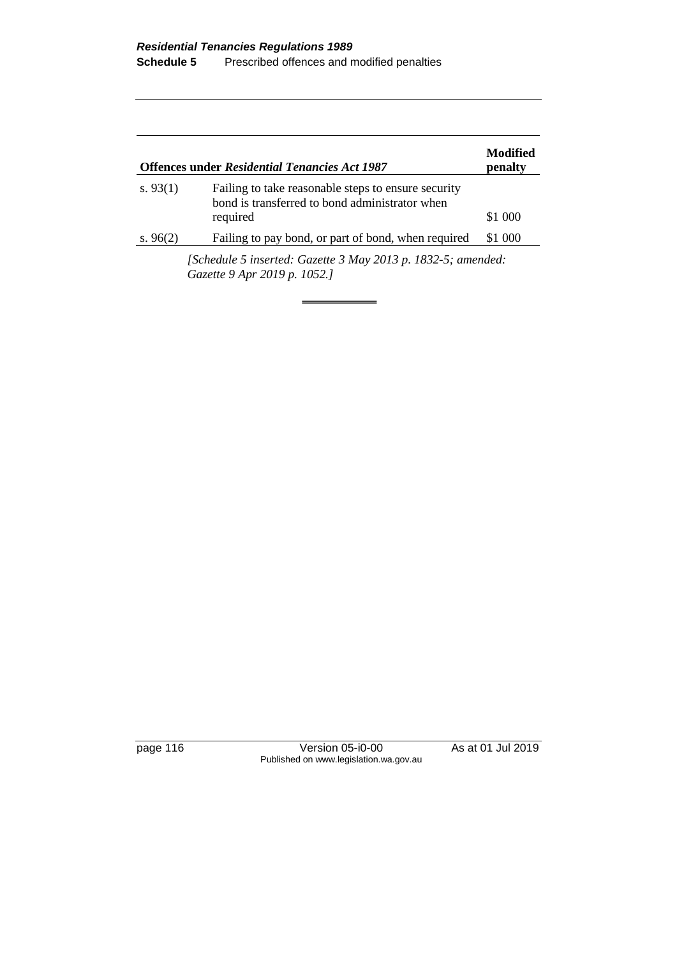|                                                              | <b>Offences under Residential Tenancies Act 1987</b>                                                              | <b>Modified</b><br>penalty |
|--------------------------------------------------------------|-------------------------------------------------------------------------------------------------------------------|----------------------------|
| s. $93(1)$                                                   | Failing to take reasonable steps to ensure security<br>bond is transferred to bond administrator when<br>required | \$1 000                    |
| s. $96(2)$                                                   | Failing to pay bond, or part of bond, when required                                                               | \$1 000                    |
| [Schedule 5 inserted: Gazette 3 May 2013 p. 1832-5; amended: |                                                                                                                   |                            |

*Gazette 9 Apr 2019 p. 1052.]*

page 116 Version 05-i0-00 As at 01 Jul 2019 Published on www.legislation.wa.gov.au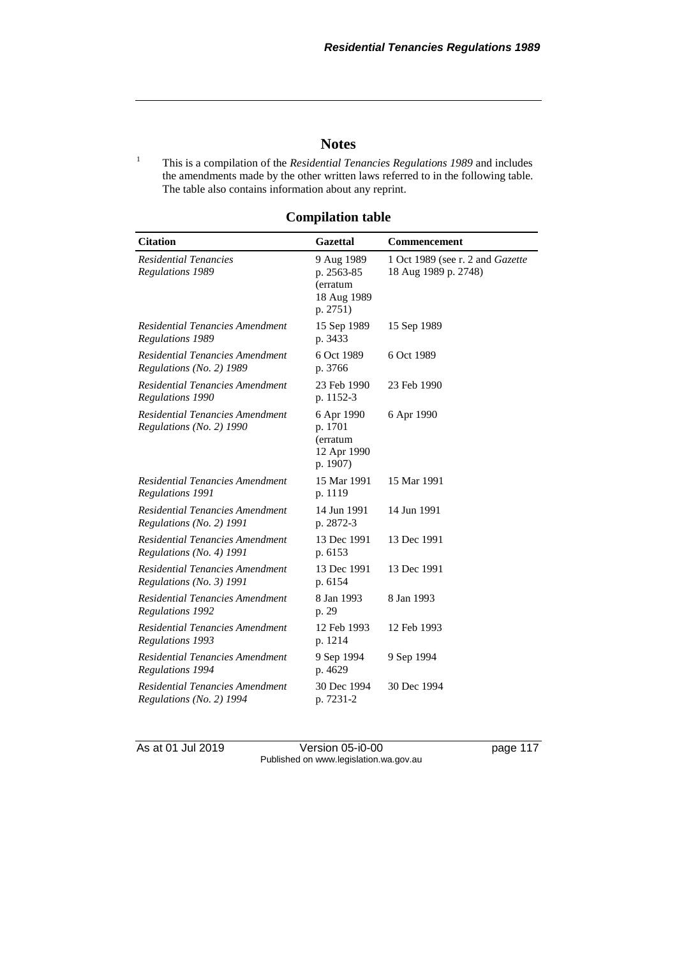## **Notes**

<sup>1</sup> This is a compilation of the *Residential Tenancies Regulations 1989* and includes the amendments made by the other written laws referred to in the following table. The table also contains information about any reprint.

| <b>Citation</b>                                                    | <b>Gazettal</b>                                                 | Commencement                                             |
|--------------------------------------------------------------------|-----------------------------------------------------------------|----------------------------------------------------------|
| <b>Residential Tenancies</b><br>Regulations 1989                   | 9 Aug 1989<br>p. 2563-85<br>(erratum<br>18 Aug 1989<br>p. 2751) | 1 Oct 1989 (see r. 2 and Gazette<br>18 Aug 1989 p. 2748) |
| Residential Tenancies Amendment<br>Regulations 1989                | 15 Sep 1989<br>p. 3433                                          | 15 Sep 1989                                              |
| Residential Tenancies Amendment<br>Regulations (No. 2) 1989        | 6 Oct 1989<br>p. 3766                                           | 6 Oct 1989                                               |
| Residential Tenancies Amendment<br>Regulations 1990                | 23 Feb 1990<br>p. 1152-3                                        | 23 Feb 1990                                              |
| <b>Residential Tenancies Amendment</b><br>Regulations (No. 2) 1990 | 6 Apr 1990<br>p. 1701<br>(erratum<br>12 Apr 1990<br>p. 1907)    | 6 Apr 1990                                               |
| Residential Tenancies Amendment<br>Regulations 1991                | 15 Mar 1991<br>p. 1119                                          | 15 Mar 1991                                              |
| Residential Tenancies Amendment<br>Regulations (No. 2) 1991        | 14 Jun 1991<br>p. 2872-3                                        | 14 Jun 1991                                              |
| <b>Residential Tenancies Amendment</b><br>Regulations (No. 4) 1991 | 13 Dec 1991<br>p. 6153                                          | 13 Dec 1991                                              |
| Residential Tenancies Amendment<br>Regulations (No. 3) 1991        | 13 Dec 1991<br>p. 6154                                          | 13 Dec 1991                                              |
| Residential Tenancies Amendment<br>Regulations 1992                | 8 Jan 1993<br>p. 29                                             | 8 Jan 1993                                               |
| <b>Residential Tenancies Amendment</b><br>Regulations 1993         | 12 Feb 1993<br>p. 1214                                          | 12 Feb 1993                                              |
| Residential Tenancies Amendment<br><b>Regulations 1994</b>         | 9 Sep 1994<br>p. 4629                                           | 9 Sep 1994                                               |
| Residential Tenancies Amendment<br>Regulations (No. 2) 1994        | 30 Dec 1994<br>p. 7231-2                                        | 30 Dec 1994                                              |

## **Compilation table**

As at 01 Jul 2019 Version 05-i0-00 page 117 Published on www.legislation.wa.gov.au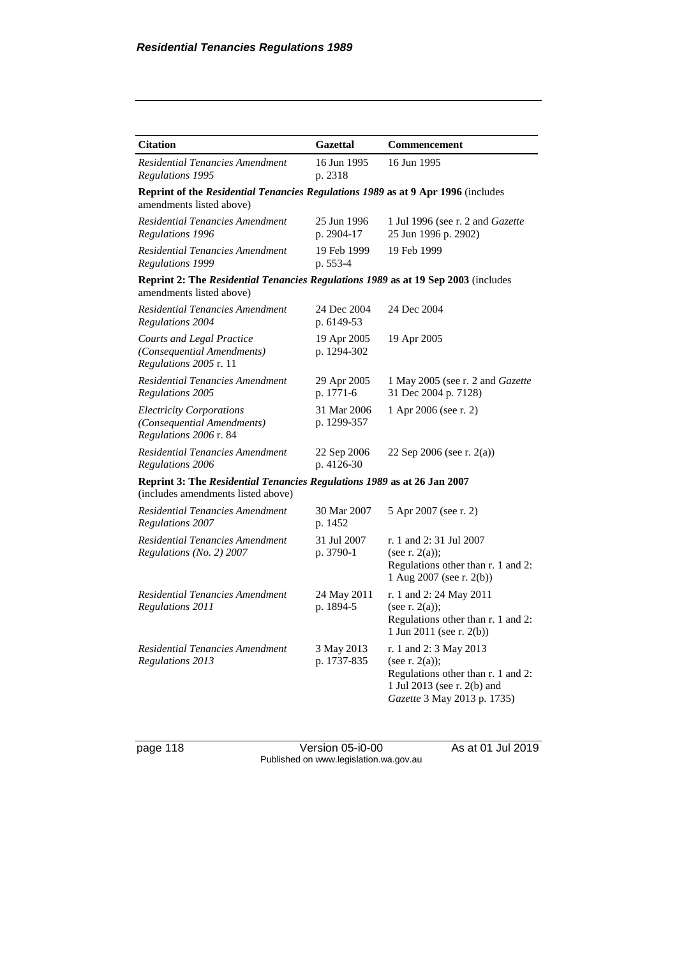| <b>Citation</b>                                                                                               | <b>Gazettal</b>            | Commencement                                                                                                                                    |
|---------------------------------------------------------------------------------------------------------------|----------------------------|-------------------------------------------------------------------------------------------------------------------------------------------------|
| Residential Tenancies Amendment<br>Regulations 1995                                                           | 16 Jun 1995<br>p. 2318     | 16 Jun 1995                                                                                                                                     |
| Reprint of the Residential Tenancies Regulations 1989 as at 9 Apr 1996 (includes<br>amendments listed above)  |                            |                                                                                                                                                 |
| <b>Residential Tenancies Amendment</b><br>Regulations 1996                                                    | 25 Jun 1996<br>p. 2904-17  | 1 Jul 1996 (see r. 2 and Gazette<br>25 Jun 1996 p. 2902)                                                                                        |
| Residential Tenancies Amendment<br>Regulations 1999                                                           | 19 Feb 1999<br>p. 553-4    | 19 Feb 1999                                                                                                                                     |
| Reprint 2: The Residential Tenancies Regulations 1989 as at 19 Sep 2003 (includes<br>amendments listed above) |                            |                                                                                                                                                 |
| Residential Tenancies Amendment<br>Regulations 2004                                                           | 24 Dec 2004<br>p. 6149-53  | 24 Dec 2004                                                                                                                                     |
| <b>Courts and Legal Practice</b><br>(Consequential Amendments)<br>Regulations 2005 r. 11                      | 19 Apr 2005<br>p. 1294-302 | 19 Apr 2005                                                                                                                                     |
| Residential Tenancies Amendment<br>Regulations 2005                                                           | 29 Apr 2005<br>p. 1771-6   | 1 May 2005 (see r. 2 and Gazette<br>31 Dec 2004 p. 7128)                                                                                        |
| <b>Electricity Corporations</b><br>(Consequential Amendments)<br>Regulations 2006 r. 84                       | 31 Mar 2006<br>p. 1299-357 | 1 Apr 2006 (see r. 2)                                                                                                                           |
| Residential Tenancies Amendment<br>Regulations 2006                                                           | 22 Sep 2006<br>p. 4126-30  | 22 Sep 2006 (see r. 2(a))                                                                                                                       |
| Reprint 3: The Residential Tenancies Regulations 1989 as at 26 Jan 2007<br>(includes amendments listed above) |                            |                                                                                                                                                 |
| Residential Tenancies Amendment<br>Regulations 2007                                                           | 30 Mar 2007<br>p. 1452     | 5 Apr 2007 (see r. 2)                                                                                                                           |
| Residential Tenancies Amendment<br>Regulations (No. 2) 2007                                                   | 31 Jul 2007<br>p. 3790-1   | r. 1 and 2: 31 Jul 2007<br>(see r. $2(a)$ );<br>Regulations other than r. 1 and 2:<br>1 Aug 2007 (see r. 2(b))                                  |
| Residential Tenancies Amendment<br>Regulations 2011                                                           | 24 May 2011<br>p. 1894-5   | r. 1 and 2: 24 May 2011<br>(see r. 2(a));<br>Regulations other than r. 1 and 2:<br>1 Jun 2011 (see r. 2(b))                                     |
| Residential Tenancies Amendment<br><b>Regulations 2013</b>                                                    | 3 May 2013<br>p. 1737-835  | r. 1 and 2: 3 May 2013<br>(see r. $2(a)$ );<br>Regulations other than r. 1 and 2:<br>1 Jul 2013 (see r. 2(b) and<br>Gazette 3 May 2013 p. 1735) |

page 118 Version 05-i0-00 As at 01 Jul 2019 Published on www.legislation.wa.gov.au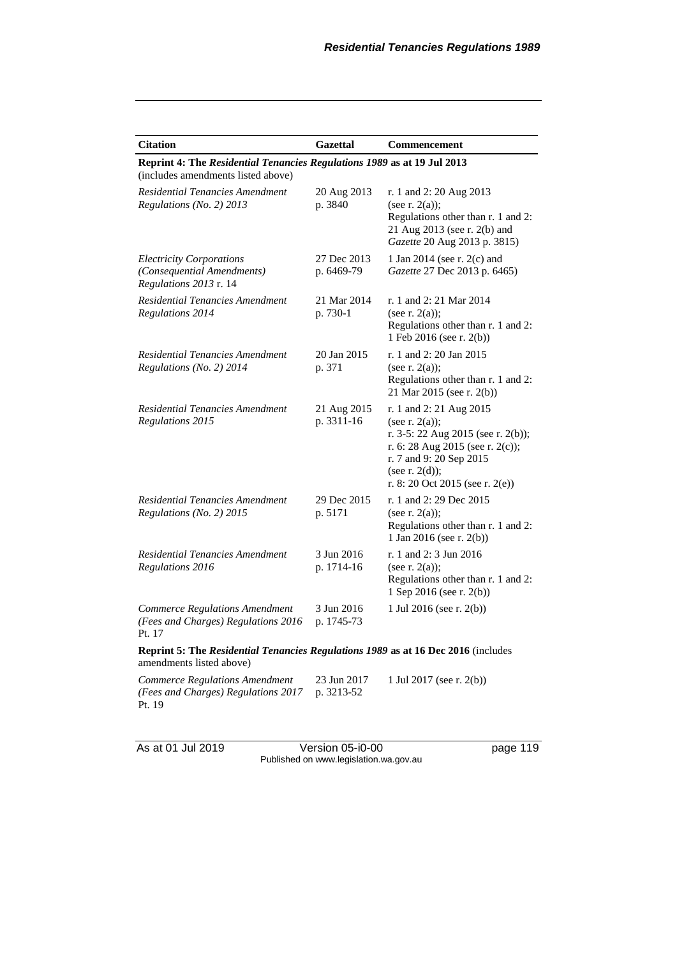| <b>Citation</b>                                                                                               | <b>Gazettal</b>           | Commencement                                                                                                                                                                                              |  |  |
|---------------------------------------------------------------------------------------------------------------|---------------------------|-----------------------------------------------------------------------------------------------------------------------------------------------------------------------------------------------------------|--|--|
| Reprint 4: The Residential Tenancies Regulations 1989 as at 19 Jul 2013<br>(includes amendments listed above) |                           |                                                                                                                                                                                                           |  |  |
| Residential Tenancies Amendment<br>Regulations (No. 2) 2013                                                   | 20 Aug 2013<br>p. 3840    | r. 1 and 2: 20 Aug 2013<br>(see r. $2(a)$ );<br>Regulations other than r. 1 and 2:<br>21 Aug 2013 (see r. 2(b) and<br>Gazette 20 Aug 2013 p. 3815)                                                        |  |  |
| <b>Electricity Corporations</b><br>(Consequential Amendments)<br>Regulations 2013 r. 14                       | 27 Dec 2013<br>p. 6469-79 | 1 Jan 2014 (see r. 2(c) and<br>Gazette 27 Dec 2013 p. 6465)                                                                                                                                               |  |  |
| Residential Tenancies Amendment<br>Regulations 2014                                                           | 21 Mar 2014<br>p. 730-1   | r. 1 and 2: 21 Mar 2014<br>(see r. $2(a)$ );<br>Regulations other than r. 1 and 2:<br>1 Feb 2016 (see r. 2(b))                                                                                            |  |  |
| Residential Tenancies Amendment<br>Regulations (No. 2) 2014                                                   | 20 Jan 2015<br>p. 371     | r. 1 and 2: 20 Jan 2015<br>(see r. $2(a)$ );<br>Regulations other than r. 1 and 2:<br>21 Mar 2015 (see r. 2(b))                                                                                           |  |  |
| Residential Tenancies Amendment<br>Regulations 2015                                                           | 21 Aug 2015<br>p. 3311-16 | r. 1 and 2: 21 Aug 2015<br>(see r. $2(a)$ );<br>r. 3-5: 22 Aug 2015 (see r. 2(b));<br>r. 6: 28 Aug 2015 (see r. 2(c));<br>r. 7 and 9: 20 Sep 2015<br>(see r. $2(d)$ );<br>r. 8: 20 Oct 2015 (see r. 2(e)) |  |  |
| <b>Residential Tenancies Amendment</b><br>Regulations (No. 2) 2015                                            | 29 Dec 2015<br>p. 5171    | r. 1 and 2: 29 Dec 2015<br>(see r. $2(a)$ );<br>Regulations other than r. 1 and 2:<br>1 Jan 2016 (see r. 2(b))                                                                                            |  |  |
| Residential Tenancies Amendment<br>Regulations 2016                                                           | 3 Jun 2016<br>p. 1714-16  | r. 1 and 2: 3 Jun 2016<br>(see r. $2(a)$ );<br>Regulations other than r. 1 and 2:<br>1 Sep 2016 (see r. 2(b))                                                                                             |  |  |
| <b>Commerce Regulations Amendment</b><br>(Fees and Charges) Regulations 2016<br>Pt. 17                        | 3 Jun 2016<br>p. 1745-73  | 1 Jul 2016 (see r. 2(b))                                                                                                                                                                                  |  |  |
| Reprint 5: The Residential Tenancies Regulations 1989 as at 16 Dec 2016 (includes<br>amendments listed above) |                           |                                                                                                                                                                                                           |  |  |
| <b>Commerce Regulations Amendment</b><br>(Fees and Charges) Regulations 2017<br>Pt. 19                        | 23 Jun 2017<br>p. 3213-52 | 1 Jul 2017 (see r. 2(b))                                                                                                                                                                                  |  |  |

As at 01 Jul 2019 **Version 05-i0-00 Page 119 page 119** Published on www.legislation.wa.gov.au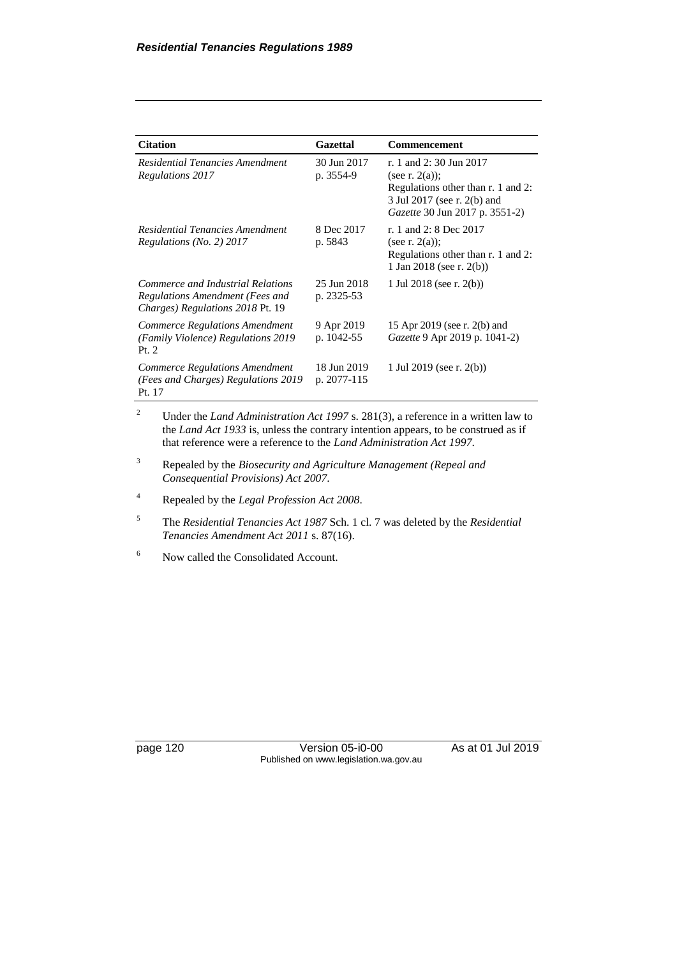| <b>Citation</b>                                                                                          | <b>Gazettal</b>            | Commencement                                                                                                                                              |
|----------------------------------------------------------------------------------------------------------|----------------------------|-----------------------------------------------------------------------------------------------------------------------------------------------------------|
| Residential Tenancies Amendment<br>Regulations 2017                                                      | 30 Jun 2017<br>p. 3554-9   | r. 1 and 2:30 Jun 2017<br>(see r. $2(a)$ );<br>Regulations other than r. 1 and 2:<br>3 Jul 2017 (see r. 2(b) and<br><i>Gazette</i> 30 Jun 2017 p. 3551-2) |
| Residential Tenancies Amendment<br>Regulations (No. 2) 2017                                              | 8 Dec 2017<br>p. 5843      | r. 1 and 2: 8 Dec 2017<br>(see r. $2(a)$ );<br>Regulations other than r. 1 and 2:<br>1 Jan 2018 (see r. 2(b))                                             |
| Commerce and Industrial Relations<br>Regulations Amendment (Fees and<br>Charges) Regulations 2018 Pt. 19 | 25 Jun 2018<br>p. 2325-53  | 1 Jul 2018 (see r. 2(b))                                                                                                                                  |
| Commerce Regulations Amendment<br>(Family Violence) Regulations 2019<br>Pt. $2$                          | 9 Apr 2019<br>p. 1042-55   | 15 Apr 2019 (see r. 2(b) and<br><i>Gazette</i> 9 Apr 2019 p. 1041-2)                                                                                      |
| Commerce Regulations Amendment<br>(Fees and Charges) Regulations 2019<br>Pt. 17                          | 18 Jun 2019<br>p. 2077-115 | 1 Jul 2019 (see r. 2(b))                                                                                                                                  |

<sup>2</sup> Under the *Land Administration Act 1997* s. 281(3), a reference in a written law to the *Land Act 1933* is, unless the contrary intention appears, to be construed as if that reference were a reference to the *Land Administration Act 1997*.

- <sup>3</sup> Repealed by the *Biosecurity and Agriculture Management (Repeal and Consequential Provisions) Act 2007*.
- <sup>4</sup> Repealed by the *Legal Profession Act 2008*.
- <sup>5</sup> The *Residential Tenancies Act 1987* Sch. 1 cl. 7 was deleted by the *Residential Tenancies Amendment Act 2011* s. 87(16).
- <sup>6</sup> Now called the Consolidated Account.

page 120 Version 05-i0-00 As at 01 Jul 2019 Published on www.legislation.wa.gov.au